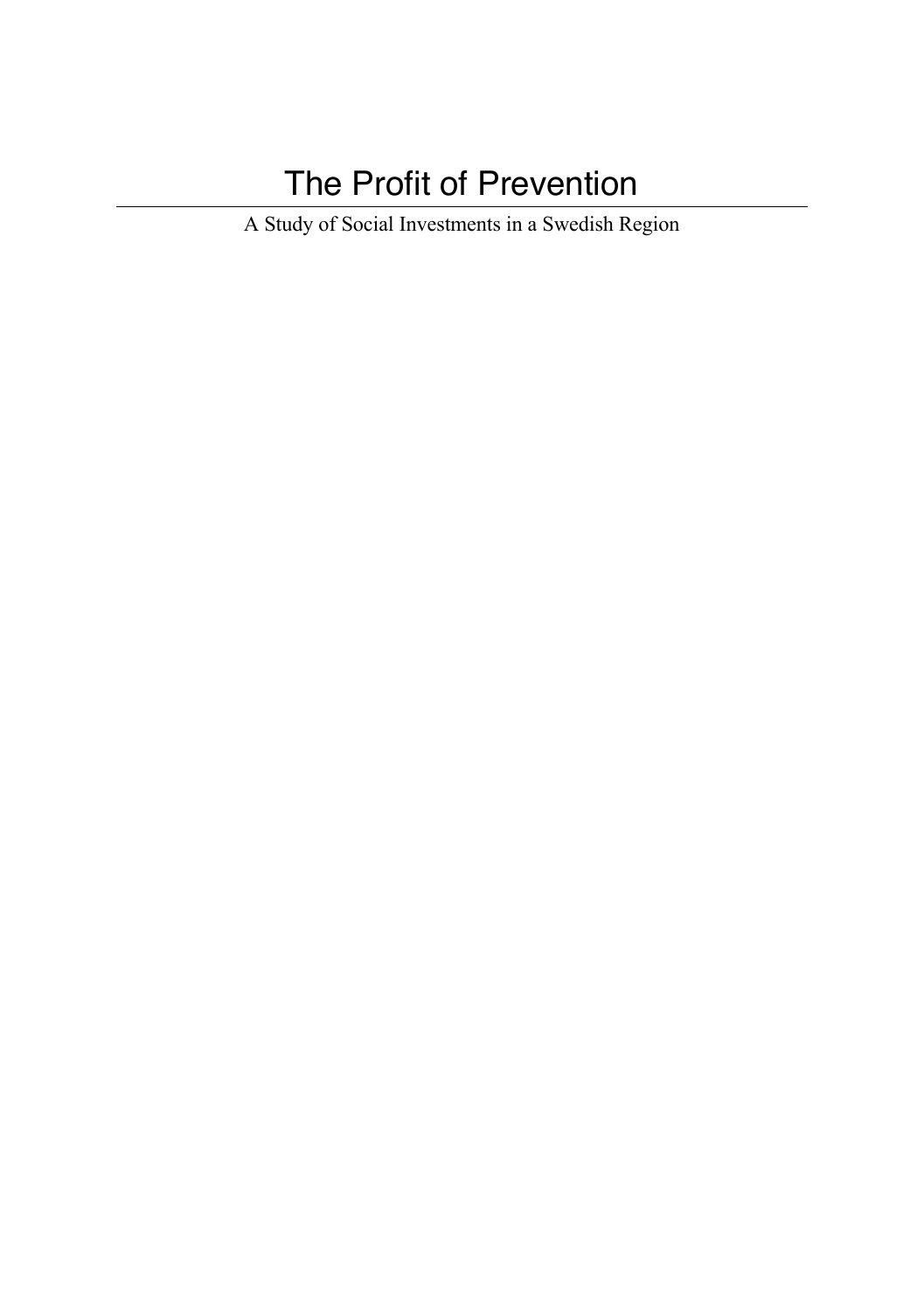# The Profit of Prevention

A Study of Social Investments in a Swedish Region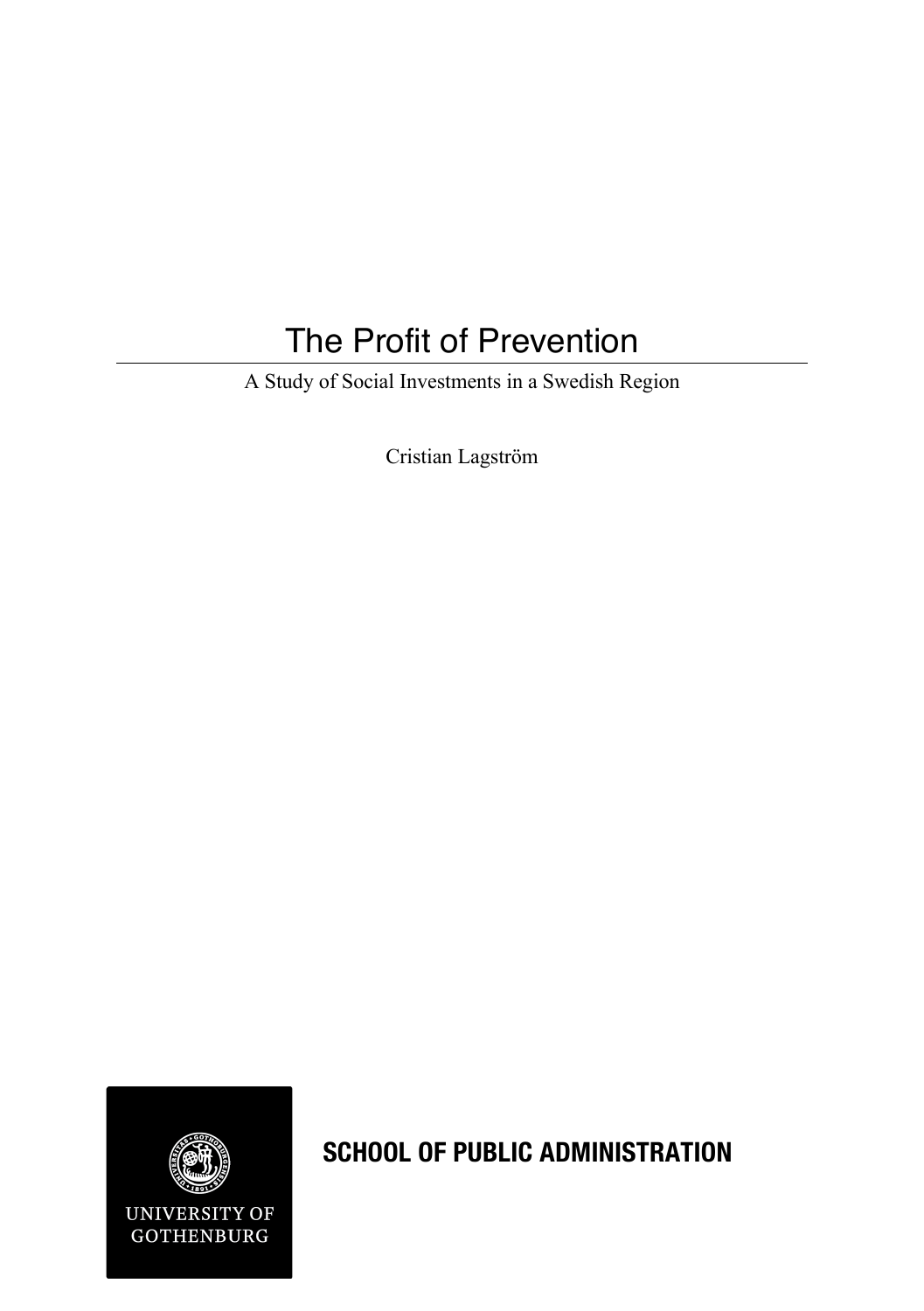## The Profit of Prevention

A Study of Social Investments in a Swedish Region

Cristian Lagström



**SCHOOL OF PUBLIC ADMINISTRATION**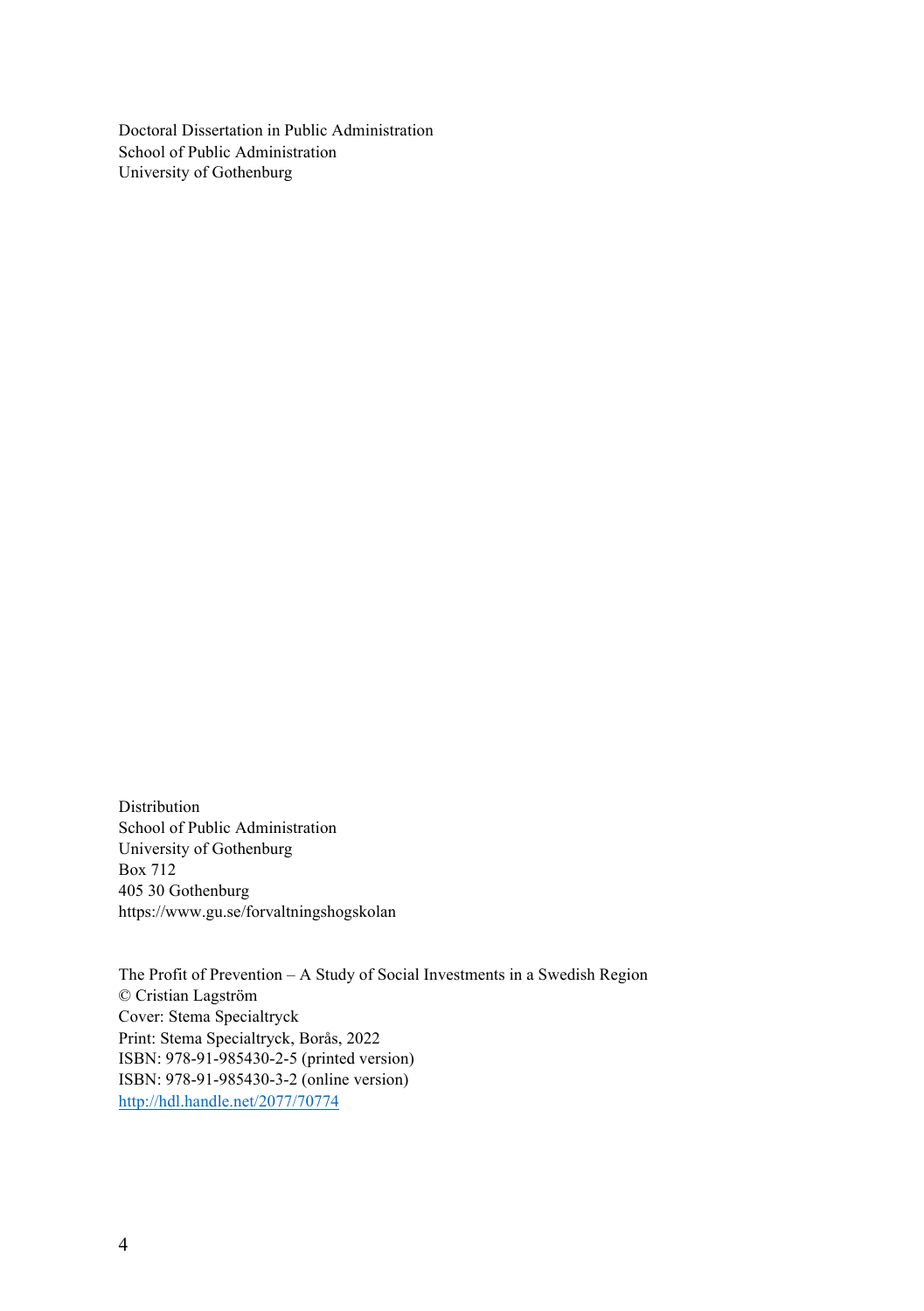Doctoral Dissertation in Public Administration School of Public Administration University of Gothenburg

Distribution School of Public Administration University of Gothenburg Box 712 405 30 Gothenburg https://www.gu.se/forvaltningshogskolan

The Profit of Prevention – A Study of Social Investments in a Swedish Region © Cristian Lagström Cover: Stema Specialtryck Print: Stema Specialtryck, Borås, 2022 ISBN: 978-91-985430-2-5 (printed version) ISBN: 978-91-985430-3-2 (online version) http://hdl.handle.net/2077/70774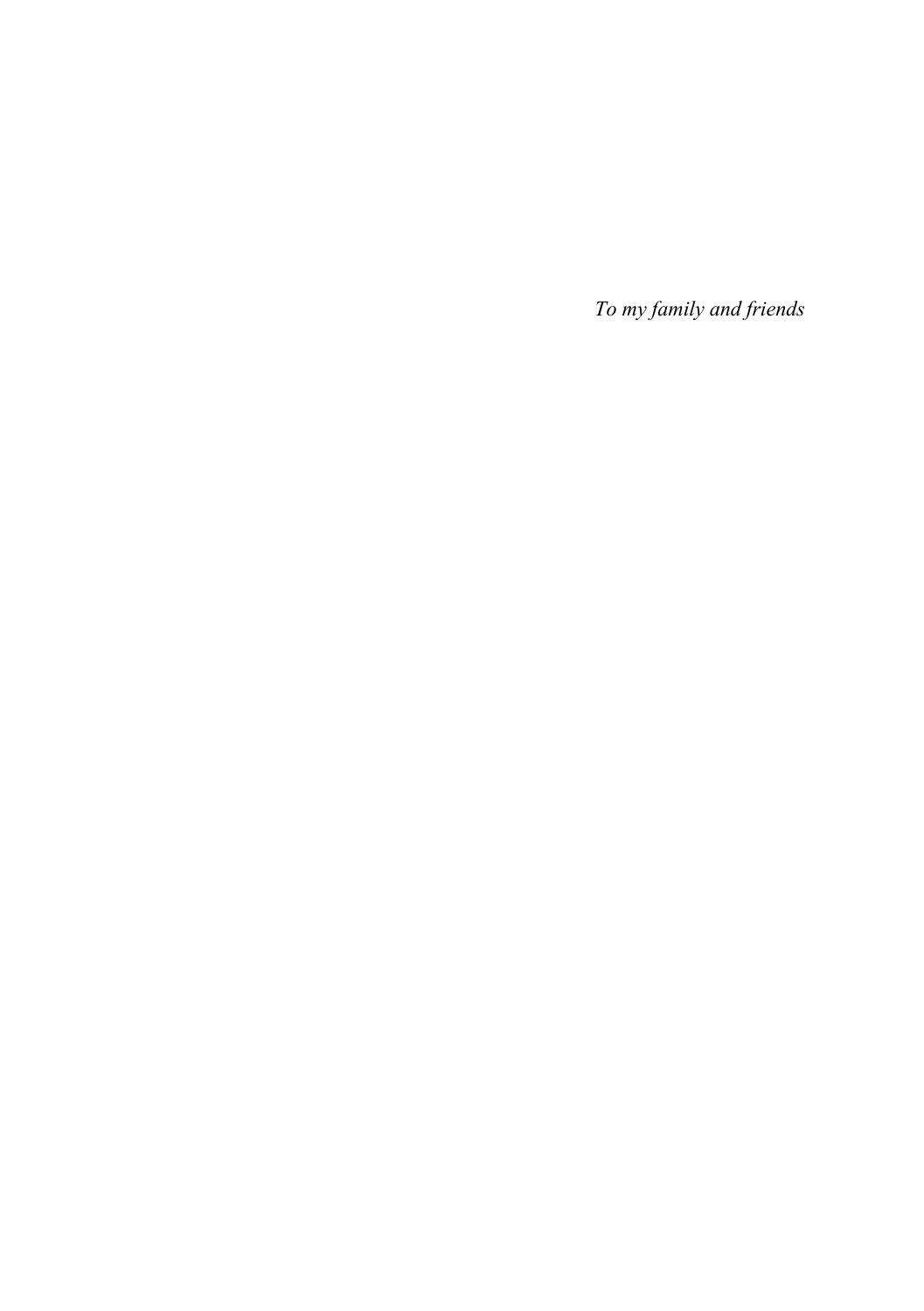*To my family and friends*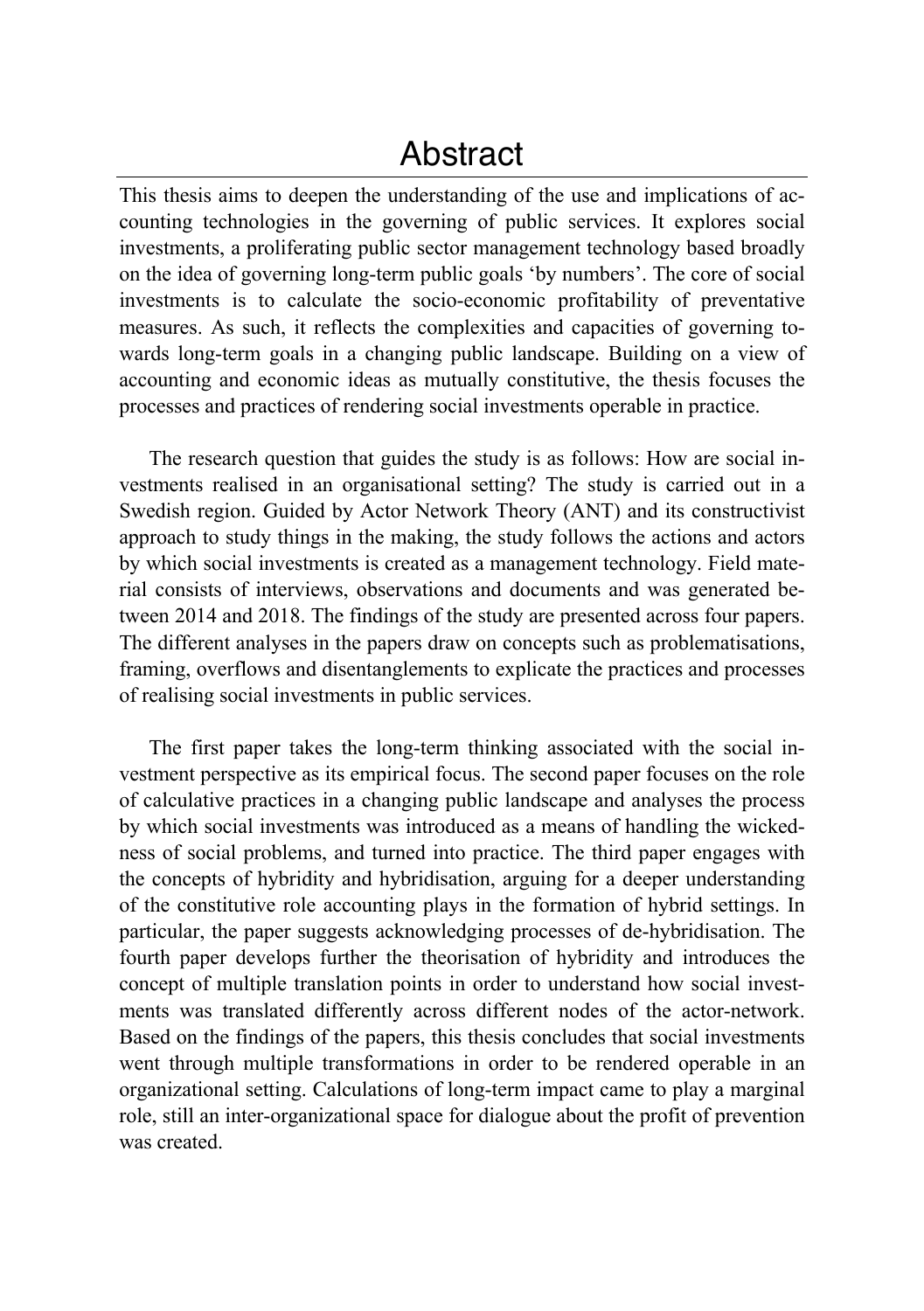### Abstract

This thesis aims to deepen the understanding of the use and implications of accounting technologies in the governing of public services. It explores social investments, a proliferating public sector management technology based broadly on the idea of governing long-term public goals 'by numbers'. The core of social investments is to calculate the socio-economic profitability of preventative measures. As such, it reflects the complexities and capacities of governing towards long-term goals in a changing public landscape. Building on a view of accounting and economic ideas as mutually constitutive, the thesis focuses the processes and practices of rendering social investments operable in practice.

The research question that guides the study is as follows: How are social investments realised in an organisational setting? The study is carried out in a Swedish region. Guided by Actor Network Theory (ANT) and its constructivist approach to study things in the making, the study follows the actions and actors by which social investments is created as a management technology. Field material consists of interviews, observations and documents and was generated between 2014 and 2018. The findings of the study are presented across four papers. The different analyses in the papers draw on concepts such as problematisations, framing, overflows and disentanglements to explicate the practices and processes of realising social investments in public services.

The first paper takes the long-term thinking associated with the social investment perspective as its empirical focus. The second paper focuses on the role of calculative practices in a changing public landscape and analyses the process by which social investments was introduced as a means of handling the wickedness of social problems, and turned into practice. The third paper engages with the concepts of hybridity and hybridisation, arguing for a deeper understanding of the constitutive role accounting plays in the formation of hybrid settings. In particular, the paper suggests acknowledging processes of de-hybridisation. The fourth paper develops further the theorisation of hybridity and introduces the concept of multiple translation points in order to understand how social investments was translated differently across different nodes of the actor-network. Based on the findings of the papers, this thesis concludes that social investments went through multiple transformations in order to be rendered operable in an organizational setting. Calculations of long-term impact came to play a marginal role, still an inter-organizational space for dialogue about the profit of prevention was created.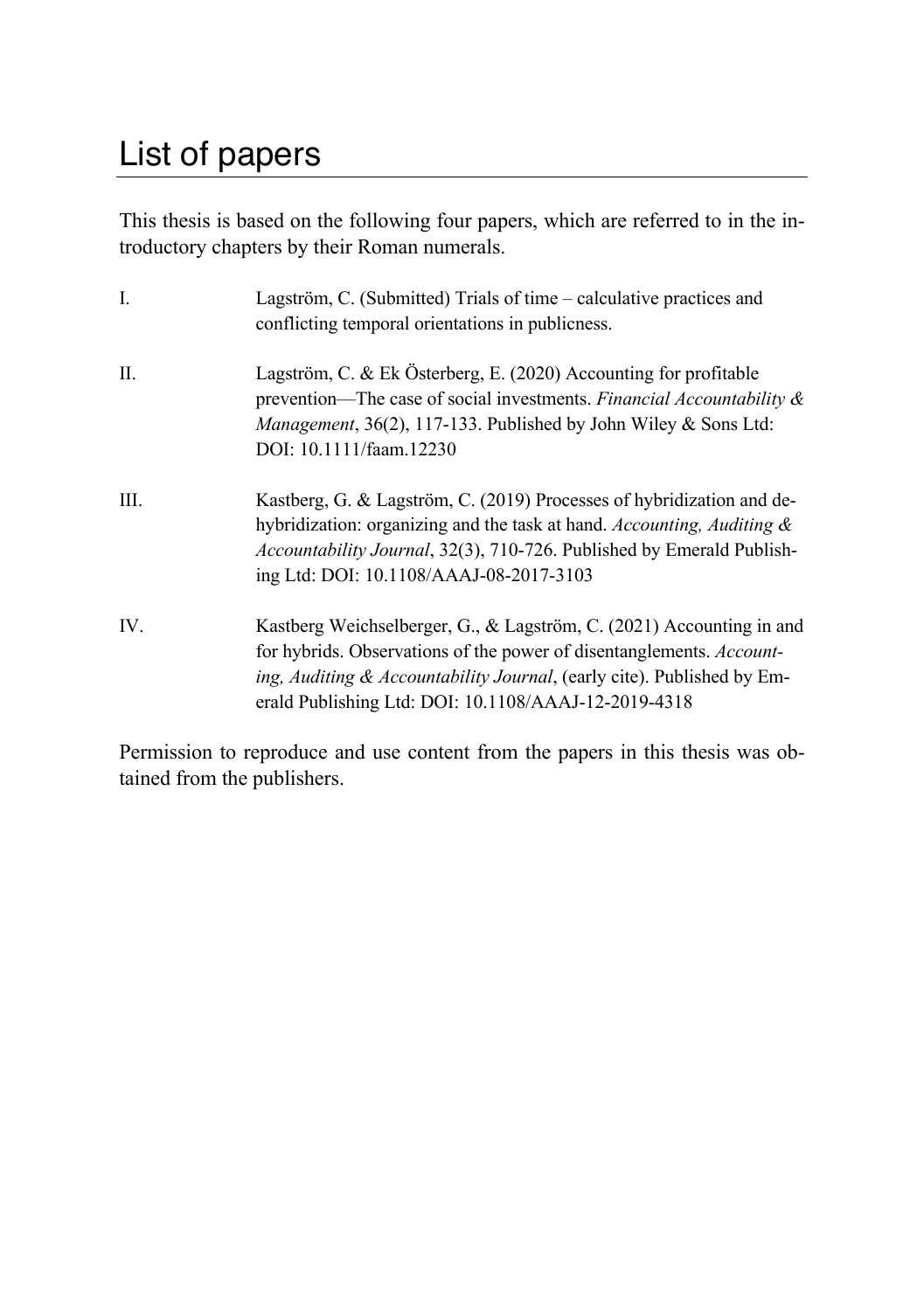## List of papers

This thesis is based on the following four papers, which are referred to in the introductory chapters by their Roman numerals.

| I.      | Lagström, C. (Submitted) Trials of time – calculative practices and<br>conflicting temporal orientations in publicness.                                                                                                                                                        |
|---------|--------------------------------------------------------------------------------------------------------------------------------------------------------------------------------------------------------------------------------------------------------------------------------|
| $\Pi$ . | Lagström, C. & Ek Österberg, E. (2020) Accounting for profitable<br>prevention—The case of social investments. Financial Accountability $\&$<br><i>Management</i> , 36(2), 117-133. Published by John Wiley & Sons Ltd:<br>DOI: 10.1111/faam.12230                             |
| III.    | Kastberg, G. & Lagström, C. (2019) Processes of hybridization and de-<br>hybridization: organizing and the task at hand. Accounting, Auditing &<br>Accountability Journal, 32(3), 710-726. Published by Emerald Publish-<br>ing Ltd: DOI: 10.1108/AAAJ-08-2017-3103            |
| IV.     | Kastberg Weichselberger, G., & Lagström, C. (2021) Accounting in and<br>for hybrids. Observations of the power of disentanglements. Account-<br>ing, Auditing & Accountability Journal, (early cite). Published by Em-<br>erald Publishing Ltd: DOI: 10.1108/AAAJ-12-2019-4318 |

Permission to reproduce and use content from the papers in this thesis was obtained from the publishers.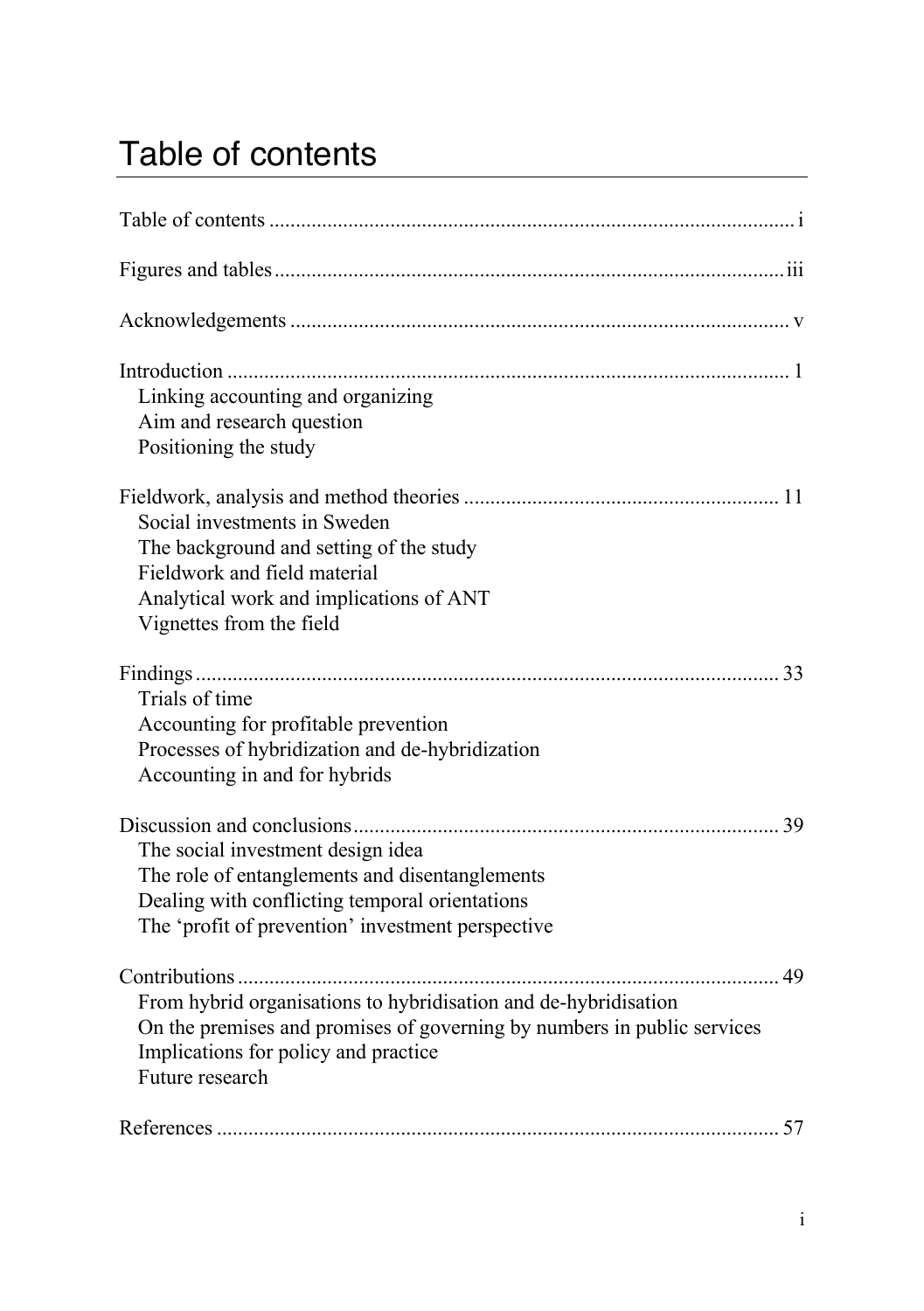# Table of contents

| Linking accounting and organizing<br>Aim and research question<br>Positioning the study                                                                                                               |
|-------------------------------------------------------------------------------------------------------------------------------------------------------------------------------------------------------|
| Social investments in Sweden<br>The background and setting of the study<br>Fieldwork and field material<br>Analytical work and implications of ANT<br>Vignettes from the field                        |
| Trials of time<br>Accounting for profitable prevention<br>Processes of hybridization and de-hybridization<br>Accounting in and for hybrids                                                            |
| The social investment design idea<br>The role of entanglements and disentanglements<br>Dealing with conflicting temporal orientations<br>The 'profit of prevention' investment perspective            |
| From hybrid organisations to hybridisation and de-hybridisation<br>On the premises and promises of governing by numbers in public services<br>Implications for policy and practice<br>Future research |
|                                                                                                                                                                                                       |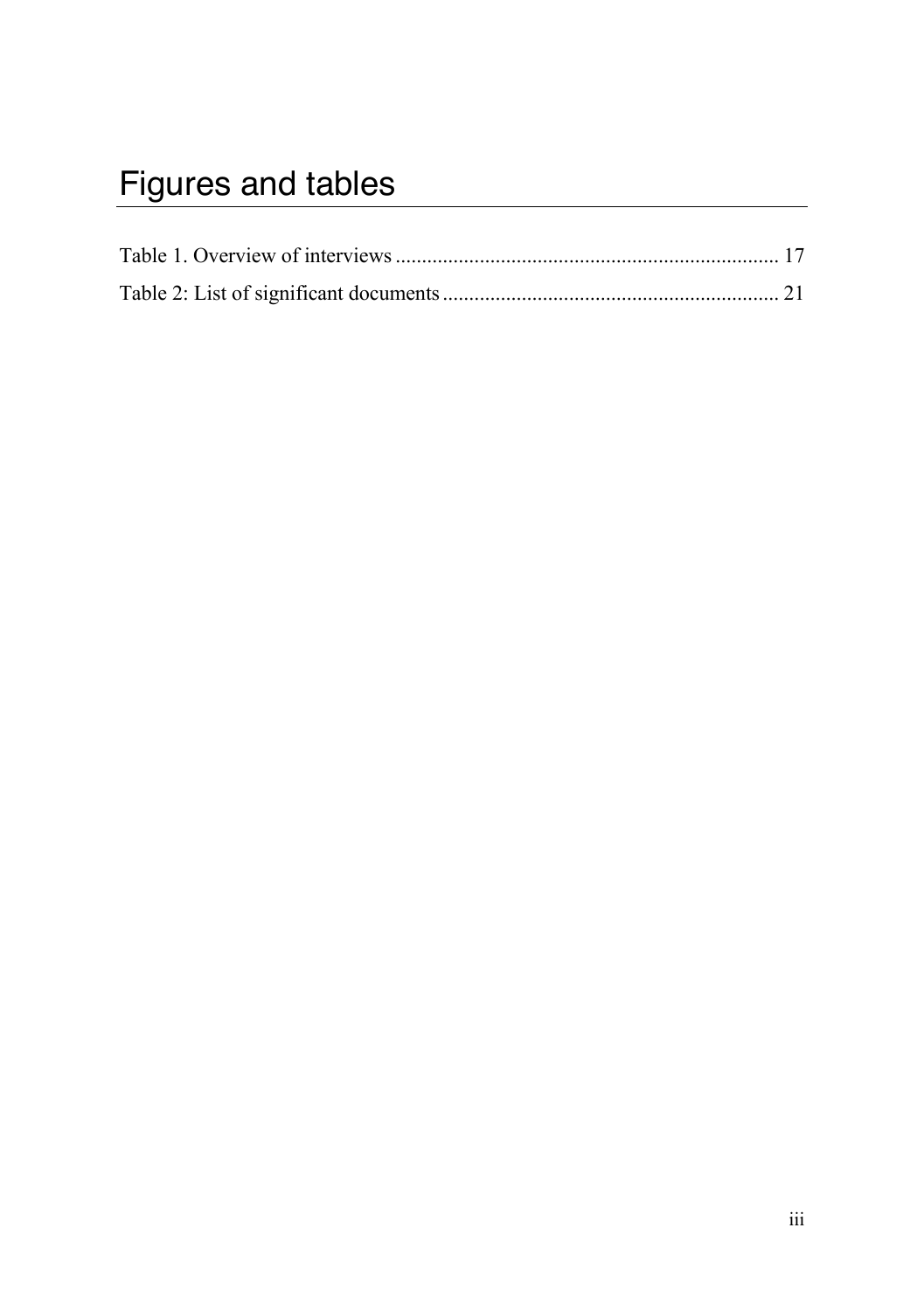# Figures and tables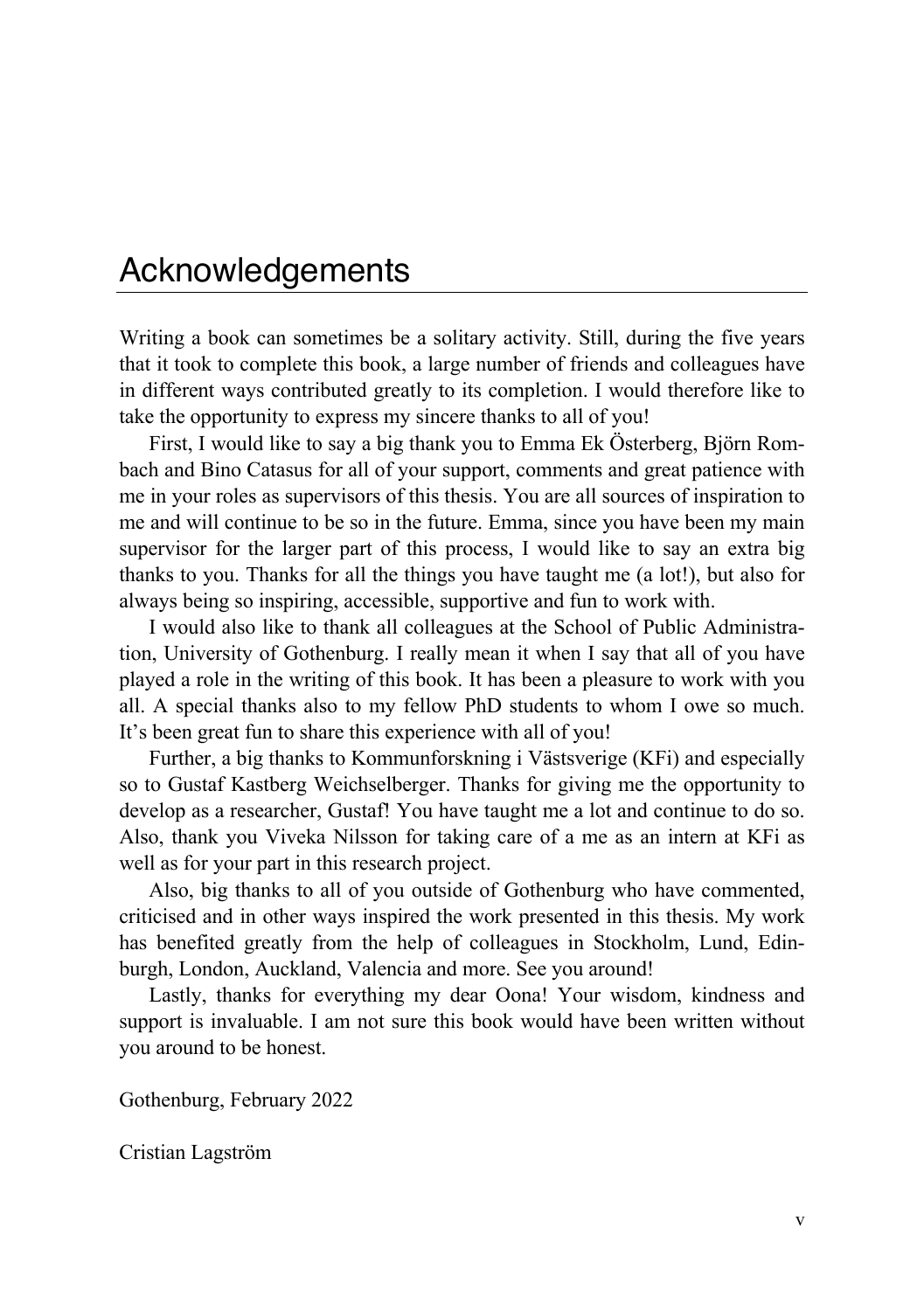### Acknowledgements

Writing a book can sometimes be a solitary activity. Still, during the five years that it took to complete this book, a large number of friends and colleagues have in different ways contributed greatly to its completion. I would therefore like to take the opportunity to express my sincere thanks to all of you!

First, I would like to say a big thank you to Emma Ek Österberg, Björn Rombach and Bino Catasus for all of your support, comments and great patience with me in your roles as supervisors of this thesis. You are all sources of inspiration to me and will continue to be so in the future. Emma, since you have been my main supervisor for the larger part of this process, I would like to say an extra big thanks to you. Thanks for all the things you have taught me (a lot!), but also for always being so inspiring, accessible, supportive and fun to work with.

I would also like to thank all colleagues at the School of Public Administration, University of Gothenburg. I really mean it when I say that all of you have played a role in the writing of this book. It has been a pleasure to work with you all. A special thanks also to my fellow PhD students to whom I owe so much. It's been great fun to share this experience with all of you!

Further, a big thanks to Kommunforskning i Västsverige (KFi) and especially so to Gustaf Kastberg Weichselberger. Thanks for giving me the opportunity to develop as a researcher, Gustaf! You have taught me a lot and continue to do so. Also, thank you Viveka Nilsson for taking care of a me as an intern at KFi as well as for your part in this research project.

Also, big thanks to all of you outside of Gothenburg who have commented, criticised and in other ways inspired the work presented in this thesis. My work has benefited greatly from the help of colleagues in Stockholm, Lund, Edinburgh, London, Auckland, Valencia and more. See you around!

Lastly, thanks for everything my dear Oona! Your wisdom, kindness and support is invaluable. I am not sure this book would have been written without you around to be honest.

Gothenburg, February 2022

Cristian Lagström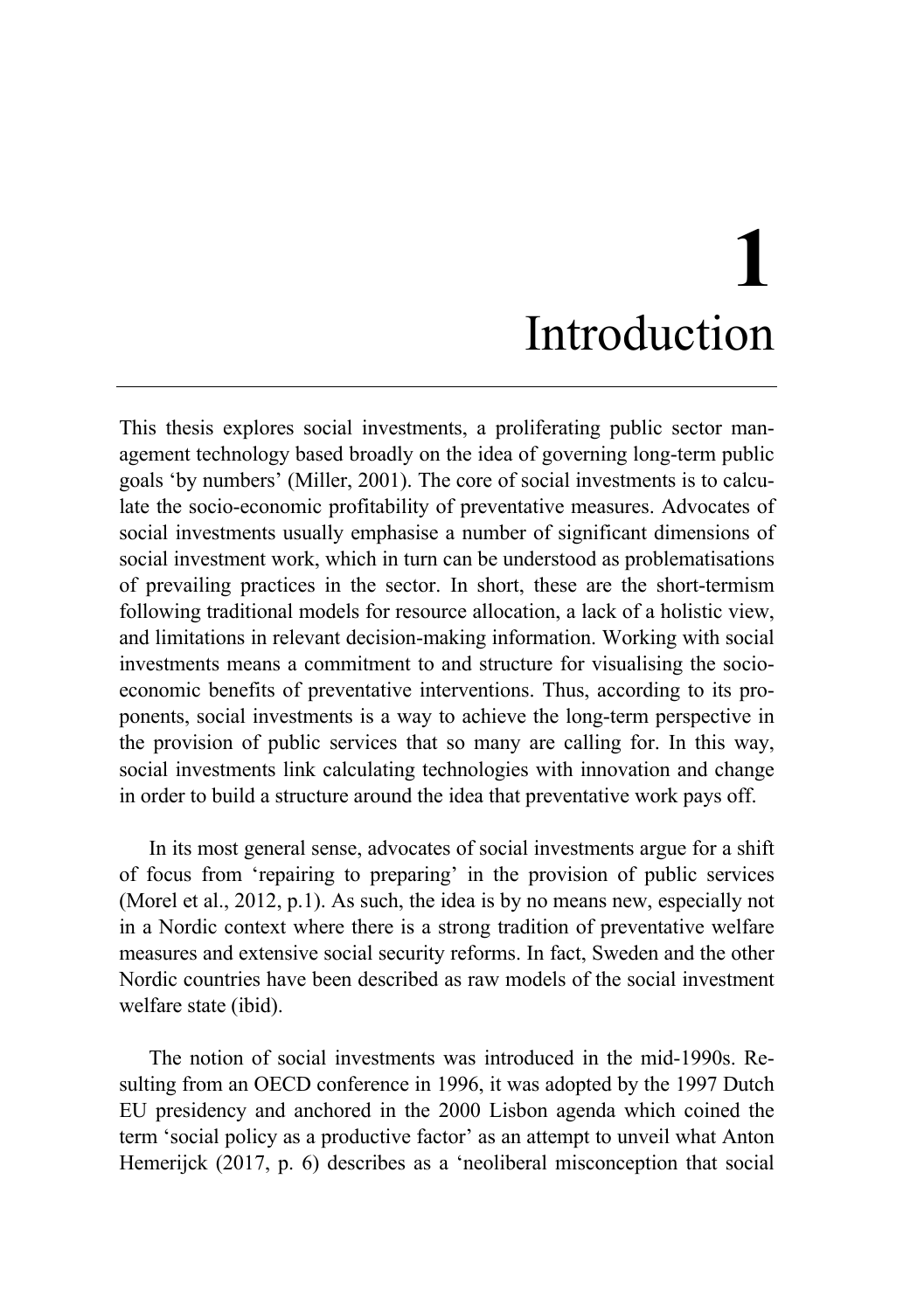# **1** Introduction

This thesis explores social investments, a proliferating public sector management technology based broadly on the idea of governing long-term public goals 'by numbers' (Miller, 2001). The core of social investments is to calculate the socio-economic profitability of preventative measures. Advocates of social investments usually emphasise a number of significant dimensions of social investment work, which in turn can be understood as problematisations of prevailing practices in the sector. In short, these are the short-termism following traditional models for resource allocation, a lack of a holistic view, and limitations in relevant decision-making information. Working with social investments means a commitment to and structure for visualising the socioeconomic benefits of preventative interventions. Thus, according to its proponents, social investments is a way to achieve the long-term perspective in the provision of public services that so many are calling for. In this way, social investments link calculating technologies with innovation and change in order to build a structure around the idea that preventative work pays off.

In its most general sense, advocates of social investments argue for a shift of focus from 'repairing to preparing' in the provision of public services (Morel et al., 2012, p.1). As such, the idea is by no means new, especially not in a Nordic context where there is a strong tradition of preventative welfare measures and extensive social security reforms. In fact, Sweden and the other Nordic countries have been described as raw models of the social investment welfare state (ibid).

The notion of social investments was introduced in the mid-1990s. Resulting from an OECD conference in 1996, it was adopted by the 1997 Dutch EU presidency and anchored in the 2000 Lisbon agenda which coined the term 'social policy as a productive factor' as an attempt to unveil what Anton Hemerijck (2017, p. 6) describes as a 'neoliberal misconception that social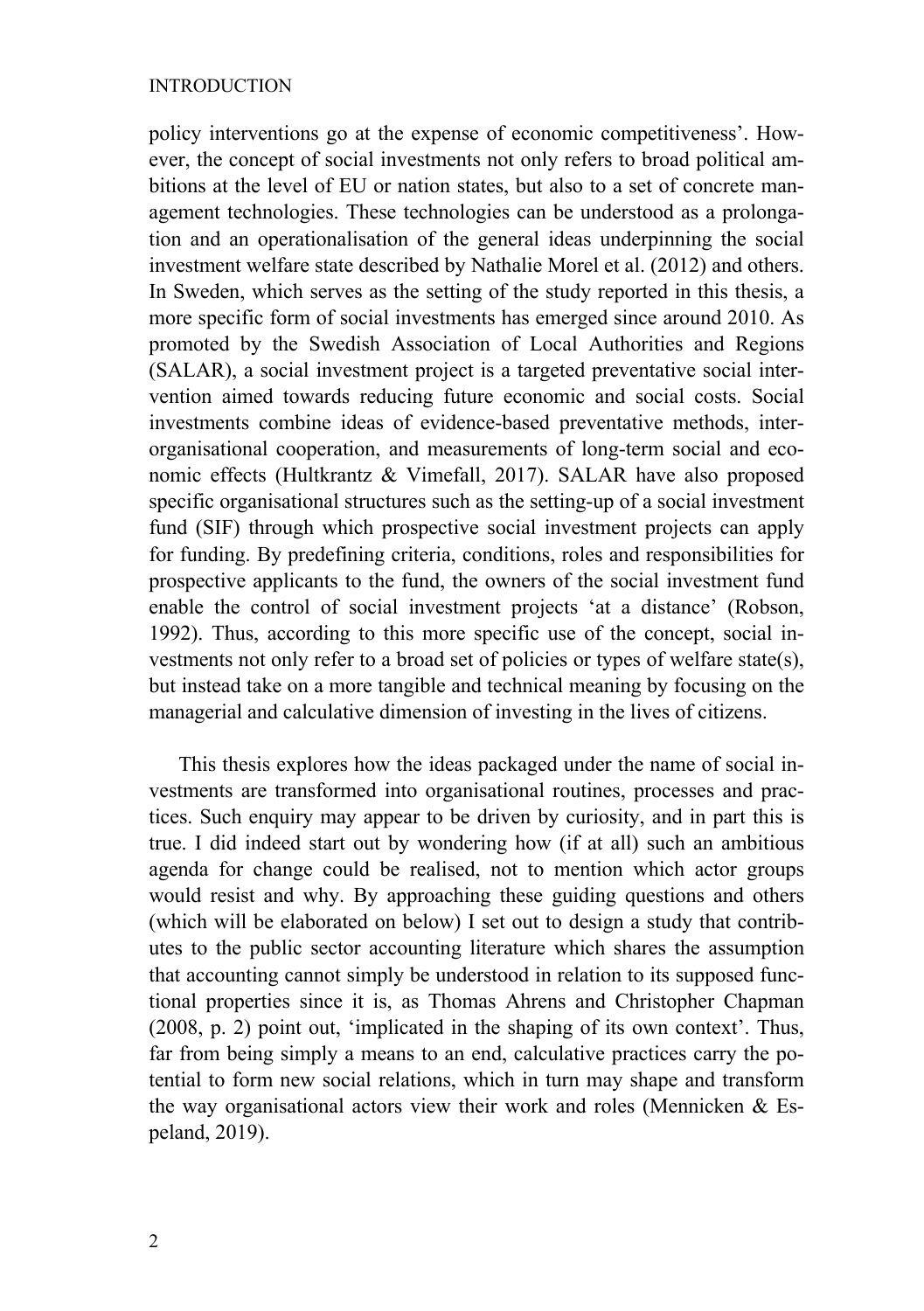#### INTRODUCTION

policy interventions go at the expense of economic competitiveness'. However, the concept of social investments not only refers to broad political ambitions at the level of EU or nation states, but also to a set of concrete management technologies. These technologies can be understood as a prolongation and an operationalisation of the general ideas underpinning the social investment welfare state described by Nathalie Morel et al. (2012) and others. In Sweden, which serves as the setting of the study reported in this thesis, a more specific form of social investments has emerged since around 2010. As promoted by the Swedish Association of Local Authorities and Regions (SALAR), a social investment project is a targeted preventative social intervention aimed towards reducing future economic and social costs. Social investments combine ideas of evidence-based preventative methods, interorganisational cooperation, and measurements of long-term social and economic effects (Hultkrantz & Vimefall, 2017). SALAR have also proposed specific organisational structures such as the setting-up of a social investment fund (SIF) through which prospective social investment projects can apply for funding. By predefining criteria, conditions, roles and responsibilities for prospective applicants to the fund, the owners of the social investment fund enable the control of social investment projects 'at a distance' (Robson, 1992). Thus, according to this more specific use of the concept, social investments not only refer to a broad set of policies or types of welfare state(s), but instead take on a more tangible and technical meaning by focusing on the managerial and calculative dimension of investing in the lives of citizens.

This thesis explores how the ideas packaged under the name of social investments are transformed into organisational routines, processes and practices. Such enquiry may appear to be driven by curiosity, and in part this is true. I did indeed start out by wondering how (if at all) such an ambitious agenda for change could be realised, not to mention which actor groups would resist and why. By approaching these guiding questions and others (which will be elaborated on below) I set out to design a study that contributes to the public sector accounting literature which shares the assumption that accounting cannot simply be understood in relation to its supposed functional properties since it is, as Thomas Ahrens and Christopher Chapman (2008, p. 2) point out, 'implicated in the shaping of its own context'. Thus, far from being simply a means to an end, calculative practices carry the potential to form new social relations, which in turn may shape and transform the way organisational actors view their work and roles (Mennicken & Espeland, 2019).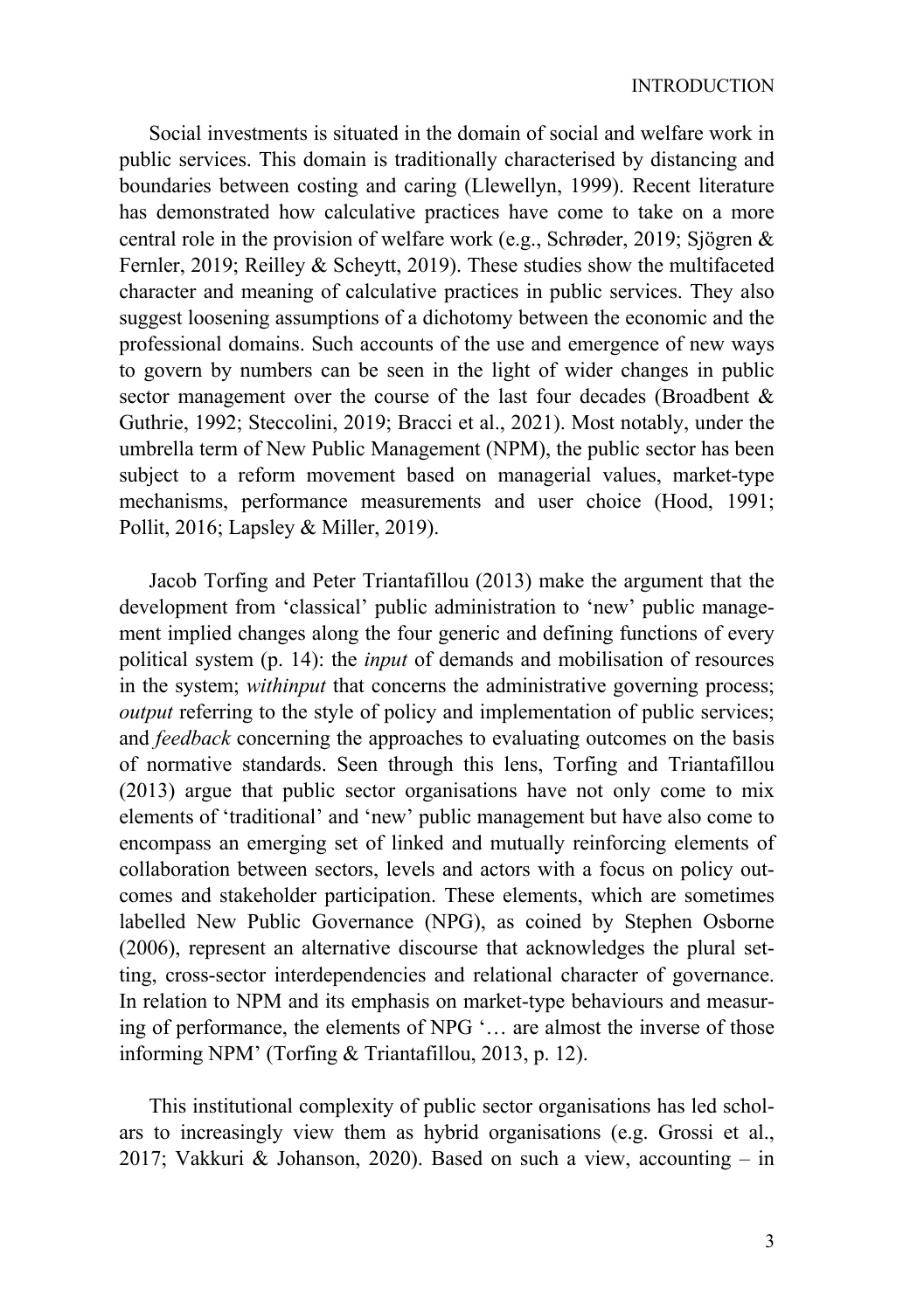Social investments is situated in the domain of social and welfare work in public services. This domain is traditionally characterised by distancing and boundaries between costing and caring (Llewellyn, 1999). Recent literature has demonstrated how calculative practices have come to take on a more central role in the provision of welfare work (e.g., Schrøder, 2019; Sjögren & Fernler, 2019; Reilley & Scheytt, 2019). These studies show the multifaceted character and meaning of calculative practices in public services. They also suggest loosening assumptions of a dichotomy between the economic and the professional domains. Such accounts of the use and emergence of new ways to govern by numbers can be seen in the light of wider changes in public sector management over the course of the last four decades (Broadbent & Guthrie, 1992; Steccolini, 2019; Bracci et al., 2021). Most notably, under the umbrella term of New Public Management (NPM), the public sector has been subject to a reform movement based on managerial values, market-type mechanisms, performance measurements and user choice (Hood, 1991; Pollit, 2016; Lapsley & Miller, 2019).

Jacob Torfing and Peter Triantafillou (2013) make the argument that the development from 'classical' public administration to 'new' public management implied changes along the four generic and defining functions of every political system (p. 14): the *input* of demands and mobilisation of resources in the system; *withinput* that concerns the administrative governing process; *output* referring to the style of policy and implementation of public services; and *feedback* concerning the approaches to evaluating outcomes on the basis of normative standards. Seen through this lens, Torfing and Triantafillou (2013) argue that public sector organisations have not only come to mix elements of 'traditional' and 'new' public management but have also come to encompass an emerging set of linked and mutually reinforcing elements of collaboration between sectors, levels and actors with a focus on policy outcomes and stakeholder participation. These elements, which are sometimes labelled New Public Governance (NPG), as coined by Stephen Osborne (2006), represent an alternative discourse that acknowledges the plural setting, cross-sector interdependencies and relational character of governance. In relation to NPM and its emphasis on market-type behaviours and measuring of performance, the elements of NPG '… are almost the inverse of those informing NPM' (Torfing & Triantafillou, 2013, p. 12).

This institutional complexity of public sector organisations has led scholars to increasingly view them as hybrid organisations (e.g. Grossi et al., 2017; Vakkuri & Johanson, 2020). Based on such a view, accounting – in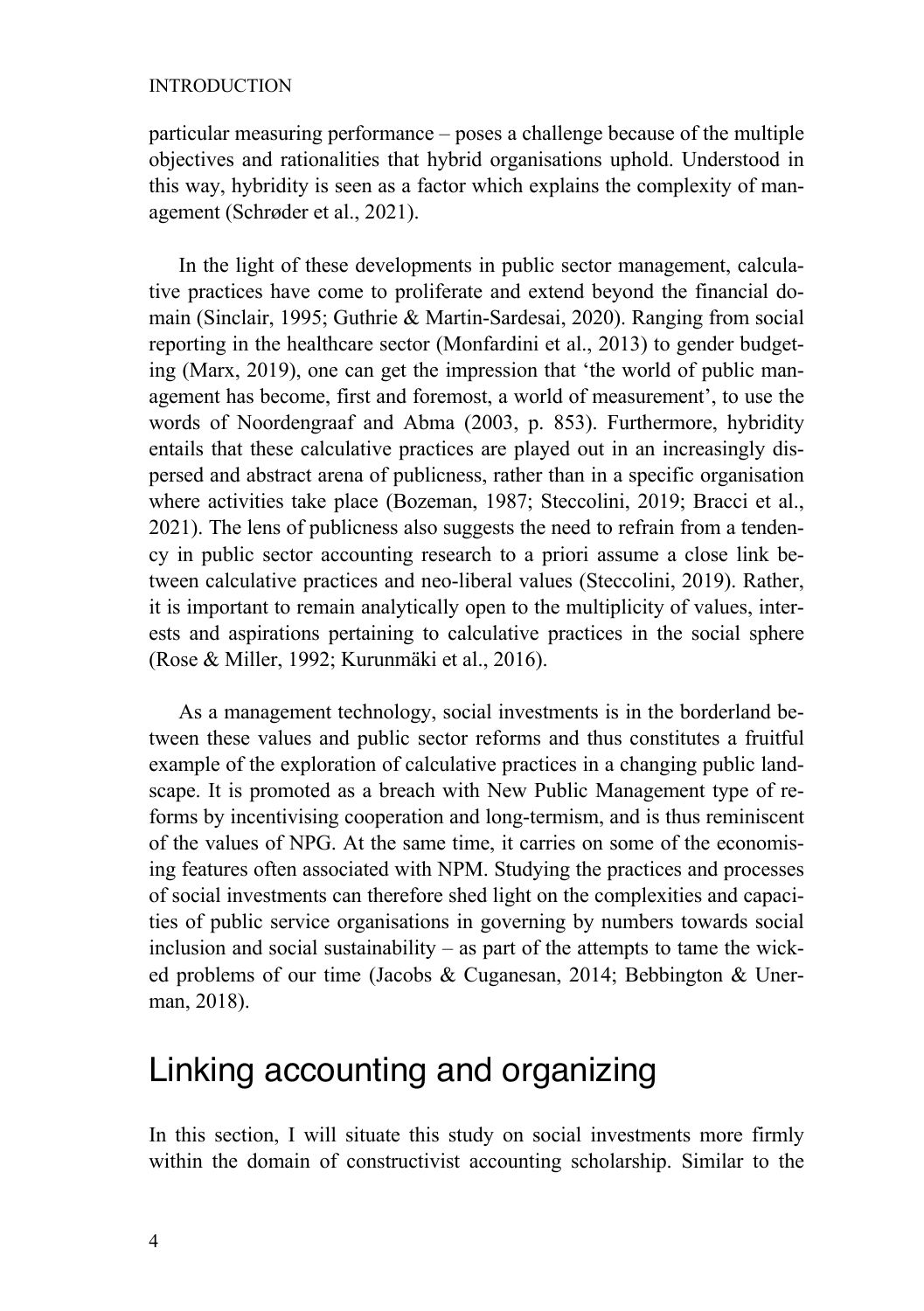#### INTRODUCTION

particular measuring performance – poses a challenge because of the multiple objectives and rationalities that hybrid organisations uphold. Understood in this way, hybridity is seen as a factor which explains the complexity of management (Schrøder et al., 2021).

In the light of these developments in public sector management, calculative practices have come to proliferate and extend beyond the financial domain (Sinclair, 1995; Guthrie & Martin-Sardesai, 2020). Ranging from social reporting in the healthcare sector (Monfardini et al., 2013) to gender budgeting (Marx, 2019), one can get the impression that 'the world of public management has become, first and foremost, a world of measurement', to use the words of Noordengraaf and Abma (2003, p. 853). Furthermore, hybridity entails that these calculative practices are played out in an increasingly dispersed and abstract arena of publicness, rather than in a specific organisation where activities take place (Bozeman, 1987; Steccolini, 2019; Bracci et al., 2021). The lens of publicness also suggests the need to refrain from a tendency in public sector accounting research to a priori assume a close link between calculative practices and neo-liberal values (Steccolini, 2019). Rather, it is important to remain analytically open to the multiplicity of values, interests and aspirations pertaining to calculative practices in the social sphere (Rose & Miller, 1992; Kurunmäki et al., 2016).

As a management technology, social investments is in the borderland between these values and public sector reforms and thus constitutes a fruitful example of the exploration of calculative practices in a changing public landscape. It is promoted as a breach with New Public Management type of reforms by incentivising cooperation and long-termism, and is thus reminiscent of the values of NPG. At the same time, it carries on some of the economising features often associated with NPM. Studying the practices and processes of social investments can therefore shed light on the complexities and capacities of public service organisations in governing by numbers towards social inclusion and social sustainability – as part of the attempts to tame the wicked problems of our time (Jacobs & Cuganesan, 2014; Bebbington & Unerman, 2018).

### Linking accounting and organizing

In this section, I will situate this study on social investments more firmly within the domain of constructivist accounting scholarship. Similar to the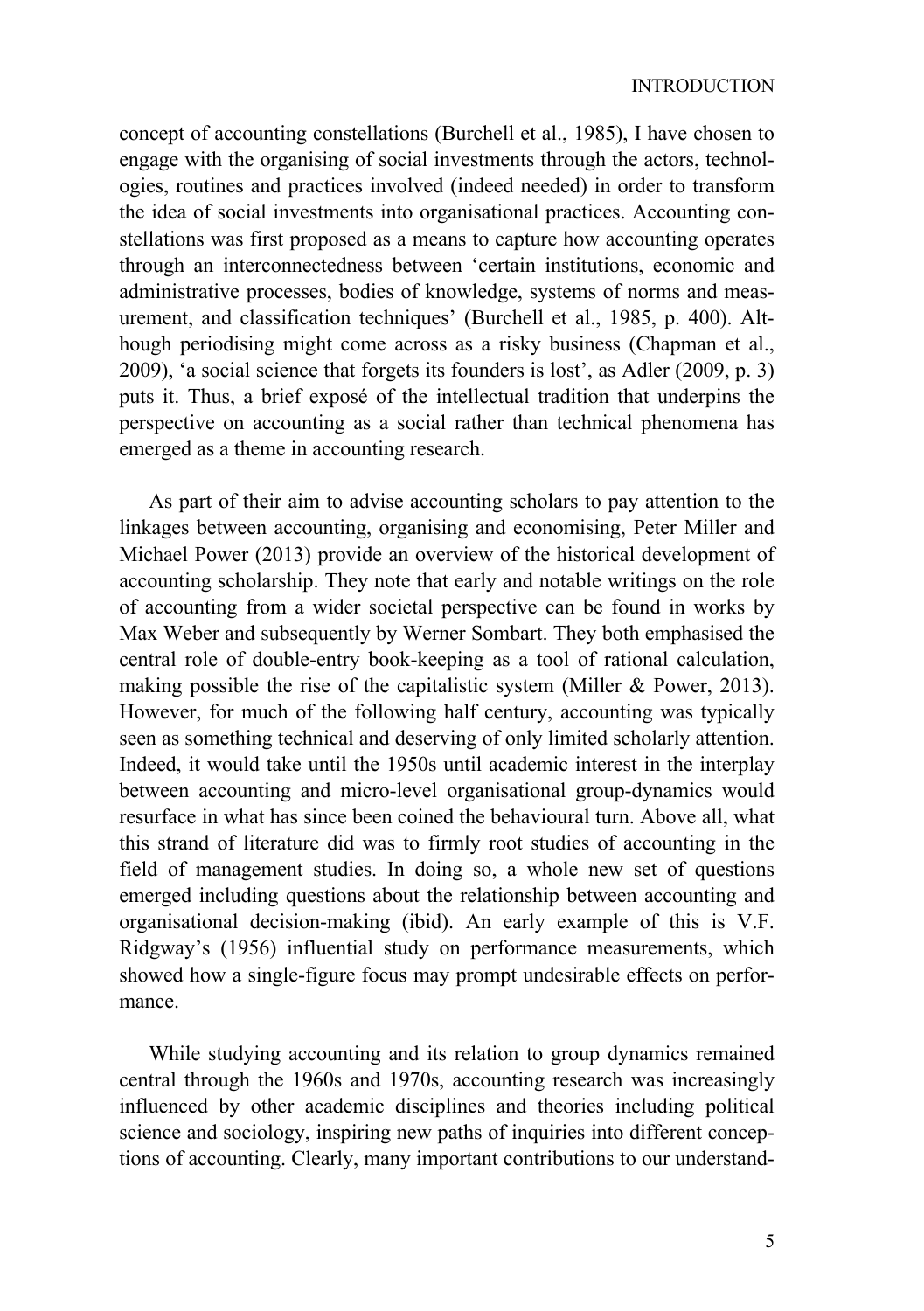concept of accounting constellations (Burchell et al., 1985), I have chosen to engage with the organising of social investments through the actors, technologies, routines and practices involved (indeed needed) in order to transform the idea of social investments into organisational practices. Accounting constellations was first proposed as a means to capture how accounting operates through an interconnectedness between 'certain institutions, economic and administrative processes, bodies of knowledge, systems of norms and measurement, and classification techniques' (Burchell et al., 1985, p. 400). Although periodising might come across as a risky business (Chapman et al., 2009), 'a social science that forgets its founders is lost', as Adler (2009, p. 3) puts it. Thus, a brief exposé of the intellectual tradition that underpins the perspective on accounting as a social rather than technical phenomena has emerged as a theme in accounting research.

As part of their aim to advise accounting scholars to pay attention to the linkages between accounting, organising and economising, Peter Miller and Michael Power (2013) provide an overview of the historical development of accounting scholarship. They note that early and notable writings on the role of accounting from a wider societal perspective can be found in works by Max Weber and subsequently by Werner Sombart. They both emphasised the central role of double-entry book-keeping as a tool of rational calculation, making possible the rise of the capitalistic system (Miller & Power, 2013). However, for much of the following half century, accounting was typically seen as something technical and deserving of only limited scholarly attention. Indeed, it would take until the 1950s until academic interest in the interplay between accounting and micro-level organisational group-dynamics would resurface in what has since been coined the behavioural turn. Above all, what this strand of literature did was to firmly root studies of accounting in the field of management studies. In doing so, a whole new set of questions emerged including questions about the relationship between accounting and organisational decision-making (ibid). An early example of this is V.F. Ridgway's (1956) influential study on performance measurements, which showed how a single-figure focus may prompt undesirable effects on performance.

While studying accounting and its relation to group dynamics remained central through the 1960s and 1970s, accounting research was increasingly influenced by other academic disciplines and theories including political science and sociology, inspiring new paths of inquiries into different conceptions of accounting. Clearly, many important contributions to our understand-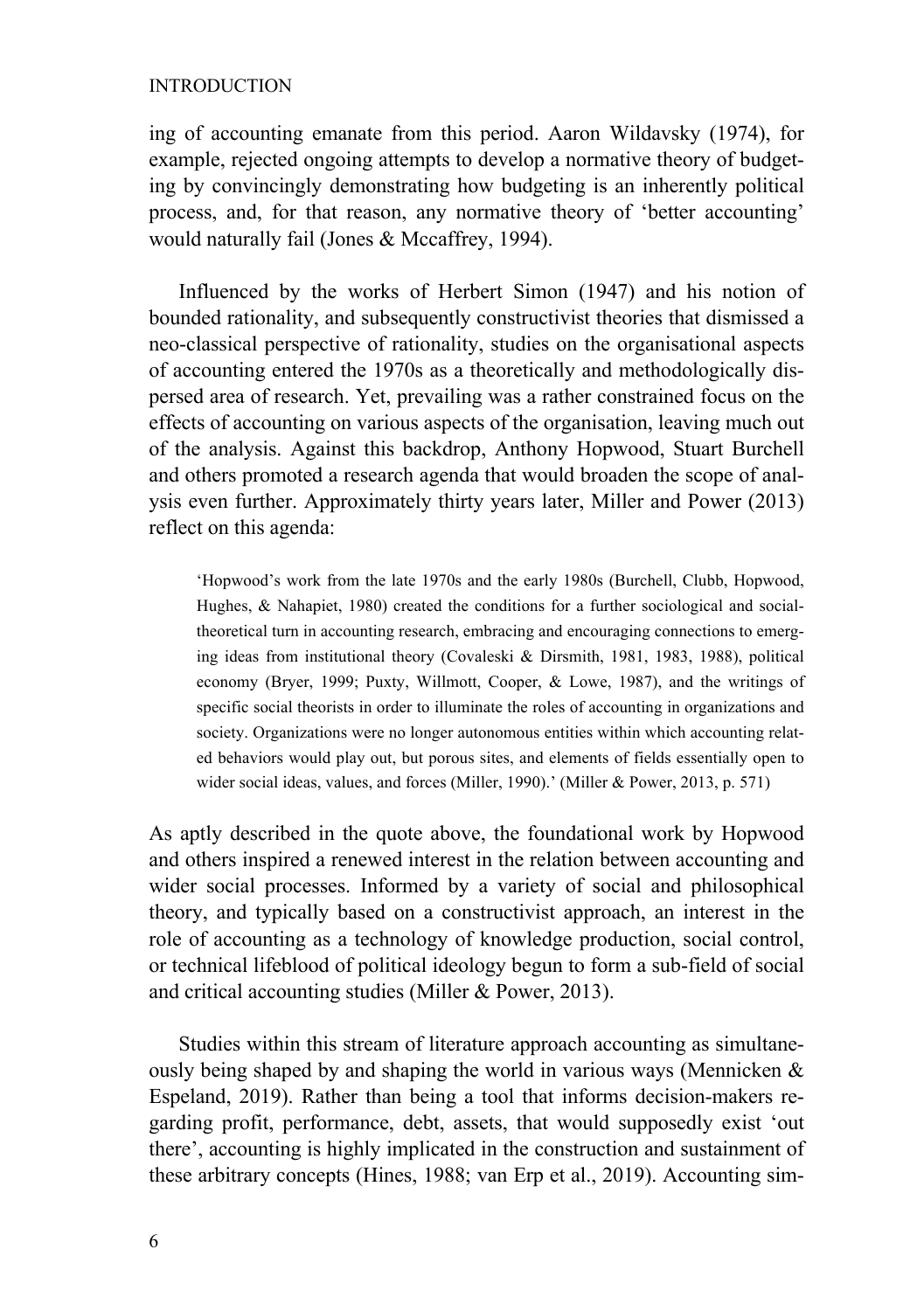#### INTRODUCTION

ing of accounting emanate from this period. Aaron Wildavsky (1974), for example, rejected ongoing attempts to develop a normative theory of budgeting by convincingly demonstrating how budgeting is an inherently political process, and, for that reason, any normative theory of 'better accounting' would naturally fail (Jones & Mccaffrey, 1994).

Influenced by the works of Herbert Simon (1947) and his notion of bounded rationality, and subsequently constructivist theories that dismissed a neo-classical perspective of rationality, studies on the organisational aspects of accounting entered the 1970s as a theoretically and methodologically dispersed area of research. Yet, prevailing was a rather constrained focus on the effects of accounting on various aspects of the organisation, leaving much out of the analysis. Against this backdrop, Anthony Hopwood, Stuart Burchell and others promoted a research agenda that would broaden the scope of analysis even further. Approximately thirty years later, Miller and Power (2013) reflect on this agenda:

'Hopwood's work from the late 1970s and the early 1980s (Burchell, Clubb, Hopwood, Hughes, & Nahapiet, 1980) created the conditions for a further sociological and socialtheoretical turn in accounting research, embracing and encouraging connections to emerging ideas from institutional theory (Covaleski & Dirsmith, 1981, 1983, 1988), political economy (Bryer, 1999; Puxty, Willmott, Cooper, & Lowe, 1987), and the writings of specific social theorists in order to illuminate the roles of accounting in organizations and society. Organizations were no longer autonomous entities within which accounting related behaviors would play out, but porous sites, and elements of fields essentially open to wider social ideas, values, and forces (Miller, 1990).' (Miller & Power, 2013, p. 571)

As aptly described in the quote above, the foundational work by Hopwood and others inspired a renewed interest in the relation between accounting and wider social processes. Informed by a variety of social and philosophical theory, and typically based on a constructivist approach, an interest in the role of accounting as a technology of knowledge production, social control, or technical lifeblood of political ideology begun to form a sub-field of social and critical accounting studies (Miller & Power, 2013).

Studies within this stream of literature approach accounting as simultaneously being shaped by and shaping the world in various ways (Mennicken & Espeland, 2019). Rather than being a tool that informs decision-makers regarding profit, performance, debt, assets, that would supposedly exist 'out there', accounting is highly implicated in the construction and sustainment of these arbitrary concepts (Hines, 1988; van Erp et al., 2019). Accounting sim-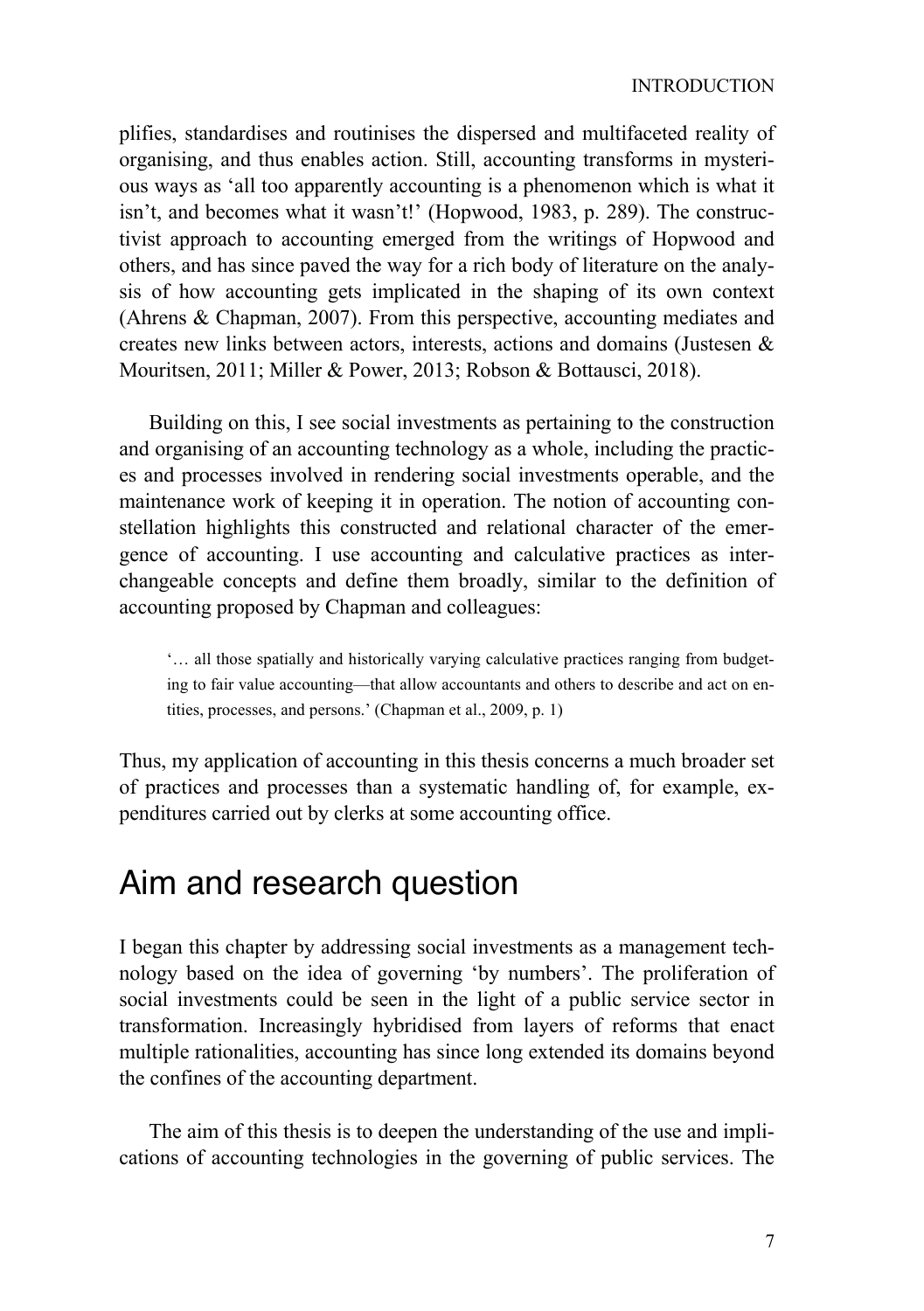plifies, standardises and routinises the dispersed and multifaceted reality of organising, and thus enables action. Still, accounting transforms in mysterious ways as 'all too apparently accounting is a phenomenon which is what it isn't, and becomes what it wasn't!' (Hopwood, 1983, p. 289). The constructivist approach to accounting emerged from the writings of Hopwood and others, and has since paved the way for a rich body of literature on the analysis of how accounting gets implicated in the shaping of its own context (Ahrens & Chapman, 2007). From this perspective, accounting mediates and creates new links between actors, interests, actions and domains (Justesen & Mouritsen, 2011; Miller & Power, 2013; Robson & Bottausci, 2018).

Building on this, I see social investments as pertaining to the construction and organising of an accounting technology as a whole, including the practices and processes involved in rendering social investments operable, and the maintenance work of keeping it in operation. The notion of accounting constellation highlights this constructed and relational character of the emergence of accounting. I use accounting and calculative practices as interchangeable concepts and define them broadly, similar to the definition of accounting proposed by Chapman and colleagues:

'… all those spatially and historically varying calculative practices ranging from budgeting to fair value accounting—that allow accountants and others to describe and act on entities, processes, and persons.' (Chapman et al., 2009, p. 1)

Thus, my application of accounting in this thesis concerns a much broader set of practices and processes than a systematic handling of, for example, expenditures carried out by clerks at some accounting office.

### Aim and research question

I began this chapter by addressing social investments as a management technology based on the idea of governing 'by numbers'. The proliferation of social investments could be seen in the light of a public service sector in transformation. Increasingly hybridised from layers of reforms that enact multiple rationalities, accounting has since long extended its domains beyond the confines of the accounting department.

The aim of this thesis is to deepen the understanding of the use and implications of accounting technologies in the governing of public services. The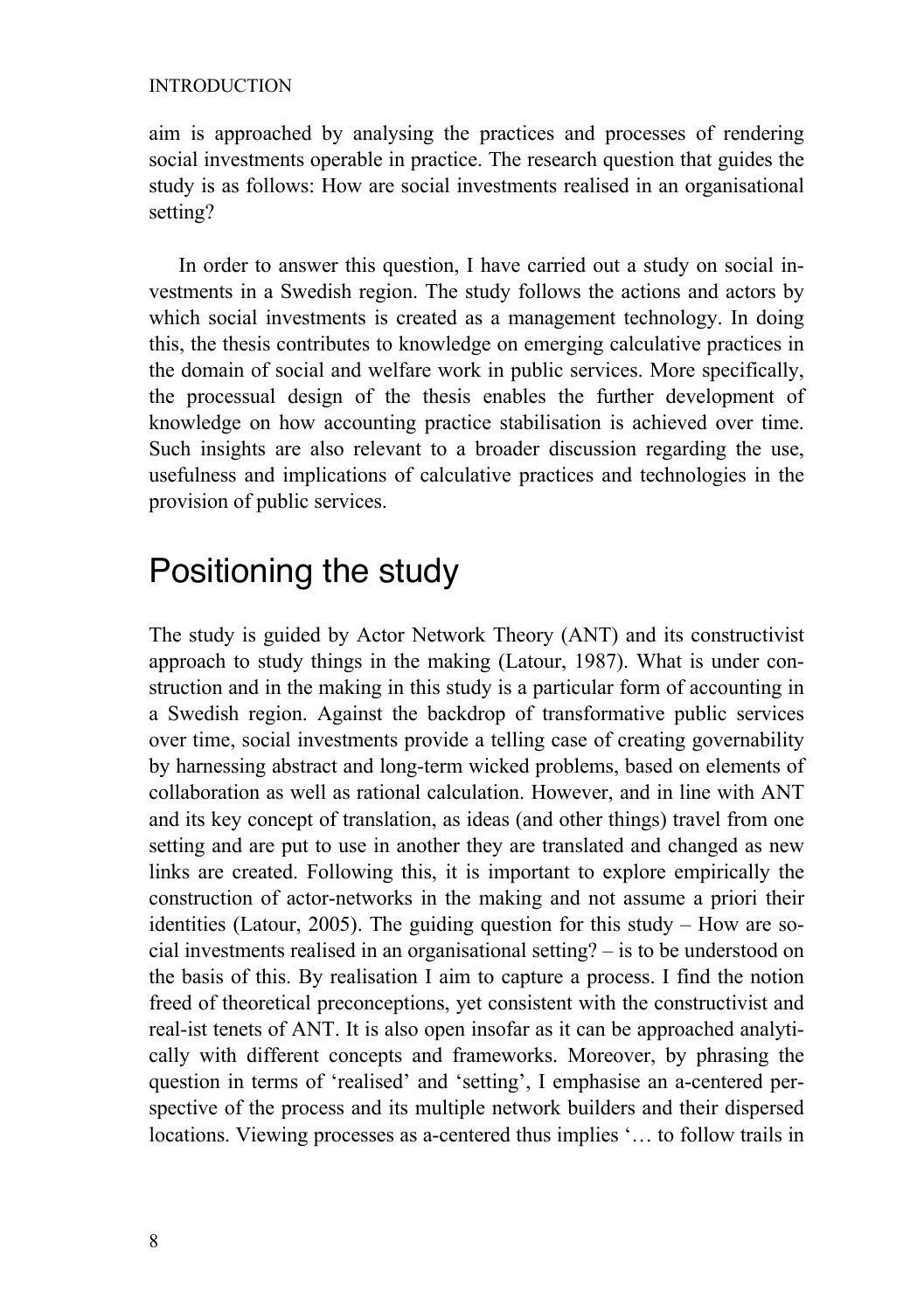#### INTRODUCTION

aim is approached by analysing the practices and processes of rendering social investments operable in practice. The research question that guides the study is as follows: How are social investments realised in an organisational setting?

In order to answer this question, I have carried out a study on social investments in a Swedish region. The study follows the actions and actors by which social investments is created as a management technology. In doing this, the thesis contributes to knowledge on emerging calculative practices in the domain of social and welfare work in public services. More specifically, the processual design of the thesis enables the further development of knowledge on how accounting practice stabilisation is achieved over time. Such insights are also relevant to a broader discussion regarding the use, usefulness and implications of calculative practices and technologies in the provision of public services.

### Positioning the study

The study is guided by Actor Network Theory (ANT) and its constructivist approach to study things in the making (Latour, 1987). What is under construction and in the making in this study is a particular form of accounting in a Swedish region. Against the backdrop of transformative public services over time, social investments provide a telling case of creating governability by harnessing abstract and long-term wicked problems, based on elements of collaboration as well as rational calculation. However, and in line with ANT and its key concept of translation, as ideas (and other things) travel from one setting and are put to use in another they are translated and changed as new links are created. Following this, it is important to explore empirically the construction of actor-networks in the making and not assume a priori their identities (Latour, 2005). The guiding question for this study – How are social investments realised in an organisational setting? – is to be understood on the basis of this. By realisation I aim to capture a process. I find the notion freed of theoretical preconceptions, yet consistent with the constructivist and real-ist tenets of ANT. It is also open insofar as it can be approached analytically with different concepts and frameworks. Moreover, by phrasing the question in terms of 'realised' and 'setting', I emphasise an a-centered perspective of the process and its multiple network builders and their dispersed locations. Viewing processes as a-centered thus implies '… to follow trails in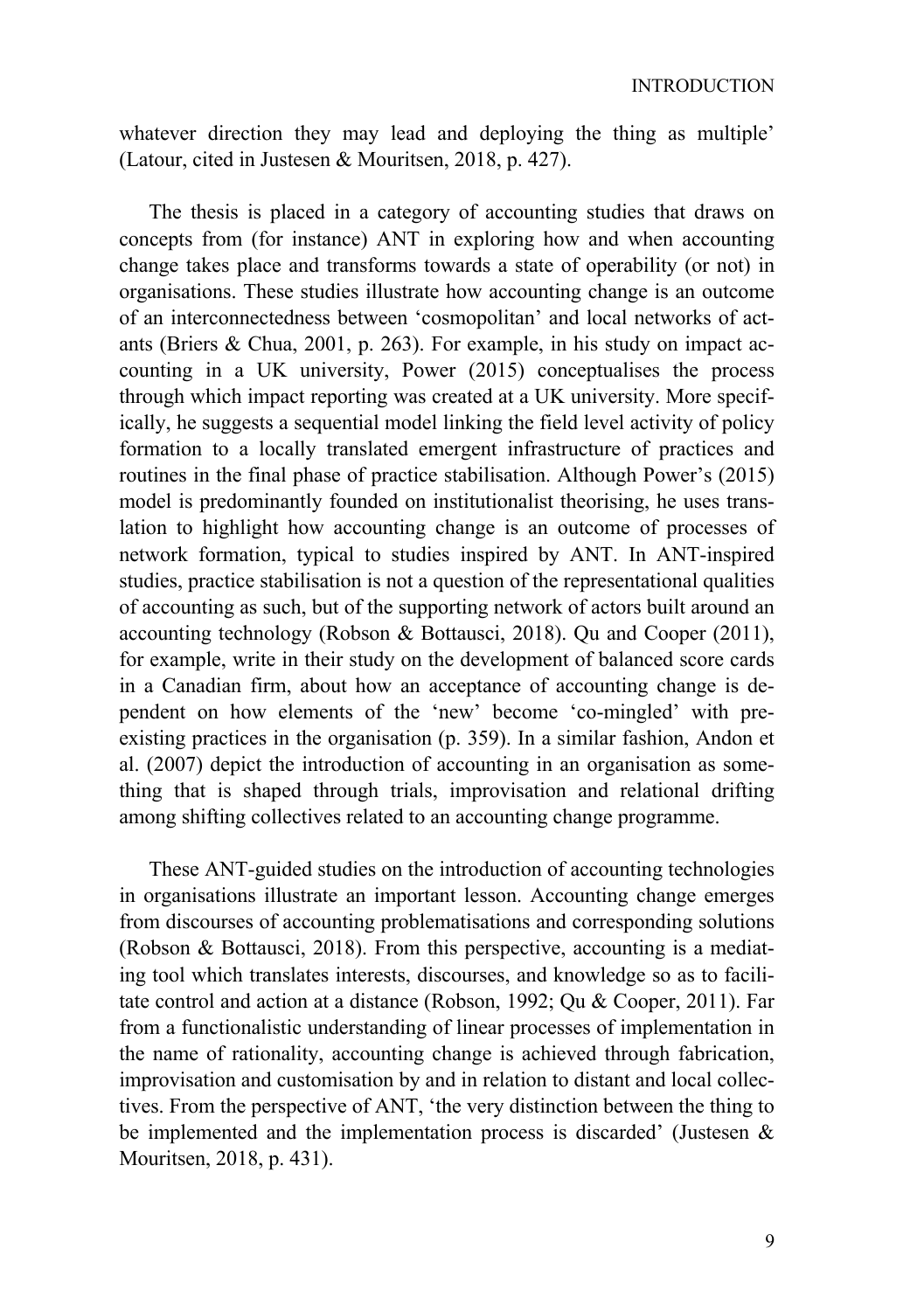whatever direction they may lead and deploying the thing as multiple' (Latour, cited in Justesen & Mouritsen, 2018, p. 427).

The thesis is placed in a category of accounting studies that draws on concepts from (for instance) ANT in exploring how and when accounting change takes place and transforms towards a state of operability (or not) in organisations. These studies illustrate how accounting change is an outcome of an interconnectedness between 'cosmopolitan' and local networks of actants (Briers & Chua, 2001, p. 263). For example, in his study on impact accounting in a UK university, Power (2015) conceptualises the process through which impact reporting was created at a UK university. More specifically, he suggests a sequential model linking the field level activity of policy formation to a locally translated emergent infrastructure of practices and routines in the final phase of practice stabilisation. Although Power's (2015) model is predominantly founded on institutionalist theorising, he uses translation to highlight how accounting change is an outcome of processes of network formation, typical to studies inspired by ANT. In ANT-inspired studies, practice stabilisation is not a question of the representational qualities of accounting as such, but of the supporting network of actors built around an accounting technology (Robson & Bottausci, 2018). Qu and Cooper (2011), for example, write in their study on the development of balanced score cards in a Canadian firm, about how an acceptance of accounting change is dependent on how elements of the 'new' become 'co-mingled' with preexisting practices in the organisation (p. 359). In a similar fashion, Andon et al. (2007) depict the introduction of accounting in an organisation as something that is shaped through trials, improvisation and relational drifting among shifting collectives related to an accounting change programme.

These ANT-guided studies on the introduction of accounting technologies in organisations illustrate an important lesson. Accounting change emerges from discourses of accounting problematisations and corresponding solutions (Robson & Bottausci, 2018). From this perspective, accounting is a mediating tool which translates interests, discourses, and knowledge so as to facilitate control and action at a distance (Robson, 1992; Qu & Cooper, 2011). Far from a functionalistic understanding of linear processes of implementation in the name of rationality, accounting change is achieved through fabrication, improvisation and customisation by and in relation to distant and local collectives. From the perspective of ANT, 'the very distinction between the thing to be implemented and the implementation process is discarded' (Justesen & Mouritsen, 2018, p. 431).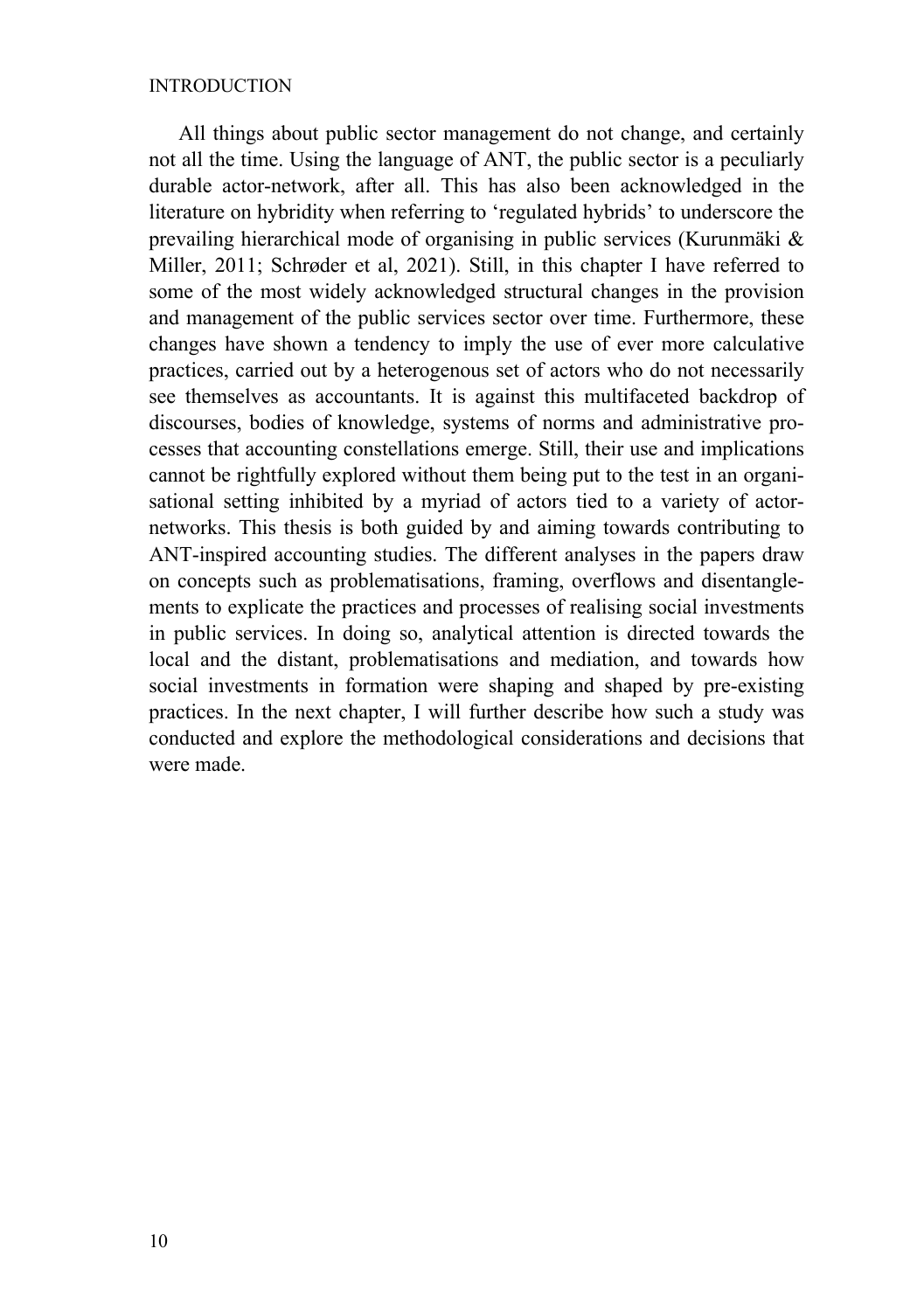#### INTRODUCTION

All things about public sector management do not change, and certainly not all the time. Using the language of ANT, the public sector is a peculiarly durable actor-network, after all. This has also been acknowledged in the literature on hybridity when referring to 'regulated hybrids' to underscore the prevailing hierarchical mode of organising in public services (Kurunmäki & Miller, 2011; Schrøder et al, 2021). Still, in this chapter I have referred to some of the most widely acknowledged structural changes in the provision and management of the public services sector over time. Furthermore, these changes have shown a tendency to imply the use of ever more calculative practices, carried out by a heterogenous set of actors who do not necessarily see themselves as accountants. It is against this multifaceted backdrop of discourses, bodies of knowledge, systems of norms and administrative processes that accounting constellations emerge. Still, their use and implications cannot be rightfully explored without them being put to the test in an organisational setting inhibited by a myriad of actors tied to a variety of actornetworks. This thesis is both guided by and aiming towards contributing to ANT-inspired accounting studies. The different analyses in the papers draw on concepts such as problematisations, framing, overflows and disentanglements to explicate the practices and processes of realising social investments in public services. In doing so, analytical attention is directed towards the local and the distant, problematisations and mediation, and towards how social investments in formation were shaping and shaped by pre-existing practices. In the next chapter, I will further describe how such a study was conducted and explore the methodological considerations and decisions that were made.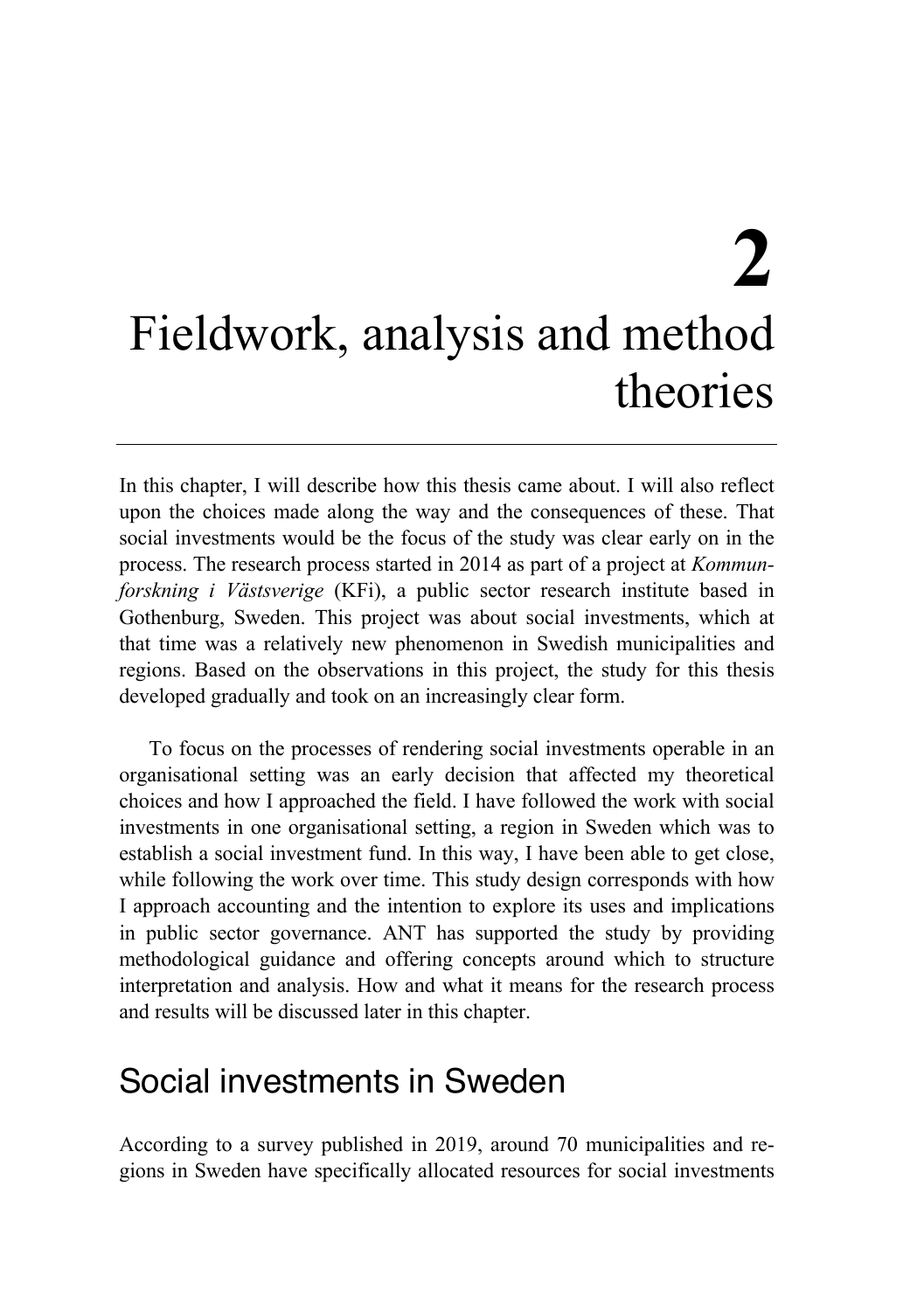# **2** Fieldwork, analysis and method theories

In this chapter, I will describe how this thesis came about. I will also reflect upon the choices made along the way and the consequences of these. That social investments would be the focus of the study was clear early on in the process. The research process started in 2014 as part of a project at *Kommunforskning i Västsverige* (KFi), a public sector research institute based in Gothenburg, Sweden. This project was about social investments, which at that time was a relatively new phenomenon in Swedish municipalities and regions. Based on the observations in this project, the study for this thesis developed gradually and took on an increasingly clear form.

To focus on the processes of rendering social investments operable in an organisational setting was an early decision that affected my theoretical choices and how I approached the field. I have followed the work with social investments in one organisational setting, a region in Sweden which was to establish a social investment fund. In this way, I have been able to get close, while following the work over time. This study design corresponds with how I approach accounting and the intention to explore its uses and implications in public sector governance. ANT has supported the study by providing methodological guidance and offering concepts around which to structure interpretation and analysis. How and what it means for the research process and results will be discussed later in this chapter.

### Social investments in Sweden

According to a survey published in 2019, around 70 municipalities and regions in Sweden have specifically allocated resources for social investments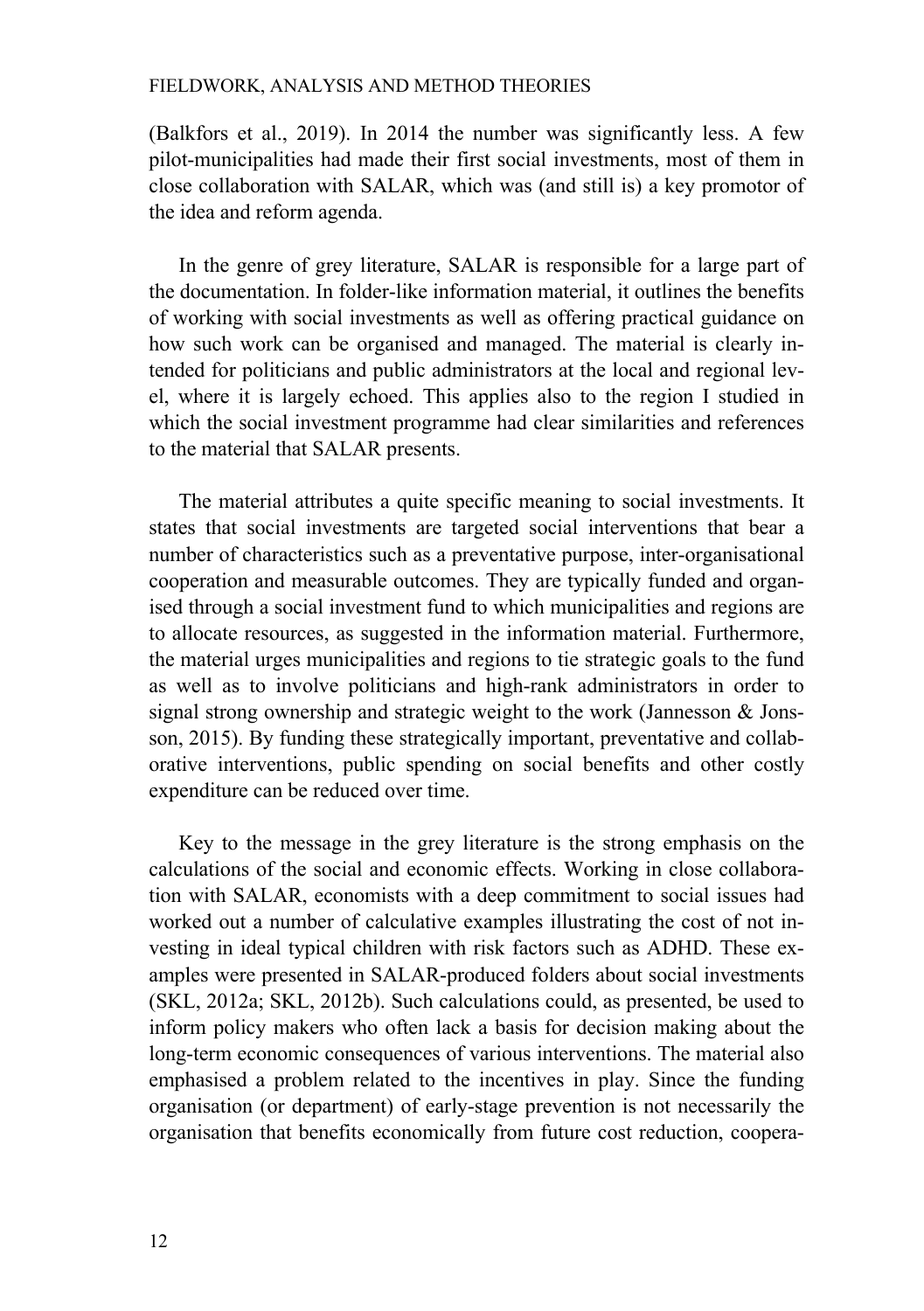(Balkfors et al., 2019). In 2014 the number was significantly less. A few pilot-municipalities had made their first social investments, most of them in close collaboration with SALAR, which was (and still is) a key promotor of the idea and reform agenda.

In the genre of grey literature, SALAR is responsible for a large part of the documentation. In folder-like information material, it outlines the benefits of working with social investments as well as offering practical guidance on how such work can be organised and managed. The material is clearly intended for politicians and public administrators at the local and regional level, where it is largely echoed. This applies also to the region I studied in which the social investment programme had clear similarities and references to the material that SALAR presents.

The material attributes a quite specific meaning to social investments. It states that social investments are targeted social interventions that bear a number of characteristics such as a preventative purpose, inter-organisational cooperation and measurable outcomes. They are typically funded and organised through a social investment fund to which municipalities and regions are to allocate resources, as suggested in the information material. Furthermore, the material urges municipalities and regions to tie strategic goals to the fund as well as to involve politicians and high-rank administrators in order to signal strong ownership and strategic weight to the work (Jannesson & Jonsson, 2015). By funding these strategically important, preventative and collaborative interventions, public spending on social benefits and other costly expenditure can be reduced over time.

Key to the message in the grey literature is the strong emphasis on the calculations of the social and economic effects. Working in close collaboration with SALAR, economists with a deep commitment to social issues had worked out a number of calculative examples illustrating the cost of not investing in ideal typical children with risk factors such as ADHD. These examples were presented in SALAR-produced folders about social investments (SKL, 2012a; SKL, 2012b). Such calculations could, as presented, be used to inform policy makers who often lack a basis for decision making about the long-term economic consequences of various interventions. The material also emphasised a problem related to the incentives in play. Since the funding organisation (or department) of early-stage prevention is not necessarily the organisation that benefits economically from future cost reduction, coopera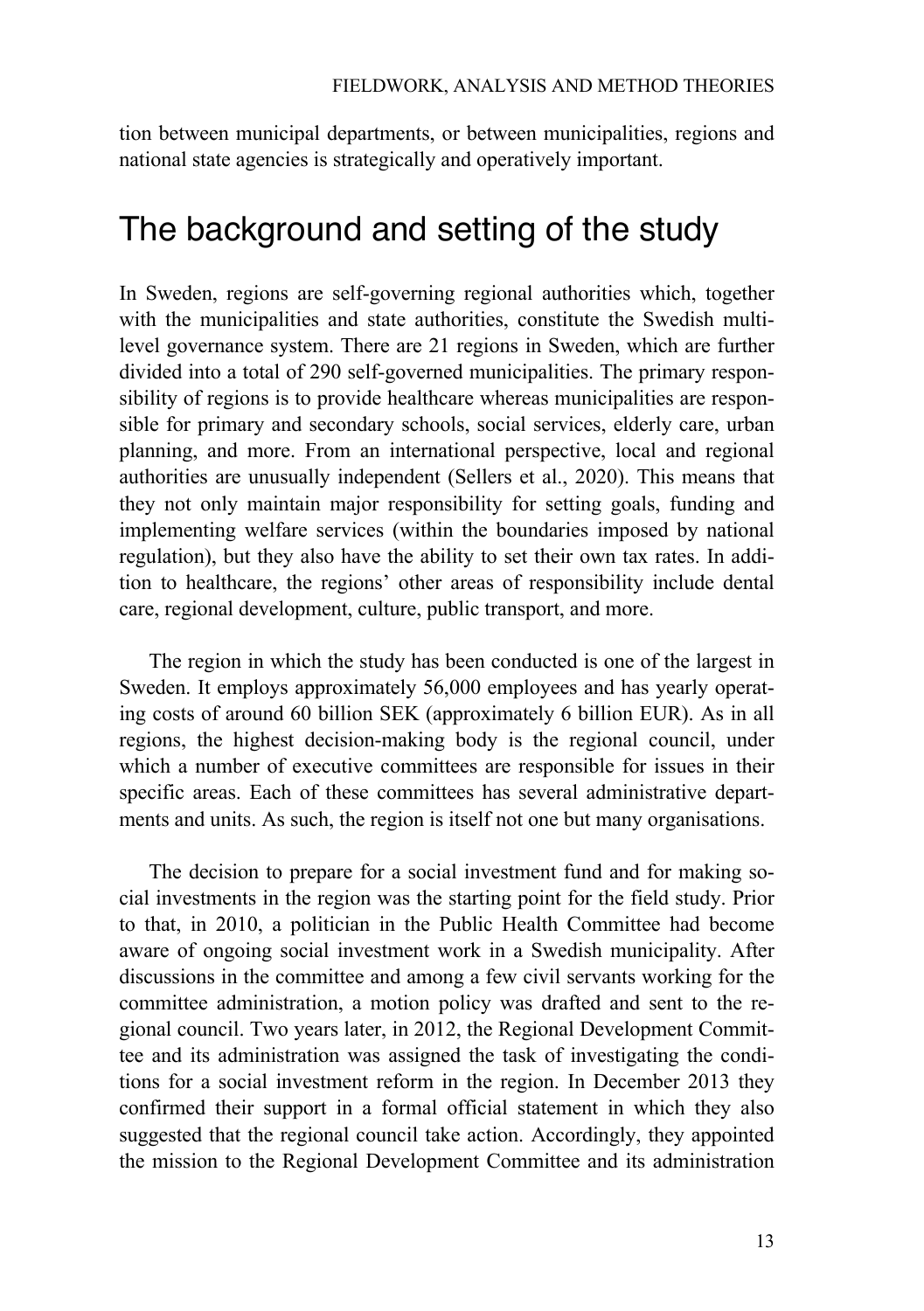tion between municipal departments, or between municipalities, regions and national state agencies is strategically and operatively important.

### The background and setting of the study

In Sweden, regions are self-governing regional authorities which, together with the municipalities and state authorities, constitute the Swedish multilevel governance system. There are 21 regions in Sweden, which are further divided into a total of 290 self-governed municipalities. The primary responsibility of regions is to provide healthcare whereas municipalities are responsible for primary and secondary schools, social services, elderly care, urban planning, and more. From an international perspective, local and regional authorities are unusually independent (Sellers et al., 2020). This means that they not only maintain major responsibility for setting goals, funding and implementing welfare services (within the boundaries imposed by national regulation), but they also have the ability to set their own tax rates. In addition to healthcare, the regions' other areas of responsibility include dental care, regional development, culture, public transport, and more.

The region in which the study has been conducted is one of the largest in Sweden. It employs approximately 56,000 employees and has yearly operating costs of around 60 billion SEK (approximately 6 billion EUR). As in all regions, the highest decision-making body is the regional council, under which a number of executive committees are responsible for issues in their specific areas. Each of these committees has several administrative departments and units. As such, the region is itself not one but many organisations.

The decision to prepare for a social investment fund and for making social investments in the region was the starting point for the field study. Prior to that, in 2010, a politician in the Public Health Committee had become aware of ongoing social investment work in a Swedish municipality. After discussions in the committee and among a few civil servants working for the committee administration, a motion policy was drafted and sent to the regional council. Two years later, in 2012, the Regional Development Committee and its administration was assigned the task of investigating the conditions for a social investment reform in the region. In December 2013 they confirmed their support in a formal official statement in which they also suggested that the regional council take action. Accordingly, they appointed the mission to the Regional Development Committee and its administration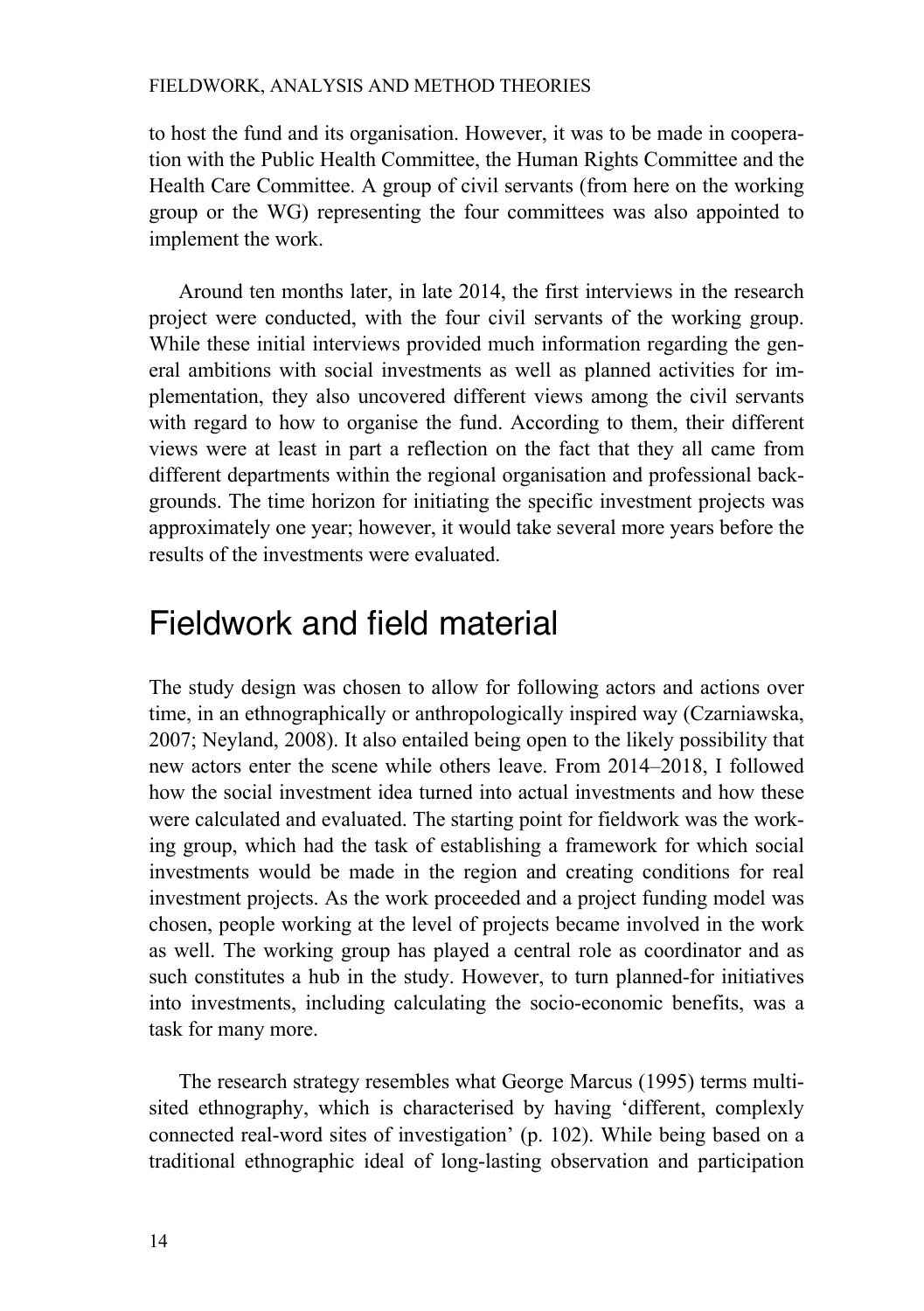to host the fund and its organisation. However, it was to be made in cooperation with the Public Health Committee, the Human Rights Committee and the Health Care Committee. A group of civil servants (from here on the working group or the WG) representing the four committees was also appointed to implement the work.

Around ten months later, in late 2014, the first interviews in the research project were conducted, with the four civil servants of the working group. While these initial interviews provided much information regarding the general ambitions with social investments as well as planned activities for implementation, they also uncovered different views among the civil servants with regard to how to organise the fund. According to them, their different views were at least in part a reflection on the fact that they all came from different departments within the regional organisation and professional backgrounds. The time horizon for initiating the specific investment projects was approximately one year; however, it would take several more years before the results of the investments were evaluated.

### Fieldwork and field material

The study design was chosen to allow for following actors and actions over time, in an ethnographically or anthropologically inspired way (Czarniawska, 2007; Neyland, 2008). It also entailed being open to the likely possibility that new actors enter the scene while others leave. From 2014–2018, I followed how the social investment idea turned into actual investments and how these were calculated and evaluated. The starting point for fieldwork was the working group, which had the task of establishing a framework for which social investments would be made in the region and creating conditions for real investment projects. As the work proceeded and a project funding model was chosen, people working at the level of projects became involved in the work as well. The working group has played a central role as coordinator and as such constitutes a hub in the study. However, to turn planned-for initiatives into investments, including calculating the socio-economic benefits, was a task for many more.

The research strategy resembles what George Marcus (1995) terms multisited ethnography, which is characterised by having 'different, complexly connected real-word sites of investigation' (p. 102). While being based on a traditional ethnographic ideal of long-lasting observation and participation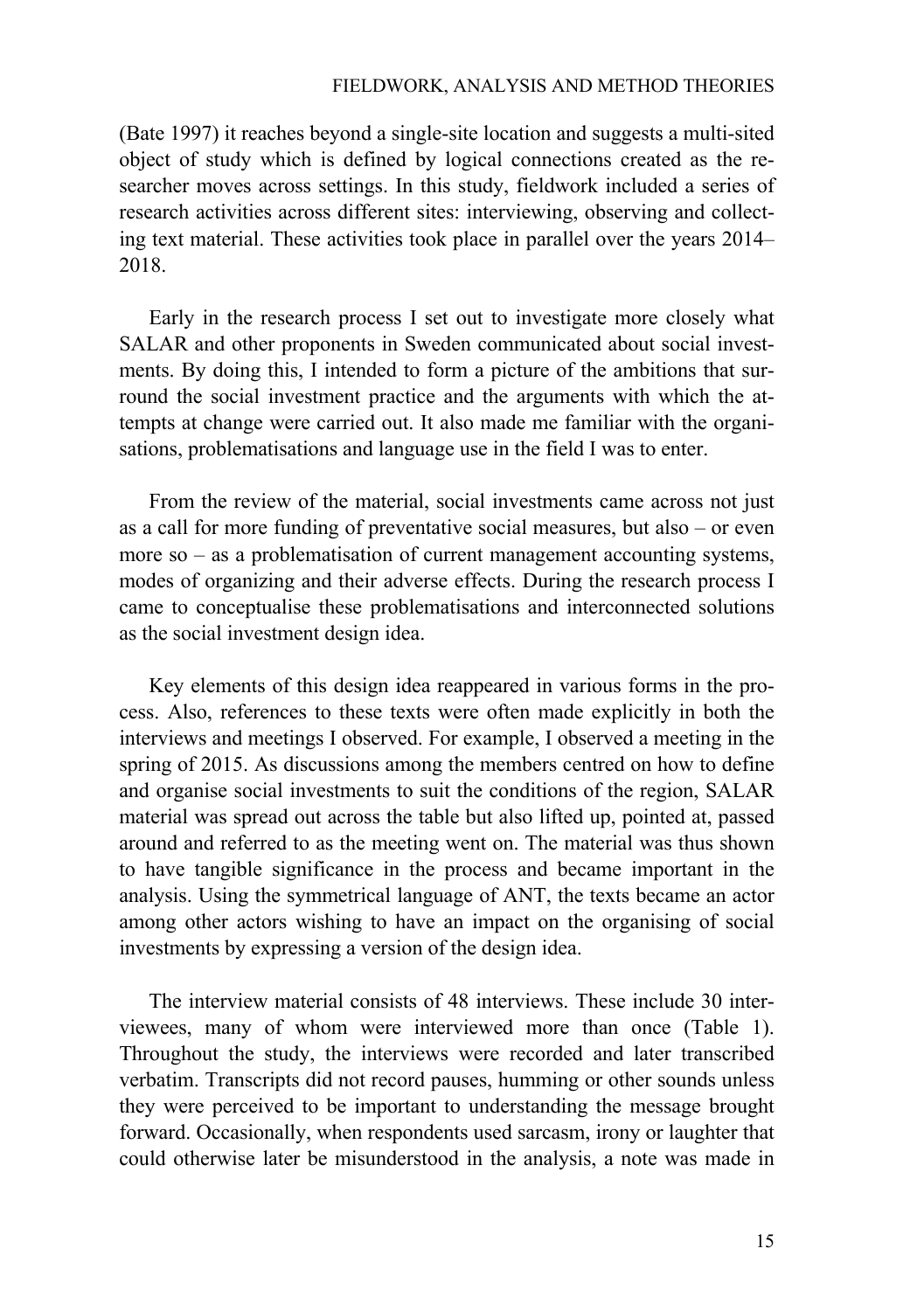(Bate 1997) it reaches beyond a single-site location and suggests a multi-sited object of study which is defined by logical connections created as the researcher moves across settings. In this study, fieldwork included a series of research activities across different sites: interviewing, observing and collecting text material. These activities took place in parallel over the years 2014– 2018.

Early in the research process I set out to investigate more closely what SALAR and other proponents in Sweden communicated about social investments. By doing this, I intended to form a picture of the ambitions that surround the social investment practice and the arguments with which the attempts at change were carried out. It also made me familiar with the organisations, problematisations and language use in the field I was to enter.

From the review of the material, social investments came across not just as a call for more funding of preventative social measures, but also – or even more so – as a problematisation of current management accounting systems, modes of organizing and their adverse effects. During the research process I came to conceptualise these problematisations and interconnected solutions as the social investment design idea.

Key elements of this design idea reappeared in various forms in the process. Also, references to these texts were often made explicitly in both the interviews and meetings I observed. For example, I observed a meeting in the spring of 2015. As discussions among the members centred on how to define and organise social investments to suit the conditions of the region, SALAR material was spread out across the table but also lifted up, pointed at, passed around and referred to as the meeting went on. The material was thus shown to have tangible significance in the process and became important in the analysis. Using the symmetrical language of ANT, the texts became an actor among other actors wishing to have an impact on the organising of social investments by expressing a version of the design idea.

The interview material consists of 48 interviews. These include 30 interviewees, many of whom were interviewed more than once (Table 1). Throughout the study, the interviews were recorded and later transcribed verbatim. Transcripts did not record pauses, humming or other sounds unless they were perceived to be important to understanding the message brought forward. Occasionally, when respondents used sarcasm, irony or laughter that could otherwise later be misunderstood in the analysis, a note was made in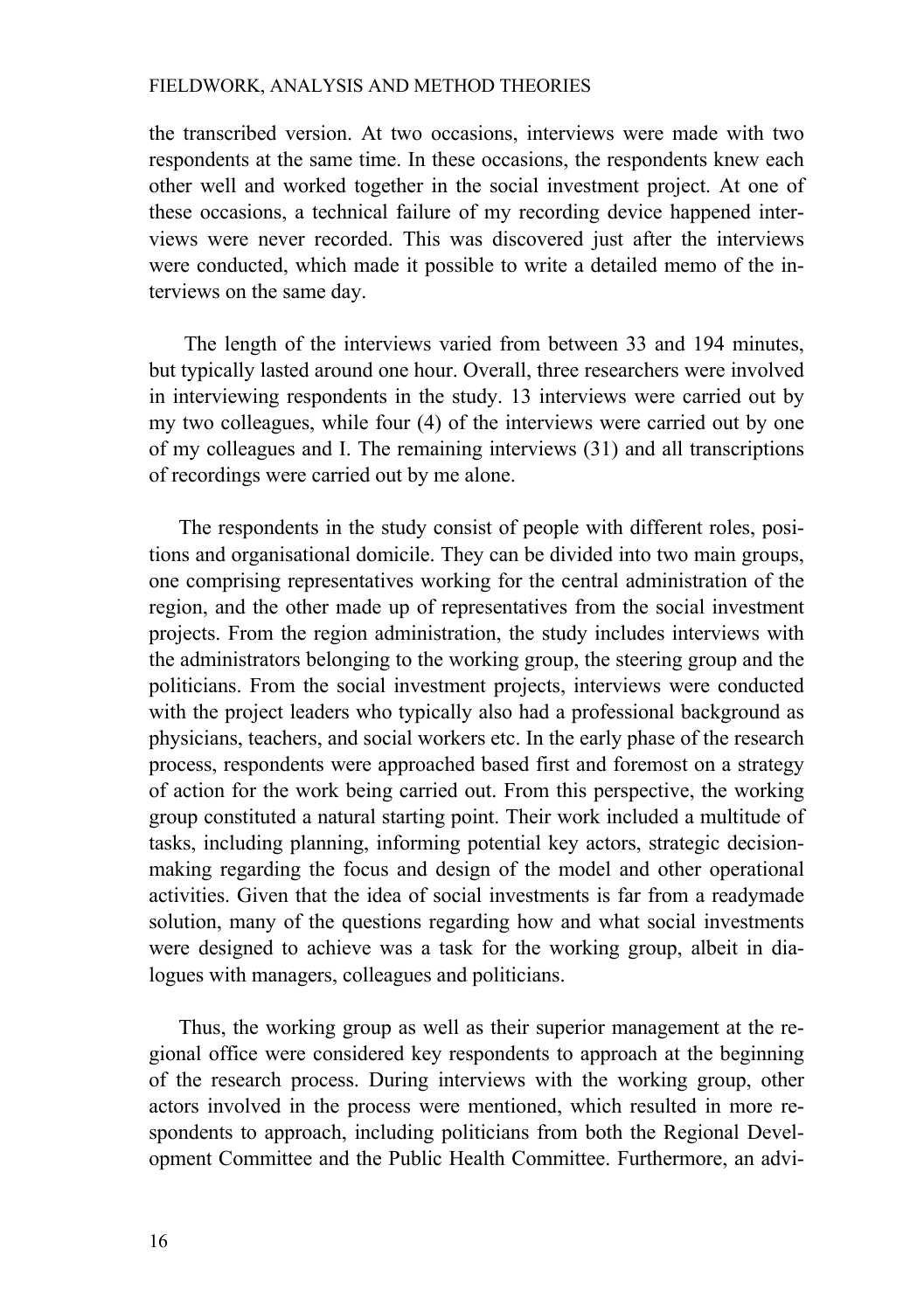the transcribed version. At two occasions, interviews were made with two respondents at the same time. In these occasions, the respondents knew each other well and worked together in the social investment project. At one of these occasions, a technical failure of my recording device happened interviews were never recorded. This was discovered just after the interviews were conducted, which made it possible to write a detailed memo of the interviews on the same day.

The length of the interviews varied from between 33 and 194 minutes, but typically lasted around one hour. Overall, three researchers were involved in interviewing respondents in the study. 13 interviews were carried out by my two colleagues, while four (4) of the interviews were carried out by one of my colleagues and I. The remaining interviews (31) and all transcriptions of recordings were carried out by me alone.

The respondents in the study consist of people with different roles, positions and organisational domicile. They can be divided into two main groups, one comprising representatives working for the central administration of the region, and the other made up of representatives from the social investment projects. From the region administration, the study includes interviews with the administrators belonging to the working group, the steering group and the politicians. From the social investment projects, interviews were conducted with the project leaders who typically also had a professional background as physicians, teachers, and social workers etc. In the early phase of the research process, respondents were approached based first and foremost on a strategy of action for the work being carried out. From this perspective, the working group constituted a natural starting point. Their work included a multitude of tasks, including planning, informing potential key actors, strategic decisionmaking regarding the focus and design of the model and other operational activities. Given that the idea of social investments is far from a readymade solution, many of the questions regarding how and what social investments were designed to achieve was a task for the working group, albeit in dialogues with managers, colleagues and politicians.

Thus, the working group as well as their superior management at the regional office were considered key respondents to approach at the beginning of the research process. During interviews with the working group, other actors involved in the process were mentioned, which resulted in more respondents to approach, including politicians from both the Regional Development Committee and the Public Health Committee. Furthermore, an advi-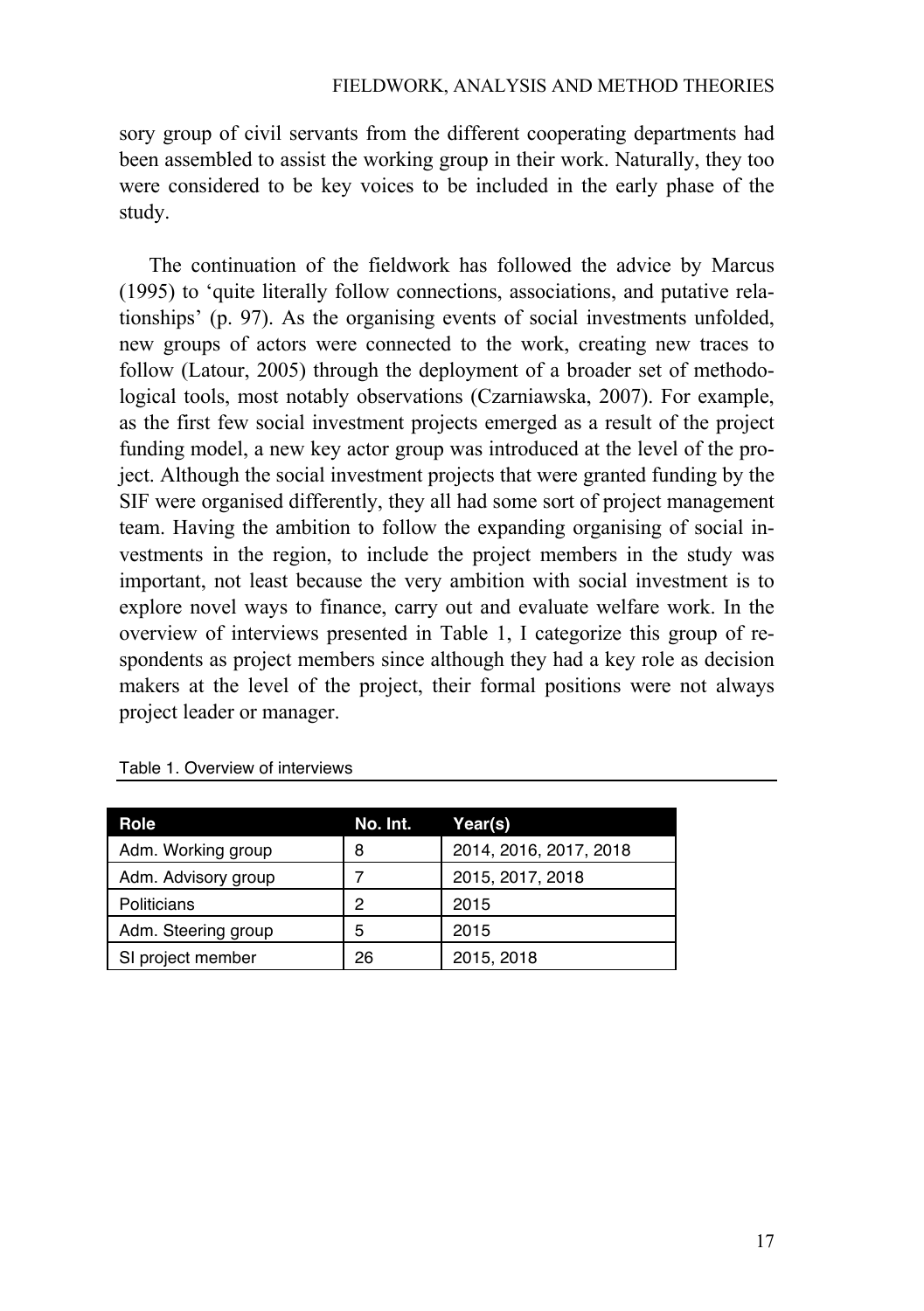sory group of civil servants from the different cooperating departments had been assembled to assist the working group in their work. Naturally, they too were considered to be key voices to be included in the early phase of the study.

The continuation of the fieldwork has followed the advice by Marcus (1995) to 'quite literally follow connections, associations, and putative relationships' (p. 97). As the organising events of social investments unfolded, new groups of actors were connected to the work, creating new traces to follow (Latour, 2005) through the deployment of a broader set of methodological tools, most notably observations (Czarniawska, 2007). For example, as the first few social investment projects emerged as a result of the project funding model, a new key actor group was introduced at the level of the project. Although the social investment projects that were granted funding by the SIF were organised differently, they all had some sort of project management team. Having the ambition to follow the expanding organising of social investments in the region, to include the project members in the study was important, not least because the very ambition with social investment is to explore novel ways to finance, carry out and evaluate welfare work. In the overview of interviews presented in Table 1, I categorize this group of respondents as project members since although they had a key role as decision makers at the level of the project, their formal positions were not always project leader or manager.

| Role                | No. Int. | Year(s)                |
|---------------------|----------|------------------------|
| Adm. Working group  | 8        | 2014, 2016, 2017, 2018 |
| Adm. Advisory group |          | 2015, 2017, 2018       |
| Politicians         | 2        | 2015                   |
| Adm. Steering group | 5        | 2015                   |
| SI project member   | 26       | 2015, 2018             |

| Table 1. Overview of interviews |  |  |
|---------------------------------|--|--|
|---------------------------------|--|--|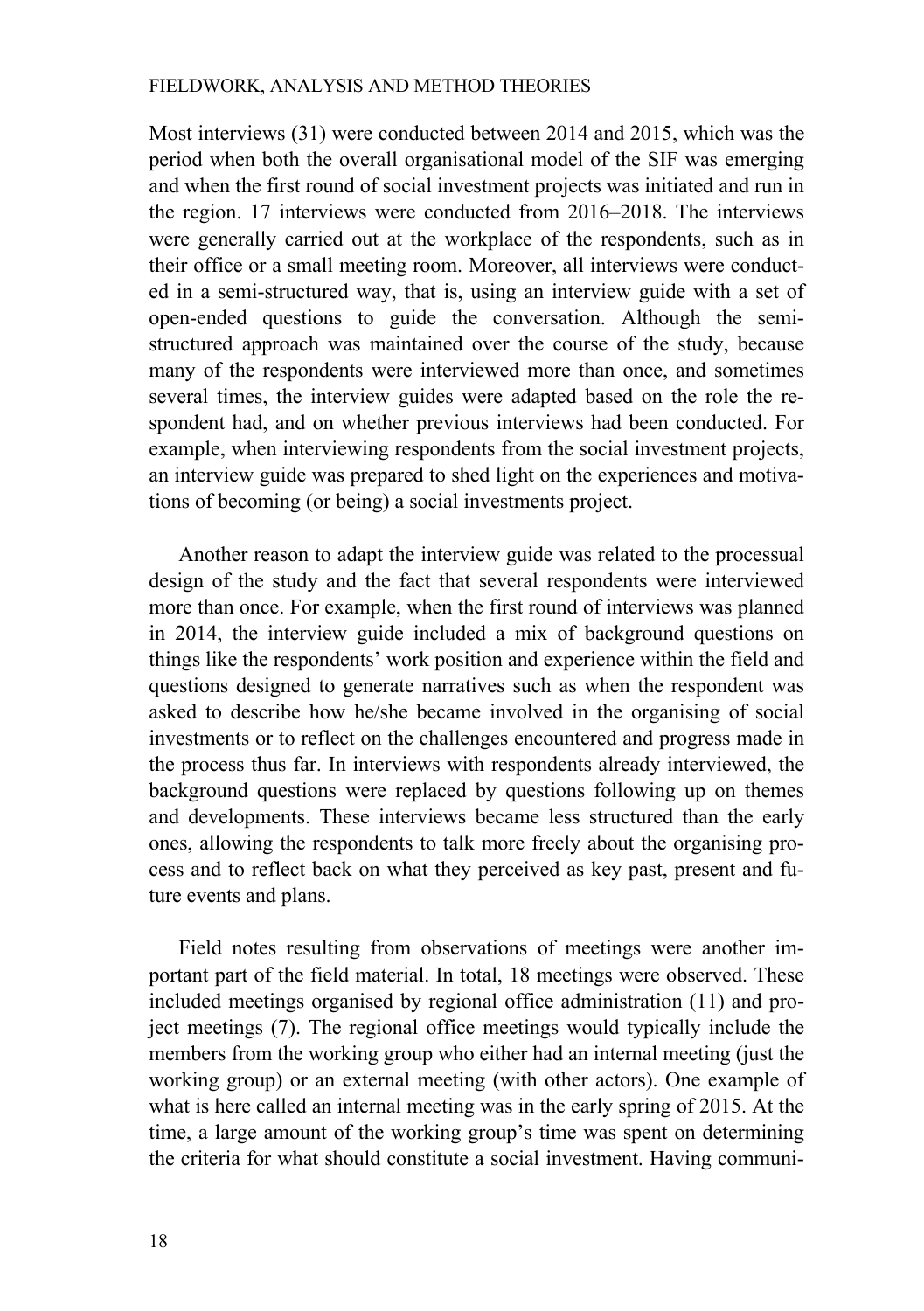Most interviews (31) were conducted between 2014 and 2015, which was the period when both the overall organisational model of the SIF was emerging and when the first round of social investment projects was initiated and run in the region. 17 interviews were conducted from 2016–2018. The interviews were generally carried out at the workplace of the respondents, such as in their office or a small meeting room. Moreover, all interviews were conducted in a semi-structured way, that is, using an interview guide with a set of open-ended questions to guide the conversation. Although the semistructured approach was maintained over the course of the study, because many of the respondents were interviewed more than once, and sometimes several times, the interview guides were adapted based on the role the respondent had, and on whether previous interviews had been conducted. For example, when interviewing respondents from the social investment projects, an interview guide was prepared to shed light on the experiences and motivations of becoming (or being) a social investments project.

Another reason to adapt the interview guide was related to the processual design of the study and the fact that several respondents were interviewed more than once. For example, when the first round of interviews was planned in 2014, the interview guide included a mix of background questions on things like the respondents' work position and experience within the field and questions designed to generate narratives such as when the respondent was asked to describe how he/she became involved in the organising of social investments or to reflect on the challenges encountered and progress made in the process thus far. In interviews with respondents already interviewed, the background questions were replaced by questions following up on themes and developments. These interviews became less structured than the early ones, allowing the respondents to talk more freely about the organising process and to reflect back on what they perceived as key past, present and future events and plans.

Field notes resulting from observations of meetings were another important part of the field material. In total, 18 meetings were observed. These included meetings organised by regional office administration (11) and project meetings (7). The regional office meetings would typically include the members from the working group who either had an internal meeting (just the working group) or an external meeting (with other actors). One example of what is here called an internal meeting was in the early spring of 2015. At the time, a large amount of the working group's time was spent on determining the criteria for what should constitute a social investment. Having communi-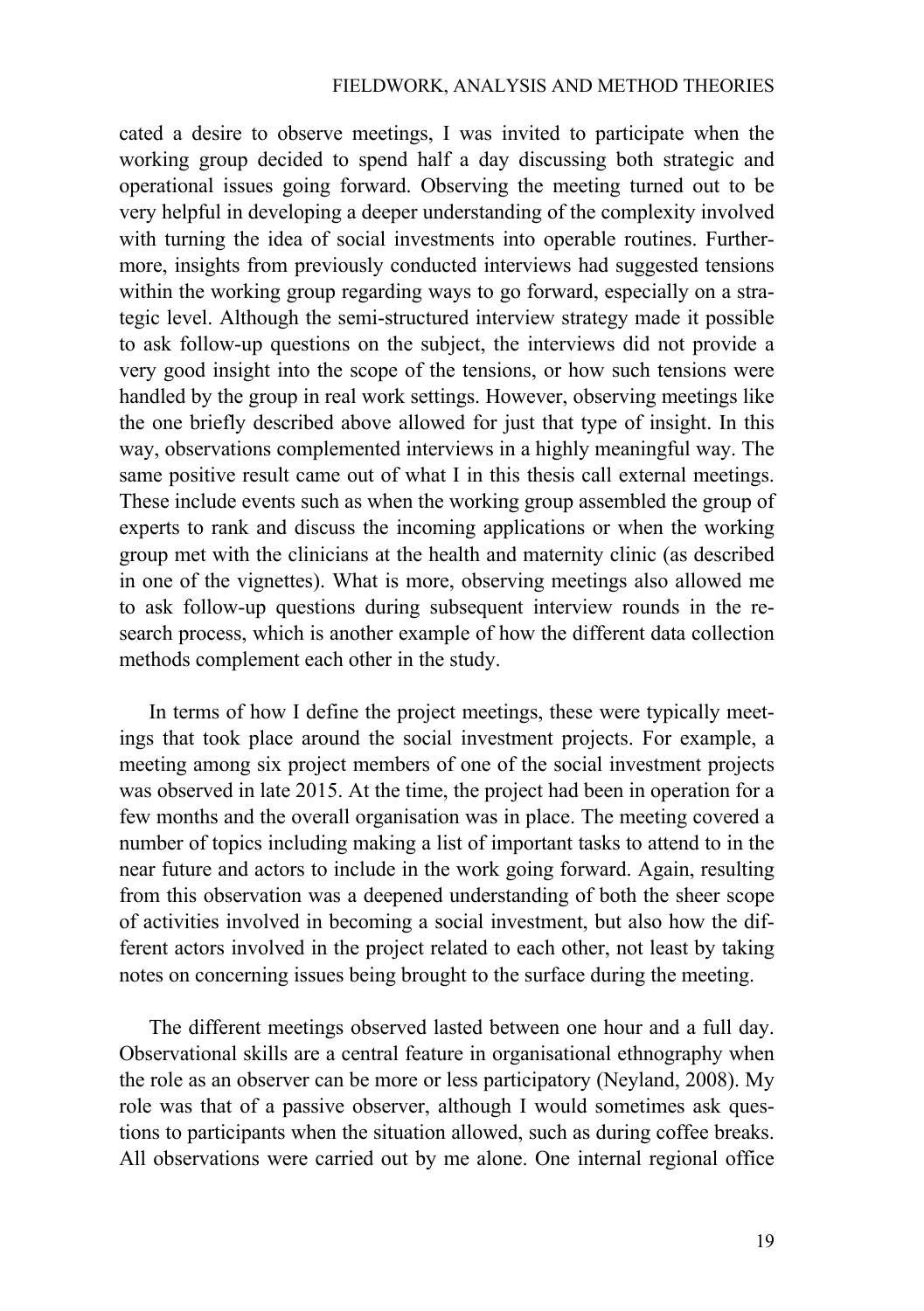cated a desire to observe meetings, I was invited to participate when the working group decided to spend half a day discussing both strategic and operational issues going forward. Observing the meeting turned out to be very helpful in developing a deeper understanding of the complexity involved with turning the idea of social investments into operable routines. Furthermore, insights from previously conducted interviews had suggested tensions within the working group regarding ways to go forward, especially on a strategic level. Although the semi-structured interview strategy made it possible to ask follow-up questions on the subject, the interviews did not provide a very good insight into the scope of the tensions, or how such tensions were handled by the group in real work settings. However, observing meetings like the one briefly described above allowed for just that type of insight. In this way, observations complemented interviews in a highly meaningful way. The same positive result came out of what I in this thesis call external meetings. These include events such as when the working group assembled the group of experts to rank and discuss the incoming applications or when the working group met with the clinicians at the health and maternity clinic (as described in one of the vignettes). What is more, observing meetings also allowed me to ask follow-up questions during subsequent interview rounds in the research process, which is another example of how the different data collection methods complement each other in the study.

In terms of how I define the project meetings, these were typically meetings that took place around the social investment projects. For example, a meeting among six project members of one of the social investment projects was observed in late 2015. At the time, the project had been in operation for a few months and the overall organisation was in place. The meeting covered a number of topics including making a list of important tasks to attend to in the near future and actors to include in the work going forward. Again, resulting from this observation was a deepened understanding of both the sheer scope of activities involved in becoming a social investment, but also how the different actors involved in the project related to each other, not least by taking notes on concerning issues being brought to the surface during the meeting.

The different meetings observed lasted between one hour and a full day. Observational skills are a central feature in organisational ethnography when the role as an observer can be more or less participatory (Neyland, 2008). My role was that of a passive observer, although I would sometimes ask questions to participants when the situation allowed, such as during coffee breaks. All observations were carried out by me alone. One internal regional office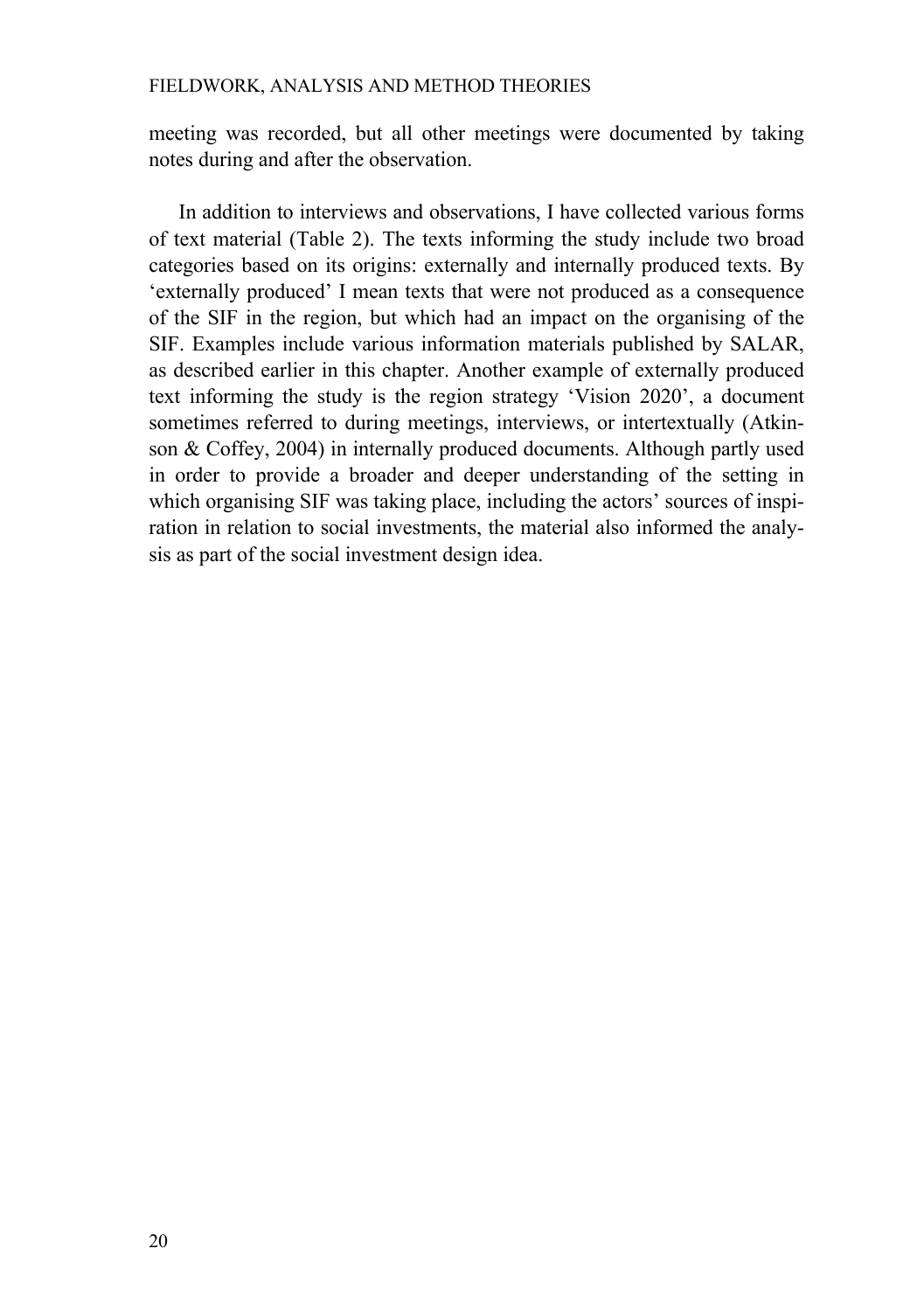meeting was recorded, but all other meetings were documented by taking notes during and after the observation.

In addition to interviews and observations, I have collected various forms of text material (Table 2). The texts informing the study include two broad categories based on its origins: externally and internally produced texts. By 'externally produced' I mean texts that were not produced as a consequence of the SIF in the region, but which had an impact on the organising of the SIF. Examples include various information materials published by SALAR, as described earlier in this chapter. Another example of externally produced text informing the study is the region strategy 'Vision 2020', a document sometimes referred to during meetings, interviews, or intertextually (Atkinson & Coffey, 2004) in internally produced documents. Although partly used in order to provide a broader and deeper understanding of the setting in which organising SIF was taking place, including the actors' sources of inspiration in relation to social investments, the material also informed the analysis as part of the social investment design idea.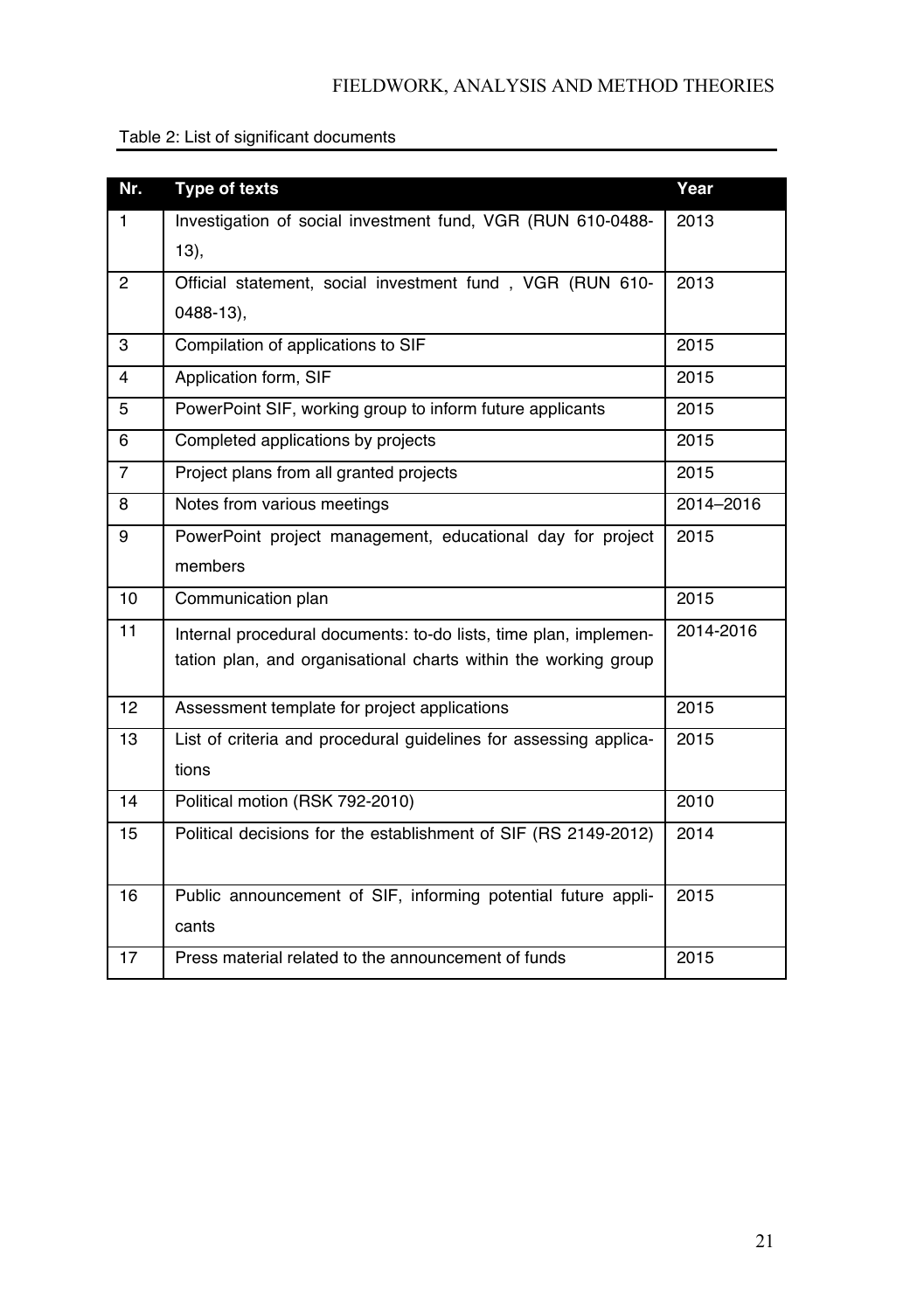|  | Table 2: List of significant documents |
|--|----------------------------------------|
|--|----------------------------------------|

| Nr.            | Type of texts                                                     | Year      |
|----------------|-------------------------------------------------------------------|-----------|
| $\mathbf{1}$   | Investigation of social investment fund, VGR (RUN 610-0488-       | 2013      |
|                | 13),                                                              |           |
| 2              | Official statement, social investment fund, VGR (RUN 610-         | 2013      |
|                | $0488-13$ ,                                                       |           |
| 3              | Compilation of applications to SIF                                | 2015      |
| 4              | Application form, SIF                                             | 2015      |
| 5              | PowerPoint SIF, working group to inform future applicants         | 2015      |
| 6              | Completed applications by projects                                | 2015      |
| $\overline{7}$ | Project plans from all granted projects                           | 2015      |
| 8              | Notes from various meetings                                       | 2014-2016 |
| 9              | PowerPoint project management, educational day for project        | 2015      |
|                | members                                                           |           |
| 10             | Communication plan                                                | 2015      |
| 11             | Internal procedural documents: to-do lists, time plan, implemen-  | 2014-2016 |
|                | tation plan, and organisational charts within the working group   |           |
| 12             | Assessment template for project applications                      | 2015      |
| 13             | List of criteria and procedural guidelines for assessing applica- | 2015      |
|                | tions                                                             |           |
| 14             | Political motion (RSK 792-2010)                                   | 2010      |
| 15             | Political decisions for the establishment of SIF (RS 2149-2012)   | 2014      |
|                |                                                                   |           |
| 16             | Public announcement of SIF, informing potential future appli-     | 2015      |
|                | cants                                                             |           |
| 17             | Press material related to the announcement of funds               | 2015      |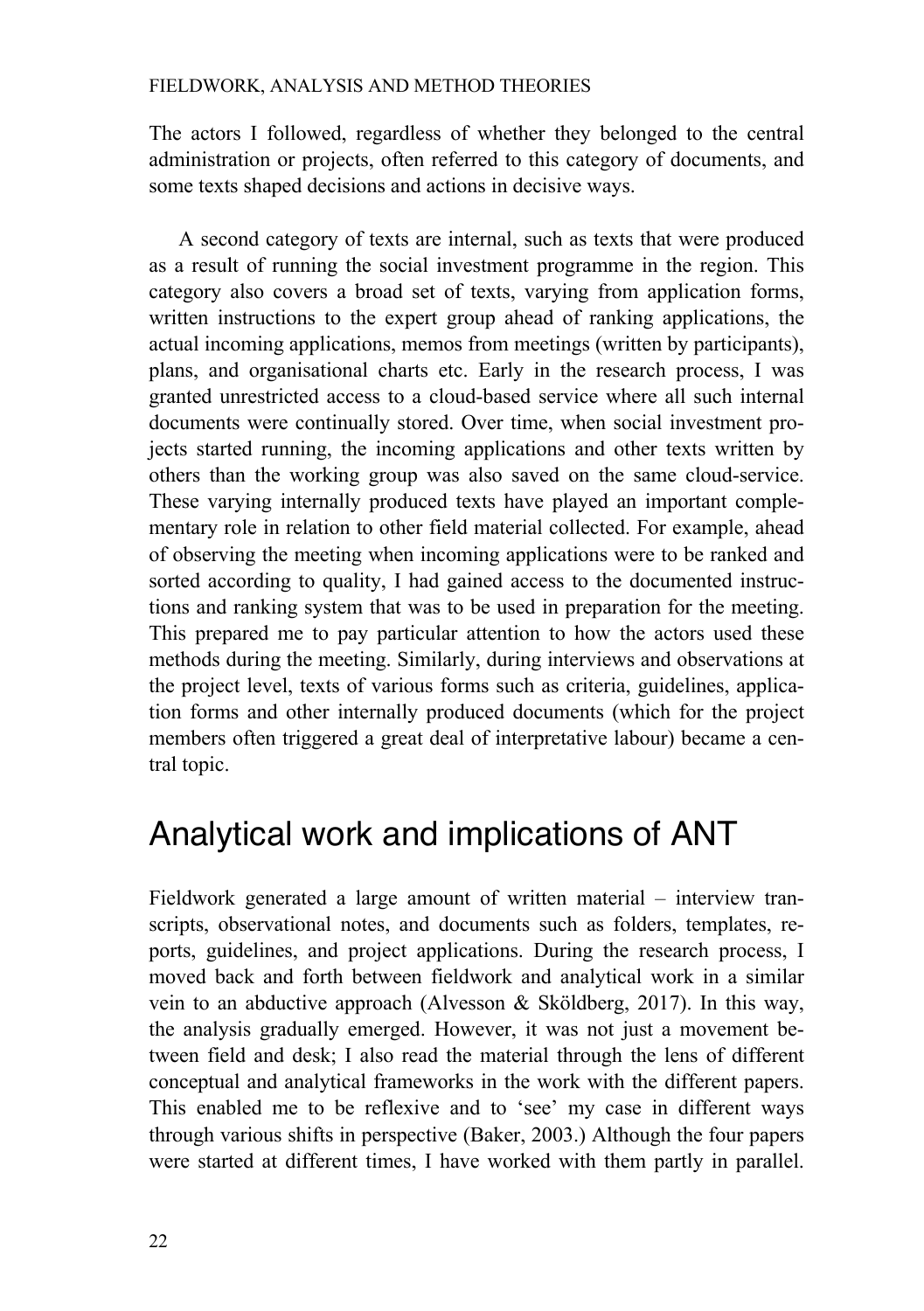The actors I followed, regardless of whether they belonged to the central administration or projects, often referred to this category of documents, and some texts shaped decisions and actions in decisive ways.

A second category of texts are internal, such as texts that were produced as a result of running the social investment programme in the region. This category also covers a broad set of texts, varying from application forms, written instructions to the expert group ahead of ranking applications, the actual incoming applications, memos from meetings (written by participants), plans, and organisational charts etc. Early in the research process, I was granted unrestricted access to a cloud-based service where all such internal documents were continually stored. Over time, when social investment projects started running, the incoming applications and other texts written by others than the working group was also saved on the same cloud-service. These varying internally produced texts have played an important complementary role in relation to other field material collected. For example, ahead of observing the meeting when incoming applications were to be ranked and sorted according to quality, I had gained access to the documented instructions and ranking system that was to be used in preparation for the meeting. This prepared me to pay particular attention to how the actors used these methods during the meeting. Similarly, during interviews and observations at the project level, texts of various forms such as criteria, guidelines, application forms and other internally produced documents (which for the project members often triggered a great deal of interpretative labour) became a central topic.

## Analytical work and implications of ANT

Fieldwork generated a large amount of written material – interview transcripts, observational notes, and documents such as folders, templates, reports, guidelines, and project applications. During the research process, I moved back and forth between fieldwork and analytical work in a similar vein to an abductive approach (Alvesson & Sköldberg, 2017). In this way, the analysis gradually emerged. However, it was not just a movement between field and desk; I also read the material through the lens of different conceptual and analytical frameworks in the work with the different papers. This enabled me to be reflexive and to 'see' my case in different ways through various shifts in perspective (Baker, 2003.) Although the four papers were started at different times, I have worked with them partly in parallel.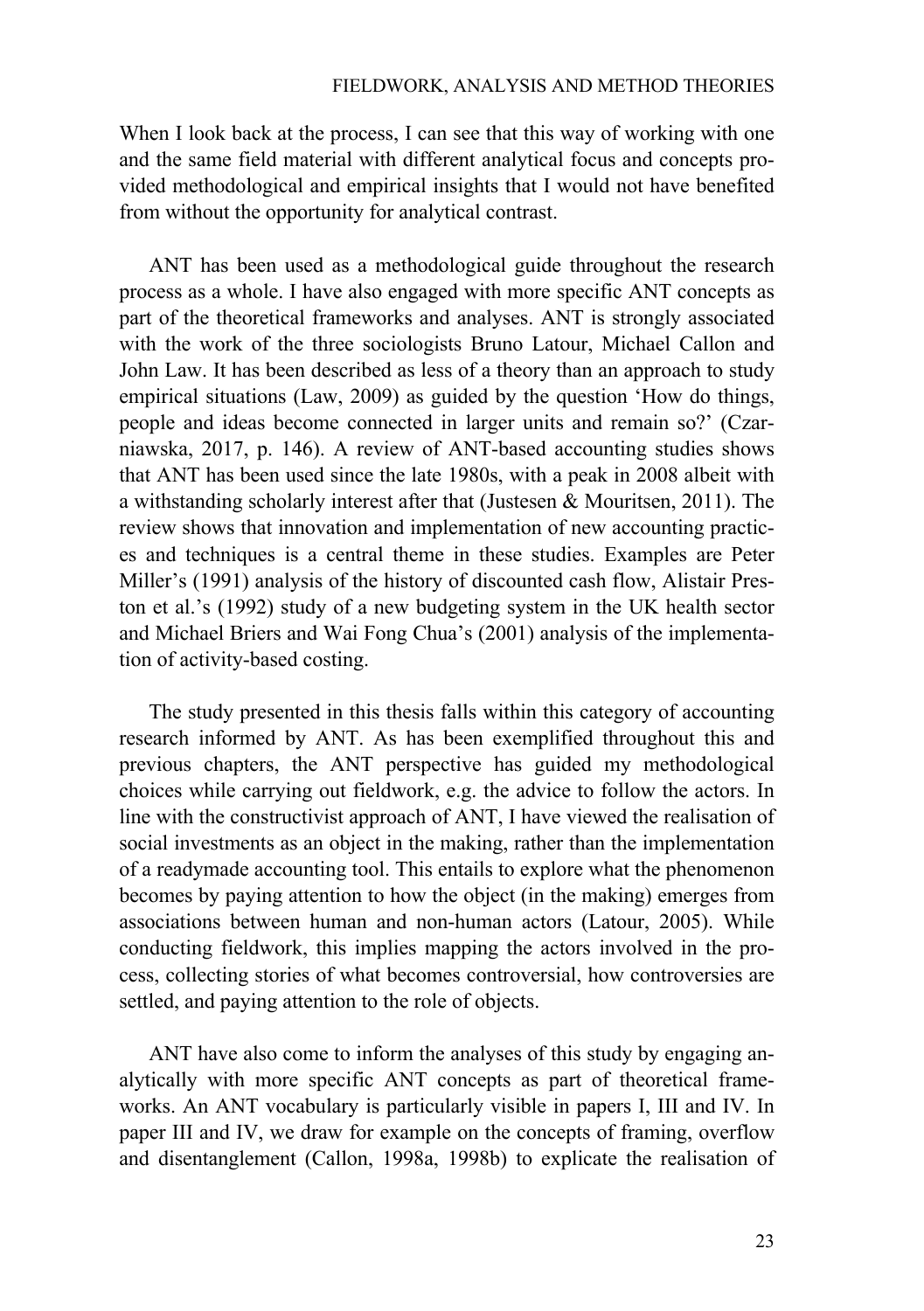When I look back at the process, I can see that this way of working with one and the same field material with different analytical focus and concepts provided methodological and empirical insights that I would not have benefited from without the opportunity for analytical contrast.

ANT has been used as a methodological guide throughout the research process as a whole. I have also engaged with more specific ANT concepts as part of the theoretical frameworks and analyses. ANT is strongly associated with the work of the three sociologists Bruno Latour, Michael Callon and John Law. It has been described as less of a theory than an approach to study empirical situations (Law, 2009) as guided by the question 'How do things, people and ideas become connected in larger units and remain so?' (Czarniawska, 2017, p. 146). A review of ANT-based accounting studies shows that ANT has been used since the late 1980s, with a peak in 2008 albeit with a withstanding scholarly interest after that (Justesen & Mouritsen, 2011). The review shows that innovation and implementation of new accounting practices and techniques is a central theme in these studies. Examples are Peter Miller's (1991) analysis of the history of discounted cash flow, Alistair Preston et al.'s (1992) study of a new budgeting system in the UK health sector and Michael Briers and Wai Fong Chua's (2001) analysis of the implementation of activity-based costing.

The study presented in this thesis falls within this category of accounting research informed by ANT. As has been exemplified throughout this and previous chapters, the ANT perspective has guided my methodological choices while carrying out fieldwork, e.g. the advice to follow the actors. In line with the constructivist approach of ANT, I have viewed the realisation of social investments as an object in the making, rather than the implementation of a readymade accounting tool. This entails to explore what the phenomenon becomes by paying attention to how the object (in the making) emerges from associations between human and non-human actors (Latour, 2005). While conducting fieldwork, this implies mapping the actors involved in the process, collecting stories of what becomes controversial, how controversies are settled, and paying attention to the role of objects.

ANT have also come to inform the analyses of this study by engaging analytically with more specific ANT concepts as part of theoretical frameworks. An ANT vocabulary is particularly visible in papers I, III and IV. In paper III and IV, we draw for example on the concepts of framing, overflow and disentanglement (Callon, 1998a, 1998b) to explicate the realisation of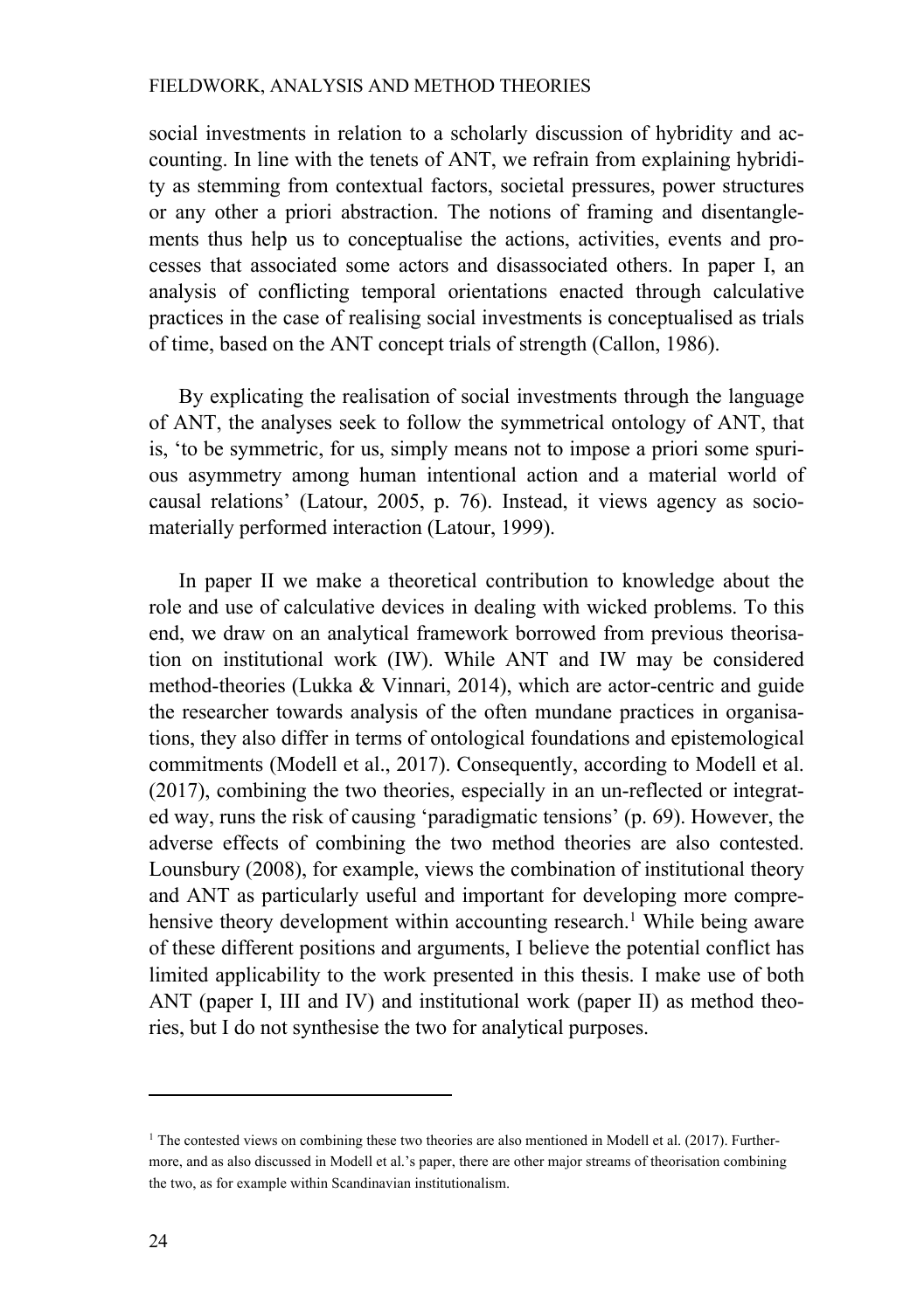social investments in relation to a scholarly discussion of hybridity and accounting. In line with the tenets of ANT, we refrain from explaining hybridity as stemming from contextual factors, societal pressures, power structures or any other a priori abstraction. The notions of framing and disentanglements thus help us to conceptualise the actions, activities, events and processes that associated some actors and disassociated others. In paper I, an analysis of conflicting temporal orientations enacted through calculative practices in the case of realising social investments is conceptualised as trials of time, based on the ANT concept trials of strength (Callon, 1986).

By explicating the realisation of social investments through the language of ANT, the analyses seek to follow the symmetrical ontology of ANT, that is, 'to be symmetric, for us, simply means not to impose a priori some spurious asymmetry among human intentional action and a material world of causal relations' (Latour, 2005, p. 76). Instead, it views agency as sociomaterially performed interaction (Latour, 1999).

In paper II we make a theoretical contribution to knowledge about the role and use of calculative devices in dealing with wicked problems. To this end, we draw on an analytical framework borrowed from previous theorisation on institutional work (IW). While ANT and IW may be considered method-theories (Lukka & Vinnari, 2014), which are actor-centric and guide the researcher towards analysis of the often mundane practices in organisations, they also differ in terms of ontological foundations and epistemological commitments (Modell et al., 2017). Consequently, according to Modell et al. (2017), combining the two theories, especially in an un-reflected or integrated way, runs the risk of causing 'paradigmatic tensions' (p. 69). However, the adverse effects of combining the two method theories are also contested. Lounsbury (2008), for example, views the combination of institutional theory and ANT as particularly useful and important for developing more comprehensive theory development within accounting research. <sup>1</sup> While being aware of these different positions and arguments, I believe the potential conflict has limited applicability to the work presented in this thesis. I make use of both ANT (paper I, III and IV) and institutional work (paper II) as method theories, but I do not synthesise the two for analytical purposes.

<sup>&</sup>lt;sup>1</sup> The contested views on combining these two theories are also mentioned in Modell et al. (2017). Furthermore, and as also discussed in Modell et al.'s paper, there are other major streams of theorisation combining the two, as for example within Scandinavian institutionalism.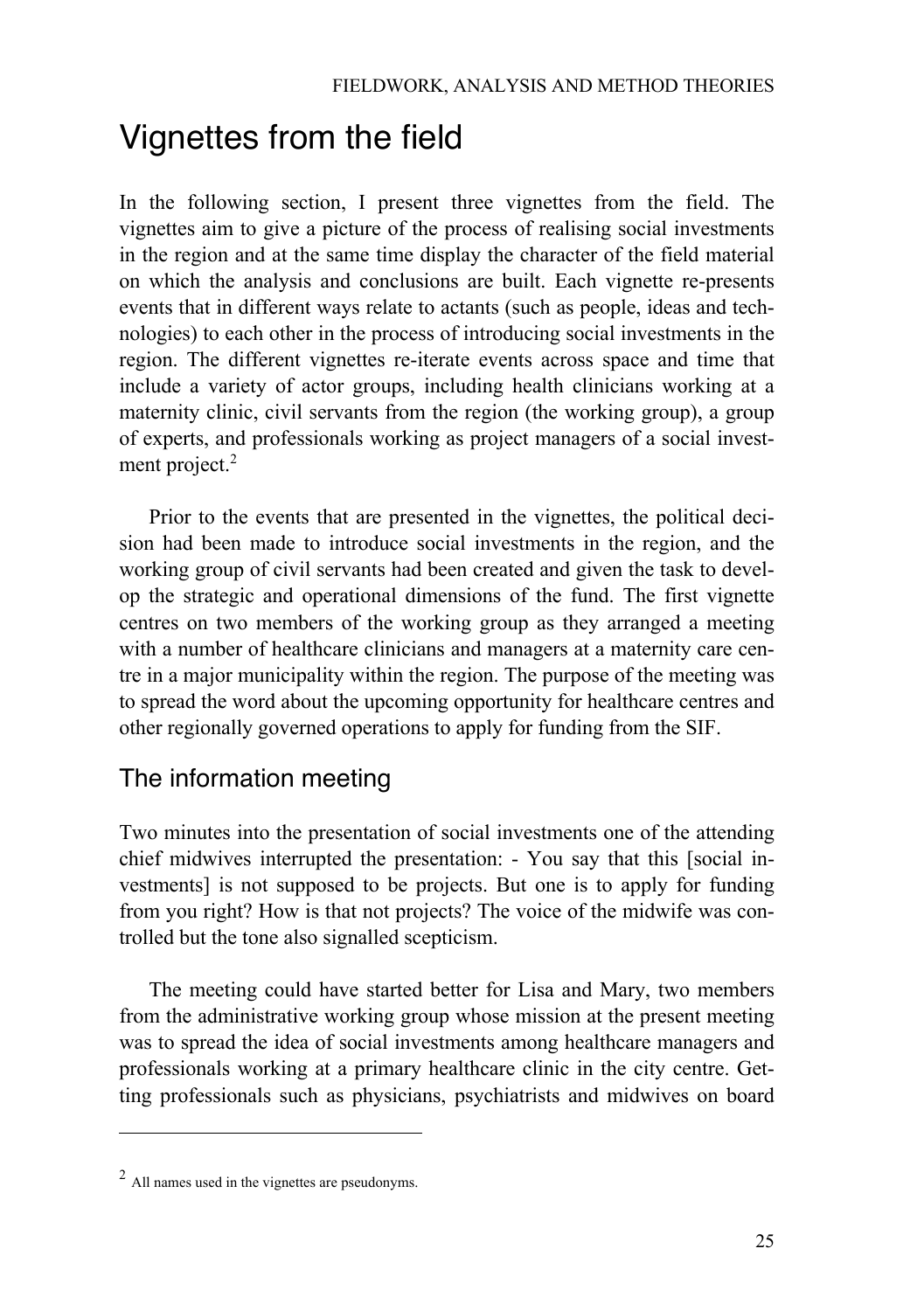## Vignettes from the field

In the following section, I present three vignettes from the field. The vignettes aim to give a picture of the process of realising social investments in the region and at the same time display the character of the field material on which the analysis and conclusions are built. Each vignette re-presents events that in different ways relate to actants (such as people, ideas and technologies) to each other in the process of introducing social investments in the region. The different vignettes re-iterate events across space and time that include a variety of actor groups, including health clinicians working at a maternity clinic, civil servants from the region (the working group), a group of experts, and professionals working as project managers of a social investment project.<sup>2</sup>

Prior to the events that are presented in the vignettes, the political decision had been made to introduce social investments in the region, and the working group of civil servants had been created and given the task to develop the strategic and operational dimensions of the fund. The first vignette centres on two members of the working group as they arranged a meeting with a number of healthcare clinicians and managers at a maternity care centre in a major municipality within the region. The purpose of the meeting was to spread the word about the upcoming opportunity for healthcare centres and other regionally governed operations to apply for funding from the SIF.

### The information meeting

Two minutes into the presentation of social investments one of the attending chief midwives interrupted the presentation: - You say that this [social investments] is not supposed to be projects. But one is to apply for funding from you right? How is that not projects? The voice of the midwife was controlled but the tone also signalled scepticism.

The meeting could have started better for Lisa and Mary, two members from the administrative working group whose mission at the present meeting was to spread the idea of social investments among healthcare managers and professionals working at a primary healthcare clinic in the city centre. Getting professionals such as physicians, psychiatrists and midwives on board

<sup>2</sup> All names used in the vignettes are pseudonyms.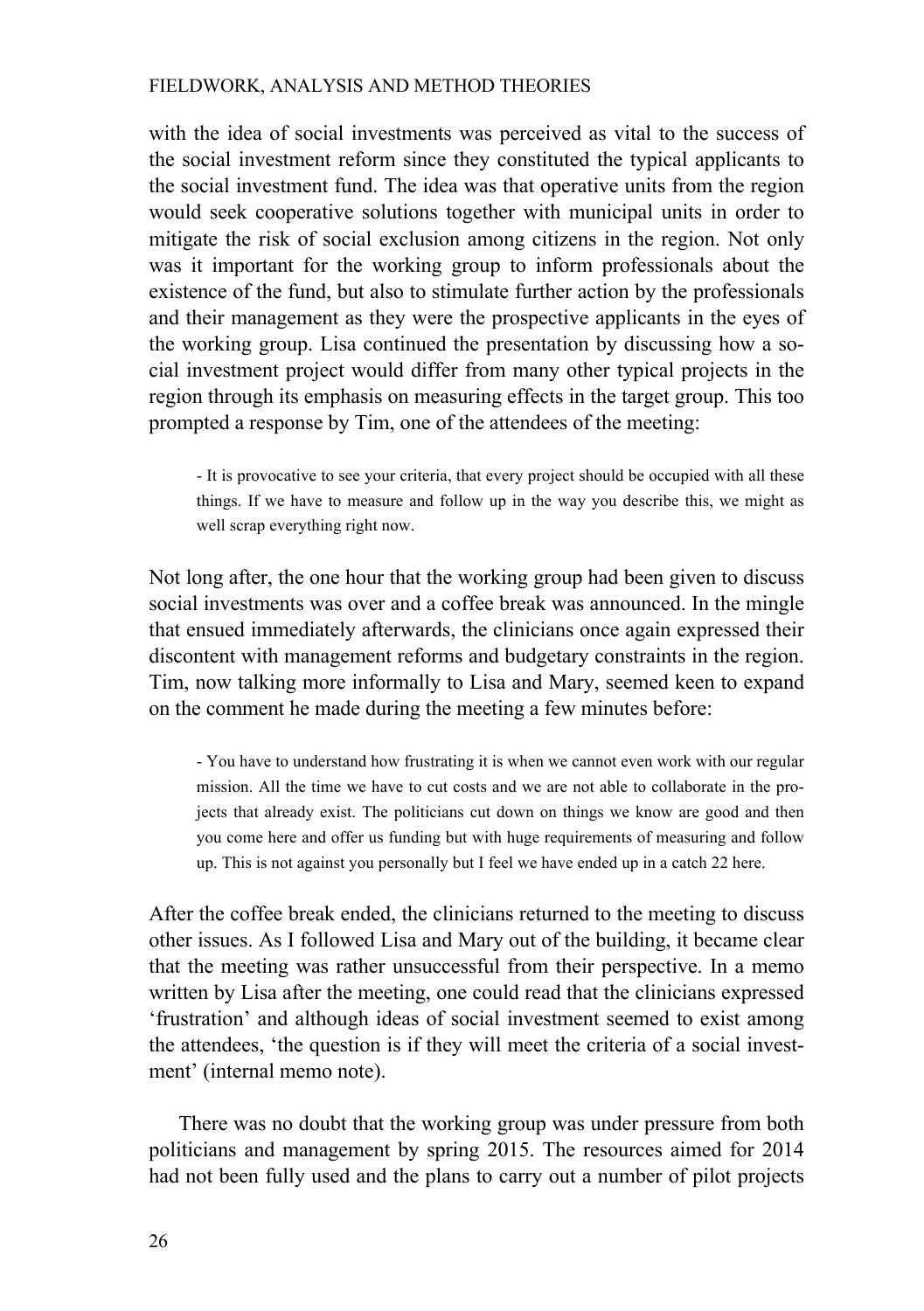with the idea of social investments was perceived as vital to the success of the social investment reform since they constituted the typical applicants to the social investment fund. The idea was that operative units from the region would seek cooperative solutions together with municipal units in order to mitigate the risk of social exclusion among citizens in the region. Not only was it important for the working group to inform professionals about the existence of the fund, but also to stimulate further action by the professionals and their management as they were the prospective applicants in the eyes of the working group. Lisa continued the presentation by discussing how a social investment project would differ from many other typical projects in the region through its emphasis on measuring effects in the target group. This too prompted a response by Tim, one of the attendees of the meeting:

- It is provocative to see your criteria, that every project should be occupied with all these things. If we have to measure and follow up in the way you describe this, we might as well scrap everything right now.

Not long after, the one hour that the working group had been given to discuss social investments was over and a coffee break was announced. In the mingle that ensued immediately afterwards, the clinicians once again expressed their discontent with management reforms and budgetary constraints in the region. Tim, now talking more informally to Lisa and Mary, seemed keen to expand on the comment he made during the meeting a few minutes before:

- You have to understand how frustrating it is when we cannot even work with our regular mission. All the time we have to cut costs and we are not able to collaborate in the projects that already exist. The politicians cut down on things we know are good and then you come here and offer us funding but with huge requirements of measuring and follow up. This is not against you personally but I feel we have ended up in a catch 22 here.

After the coffee break ended, the clinicians returned to the meeting to discuss other issues. As I followed Lisa and Mary out of the building, it became clear that the meeting was rather unsuccessful from their perspective. In a memo written by Lisa after the meeting, one could read that the clinicians expressed 'frustration' and although ideas of social investment seemed to exist among the attendees, 'the question is if they will meet the criteria of a social investment' (internal memo note).

There was no doubt that the working group was under pressure from both politicians and management by spring 2015. The resources aimed for 2014 had not been fully used and the plans to carry out a number of pilot projects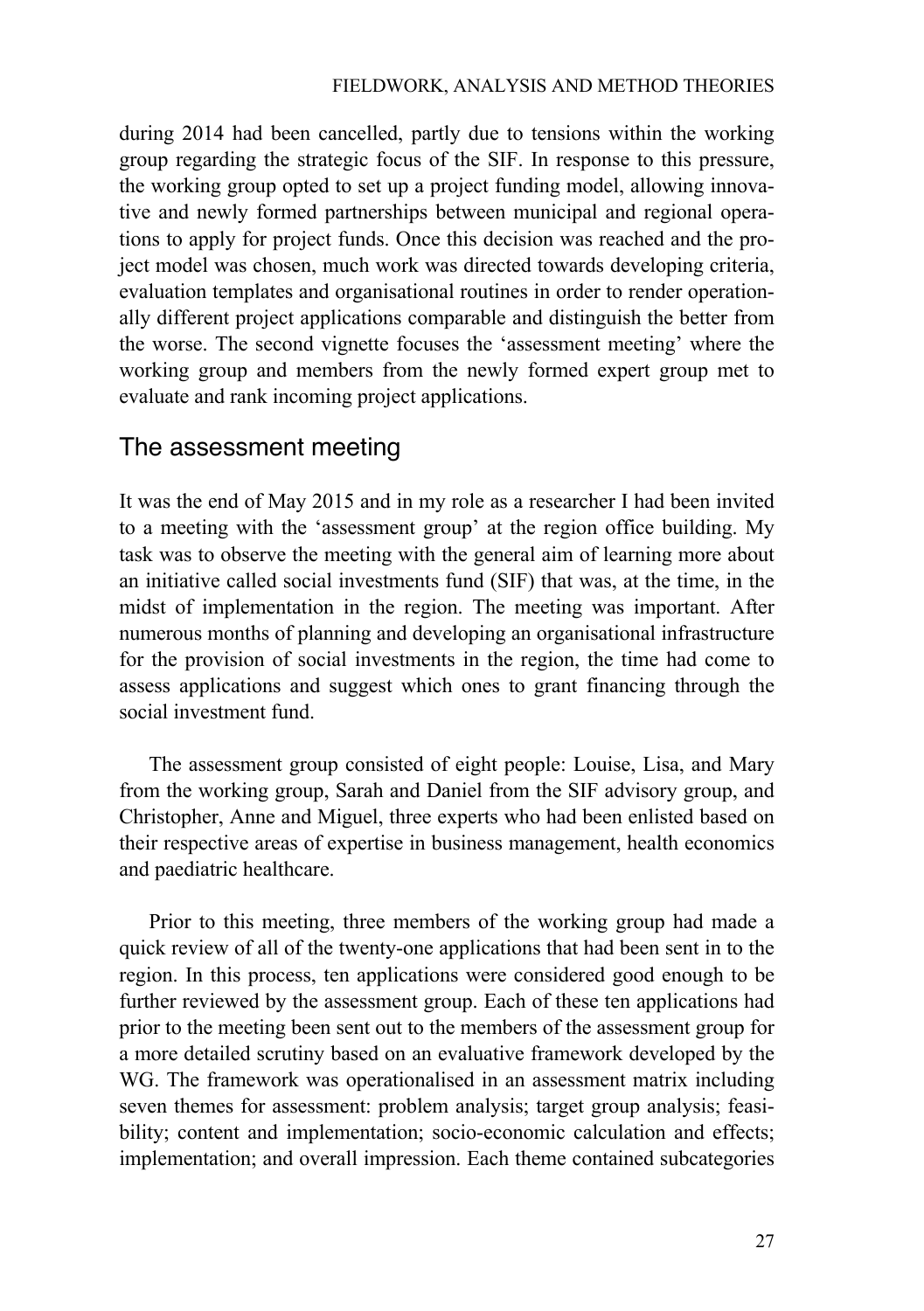during 2014 had been cancelled, partly due to tensions within the working group regarding the strategic focus of the SIF. In response to this pressure, the working group opted to set up a project funding model, allowing innovative and newly formed partnerships between municipal and regional operations to apply for project funds. Once this decision was reached and the project model was chosen, much work was directed towards developing criteria, evaluation templates and organisational routines in order to render operationally different project applications comparable and distinguish the better from the worse. The second vignette focuses the 'assessment meeting' where the working group and members from the newly formed expert group met to evaluate and rank incoming project applications.

### The assessment meeting

It was the end of May 2015 and in my role as a researcher I had been invited to a meeting with the 'assessment group' at the region office building. My task was to observe the meeting with the general aim of learning more about an initiative called social investments fund (SIF) that was, at the time, in the midst of implementation in the region. The meeting was important. After numerous months of planning and developing an organisational infrastructure for the provision of social investments in the region, the time had come to assess applications and suggest which ones to grant financing through the social investment fund.

The assessment group consisted of eight people: Louise, Lisa, and Mary from the working group, Sarah and Daniel from the SIF advisory group, and Christopher, Anne and Miguel, three experts who had been enlisted based on their respective areas of expertise in business management, health economics and paediatric healthcare.

Prior to this meeting, three members of the working group had made a quick review of all of the twenty-one applications that had been sent in to the region. In this process, ten applications were considered good enough to be further reviewed by the assessment group. Each of these ten applications had prior to the meeting been sent out to the members of the assessment group for a more detailed scrutiny based on an evaluative framework developed by the WG. The framework was operationalised in an assessment matrix including seven themes for assessment: problem analysis; target group analysis; feasibility; content and implementation; socio-economic calculation and effects; implementation; and overall impression. Each theme contained subcategories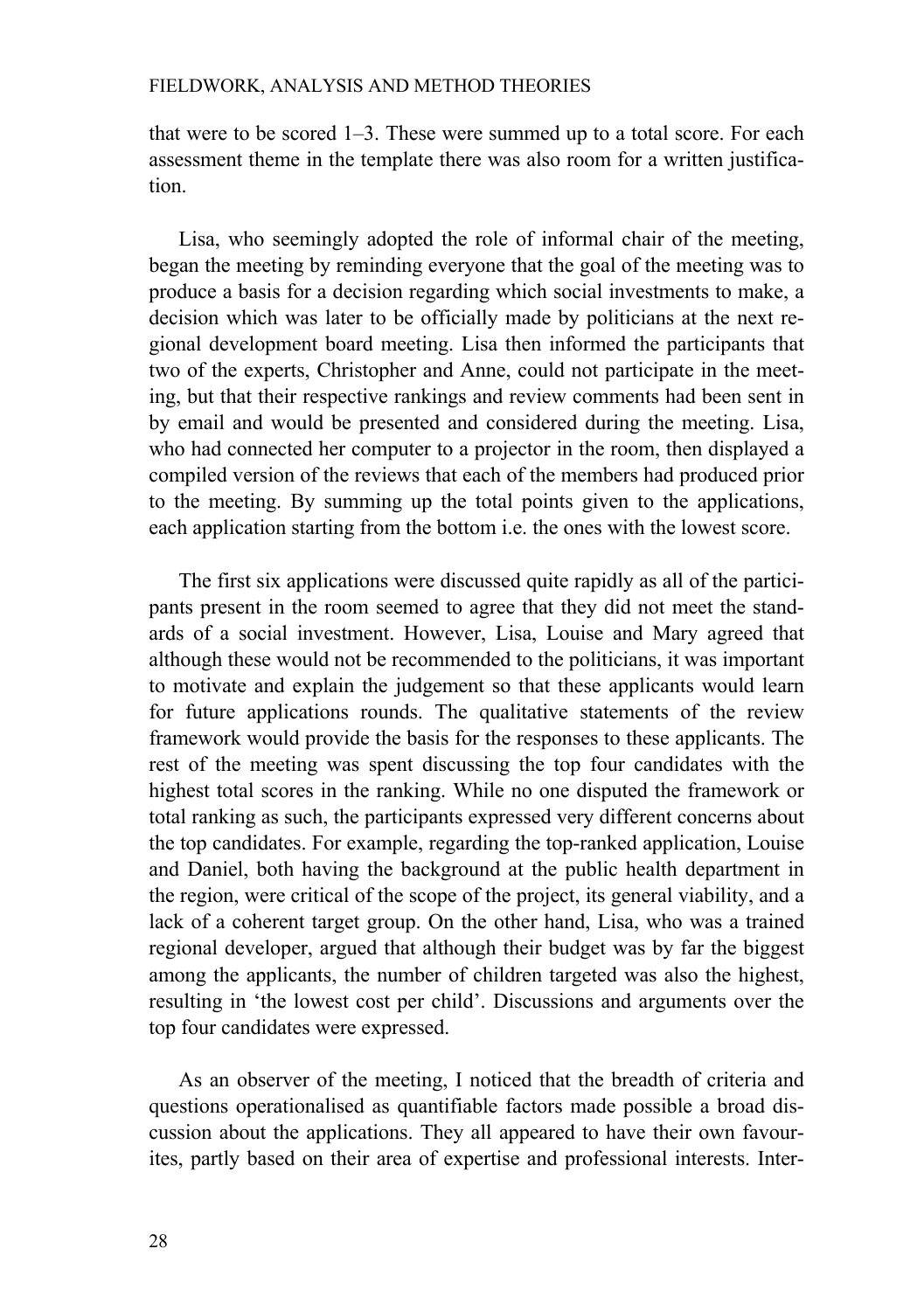that were to be scored 1–3. These were summed up to a total score. For each assessment theme in the template there was also room for a written justification.

Lisa, who seemingly adopted the role of informal chair of the meeting, began the meeting by reminding everyone that the goal of the meeting was to produce a basis for a decision regarding which social investments to make, a decision which was later to be officially made by politicians at the next regional development board meeting. Lisa then informed the participants that two of the experts, Christopher and Anne, could not participate in the meeting, but that their respective rankings and review comments had been sent in by email and would be presented and considered during the meeting. Lisa, who had connected her computer to a projector in the room, then displayed a compiled version of the reviews that each of the members had produced prior to the meeting. By summing up the total points given to the applications, each application starting from the bottom i.e. the ones with the lowest score.

The first six applications were discussed quite rapidly as all of the participants present in the room seemed to agree that they did not meet the standards of a social investment. However, Lisa, Louise and Mary agreed that although these would not be recommended to the politicians, it was important to motivate and explain the judgement so that these applicants would learn for future applications rounds. The qualitative statements of the review framework would provide the basis for the responses to these applicants. The rest of the meeting was spent discussing the top four candidates with the highest total scores in the ranking. While no one disputed the framework or total ranking as such, the participants expressed very different concerns about the top candidates. For example, regarding the top-ranked application, Louise and Daniel, both having the background at the public health department in the region, were critical of the scope of the project, its general viability, and a lack of a coherent target group. On the other hand, Lisa, who was a trained regional developer, argued that although their budget was by far the biggest among the applicants, the number of children targeted was also the highest, resulting in 'the lowest cost per child'. Discussions and arguments over the top four candidates were expressed.

As an observer of the meeting, I noticed that the breadth of criteria and questions operationalised as quantifiable factors made possible a broad discussion about the applications. They all appeared to have their own favourites, partly based on their area of expertise and professional interests. Inter-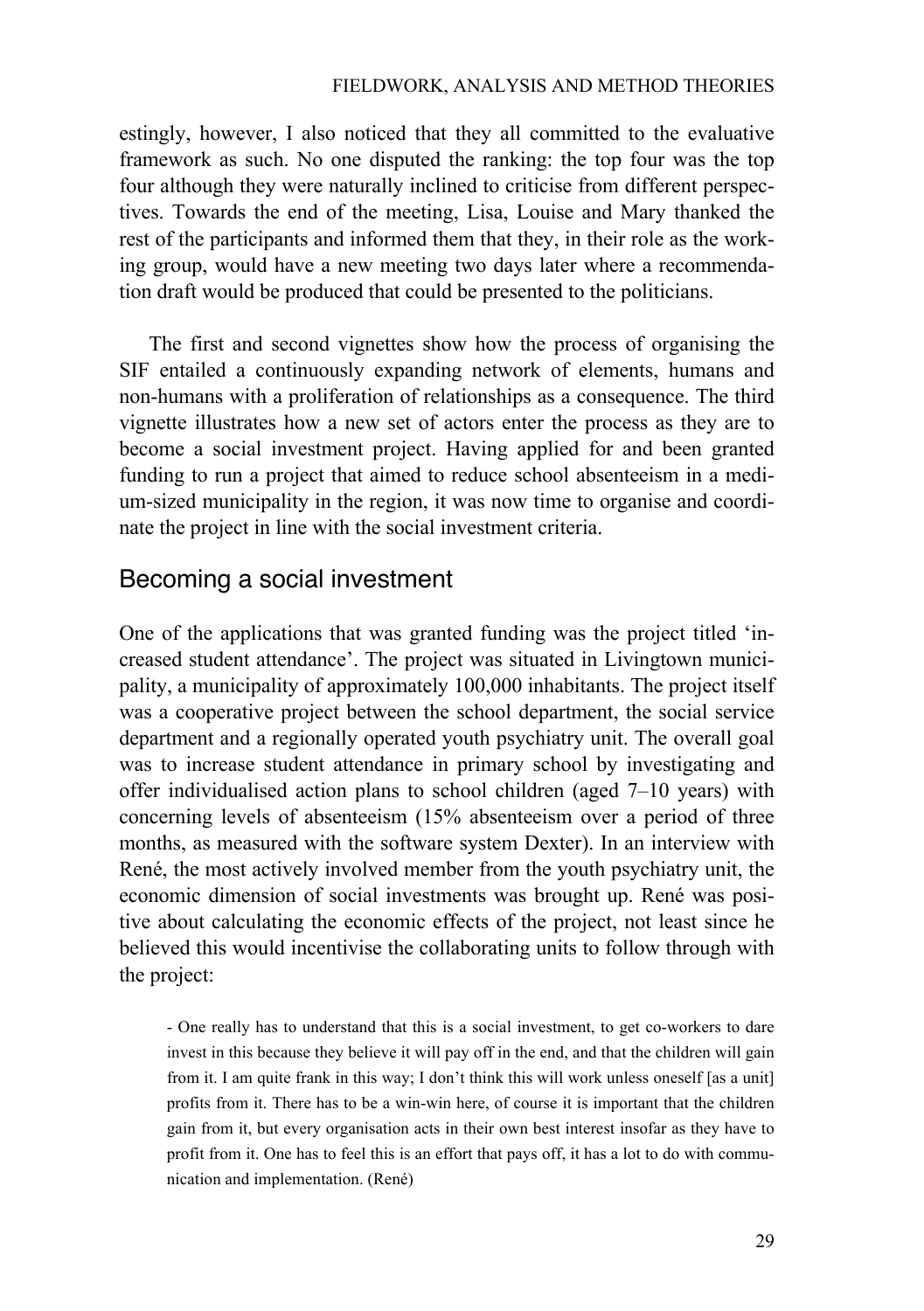estingly, however, I also noticed that they all committed to the evaluative framework as such. No one disputed the ranking: the top four was the top four although they were naturally inclined to criticise from different perspectives. Towards the end of the meeting, Lisa, Louise and Mary thanked the rest of the participants and informed them that they, in their role as the working group, would have a new meeting two days later where a recommendation draft would be produced that could be presented to the politicians.

The first and second vignettes show how the process of organising the SIF entailed a continuously expanding network of elements, humans and non-humans with a proliferation of relationships as a consequence. The third vignette illustrates how a new set of actors enter the process as they are to become a social investment project. Having applied for and been granted funding to run a project that aimed to reduce school absenteeism in a medium-sized municipality in the region, it was now time to organise and coordinate the project in line with the social investment criteria.

### Becoming a social investment

One of the applications that was granted funding was the project titled 'increased student attendance'. The project was situated in Livingtown municipality, a municipality of approximately 100,000 inhabitants. The project itself was a cooperative project between the school department, the social service department and a regionally operated youth psychiatry unit. The overall goal was to increase student attendance in primary school by investigating and offer individualised action plans to school children (aged 7–10 years) with concerning levels of absenteeism (15% absenteeism over a period of three months, as measured with the software system Dexter). In an interview with René, the most actively involved member from the youth psychiatry unit, the economic dimension of social investments was brought up. René was positive about calculating the economic effects of the project, not least since he believed this would incentivise the collaborating units to follow through with the project:

- One really has to understand that this is a social investment, to get co-workers to dare invest in this because they believe it will pay off in the end, and that the children will gain from it. I am quite frank in this way; I don't think this will work unless oneself [as a unit] profits from it. There has to be a win-win here, of course it is important that the children gain from it, but every organisation acts in their own best interest insofar as they have to profit from it. One has to feel this is an effort that pays off, it has a lot to do with communication and implementation. (René)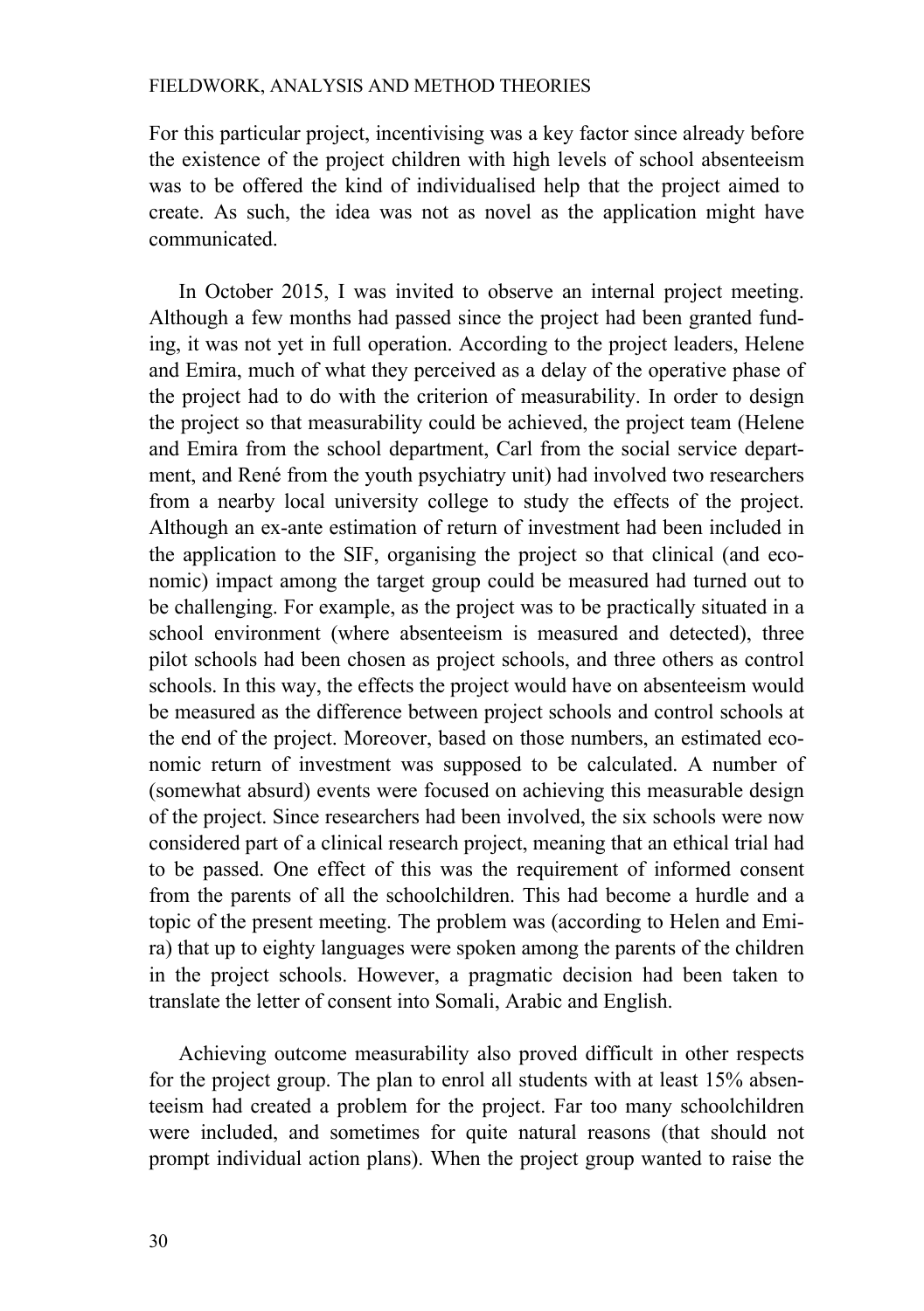For this particular project, incentivising was a key factor since already before the existence of the project children with high levels of school absenteeism was to be offered the kind of individualised help that the project aimed to create. As such, the idea was not as novel as the application might have communicated.

In October 2015, I was invited to observe an internal project meeting. Although a few months had passed since the project had been granted funding, it was not yet in full operation. According to the project leaders, Helene and Emira, much of what they perceived as a delay of the operative phase of the project had to do with the criterion of measurability. In order to design the project so that measurability could be achieved, the project team (Helene and Emira from the school department, Carl from the social service department, and René from the youth psychiatry unit) had involved two researchers from a nearby local university college to study the effects of the project. Although an ex-ante estimation of return of investment had been included in the application to the SIF, organising the project so that clinical (and economic) impact among the target group could be measured had turned out to be challenging. For example, as the project was to be practically situated in a school environment (where absenteeism is measured and detected), three pilot schools had been chosen as project schools, and three others as control schools. In this way, the effects the project would have on absenteeism would be measured as the difference between project schools and control schools at the end of the project. Moreover, based on those numbers, an estimated economic return of investment was supposed to be calculated. A number of (somewhat absurd) events were focused on achieving this measurable design of the project. Since researchers had been involved, the six schools were now considered part of a clinical research project, meaning that an ethical trial had to be passed. One effect of this was the requirement of informed consent from the parents of all the schoolchildren. This had become a hurdle and a topic of the present meeting. The problem was (according to Helen and Emira) that up to eighty languages were spoken among the parents of the children in the project schools. However, a pragmatic decision had been taken to translate the letter of consent into Somali, Arabic and English.

Achieving outcome measurability also proved difficult in other respects for the project group. The plan to enrol all students with at least 15% absenteeism had created a problem for the project. Far too many schoolchildren were included, and sometimes for quite natural reasons (that should not prompt individual action plans). When the project group wanted to raise the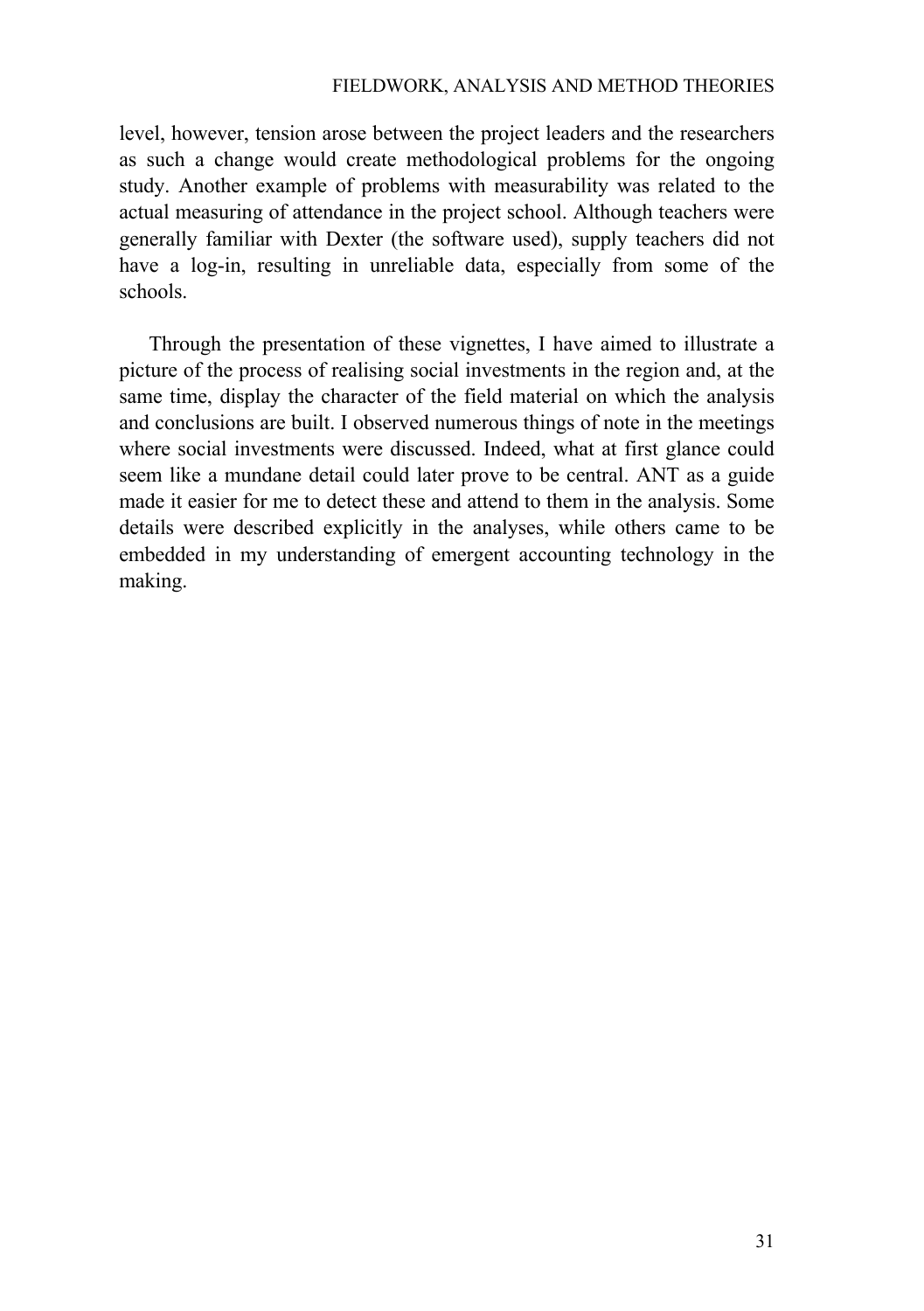level, however, tension arose between the project leaders and the researchers as such a change would create methodological problems for the ongoing study. Another example of problems with measurability was related to the actual measuring of attendance in the project school. Although teachers were generally familiar with Dexter (the software used), supply teachers did not have a log-in, resulting in unreliable data, especially from some of the schools.

Through the presentation of these vignettes, I have aimed to illustrate a picture of the process of realising social investments in the region and, at the same time, display the character of the field material on which the analysis and conclusions are built. I observed numerous things of note in the meetings where social investments were discussed. Indeed, what at first glance could seem like a mundane detail could later prove to be central. ANT as a guide made it easier for me to detect these and attend to them in the analysis. Some details were described explicitly in the analyses, while others came to be embedded in my understanding of emergent accounting technology in the making.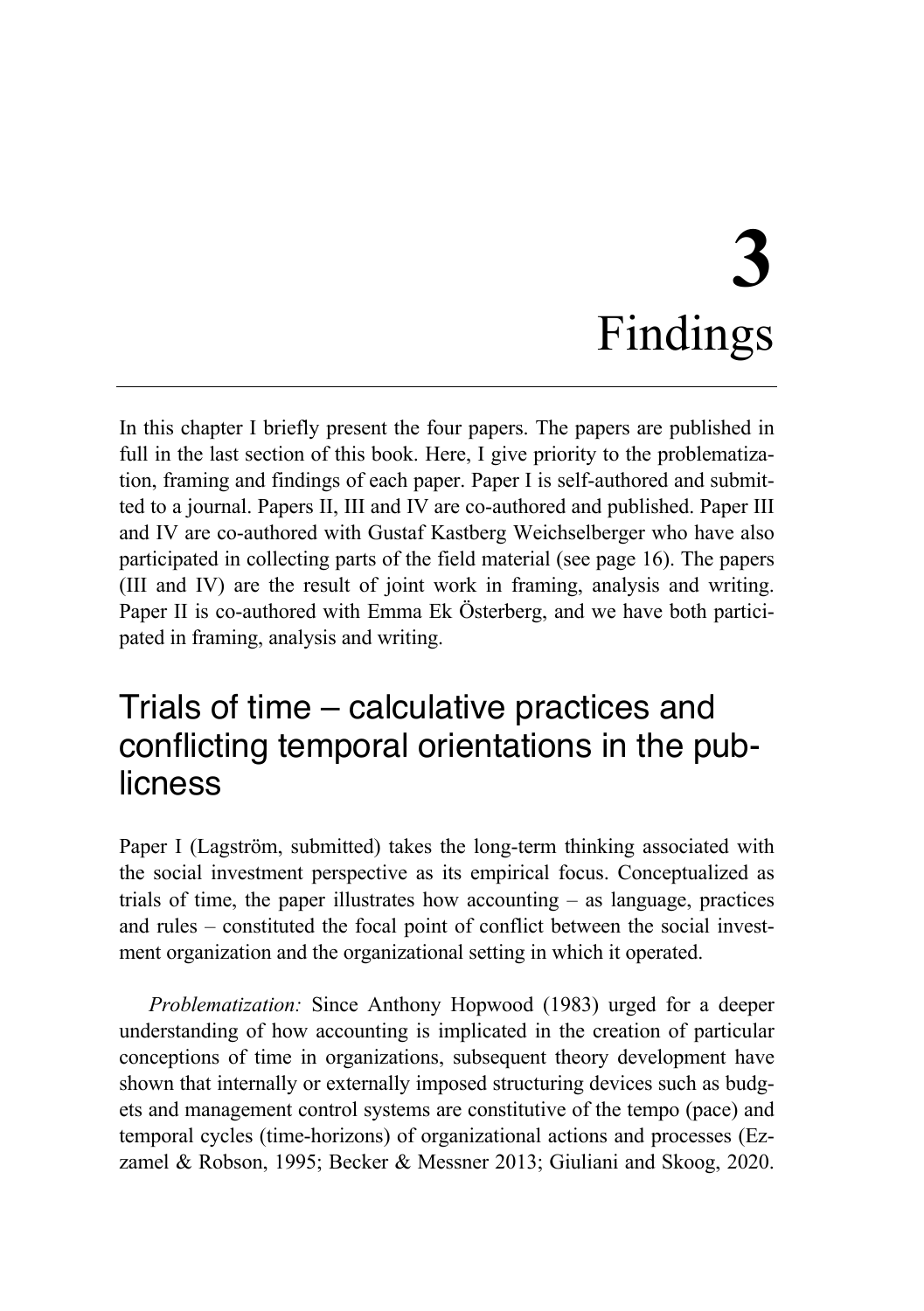# **3** Findings

In this chapter I briefly present the four papers. The papers are published in full in the last section of this book. Here, I give priority to the problematization, framing and findings of each paper. Paper I is self-authored and submitted to a journal. Papers II, III and IV are co-authored and published. Paper III and IV are co-authored with Gustaf Kastberg Weichselberger who have also participated in collecting parts of the field material (see page 16). The papers (III and IV) are the result of joint work in framing, analysis and writing. Paper II is co-authored with Emma Ek Österberg, and we have both participated in framing, analysis and writing.

## Trials of time – calculative practices and conflicting temporal orientations in the publicness

Paper I (Lagström, submitted) takes the long-term thinking associated with the social investment perspective as its empirical focus. Conceptualized as trials of time, the paper illustrates how accounting – as language, practices and rules – constituted the focal point of conflict between the social investment organization and the organizational setting in which it operated.

*Problematization:* Since Anthony Hopwood (1983) urged for a deeper understanding of how accounting is implicated in the creation of particular conceptions of time in organizations, subsequent theory development have shown that internally or externally imposed structuring devices such as budgets and management control systems are constitutive of the tempo (pace) and temporal cycles (time-horizons) of organizational actions and processes (Ezzamel & Robson, 1995; Becker & Messner 2013; Giuliani and Skoog, 2020.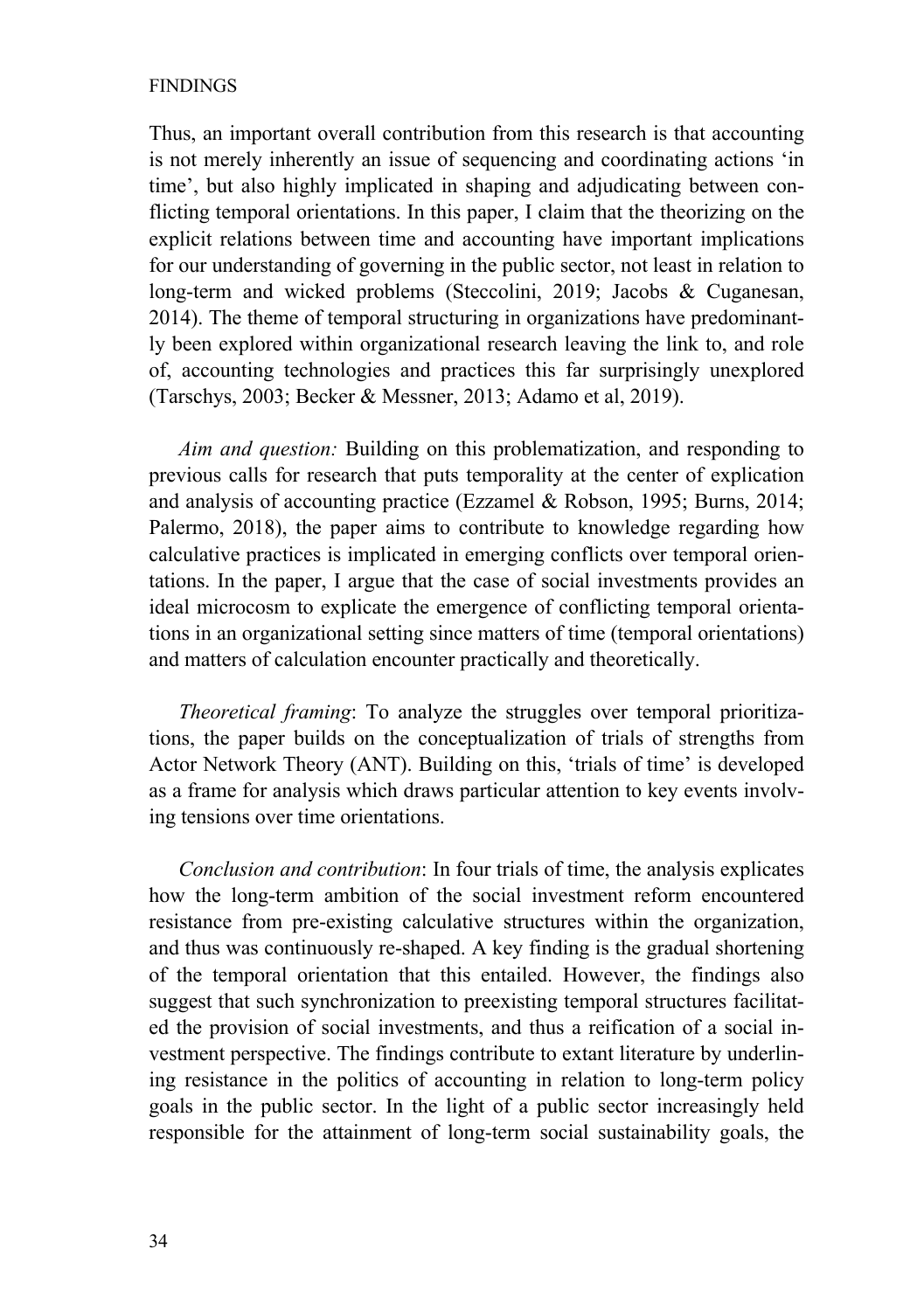### FINDINGS

Thus, an important overall contribution from this research is that accounting is not merely inherently an issue of sequencing and coordinating actions 'in time', but also highly implicated in shaping and adjudicating between conflicting temporal orientations. In this paper, I claim that the theorizing on the explicit relations between time and accounting have important implications for our understanding of governing in the public sector, not least in relation to long-term and wicked problems (Steccolini, 2019; Jacobs & Cuganesan, 2014). The theme of temporal structuring in organizations have predominantly been explored within organizational research leaving the link to, and role of, accounting technologies and practices this far surprisingly unexplored (Tarschys, 2003; Becker & Messner, 2013; Adamo et al, 2019).

*Aim and question:* Building on this problematization, and responding to previous calls for research that puts temporality at the center of explication and analysis of accounting practice (Ezzamel & Robson, 1995; Burns, 2014; Palermo, 2018), the paper aims to contribute to knowledge regarding how calculative practices is implicated in emerging conflicts over temporal orientations. In the paper, I argue that the case of social investments provides an ideal microcosm to explicate the emergence of conflicting temporal orientations in an organizational setting since matters of time (temporal orientations) and matters of calculation encounter practically and theoretically.

*Theoretical framing*: To analyze the struggles over temporal prioritizations, the paper builds on the conceptualization of trials of strengths from Actor Network Theory (ANT). Building on this, 'trials of time' is developed as a frame for analysis which draws particular attention to key events involving tensions over time orientations.

*Conclusion and contribution*: In four trials of time, the analysis explicates how the long-term ambition of the social investment reform encountered resistance from pre-existing calculative structures within the organization, and thus was continuously re-shaped. A key finding is the gradual shortening of the temporal orientation that this entailed. However, the findings also suggest that such synchronization to preexisting temporal structures facilitated the provision of social investments, and thus a reification of a social investment perspective. The findings contribute to extant literature by underlining resistance in the politics of accounting in relation to long-term policy goals in the public sector. In the light of a public sector increasingly held responsible for the attainment of long-term social sustainability goals, the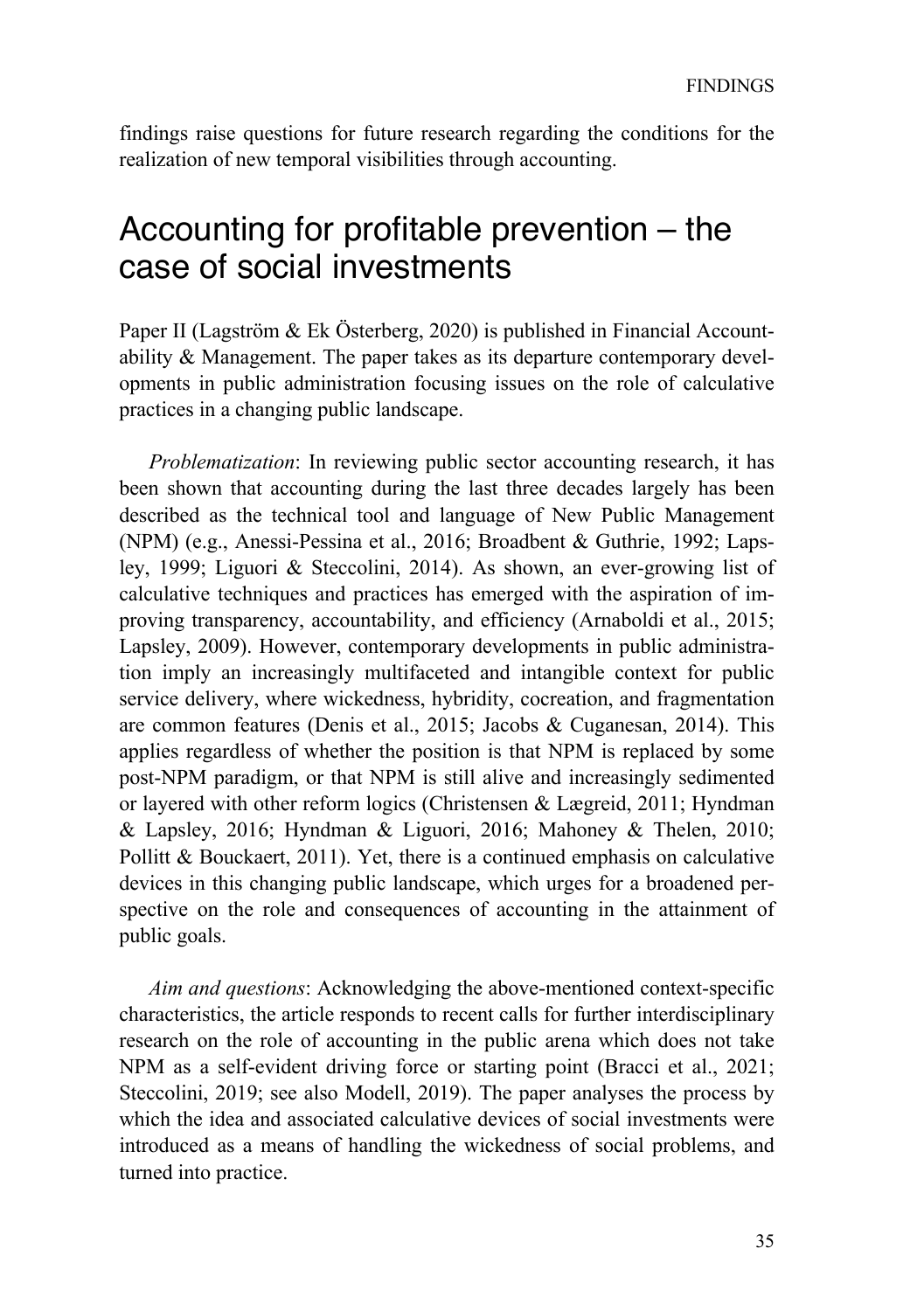findings raise questions for future research regarding the conditions for the realization of new temporal visibilities through accounting.

## Accounting for profitable prevention – the case of social investments

Paper II (Lagström & Ek Österberg, 2020) is published in Financial Accountability & Management. The paper takes as its departure contemporary developments in public administration focusing issues on the role of calculative practices in a changing public landscape.

*Problematization*: In reviewing public sector accounting research, it has been shown that accounting during the last three decades largely has been described as the technical tool and language of New Public Management (NPM) (e.g., Anessi-Pessina et al., 2016; Broadbent & Guthrie, 1992; Lapsley, 1999; Liguori & Steccolini, 2014). As shown, an ever-growing list of calculative techniques and practices has emerged with the aspiration of improving transparency, accountability, and efficiency (Arnaboldi et al., 2015; Lapsley, 2009). However, contemporary developments in public administration imply an increasingly multifaceted and intangible context for public service delivery, where wickedness, hybridity, cocreation, and fragmentation are common features (Denis et al., 2015; Jacobs & Cuganesan, 2014). This applies regardless of whether the position is that NPM is replaced by some post-NPM paradigm, or that NPM is still alive and increasingly sedimented or layered with other reform logics (Christensen & Lægreid, 2011; Hyndman & Lapsley, 2016; Hyndman & Liguori, 2016; Mahoney & Thelen, 2010; Pollitt & Bouckaert, 2011). Yet, there is a continued emphasis on calculative devices in this changing public landscape, which urges for a broadened perspective on the role and consequences of accounting in the attainment of public goals.

*Aim and questions*: Acknowledging the above-mentioned context-specific characteristics, the article responds to recent calls for further interdisciplinary research on the role of accounting in the public arena which does not take NPM as a self-evident driving force or starting point (Bracci et al., 2021; Steccolini, 2019; see also Modell, 2019). The paper analyses the process by which the idea and associated calculative devices of social investments were introduced as a means of handling the wickedness of social problems, and turned into practice.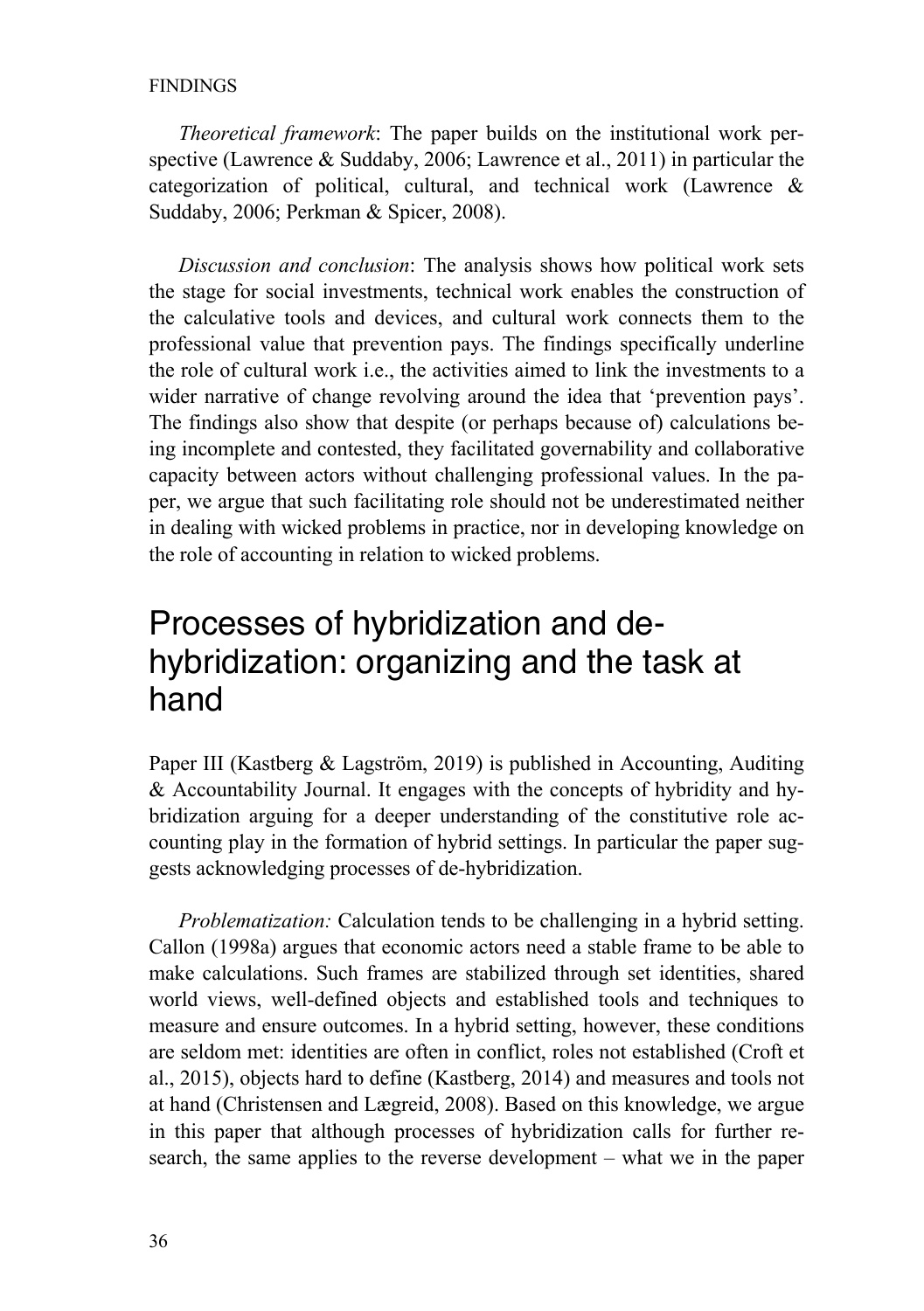### FINDINGS

*Theoretical framework*: The paper builds on the institutional work perspective (Lawrence & Suddaby, 2006; Lawrence et al., 2011) in particular the categorization of political, cultural, and technical work (Lawrence & Suddaby, 2006; Perkman & Spicer, 2008).

*Discussion and conclusion*: The analysis shows how political work sets the stage for social investments, technical work enables the construction of the calculative tools and devices, and cultural work connects them to the professional value that prevention pays. The findings specifically underline the role of cultural work i.e., the activities aimed to link the investments to a wider narrative of change revolving around the idea that 'prevention pays'. The findings also show that despite (or perhaps because of) calculations being incomplete and contested, they facilitated governability and collaborative capacity between actors without challenging professional values. In the paper, we argue that such facilitating role should not be underestimated neither in dealing with wicked problems in practice, nor in developing knowledge on the role of accounting in relation to wicked problems.

## Processes of hybridization and dehybridization: organizing and the task at hand

Paper III (Kastberg & Lagström, 2019) is published in Accounting, Auditing & Accountability Journal. It engages with the concepts of hybridity and hybridization arguing for a deeper understanding of the constitutive role accounting play in the formation of hybrid settings. In particular the paper suggests acknowledging processes of de-hybridization.

*Problematization:* Calculation tends to be challenging in a hybrid setting. Callon (1998a) argues that economic actors need a stable frame to be able to make calculations. Such frames are stabilized through set identities, shared world views, well-defined objects and established tools and techniques to measure and ensure outcomes. In a hybrid setting, however, these conditions are seldom met: identities are often in conflict, roles not established (Croft et al., 2015), objects hard to define (Kastberg, 2014) and measures and tools not at hand (Christensen and Lægreid, 2008). Based on this knowledge, we argue in this paper that although processes of hybridization calls for further research, the same applies to the reverse development – what we in the paper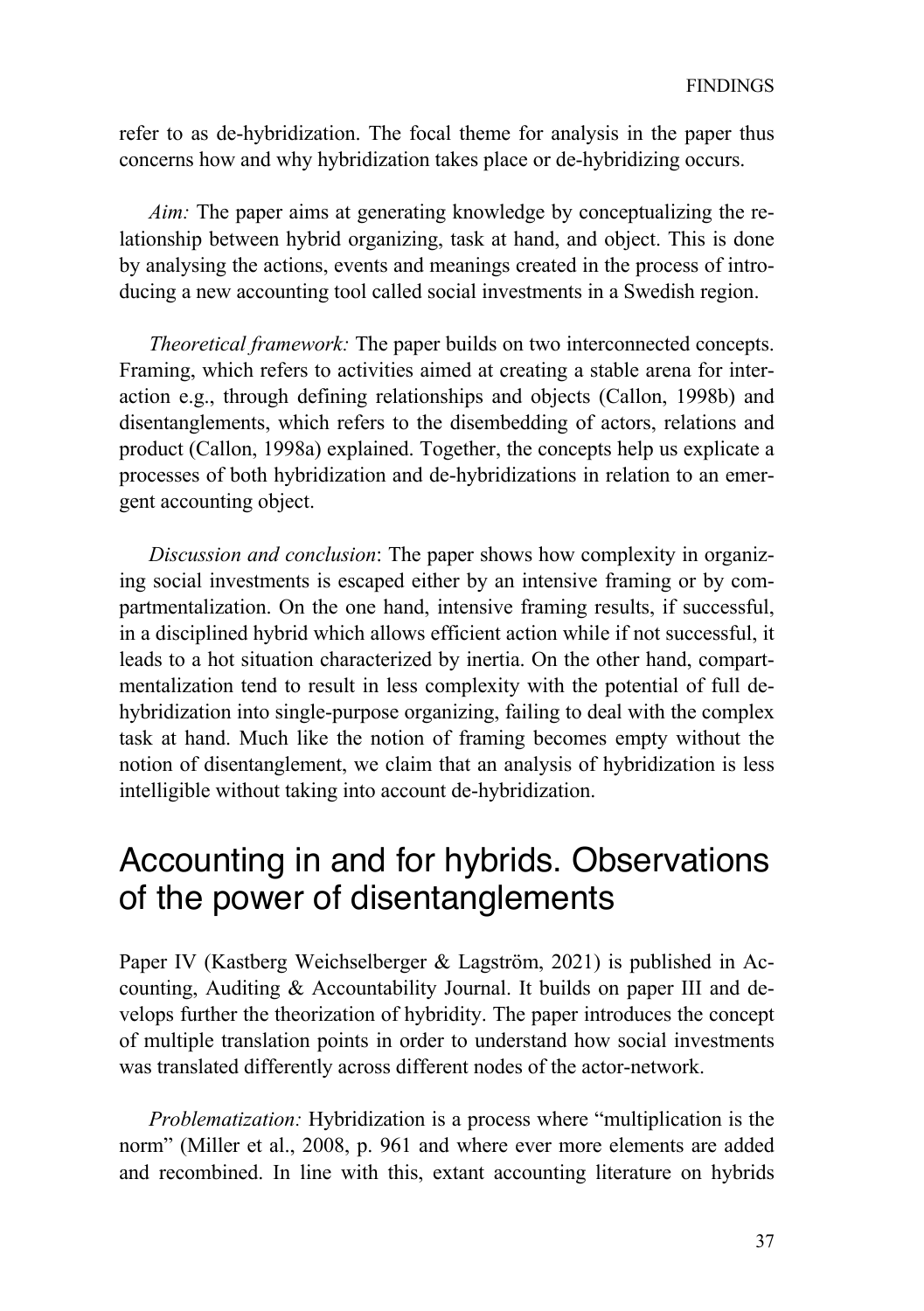refer to as de-hybridization. The focal theme for analysis in the paper thus concerns how and why hybridization takes place or de-hybridizing occurs.

*Aim:* The paper aims at generating knowledge by conceptualizing the relationship between hybrid organizing, task at hand, and object. This is done by analysing the actions, events and meanings created in the process of introducing a new accounting tool called social investments in a Swedish region.

*Theoretical framework:* The paper builds on two interconnected concepts. Framing, which refers to activities aimed at creating a stable arena for interaction e.g., through defining relationships and objects (Callon, 1998b) and disentanglements, which refers to the disembedding of actors, relations and product (Callon, 1998a) explained. Together, the concepts help us explicate a processes of both hybridization and de-hybridizations in relation to an emergent accounting object.

*Discussion and conclusion*: The paper shows how complexity in organizing social investments is escaped either by an intensive framing or by compartmentalization. On the one hand, intensive framing results, if successful, in a disciplined hybrid which allows efficient action while if not successful, it leads to a hot situation characterized by inertia. On the other hand, compartmentalization tend to result in less complexity with the potential of full dehybridization into single-purpose organizing, failing to deal with the complex task at hand. Much like the notion of framing becomes empty without the notion of disentanglement, we claim that an analysis of hybridization is less intelligible without taking into account de-hybridization.

## Accounting in and for hybrids. Observations of the power of disentanglements

Paper IV (Kastberg Weichselberger & Lagström, 2021) is published in Accounting, Auditing & Accountability Journal. It builds on paper III and develops further the theorization of hybridity. The paper introduces the concept of multiple translation points in order to understand how social investments was translated differently across different nodes of the actor-network.

*Problematization:* Hybridization is a process where "multiplication is the norm" (Miller et al., 2008, p. 961 and where ever more elements are added and recombined. In line with this, extant accounting literature on hybrids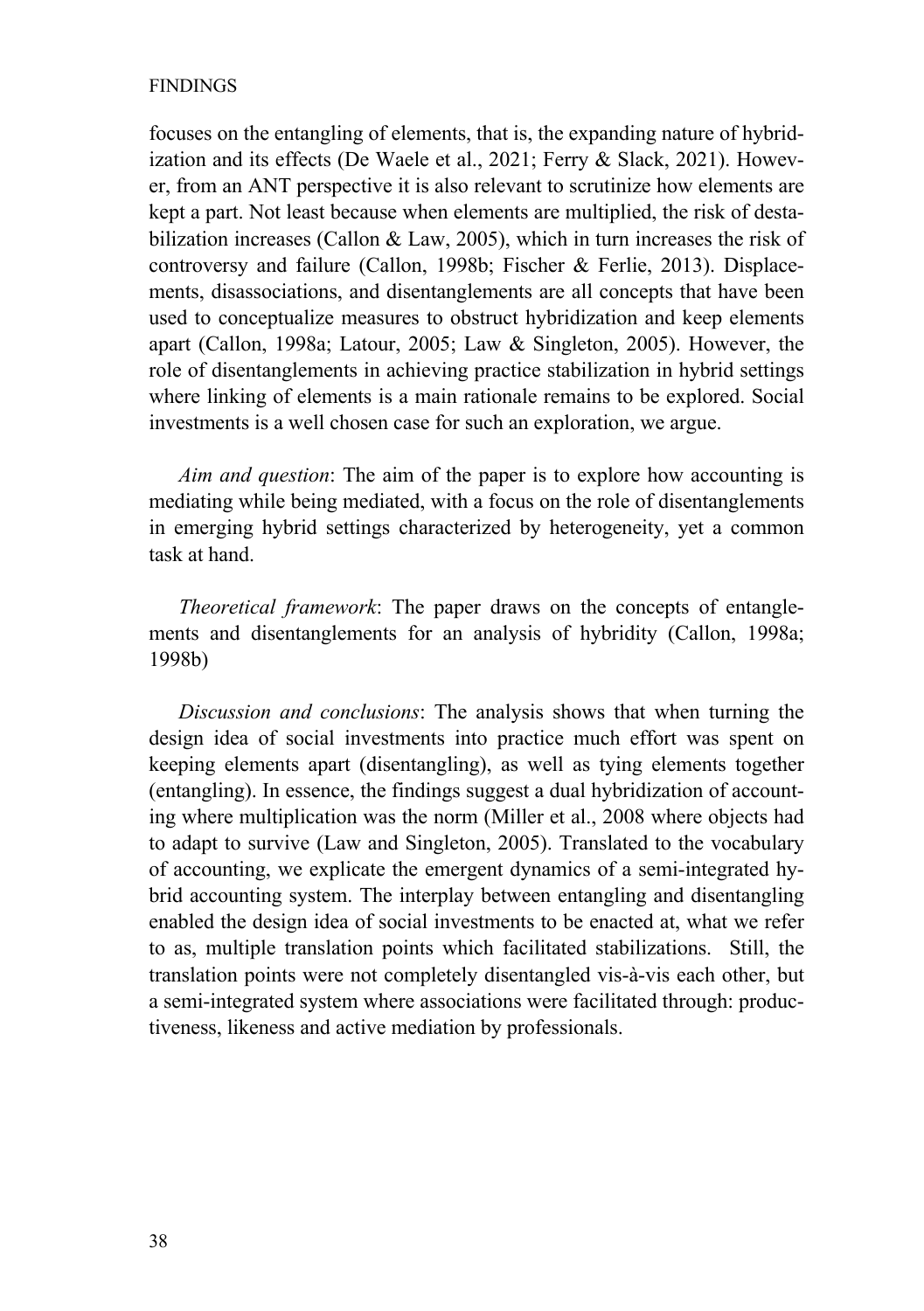### FINDINGS

focuses on the entangling of elements, that is, the expanding nature of hybridization and its effects (De Waele et al., 2021; Ferry & Slack, 2021). However, from an ANT perspective it is also relevant to scrutinize how elements are kept a part. Not least because when elements are multiplied, the risk of destabilization increases (Callon & Law, 2005), which in turn increases the risk of controversy and failure (Callon, 1998b; Fischer & Ferlie, 2013). Displacements, disassociations, and disentanglements are all concepts that have been used to conceptualize measures to obstruct hybridization and keep elements apart (Callon, 1998a; Latour, 2005; Law & Singleton, 2005). However, the role of disentanglements in achieving practice stabilization in hybrid settings where linking of elements is a main rationale remains to be explored. Social investments is a well chosen case for such an exploration, we argue.

*Aim and question*: The aim of the paper is to explore how accounting is mediating while being mediated, with a focus on the role of disentanglements in emerging hybrid settings characterized by heterogeneity, yet a common task at hand.

*Theoretical framework*: The paper draws on the concepts of entanglements and disentanglements for an analysis of hybridity (Callon, 1998a; 1998b)

*Discussion and conclusions*: The analysis shows that when turning the design idea of social investments into practice much effort was spent on keeping elements apart (disentangling), as well as tying elements together (entangling). In essence, the findings suggest a dual hybridization of accounting where multiplication was the norm (Miller et al., 2008 where objects had to adapt to survive (Law and Singleton, 2005). Translated to the vocabulary of accounting, we explicate the emergent dynamics of a semi-integrated hybrid accounting system. The interplay between entangling and disentangling enabled the design idea of social investments to be enacted at, what we refer to as, multiple translation points which facilitated stabilizations. Still, the translation points were not completely disentangled vis-à-vis each other, but a semi-integrated system where associations were facilitated through: productiveness, likeness and active mediation by professionals.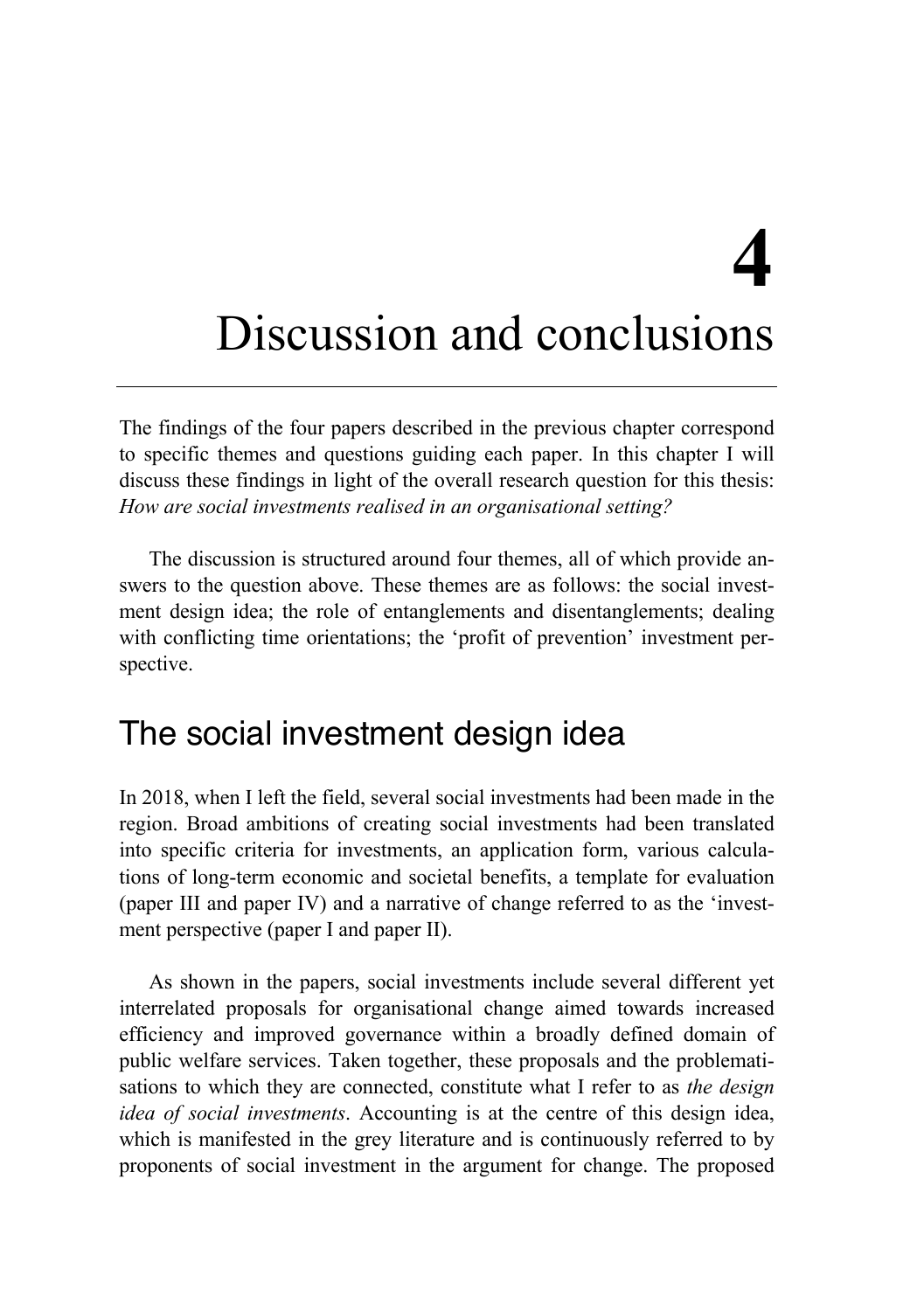# **4**

## Discussion and conclusions

The findings of the four papers described in the previous chapter correspond to specific themes and questions guiding each paper. In this chapter I will discuss these findings in light of the overall research question for this thesis: *How are social investments realised in an organisational setting?*

The discussion is structured around four themes, all of which provide answers to the question above. These themes are as follows: the social investment design idea; the role of entanglements and disentanglements; dealing with conflicting time orientations; the 'profit of prevention' investment perspective.

## The social investment design idea

In 2018, when I left the field, several social investments had been made in the region. Broad ambitions of creating social investments had been translated into specific criteria for investments, an application form, various calculations of long-term economic and societal benefits, a template for evaluation (paper III and paper IV) and a narrative of change referred to as the 'investment perspective (paper I and paper II).

As shown in the papers, social investments include several different yet interrelated proposals for organisational change aimed towards increased efficiency and improved governance within a broadly defined domain of public welfare services. Taken together, these proposals and the problematisations to which they are connected, constitute what I refer to as *the design idea of social investments*. Accounting is at the centre of this design idea, which is manifested in the grey literature and is continuously referred to by proponents of social investment in the argument for change. The proposed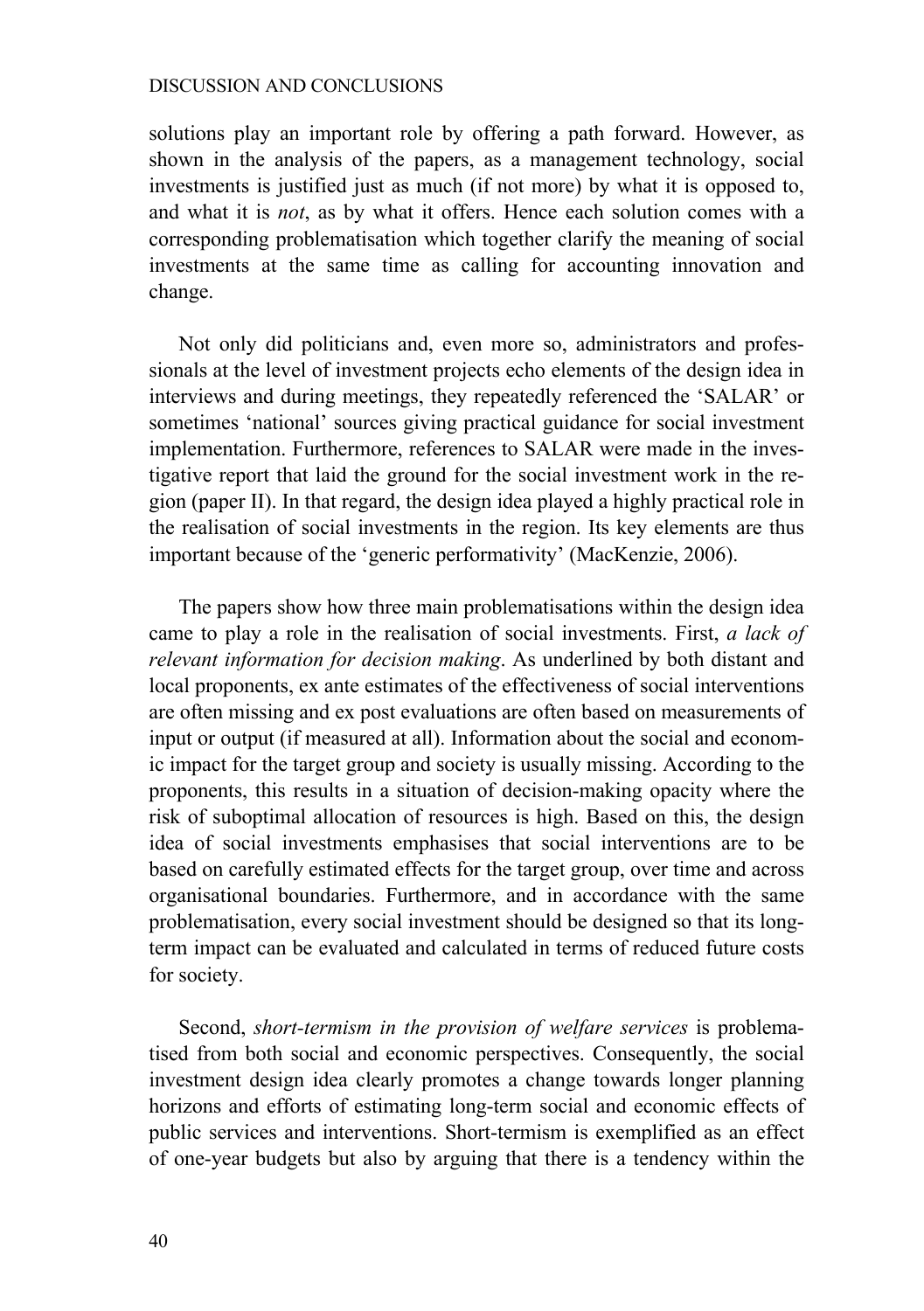solutions play an important role by offering a path forward. However, as shown in the analysis of the papers, as a management technology, social investments is justified just as much (if not more) by what it is opposed to, and what it is *not*, as by what it offers. Hence each solution comes with a corresponding problematisation which together clarify the meaning of social investments at the same time as calling for accounting innovation and change.

Not only did politicians and, even more so, administrators and professionals at the level of investment projects echo elements of the design idea in interviews and during meetings, they repeatedly referenced the 'SALAR' or sometimes 'national' sources giving practical guidance for social investment implementation. Furthermore, references to SALAR were made in the investigative report that laid the ground for the social investment work in the region (paper II). In that regard, the design idea played a highly practical role in the realisation of social investments in the region. Its key elements are thus important because of the 'generic performativity' (MacKenzie, 2006).

The papers show how three main problematisations within the design idea came to play a role in the realisation of social investments. First, *a lack of relevant information for decision making*. As underlined by both distant and local proponents, ex ante estimates of the effectiveness of social interventions are often missing and ex post evaluations are often based on measurements of input or output (if measured at all). Information about the social and economic impact for the target group and society is usually missing. According to the proponents, this results in a situation of decision-making opacity where the risk of suboptimal allocation of resources is high. Based on this, the design idea of social investments emphasises that social interventions are to be based on carefully estimated effects for the target group, over time and across organisational boundaries. Furthermore, and in accordance with the same problematisation, every social investment should be designed so that its longterm impact can be evaluated and calculated in terms of reduced future costs for society.

Second, *short-termism in the provision of welfare services* is problematised from both social and economic perspectives. Consequently, the social investment design idea clearly promotes a change towards longer planning horizons and efforts of estimating long-term social and economic effects of public services and interventions. Short-termism is exemplified as an effect of one-year budgets but also by arguing that there is a tendency within the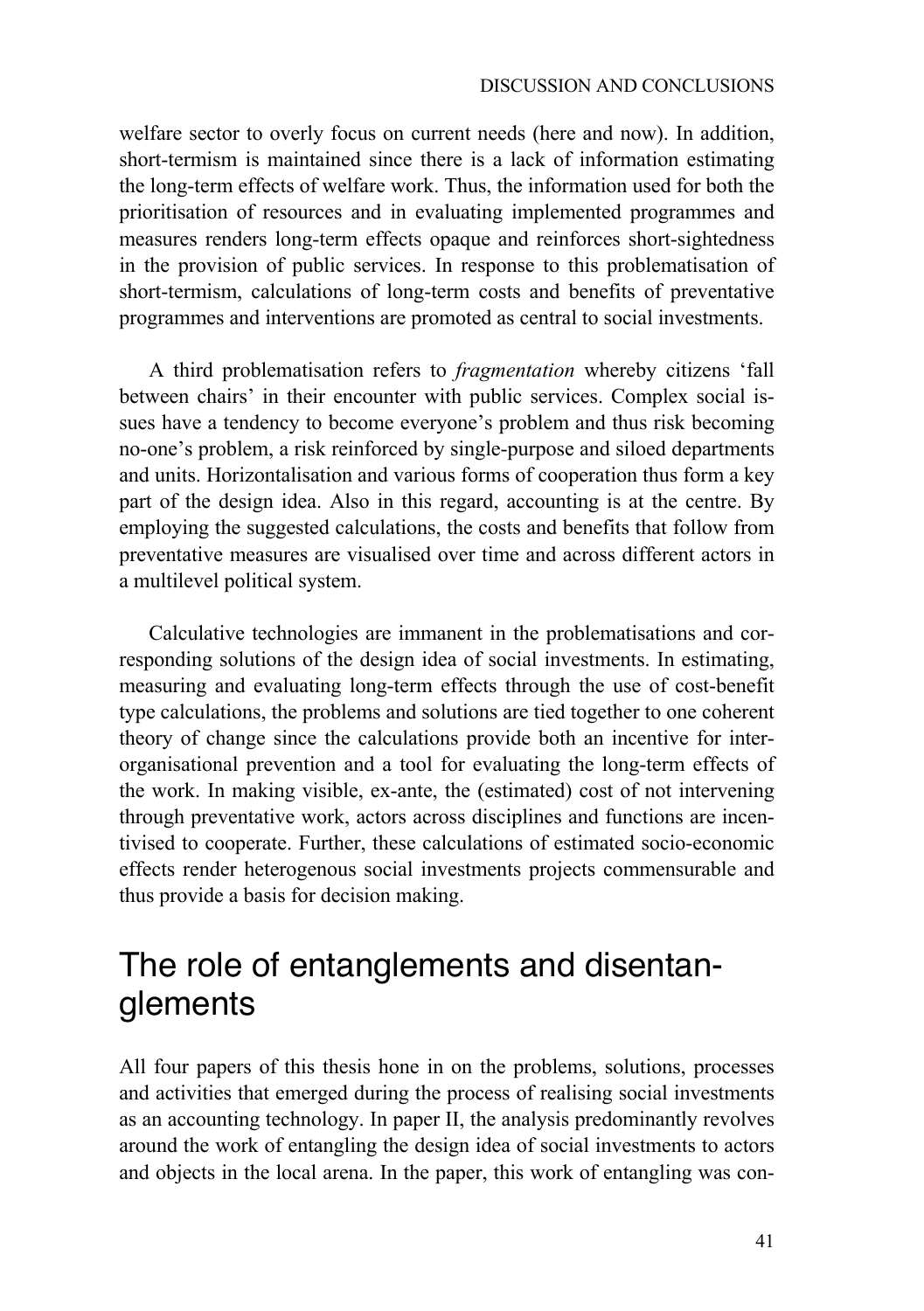welfare sector to overly focus on current needs (here and now). In addition, short-termism is maintained since there is a lack of information estimating the long-term effects of welfare work. Thus, the information used for both the prioritisation of resources and in evaluating implemented programmes and measures renders long-term effects opaque and reinforces short-sightedness in the provision of public services. In response to this problematisation of short-termism, calculations of long-term costs and benefits of preventative programmes and interventions are promoted as central to social investments.

A third problematisation refers to *fragmentation* whereby citizens 'fall between chairs' in their encounter with public services. Complex social issues have a tendency to become everyone's problem and thus risk becoming no-one's problem, a risk reinforced by single-purpose and siloed departments and units. Horizontalisation and various forms of cooperation thus form a key part of the design idea. Also in this regard, accounting is at the centre. By employing the suggested calculations, the costs and benefits that follow from preventative measures are visualised over time and across different actors in a multilevel political system.

Calculative technologies are immanent in the problematisations and corresponding solutions of the design idea of social investments. In estimating, measuring and evaluating long-term effects through the use of cost-benefit type calculations, the problems and solutions are tied together to one coherent theory of change since the calculations provide both an incentive for interorganisational prevention and a tool for evaluating the long-term effects of the work. In making visible, ex-ante, the (estimated) cost of not intervening through preventative work, actors across disciplines and functions are incentivised to cooperate. Further, these calculations of estimated socio-economic effects render heterogenous social investments projects commensurable and thus provide a basis for decision making.

## The role of entanglements and disentanglements

All four papers of this thesis hone in on the problems, solutions, processes and activities that emerged during the process of realising social investments as an accounting technology. In paper II, the analysis predominantly revolves around the work of entangling the design idea of social investments to actors and objects in the local arena. In the paper, this work of entangling was con-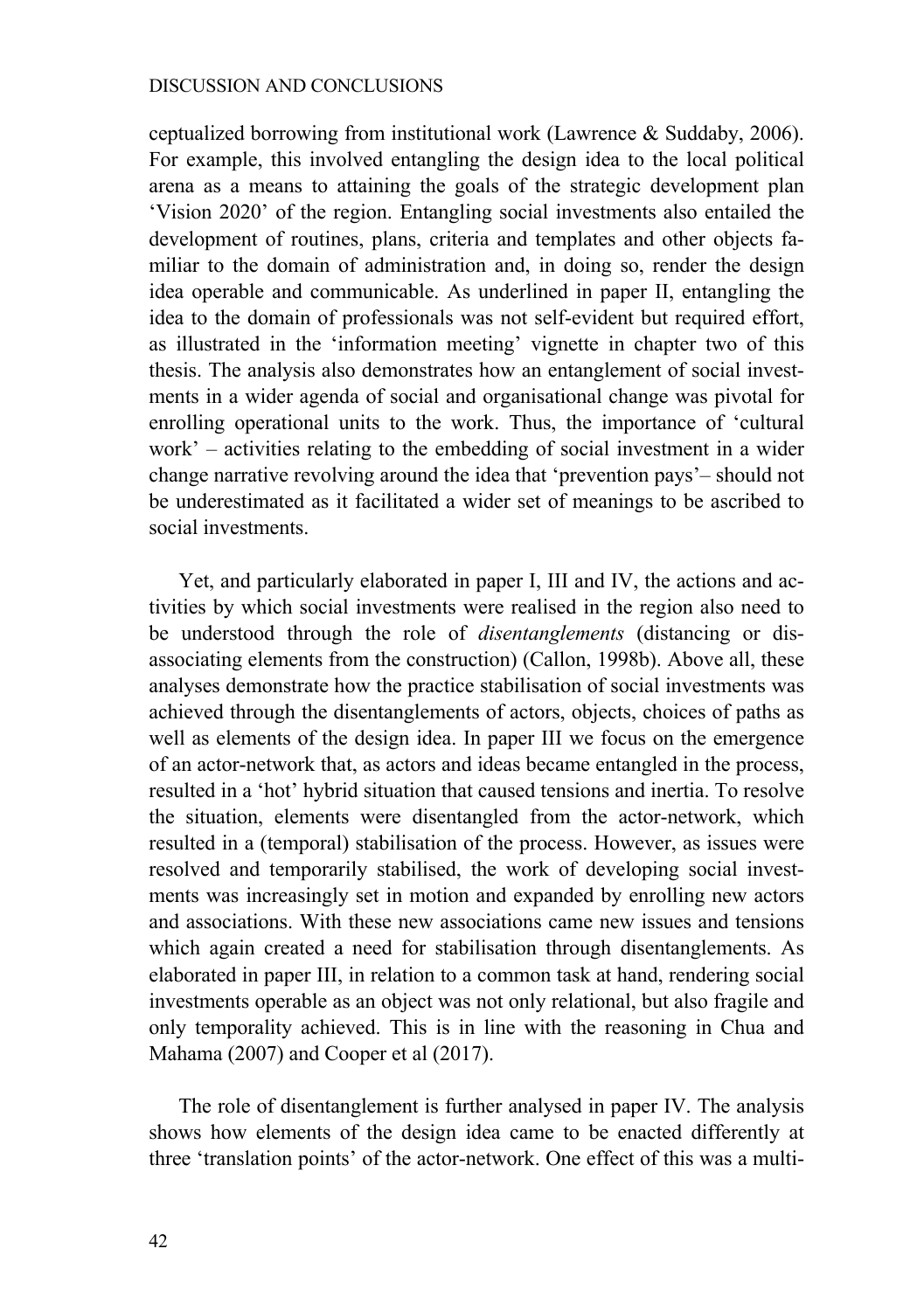ceptualized borrowing from institutional work (Lawrence & Suddaby, 2006). For example, this involved entangling the design idea to the local political arena as a means to attaining the goals of the strategic development plan 'Vision 2020' of the region. Entangling social investments also entailed the development of routines, plans, criteria and templates and other objects familiar to the domain of administration and, in doing so, render the design idea operable and communicable. As underlined in paper II, entangling the idea to the domain of professionals was not self-evident but required effort, as illustrated in the 'information meeting' vignette in chapter two of this thesis. The analysis also demonstrates how an entanglement of social investments in a wider agenda of social and organisational change was pivotal for enrolling operational units to the work. Thus, the importance of 'cultural work' – activities relating to the embedding of social investment in a wider change narrative revolving around the idea that 'prevention pays'– should not be underestimated as it facilitated a wider set of meanings to be ascribed to social investments.

Yet, and particularly elaborated in paper I, III and IV, the actions and activities by which social investments were realised in the region also need to be understood through the role of *disentanglements* (distancing or disassociating elements from the construction) (Callon, 1998b). Above all, these analyses demonstrate how the practice stabilisation of social investments was achieved through the disentanglements of actors, objects, choices of paths as well as elements of the design idea. In paper III we focus on the emergence of an actor-network that, as actors and ideas became entangled in the process, resulted in a 'hot' hybrid situation that caused tensions and inertia. To resolve the situation, elements were disentangled from the actor-network, which resulted in a (temporal) stabilisation of the process. However, as issues were resolved and temporarily stabilised, the work of developing social investments was increasingly set in motion and expanded by enrolling new actors and associations. With these new associations came new issues and tensions which again created a need for stabilisation through disentanglements. As elaborated in paper III, in relation to a common task at hand, rendering social investments operable as an object was not only relational, but also fragile and only temporality achieved. This is in line with the reasoning in Chua and Mahama (2007) and Cooper et al (2017).

The role of disentanglement is further analysed in paper IV. The analysis shows how elements of the design idea came to be enacted differently at three 'translation points' of the actor-network. One effect of this was a multi-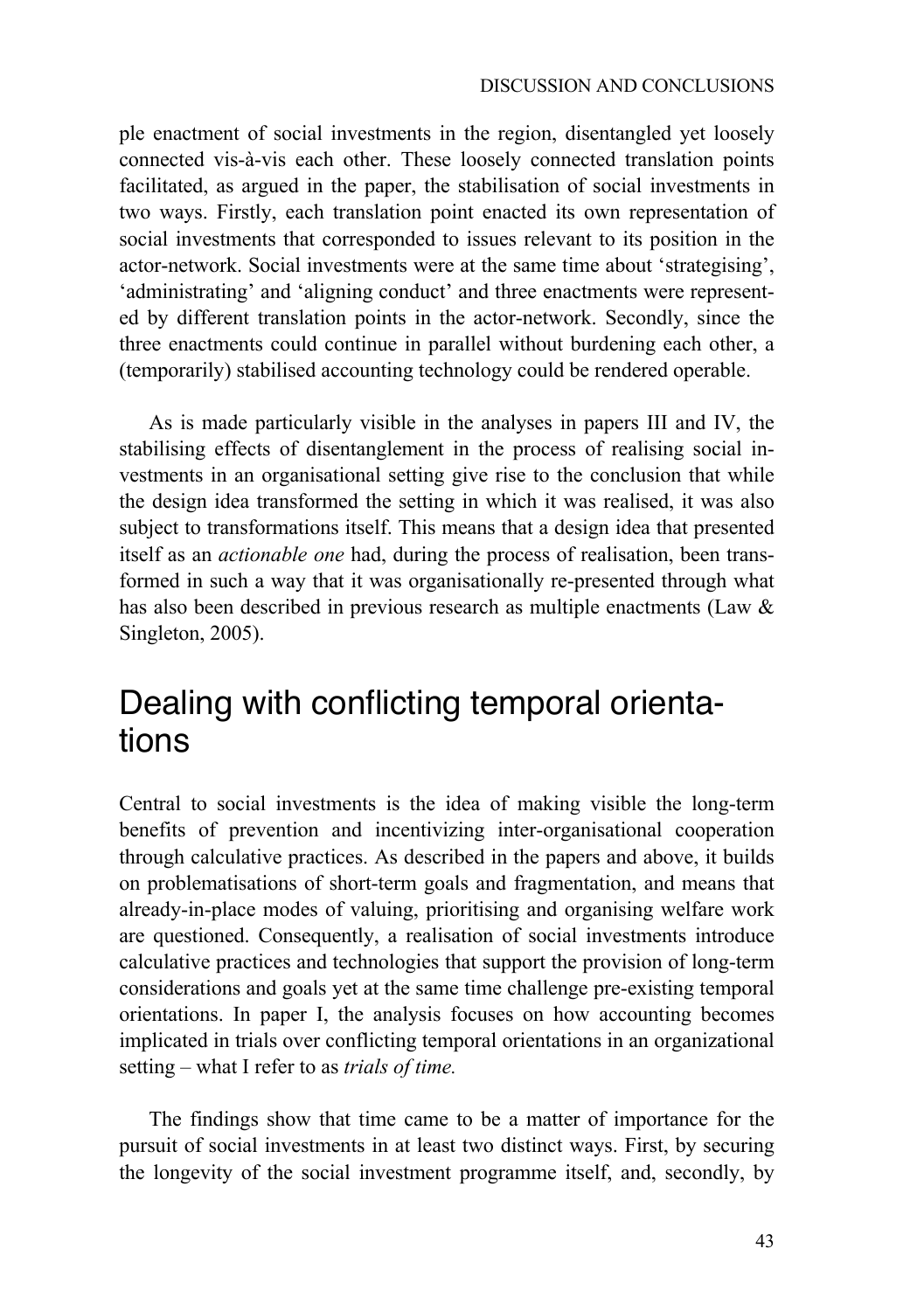ple enactment of social investments in the region, disentangled yet loosely connected vis-à-vis each other. These loosely connected translation points facilitated, as argued in the paper, the stabilisation of social investments in two ways. Firstly, each translation point enacted its own representation of social investments that corresponded to issues relevant to its position in the actor-network. Social investments were at the same time about 'strategising', 'administrating' and 'aligning conduct' and three enactments were represented by different translation points in the actor-network. Secondly, since the three enactments could continue in parallel without burdening each other, a (temporarily) stabilised accounting technology could be rendered operable.

As is made particularly visible in the analyses in papers III and IV, the stabilising effects of disentanglement in the process of realising social investments in an organisational setting give rise to the conclusion that while the design idea transformed the setting in which it was realised, it was also subject to transformations itself. This means that a design idea that presented itself as an *actionable one* had, during the process of realisation, been transformed in such a way that it was organisationally re-presented through what has also been described in previous research as multiple enactments (Law & Singleton, 2005).

## Dealing with conflicting temporal orientations

Central to social investments is the idea of making visible the long-term benefits of prevention and incentivizing inter-organisational cooperation through calculative practices. As described in the papers and above, it builds on problematisations of short-term goals and fragmentation, and means that already-in-place modes of valuing, prioritising and organising welfare work are questioned. Consequently, a realisation of social investments introduce calculative practices and technologies that support the provision of long-term considerations and goals yet at the same time challenge pre-existing temporal orientations. In paper I, the analysis focuses on how accounting becomes implicated in trials over conflicting temporal orientations in an organizational setting – what I refer to as *trials of time.* 

The findings show that time came to be a matter of importance for the pursuit of social investments in at least two distinct ways. First, by securing the longevity of the social investment programme itself, and, secondly, by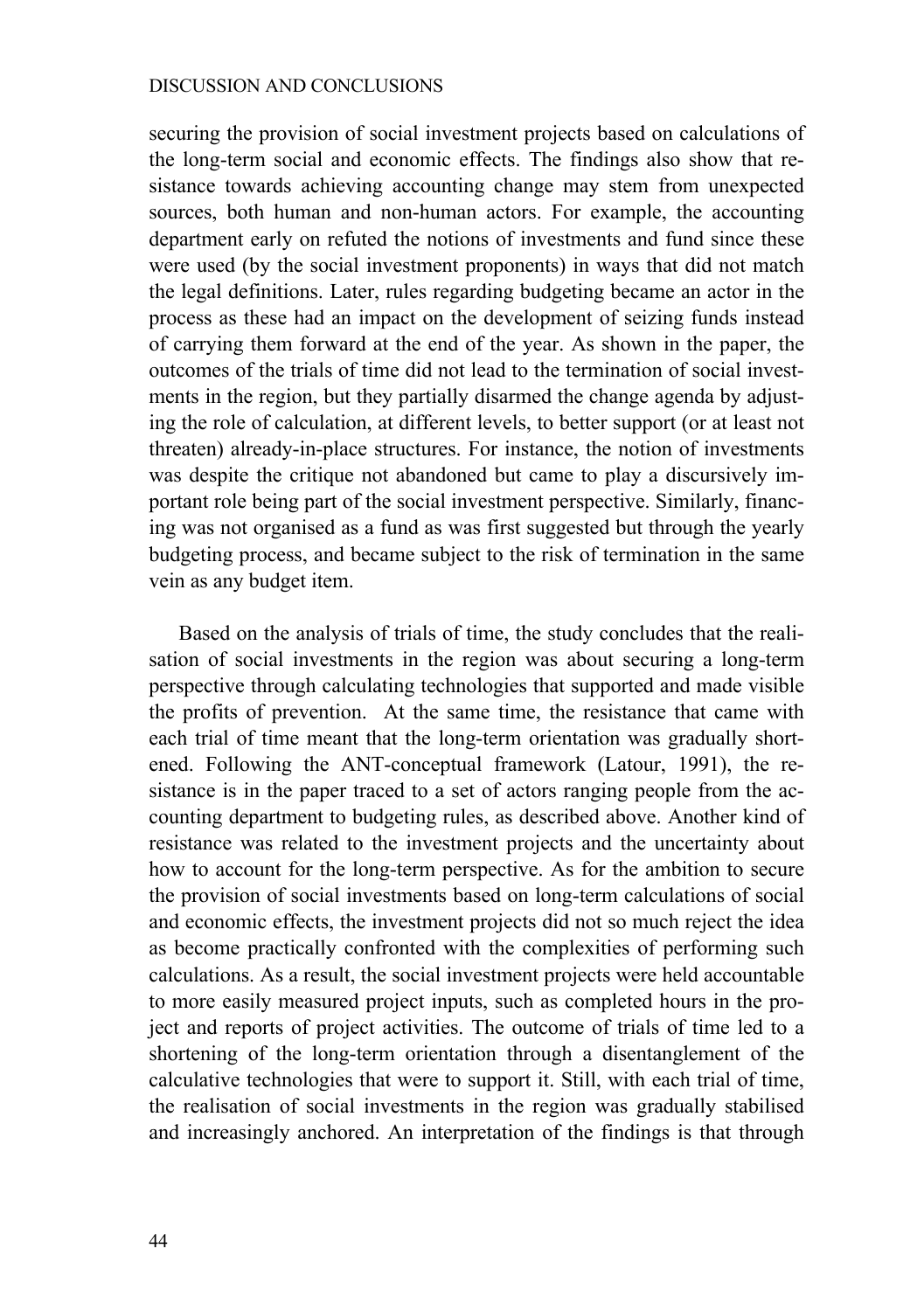securing the provision of social investment projects based on calculations of the long-term social and economic effects. The findings also show that resistance towards achieving accounting change may stem from unexpected sources, both human and non-human actors. For example, the accounting department early on refuted the notions of investments and fund since these were used (by the social investment proponents) in ways that did not match the legal definitions. Later, rules regarding budgeting became an actor in the process as these had an impact on the development of seizing funds instead of carrying them forward at the end of the year. As shown in the paper, the outcomes of the trials of time did not lead to the termination of social investments in the region, but they partially disarmed the change agenda by adjusting the role of calculation, at different levels, to better support (or at least not threaten) already-in-place structures. For instance, the notion of investments was despite the critique not abandoned but came to play a discursively important role being part of the social investment perspective. Similarly, financing was not organised as a fund as was first suggested but through the yearly budgeting process, and became subject to the risk of termination in the same vein as any budget item.

Based on the analysis of trials of time, the study concludes that the realisation of social investments in the region was about securing a long-term perspective through calculating technologies that supported and made visible the profits of prevention. At the same time, the resistance that came with each trial of time meant that the long-term orientation was gradually shortened. Following the ANT-conceptual framework (Latour, 1991), the resistance is in the paper traced to a set of actors ranging people from the accounting department to budgeting rules, as described above. Another kind of resistance was related to the investment projects and the uncertainty about how to account for the long-term perspective. As for the ambition to secure the provision of social investments based on long-term calculations of social and economic effects, the investment projects did not so much reject the idea as become practically confronted with the complexities of performing such calculations. As a result, the social investment projects were held accountable to more easily measured project inputs, such as completed hours in the project and reports of project activities. The outcome of trials of time led to a shortening of the long-term orientation through a disentanglement of the calculative technologies that were to support it. Still, with each trial of time, the realisation of social investments in the region was gradually stabilised and increasingly anchored. An interpretation of the findings is that through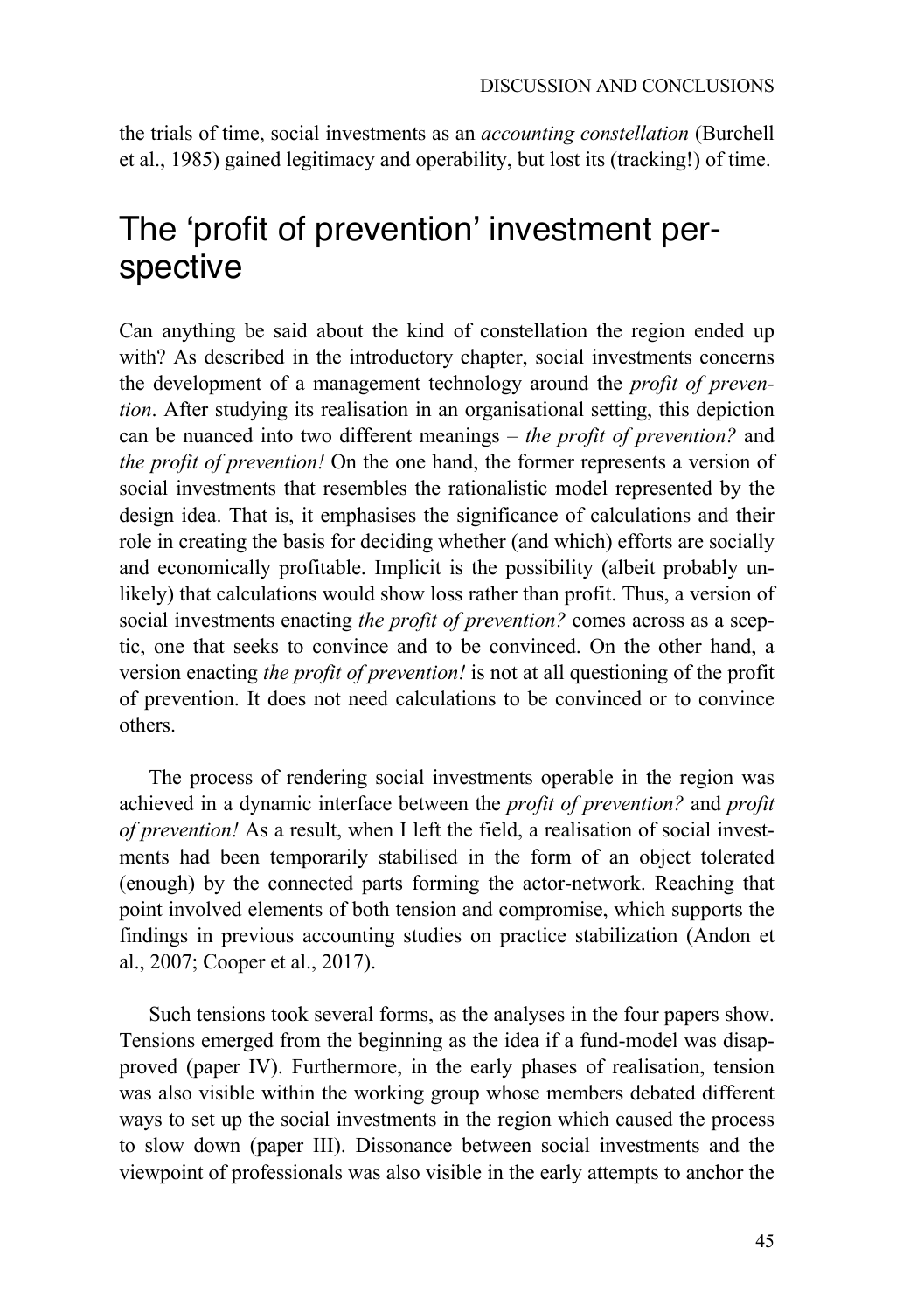the trials of time, social investments as an *accounting constellation* (Burchell et al., 1985) gained legitimacy and operability, but lost its (tracking!) of time.

## The 'profit of prevention' investment perspective

Can anything be said about the kind of constellation the region ended up with? As described in the introductory chapter, social investments concerns the development of a management technology around the *profit of prevention*. After studying its realisation in an organisational setting, this depiction can be nuanced into two different meanings – *the profit of prevention?* and *the profit of prevention!* On the one hand, the former represents a version of social investments that resembles the rationalistic model represented by the design idea. That is, it emphasises the significance of calculations and their role in creating the basis for deciding whether (and which) efforts are socially and economically profitable. Implicit is the possibility (albeit probably unlikely) that calculations would show loss rather than profit. Thus, a version of social investments enacting *the profit of prevention?* comes across as a sceptic, one that seeks to convince and to be convinced. On the other hand, a version enacting *the profit of prevention!* is not at all questioning of the profit of prevention. It does not need calculations to be convinced or to convince others.

The process of rendering social investments operable in the region was achieved in a dynamic interface between the *profit of prevention?* and *profit of prevention!* As a result, when I left the field, a realisation of social investments had been temporarily stabilised in the form of an object tolerated (enough) by the connected parts forming the actor-network. Reaching that point involved elements of both tension and compromise, which supports the findings in previous accounting studies on practice stabilization (Andon et al., 2007; Cooper et al., 2017).

Such tensions took several forms, as the analyses in the four papers show. Tensions emerged from the beginning as the idea if a fund-model was disapproved (paper IV). Furthermore, in the early phases of realisation, tension was also visible within the working group whose members debated different ways to set up the social investments in the region which caused the process to slow down (paper III). Dissonance between social investments and the viewpoint of professionals was also visible in the early attempts to anchor the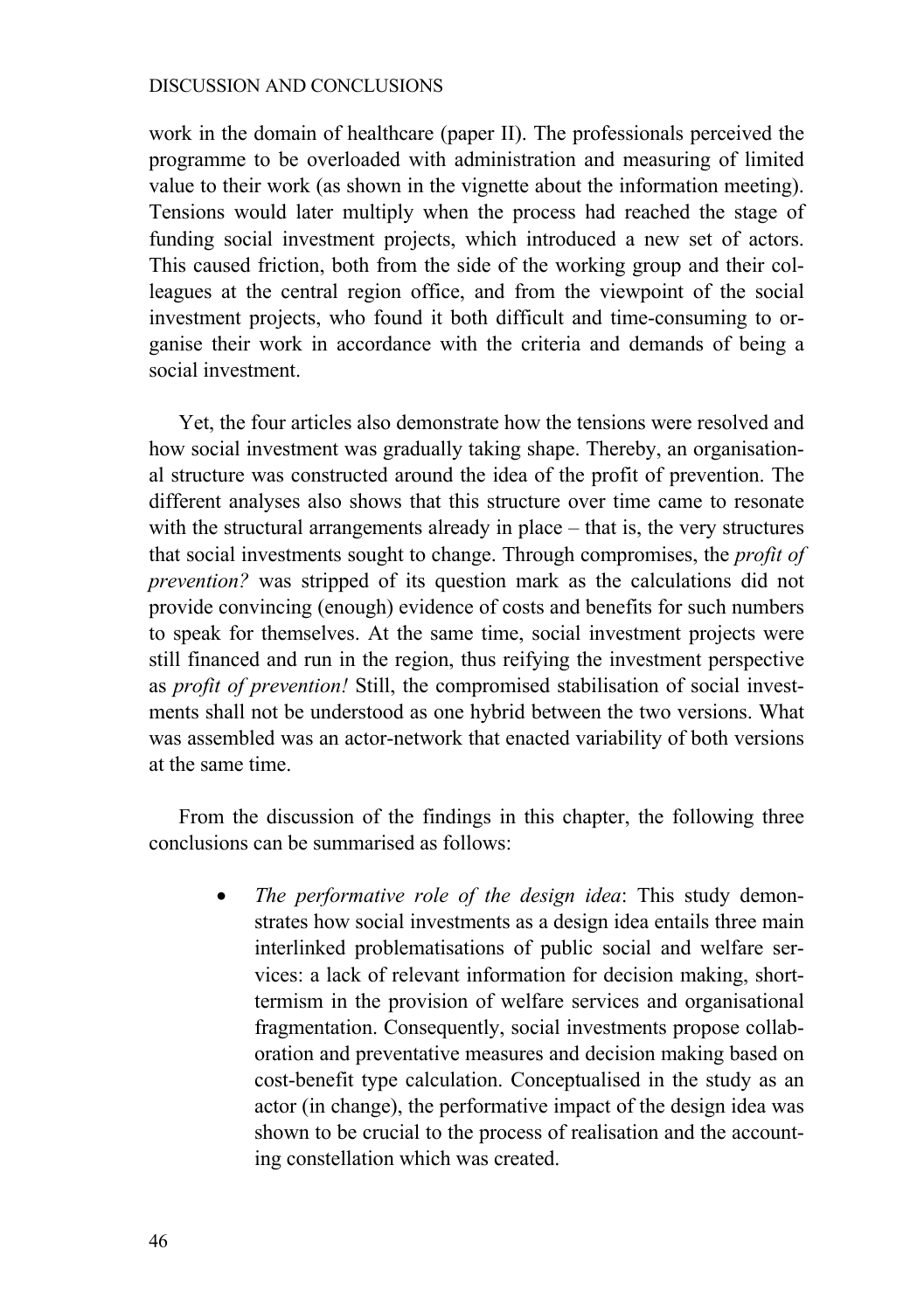work in the domain of healthcare (paper II). The professionals perceived the programme to be overloaded with administration and measuring of limited value to their work (as shown in the vignette about the information meeting). Tensions would later multiply when the process had reached the stage of funding social investment projects, which introduced a new set of actors. This caused friction, both from the side of the working group and their colleagues at the central region office, and from the viewpoint of the social investment projects, who found it both difficult and time-consuming to organise their work in accordance with the criteria and demands of being a social investment.

Yet, the four articles also demonstrate how the tensions were resolved and how social investment was gradually taking shape. Thereby, an organisational structure was constructed around the idea of the profit of prevention. The different analyses also shows that this structure over time came to resonate with the structural arrangements already in place – that is, the very structures that social investments sought to change. Through compromises, the *profit of prevention?* was stripped of its question mark as the calculations did not provide convincing (enough) evidence of costs and benefits for such numbers to speak for themselves. At the same time, social investment projects were still financed and run in the region, thus reifying the investment perspective as *profit of prevention!* Still, the compromised stabilisation of social investments shall not be understood as one hybrid between the two versions. What was assembled was an actor-network that enacted variability of both versions at the same time.

From the discussion of the findings in this chapter, the following three conclusions can be summarised as follows:

> • *The performative role of the design idea*: This study demonstrates how social investments as a design idea entails three main interlinked problematisations of public social and welfare services: a lack of relevant information for decision making, shorttermism in the provision of welfare services and organisational fragmentation. Consequently, social investments propose collaboration and preventative measures and decision making based on cost-benefit type calculation. Conceptualised in the study as an actor (in change), the performative impact of the design idea was shown to be crucial to the process of realisation and the accounting constellation which was created.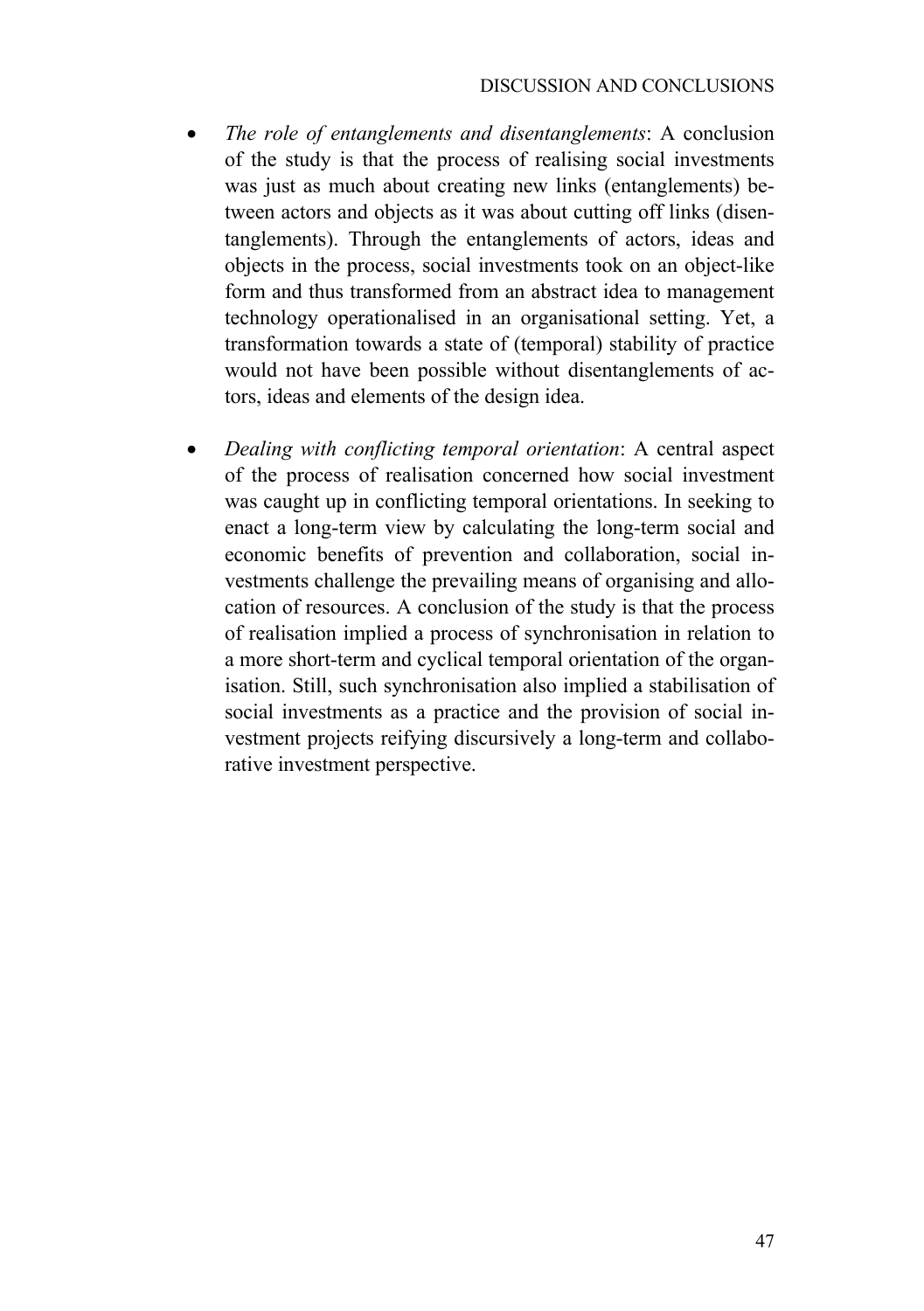- *The role of entanglements and disentanglements*: A conclusion of the study is that the process of realising social investments was just as much about creating new links (entanglements) between actors and objects as it was about cutting off links (disentanglements). Through the entanglements of actors, ideas and objects in the process, social investments took on an object-like form and thus transformed from an abstract idea to management technology operationalised in an organisational setting. Yet, a transformation towards a state of (temporal) stability of practice would not have been possible without disentanglements of actors, ideas and elements of the design idea.
- *Dealing with conflicting temporal orientation*: A central aspect of the process of realisation concerned how social investment was caught up in conflicting temporal orientations. In seeking to enact a long-term view by calculating the long-term social and economic benefits of prevention and collaboration, social investments challenge the prevailing means of organising and allocation of resources. A conclusion of the study is that the process of realisation implied a process of synchronisation in relation to a more short-term and cyclical temporal orientation of the organisation. Still, such synchronisation also implied a stabilisation of social investments as a practice and the provision of social investment projects reifying discursively a long-term and collaborative investment perspective.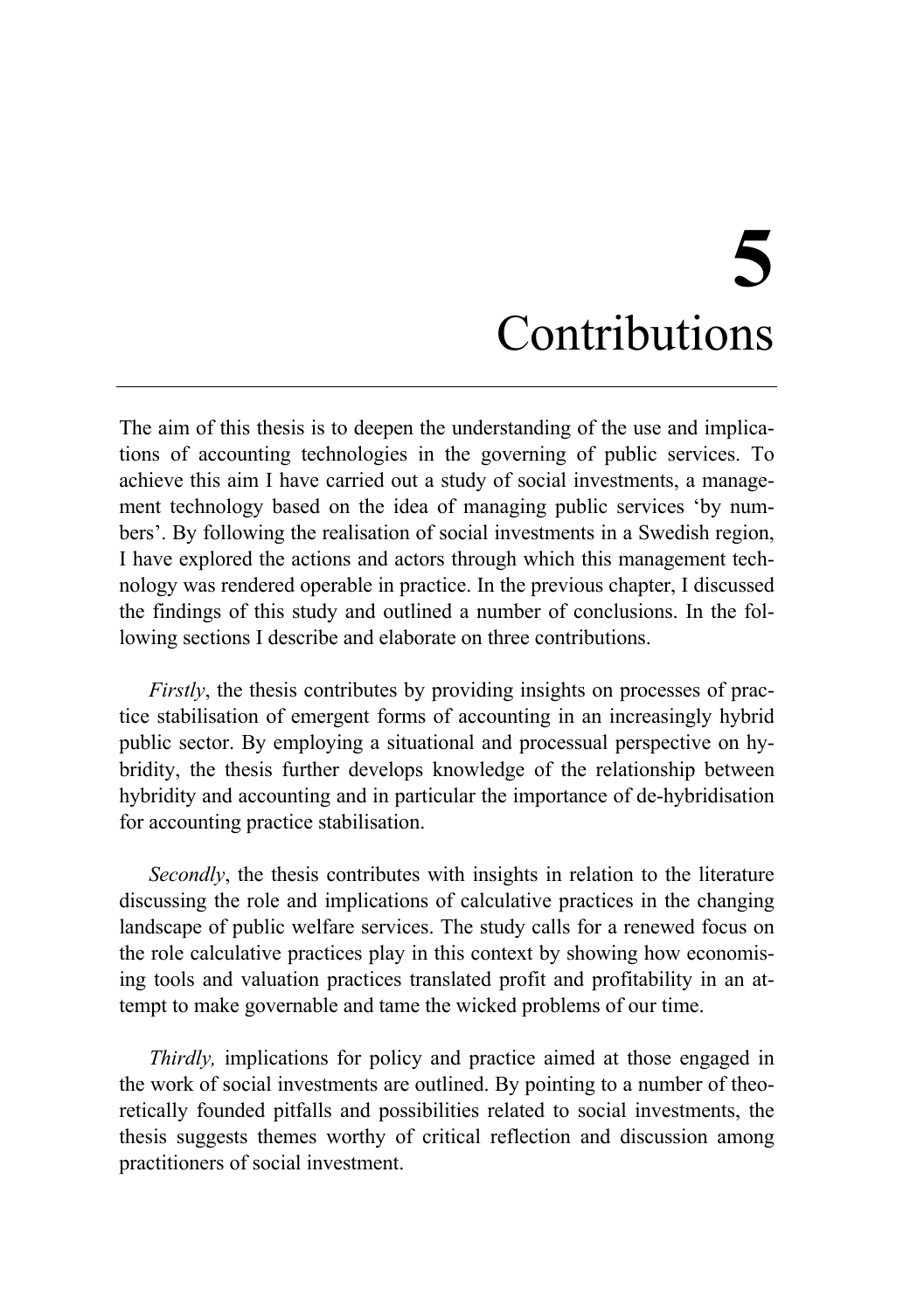# **5** Contributions

The aim of this thesis is to deepen the understanding of the use and implications of accounting technologies in the governing of public services. To achieve this aim I have carried out a study of social investments, a management technology based on the idea of managing public services 'by numbers'. By following the realisation of social investments in a Swedish region, I have explored the actions and actors through which this management technology was rendered operable in practice. In the previous chapter, I discussed the findings of this study and outlined a number of conclusions. In the following sections I describe and elaborate on three contributions.

*Firstly*, the thesis contributes by providing insights on processes of practice stabilisation of emergent forms of accounting in an increasingly hybrid public sector. By employing a situational and processual perspective on hybridity, the thesis further develops knowledge of the relationship between hybridity and accounting and in particular the importance of de-hybridisation for accounting practice stabilisation.

*Secondly*, the thesis contributes with insights in relation to the literature discussing the role and implications of calculative practices in the changing landscape of public welfare services. The study calls for a renewed focus on the role calculative practices play in this context by showing how economising tools and valuation practices translated profit and profitability in an attempt to make governable and tame the wicked problems of our time.

*Thirdly,* implications for policy and practice aimed at those engaged in the work of social investments are outlined. By pointing to a number of theoretically founded pitfalls and possibilities related to social investments, the thesis suggests themes worthy of critical reflection and discussion among practitioners of social investment.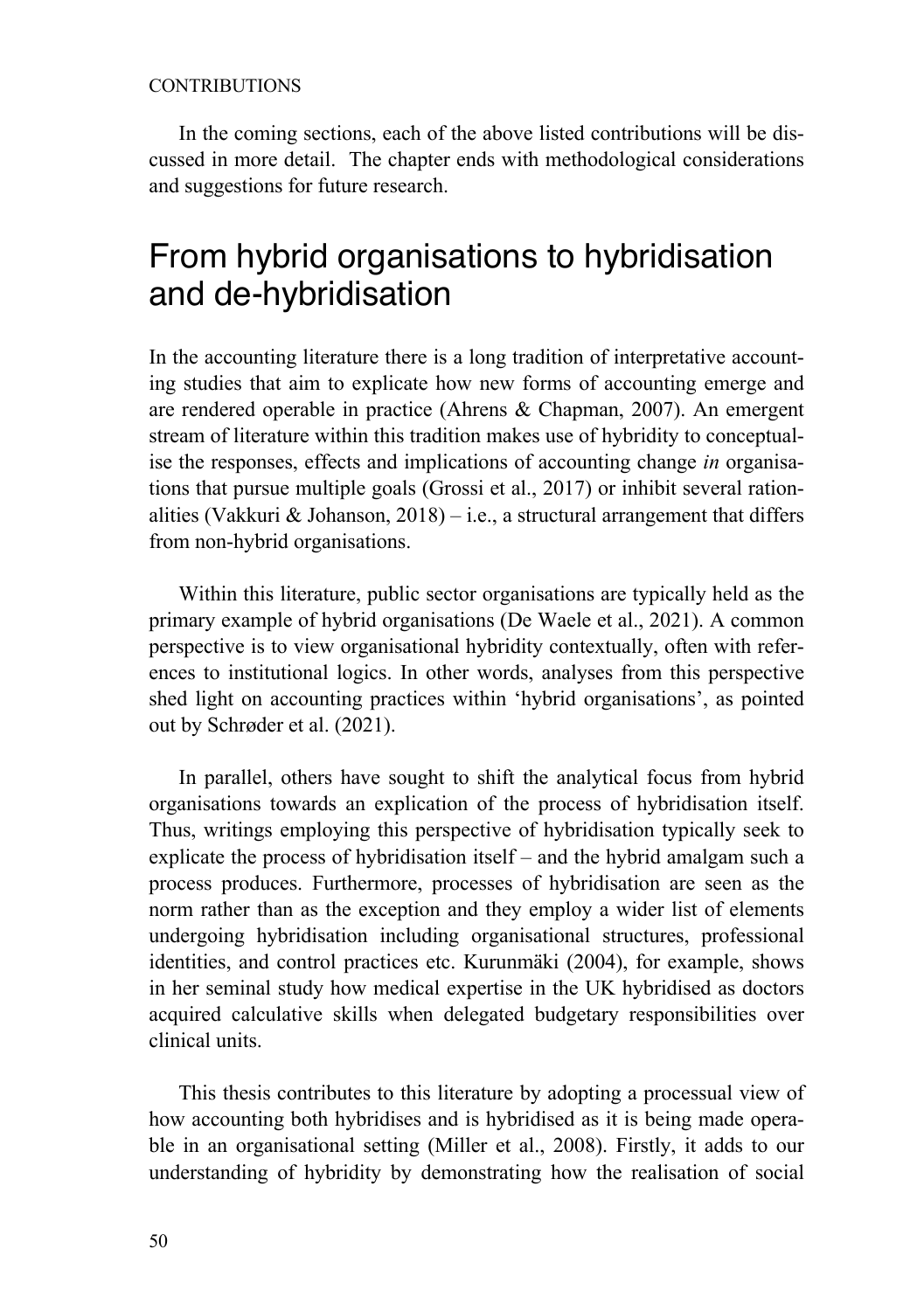### **CONTRIBUTIONS**

In the coming sections, each of the above listed contributions will be discussed in more detail. The chapter ends with methodological considerations and suggestions for future research.

## From hybrid organisations to hybridisation and de-hybridisation

In the accounting literature there is a long tradition of interpretative accounting studies that aim to explicate how new forms of accounting emerge and are rendered operable in practice (Ahrens & Chapman, 2007). An emergent stream of literature within this tradition makes use of hybridity to conceptualise the responses, effects and implications of accounting change *in* organisations that pursue multiple goals (Grossi et al., 2017) or inhibit several rationalities (Vakkuri & Johanson, 2018) – i.e., a structural arrangement that differs from non-hybrid organisations.

Within this literature, public sector organisations are typically held as the primary example of hybrid organisations (De Waele et al., 2021). A common perspective is to view organisational hybridity contextually, often with references to institutional logics. In other words, analyses from this perspective shed light on accounting practices within 'hybrid organisations', as pointed out by Schrøder et al. (2021).

In parallel, others have sought to shift the analytical focus from hybrid organisations towards an explication of the process of hybridisation itself. Thus, writings employing this perspective of hybridisation typically seek to explicate the process of hybridisation itself – and the hybrid amalgam such a process produces. Furthermore, processes of hybridisation are seen as the norm rather than as the exception and they employ a wider list of elements undergoing hybridisation including organisational structures, professional identities, and control practices etc. Kurunmäki (2004), for example, shows in her seminal study how medical expertise in the UK hybridised as doctors acquired calculative skills when delegated budgetary responsibilities over clinical units.

This thesis contributes to this literature by adopting a processual view of how accounting both hybridises and is hybridised as it is being made operable in an organisational setting (Miller et al., 2008). Firstly, it adds to our understanding of hybridity by demonstrating how the realisation of social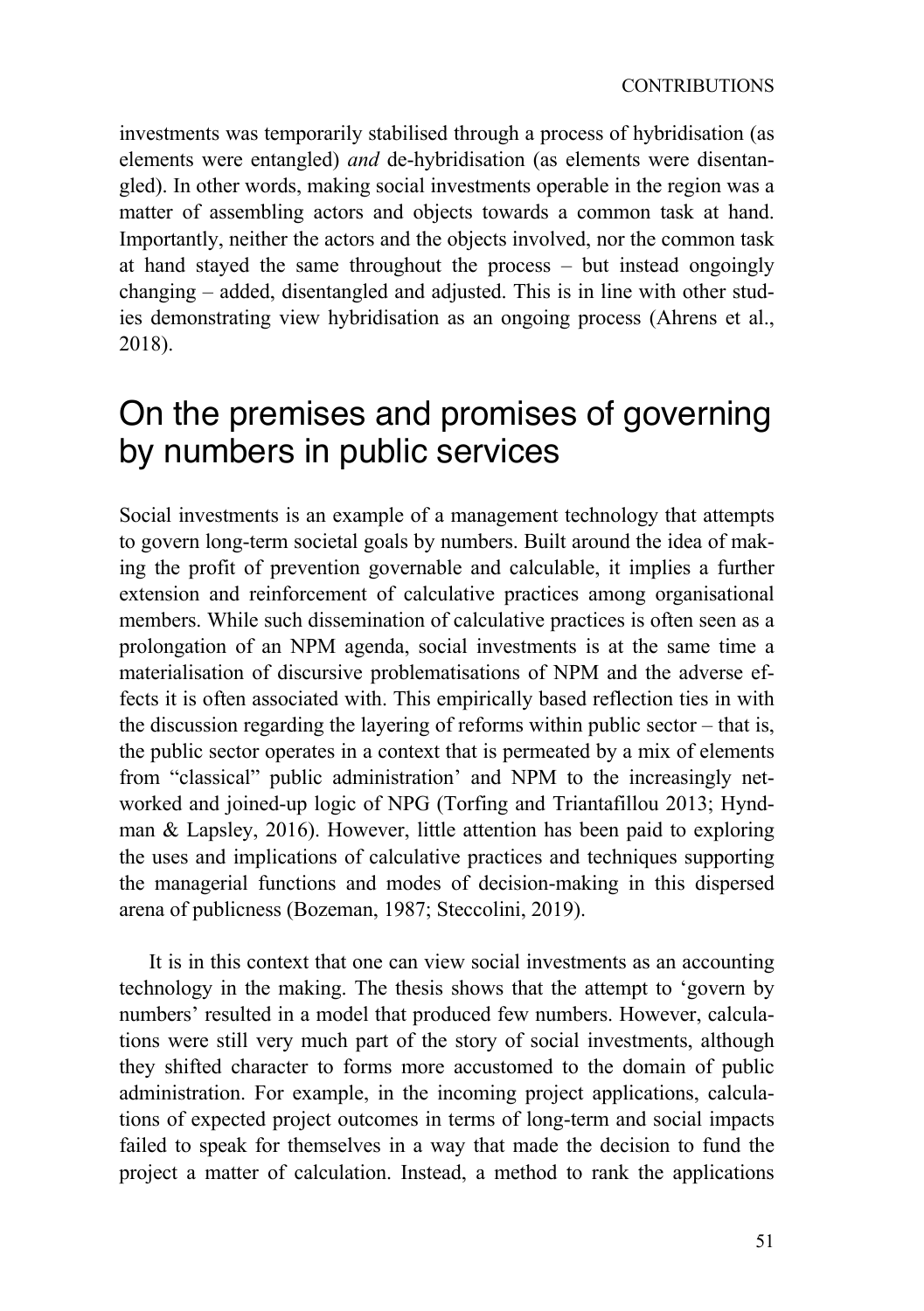investments was temporarily stabilised through a process of hybridisation (as elements were entangled) *and* de-hybridisation (as elements were disentangled). In other words, making social investments operable in the region was a matter of assembling actors and objects towards a common task at hand. Importantly, neither the actors and the objects involved, nor the common task at hand stayed the same throughout the process – but instead ongoingly changing – added, disentangled and adjusted. This is in line with other studies demonstrating view hybridisation as an ongoing process (Ahrens et al., 2018).

## On the premises and promises of governing by numbers in public services

Social investments is an example of a management technology that attempts to govern long-term societal goals by numbers. Built around the idea of making the profit of prevention governable and calculable, it implies a further extension and reinforcement of calculative practices among organisational members. While such dissemination of calculative practices is often seen as a prolongation of an NPM agenda, social investments is at the same time a materialisation of discursive problematisations of NPM and the adverse effects it is often associated with. This empirically based reflection ties in with the discussion regarding the layering of reforms within public sector – that is, the public sector operates in a context that is permeated by a mix of elements from "classical" public administration' and NPM to the increasingly networked and joined-up logic of NPG (Torfing and Triantafillou 2013; Hyndman & Lapsley, 2016). However, little attention has been paid to exploring the uses and implications of calculative practices and techniques supporting the managerial functions and modes of decision-making in this dispersed arena of publicness (Bozeman, 1987; Steccolini, 2019).

It is in this context that one can view social investments as an accounting technology in the making. The thesis shows that the attempt to 'govern by numbers' resulted in a model that produced few numbers. However, calculations were still very much part of the story of social investments, although they shifted character to forms more accustomed to the domain of public administration. For example, in the incoming project applications, calculations of expected project outcomes in terms of long-term and social impacts failed to speak for themselves in a way that made the decision to fund the project a matter of calculation. Instead, a method to rank the applications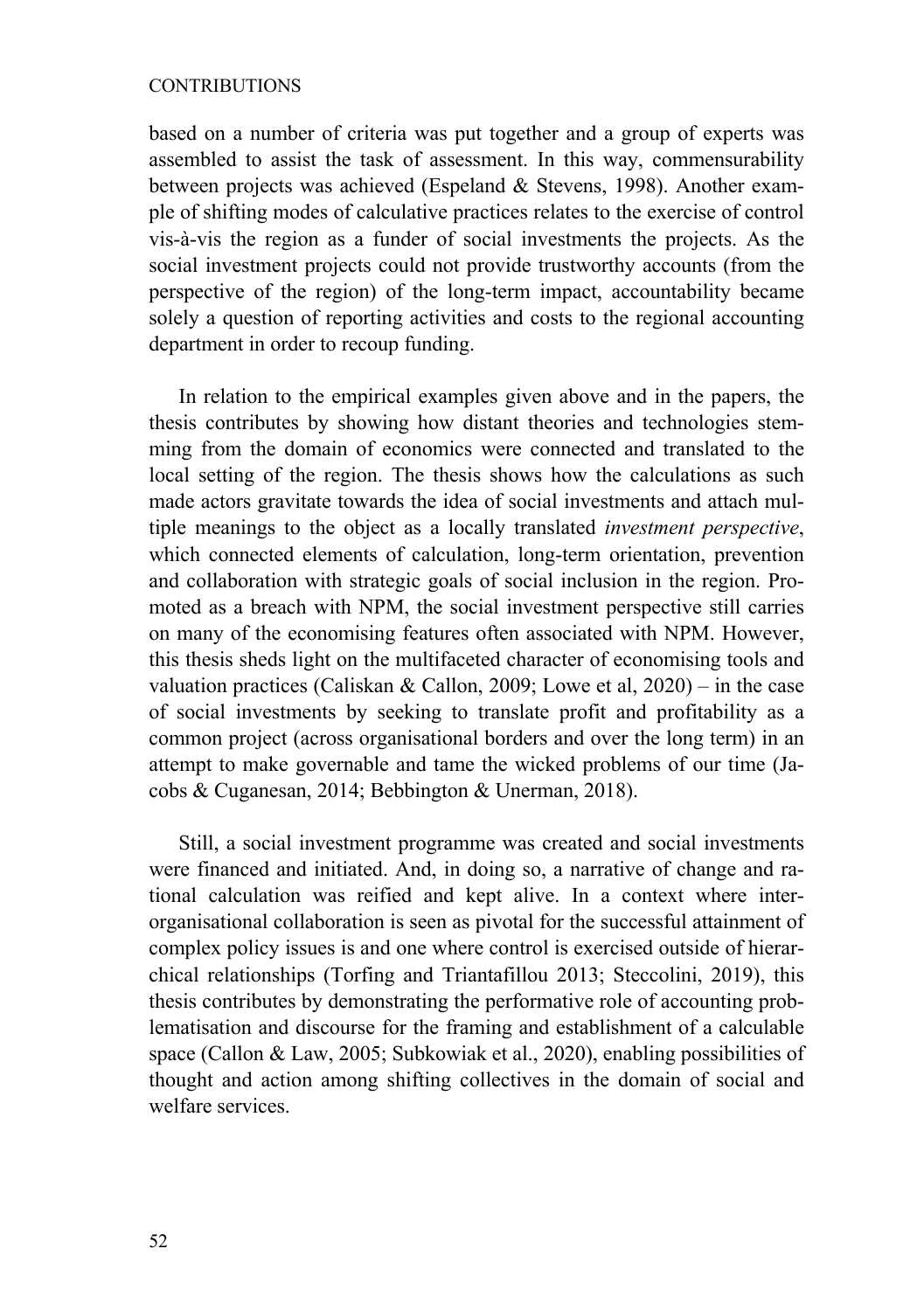### CONTRIBUTIONS

based on a number of criteria was put together and a group of experts was assembled to assist the task of assessment. In this way, commensurability between projects was achieved (Espeland & Stevens, 1998). Another example of shifting modes of calculative practices relates to the exercise of control vis-à-vis the region as a funder of social investments the projects. As the social investment projects could not provide trustworthy accounts (from the perspective of the region) of the long-term impact, accountability became solely a question of reporting activities and costs to the regional accounting department in order to recoup funding.

In relation to the empirical examples given above and in the papers, the thesis contributes by showing how distant theories and technologies stemming from the domain of economics were connected and translated to the local setting of the region. The thesis shows how the calculations as such made actors gravitate towards the idea of social investments and attach multiple meanings to the object as a locally translated *investment perspective*, which connected elements of calculation, long-term orientation, prevention and collaboration with strategic goals of social inclusion in the region. Promoted as a breach with NPM, the social investment perspective still carries on many of the economising features often associated with NPM. However, this thesis sheds light on the multifaceted character of economising tools and valuation practices (Caliskan & Callon, 2009; Lowe et al, 2020) – in the case of social investments by seeking to translate profit and profitability as a common project (across organisational borders and over the long term) in an attempt to make governable and tame the wicked problems of our time (Jacobs & Cuganesan, 2014; Bebbington & Unerman, 2018).

Still, a social investment programme was created and social investments were financed and initiated. And, in doing so, a narrative of change and rational calculation was reified and kept alive. In a context where interorganisational collaboration is seen as pivotal for the successful attainment of complex policy issues is and one where control is exercised outside of hierarchical relationships (Torfing and Triantafillou 2013; Steccolini, 2019), this thesis contributes by demonstrating the performative role of accounting problematisation and discourse for the framing and establishment of a calculable space (Callon & Law, 2005; Subkowiak et al., 2020), enabling possibilities of thought and action among shifting collectives in the domain of social and welfare services.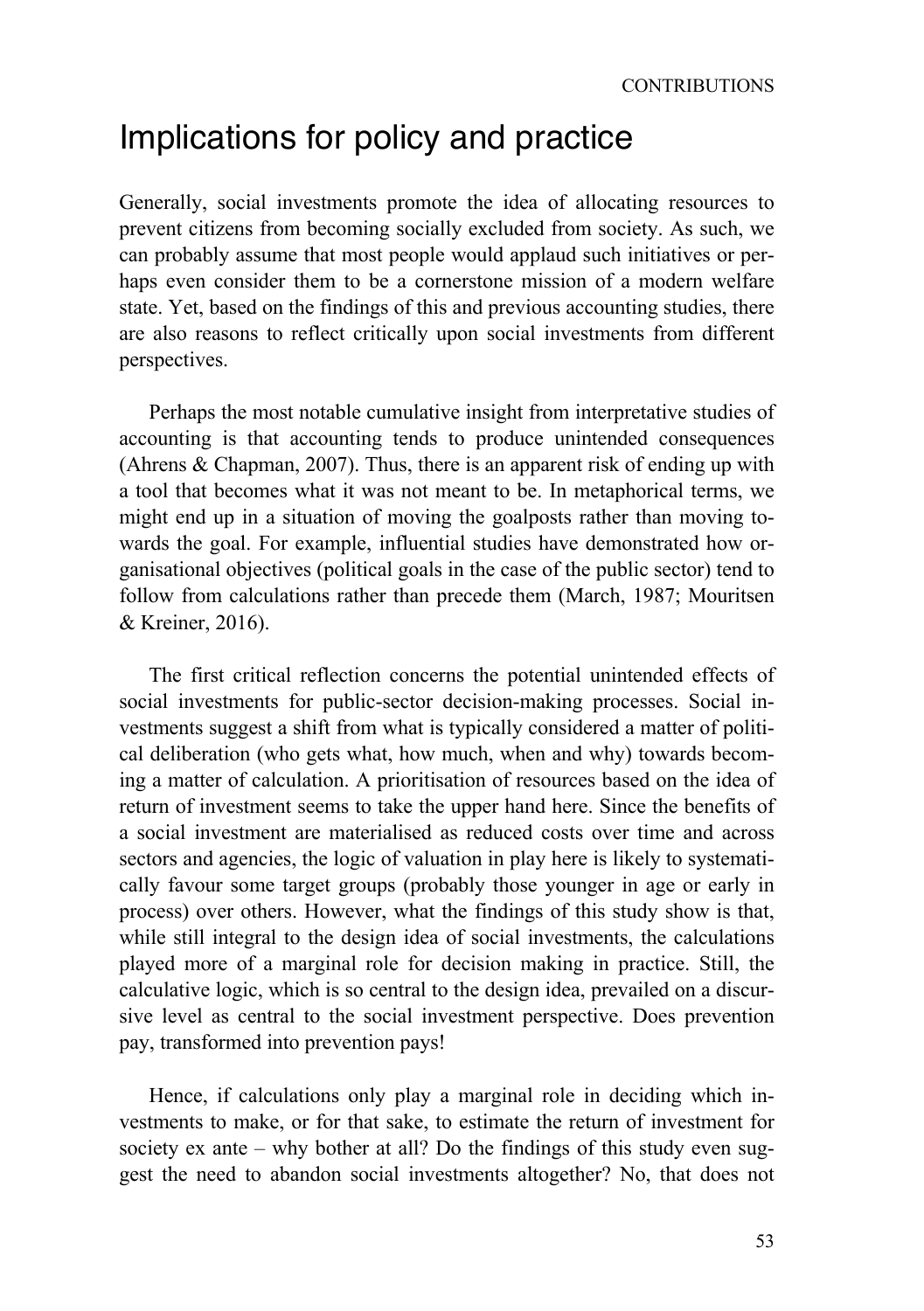## Implications for policy and practice

Generally, social investments promote the idea of allocating resources to prevent citizens from becoming socially excluded from society. As such, we can probably assume that most people would applaud such initiatives or perhaps even consider them to be a cornerstone mission of a modern welfare state. Yet, based on the findings of this and previous accounting studies, there are also reasons to reflect critically upon social investments from different perspectives.

Perhaps the most notable cumulative insight from interpretative studies of accounting is that accounting tends to produce unintended consequences (Ahrens & Chapman, 2007). Thus, there is an apparent risk of ending up with a tool that becomes what it was not meant to be. In metaphorical terms, we might end up in a situation of moving the goalposts rather than moving towards the goal. For example, influential studies have demonstrated how organisational objectives (political goals in the case of the public sector) tend to follow from calculations rather than precede them (March, 1987; Mouritsen & Kreiner, 2016).

The first critical reflection concerns the potential unintended effects of social investments for public-sector decision-making processes. Social investments suggest a shift from what is typically considered a matter of political deliberation (who gets what, how much, when and why) towards becoming a matter of calculation. A prioritisation of resources based on the idea of return of investment seems to take the upper hand here. Since the benefits of a social investment are materialised as reduced costs over time and across sectors and agencies, the logic of valuation in play here is likely to systematically favour some target groups (probably those younger in age or early in process) over others. However, what the findings of this study show is that, while still integral to the design idea of social investments, the calculations played more of a marginal role for decision making in practice. Still, the calculative logic, which is so central to the design idea, prevailed on a discursive level as central to the social investment perspective. Does prevention pay, transformed into prevention pays!

Hence, if calculations only play a marginal role in deciding which investments to make, or for that sake, to estimate the return of investment for society ex ante – why bother at all? Do the findings of this study even suggest the need to abandon social investments altogether? No, that does not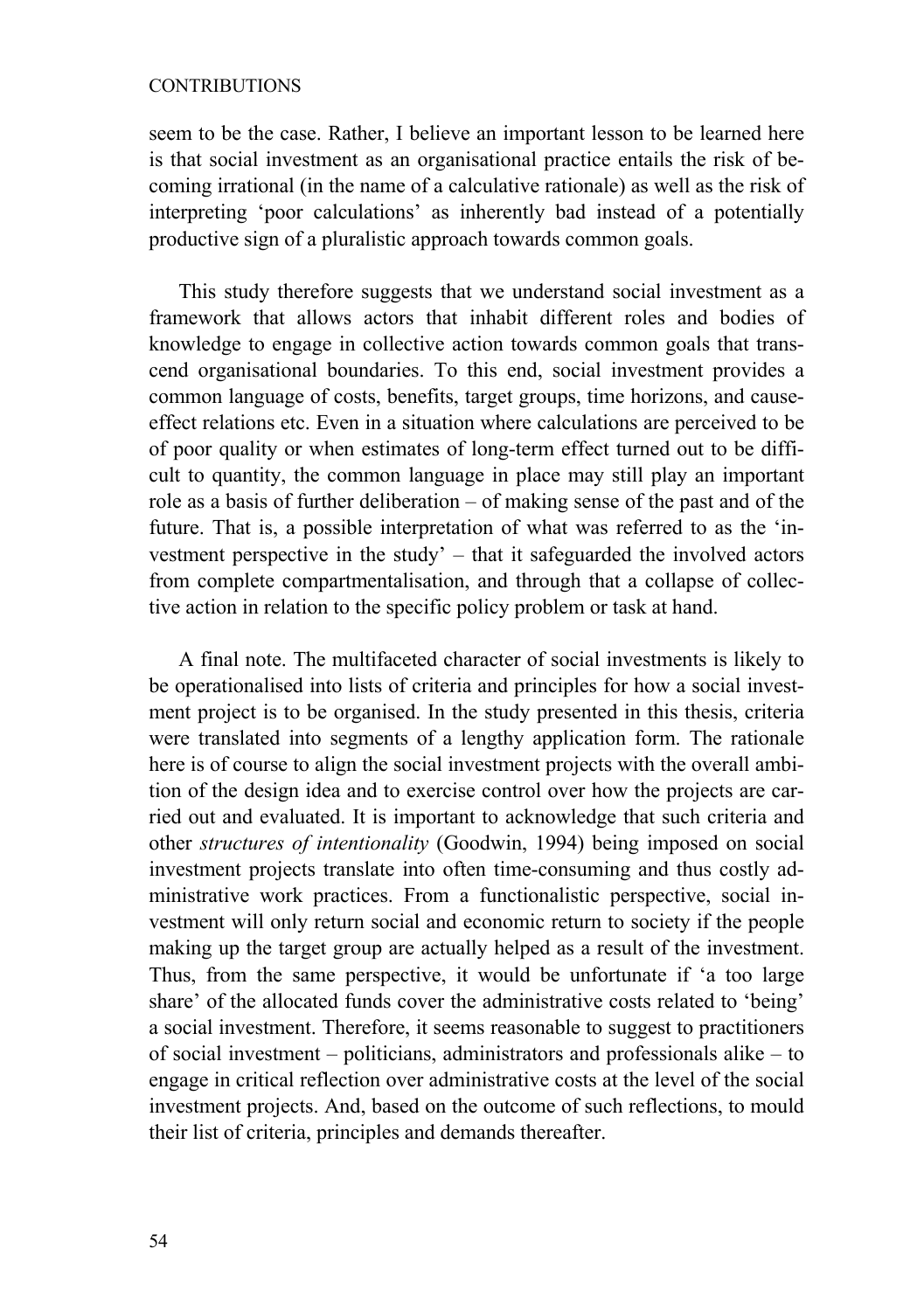### CONTRIBUTIONS

seem to be the case. Rather, I believe an important lesson to be learned here is that social investment as an organisational practice entails the risk of becoming irrational (in the name of a calculative rationale) as well as the risk of interpreting 'poor calculations' as inherently bad instead of a potentially productive sign of a pluralistic approach towards common goals.

This study therefore suggests that we understand social investment as a framework that allows actors that inhabit different roles and bodies of knowledge to engage in collective action towards common goals that transcend organisational boundaries. To this end, social investment provides a common language of costs, benefits, target groups, time horizons, and causeeffect relations etc. Even in a situation where calculations are perceived to be of poor quality or when estimates of long-term effect turned out to be difficult to quantity, the common language in place may still play an important role as a basis of further deliberation – of making sense of the past and of the future. That is, a possible interpretation of what was referred to as the 'investment perspective in the study' – that it safeguarded the involved actors from complete compartmentalisation, and through that a collapse of collective action in relation to the specific policy problem or task at hand.

A final note. The multifaceted character of social investments is likely to be operationalised into lists of criteria and principles for how a social investment project is to be organised. In the study presented in this thesis, criteria were translated into segments of a lengthy application form. The rationale here is of course to align the social investment projects with the overall ambition of the design idea and to exercise control over how the projects are carried out and evaluated. It is important to acknowledge that such criteria and other *structures of intentionality* (Goodwin, 1994) being imposed on social investment projects translate into often time-consuming and thus costly administrative work practices. From a functionalistic perspective, social investment will only return social and economic return to society if the people making up the target group are actually helped as a result of the investment. Thus, from the same perspective, it would be unfortunate if 'a too large share' of the allocated funds cover the administrative costs related to 'being' a social investment. Therefore, it seems reasonable to suggest to practitioners of social investment – politicians, administrators and professionals alike – to engage in critical reflection over administrative costs at the level of the social investment projects. And, based on the outcome of such reflections, to mould their list of criteria, principles and demands thereafter.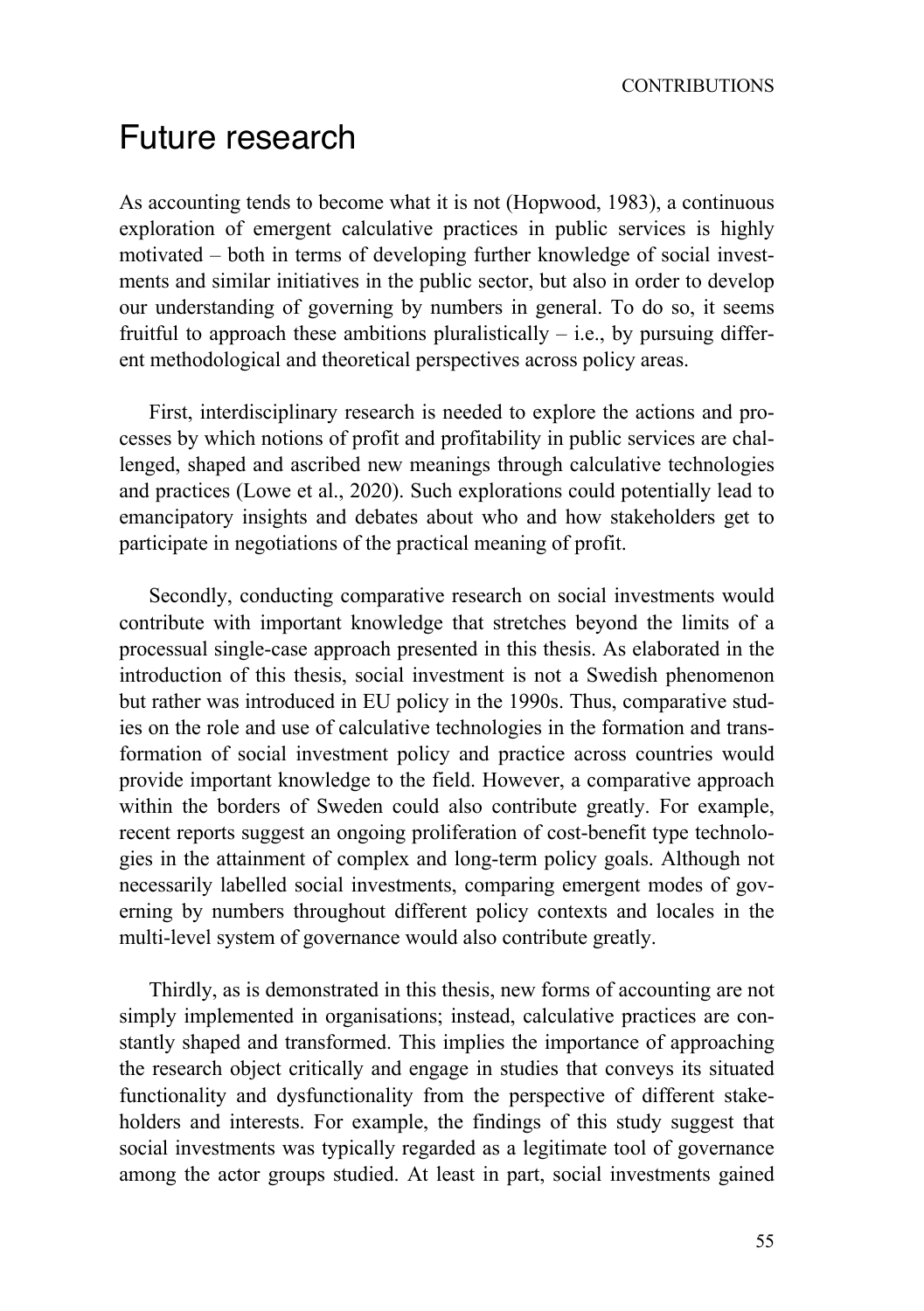## Future research

As accounting tends to become what it is not (Hopwood, 1983), a continuous exploration of emergent calculative practices in public services is highly motivated – both in terms of developing further knowledge of social investments and similar initiatives in the public sector, but also in order to develop our understanding of governing by numbers in general. To do so, it seems fruitful to approach these ambitions pluralistically  $-$  i.e., by pursuing different methodological and theoretical perspectives across policy areas.

First, interdisciplinary research is needed to explore the actions and processes by which notions of profit and profitability in public services are challenged, shaped and ascribed new meanings through calculative technologies and practices (Lowe et al., 2020). Such explorations could potentially lead to emancipatory insights and debates about who and how stakeholders get to participate in negotiations of the practical meaning of profit.

Secondly, conducting comparative research on social investments would contribute with important knowledge that stretches beyond the limits of a processual single-case approach presented in this thesis. As elaborated in the introduction of this thesis, social investment is not a Swedish phenomenon but rather was introduced in EU policy in the 1990s. Thus, comparative studies on the role and use of calculative technologies in the formation and transformation of social investment policy and practice across countries would provide important knowledge to the field. However, a comparative approach within the borders of Sweden could also contribute greatly. For example, recent reports suggest an ongoing proliferation of cost-benefit type technologies in the attainment of complex and long-term policy goals. Although not necessarily labelled social investments, comparing emergent modes of governing by numbers throughout different policy contexts and locales in the multi-level system of governance would also contribute greatly.

Thirdly, as is demonstrated in this thesis, new forms of accounting are not simply implemented in organisations; instead, calculative practices are constantly shaped and transformed. This implies the importance of approaching the research object critically and engage in studies that conveys its situated functionality and dysfunctionality from the perspective of different stakeholders and interests. For example, the findings of this study suggest that social investments was typically regarded as a legitimate tool of governance among the actor groups studied. At least in part, social investments gained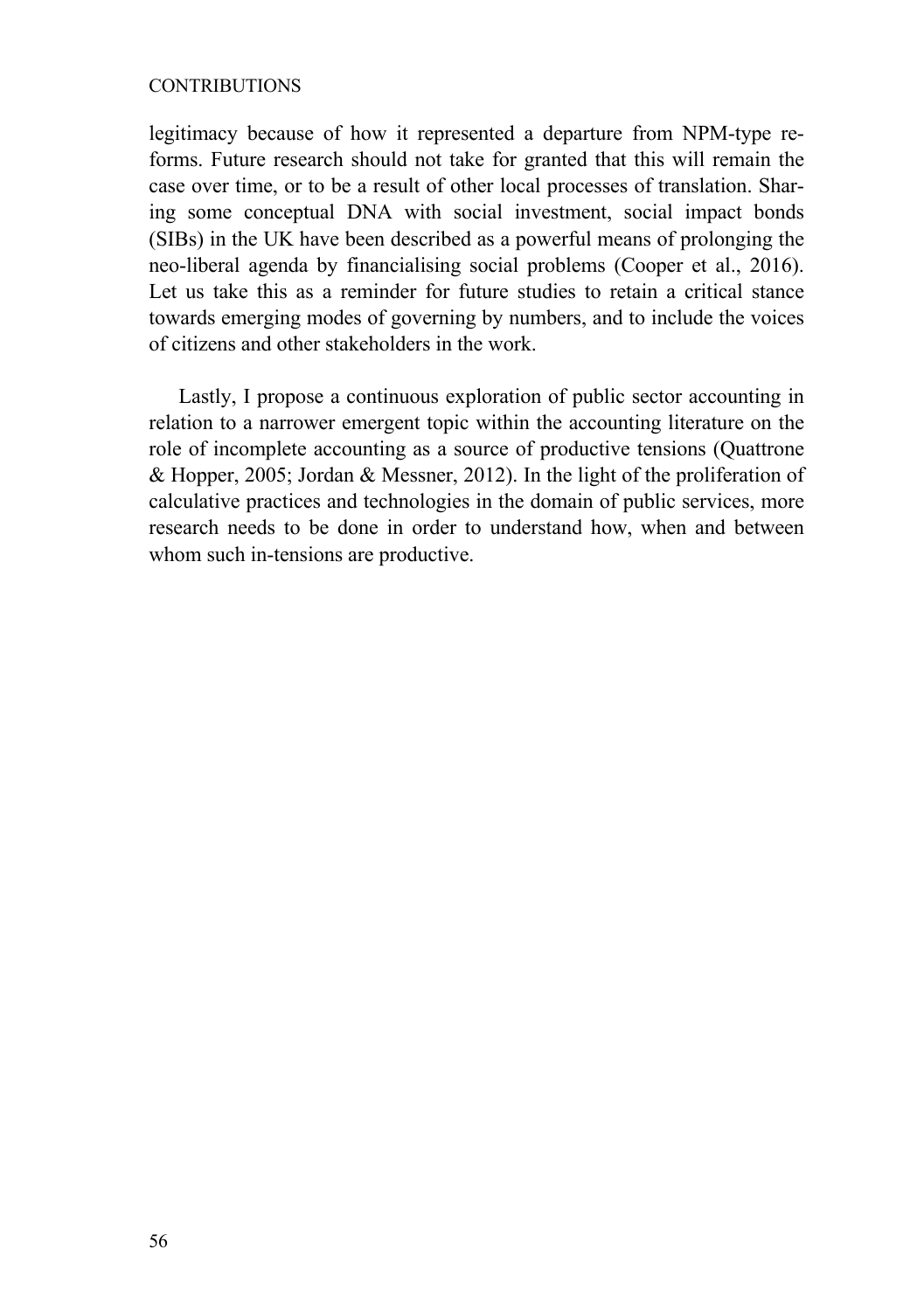### CONTRIBUTIONS

legitimacy because of how it represented a departure from NPM-type reforms. Future research should not take for granted that this will remain the case over time, or to be a result of other local processes of translation. Sharing some conceptual DNA with social investment, social impact bonds (SIBs) in the UK have been described as a powerful means of prolonging the neo-liberal agenda by financialising social problems (Cooper et al., 2016). Let us take this as a reminder for future studies to retain a critical stance towards emerging modes of governing by numbers, and to include the voices of citizens and other stakeholders in the work.

Lastly, I propose a continuous exploration of public sector accounting in relation to a narrower emergent topic within the accounting literature on the role of incomplete accounting as a source of productive tensions (Quattrone & Hopper, 2005; Jordan & Messner, 2012). In the light of the proliferation of calculative practices and technologies in the domain of public services, more research needs to be done in order to understand how, when and between whom such in-tensions are productive.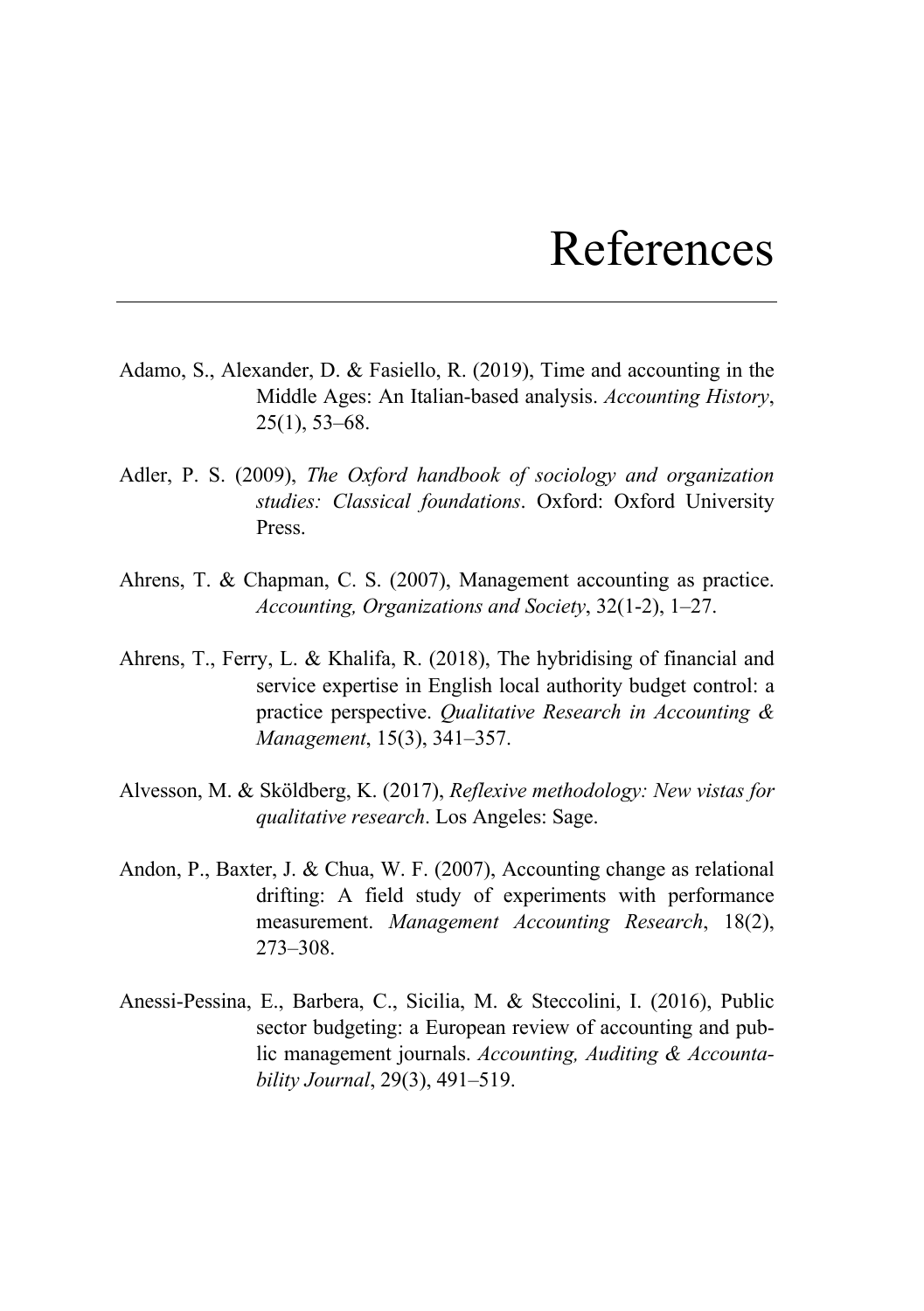## References

- Adamo, S., Alexander, D. & Fasiello, R. (2019), Time and accounting in the Middle Ages: An Italian-based analysis. *Accounting History*, 25(1), 53–68.
- Adler, P. S. (2009), *The Oxford handbook of sociology and organization studies: Classical foundations*. Oxford: Oxford University Press.
- Ahrens, T. & Chapman, C. S. (2007), Management accounting as practice. *Accounting, Organizations and Society*, 32(1-2), 1–27.
- Ahrens, T., Ferry, L. & Khalifa, R. (2018), The hybridising of financial and service expertise in English local authority budget control: a practice perspective. *Qualitative Research in Accounting & Management*, 15(3), 341–357.
- Alvesson, M. & Sköldberg, K. (2017), *Reflexive methodology: New vistas for qualitative research*. Los Angeles: Sage.
- Andon, P., Baxter, J. & Chua, W. F. (2007), Accounting change as relational drifting: A field study of experiments with performance measurement. *Management Accounting Research*, 18(2), 273–308.
- Anessi-Pessina, E., Barbera, C., Sicilia, M. & Steccolini, I. (2016), Public sector budgeting: a European review of accounting and public management journals. *Accounting, Auditing & Accountability Journal*, 29(3), 491–519.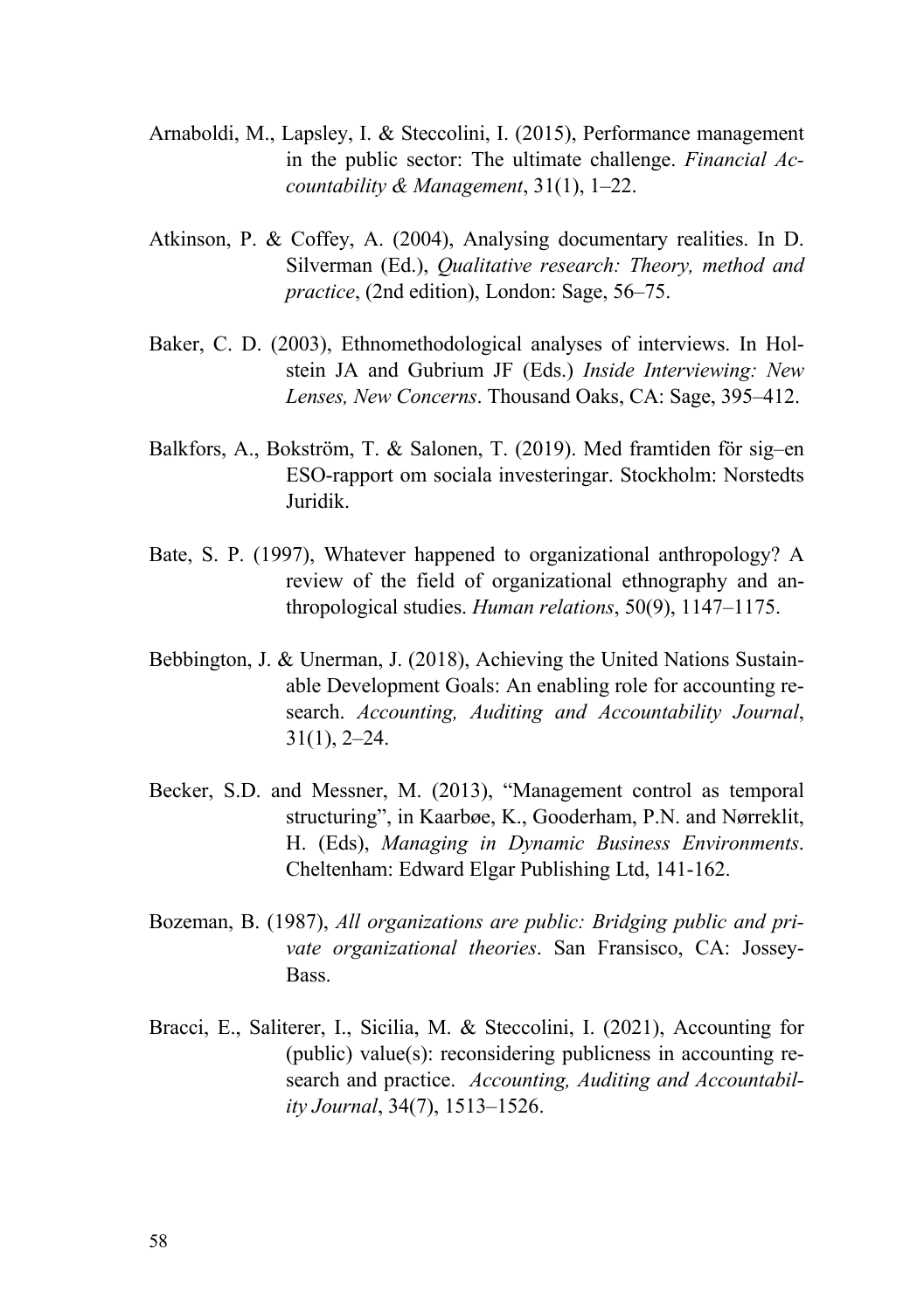- Arnaboldi, M., Lapsley, I. & Steccolini, I. (2015), Performance management in the public sector: The ultimate challenge. *Financial Accountability & Management*, 31(1), 1–22.
- Atkinson, P. & Coffey, A. (2004), Analysing documentary realities. In D. Silverman (Ed.), *Qualitative research: Theory, method and practice*, (2nd edition), London: Sage, 56–75.
- Baker, C. D. (2003), Ethnomethodological analyses of interviews. In Holstein JA and Gubrium JF (Eds.) *Inside Interviewing: New Lenses, New Concerns*. Thousand Oaks, CA: Sage, 395–412.
- Balkfors, A., Bokström, T. & Salonen, T. (2019). Med framtiden för sig–en ESO-rapport om sociala investeringar. Stockholm: Norstedts Juridik.
- Bate, S. P. (1997), Whatever happened to organizational anthropology? A review of the field of organizational ethnography and anthropological studies. *Human relations*, 50(9), 1147–1175.
- Bebbington, J. & Unerman, J. (2018), Achieving the United Nations Sustainable Development Goals: An enabling role for accounting research. *Accounting, Auditing and Accountability Journal*, 31(1), 2–24.
- Becker, S.D. and Messner, M. (2013), "Management control as temporal structuring", in Kaarbøe, K., Gooderham, P.N. and Nørreklit, H. (Eds), *Managing in Dynamic Business Environments*. Cheltenham: Edward Elgar Publishing Ltd, 141-162.
- Bozeman, B. (1987), *All organizations are public: Bridging public and private organizational theories*. San Fransisco, CA: Jossey-Bass.
- Bracci, E., Saliterer, I., Sicilia, M. & Steccolini, I. (2021), Accounting for (public) value(s): reconsidering publicness in accounting research and practice. *Accounting, Auditing and Accountability Journal*, 34(7), 1513–1526.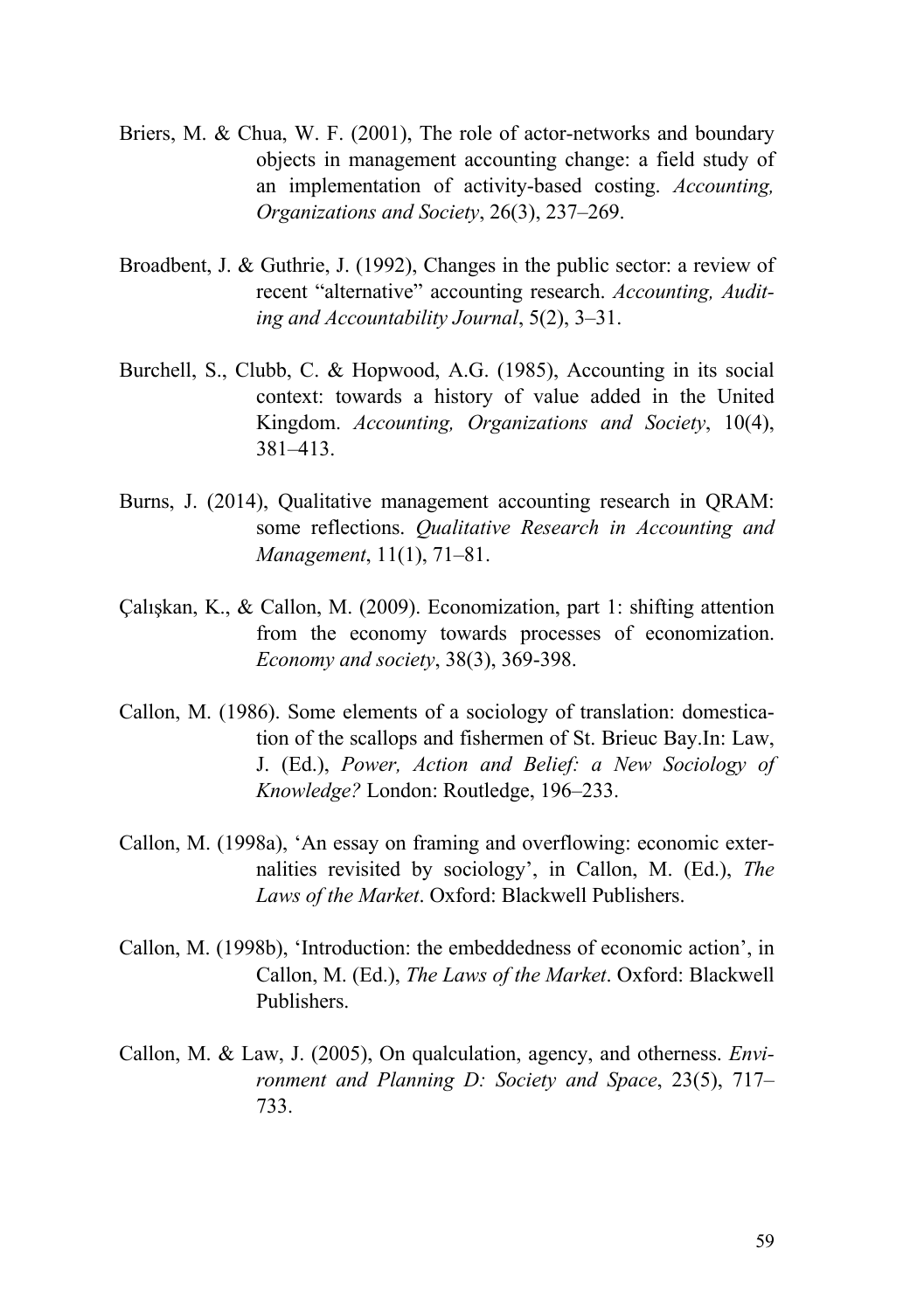- Briers, M. & Chua, W. F. (2001), The role of actor-networks and boundary objects in management accounting change: a field study of an implementation of activity-based costing. *Accounting, Organizations and Society*, 26(3), 237–269.
- Broadbent, J. & Guthrie, J. (1992), Changes in the public sector: a review of recent "alternative" accounting research. *Accounting, Auditing and Accountability Journal*, 5(2), 3–31.
- Burchell, S., Clubb, C. & Hopwood, A.G. (1985), Accounting in its social context: towards a history of value added in the United Kingdom. *Accounting, Organizations and Society*, 10(4), 381–413.
- Burns, J. (2014), Qualitative management accounting research in QRAM: some reflections. *Qualitative Research in Accounting and Management*, 11(1), 71–81.
- Çalışkan, K., & Callon, M. (2009). Economization, part 1: shifting attention from the economy towards processes of economization. *Economy and society*, 38(3), 369-398.
- Callon, M. (1986). Some elements of a sociology of translation: domestication of the scallops and fishermen of St. Brieuc Bay.In: Law, J. (Ed.), *Power, Action and Belief: a New Sociology of Knowledge?* London: Routledge, 196–233.
- Callon, M. (1998a), 'An essay on framing and overflowing: economic externalities revisited by sociology', in Callon, M. (Ed.), *The Laws of the Market*. Oxford: Blackwell Publishers.
- Callon, M. (1998b), 'Introduction: the embeddedness of economic action', in Callon, M. (Ed.), *The Laws of the Market*. Oxford: Blackwell Publishers.
- Callon, M. & Law, J. (2005), On qualculation, agency, and otherness. *Environment and Planning D: Society and Space*, 23(5), 717– 733.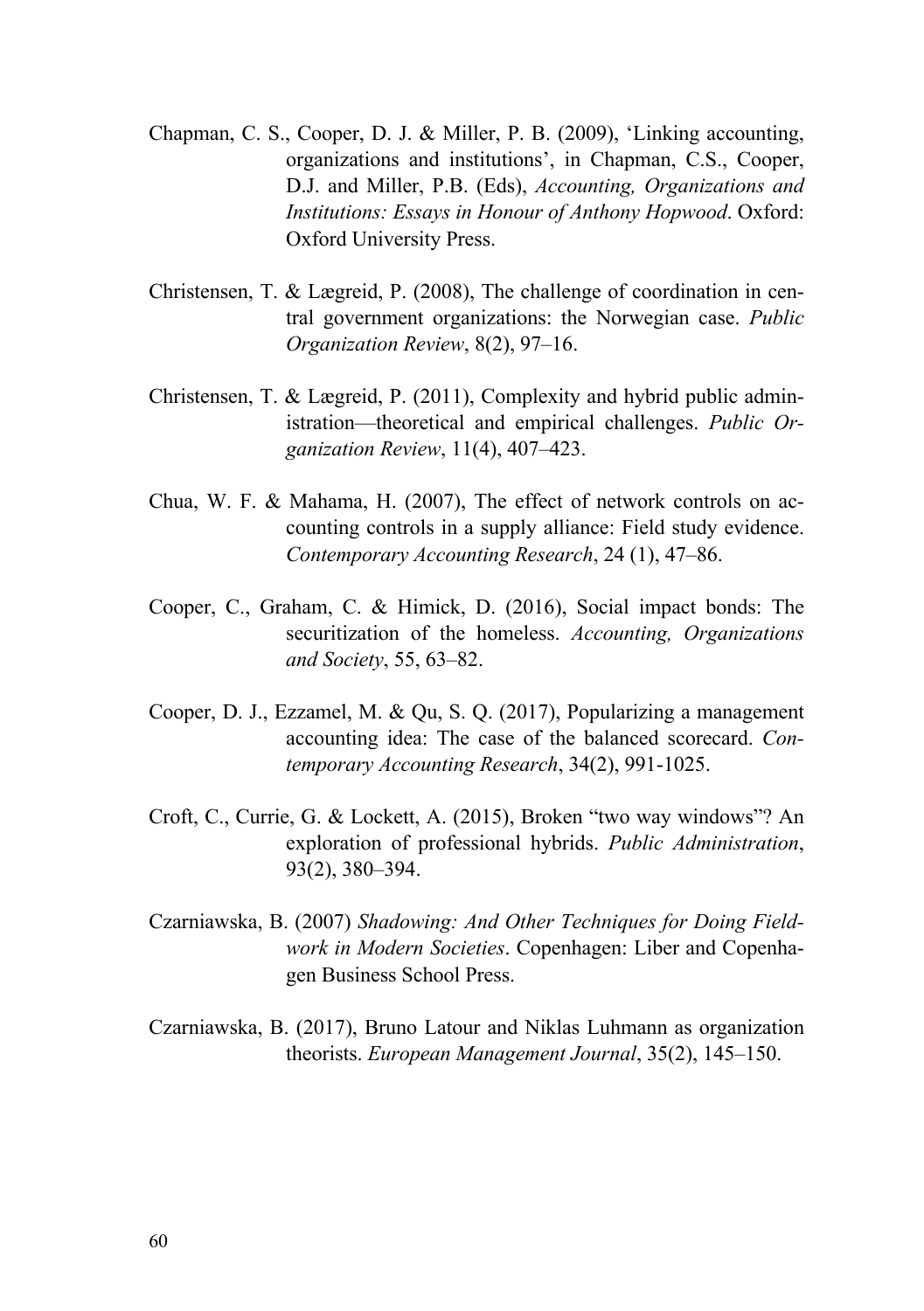- Chapman, C. S., Cooper, D. J. & Miller, P. B. (2009), 'Linking accounting, organizations and institutions', in Chapman, C.S., Cooper, D.J. and Miller, P.B. (Eds), *Accounting, Organizations and Institutions: Essays in Honour of Anthony Hopwood*. Oxford: Oxford University Press.
- Christensen, T. & Lægreid, P. (2008), The challenge of coordination in central government organizations: the Norwegian case. *Public Organization Review*, 8(2), 97–16.
- Christensen, T. & Lægreid, P. (2011), Complexity and hybrid public administration—theoretical and empirical challenges. *Public Organization Review*, 11(4), 407–423.
- Chua, W. F. & Mahama, H. (2007), The effect of network controls on accounting controls in a supply alliance: Field study evidence. *Contemporary Accounting Research*, 24 (1), 47–86.
- Cooper, C., Graham, C. & Himick, D. (2016), Social impact bonds: The securitization of the homeless. *Accounting, Organizations and Society*, 55, 63–82.
- Cooper, D. J., Ezzamel, M. & Qu, S. Q. (2017), Popularizing a management accounting idea: The case of the balanced scorecard. *Contemporary Accounting Research*, 34(2), 991-1025.
- Croft, C., Currie, G. & Lockett, A. (2015), Broken "two way windows"? An exploration of professional hybrids. *Public Administration*, 93(2), 380–394.
- Czarniawska, B. (2007) *Shadowing: And Other Techniques for Doing Fieldwork in Modern Societies*. Copenhagen: Liber and Copenhagen Business School Press.
- Czarniawska, B. (2017), Bruno Latour and Niklas Luhmann as organization theorists. *European Management Journal*, 35(2), 145–150.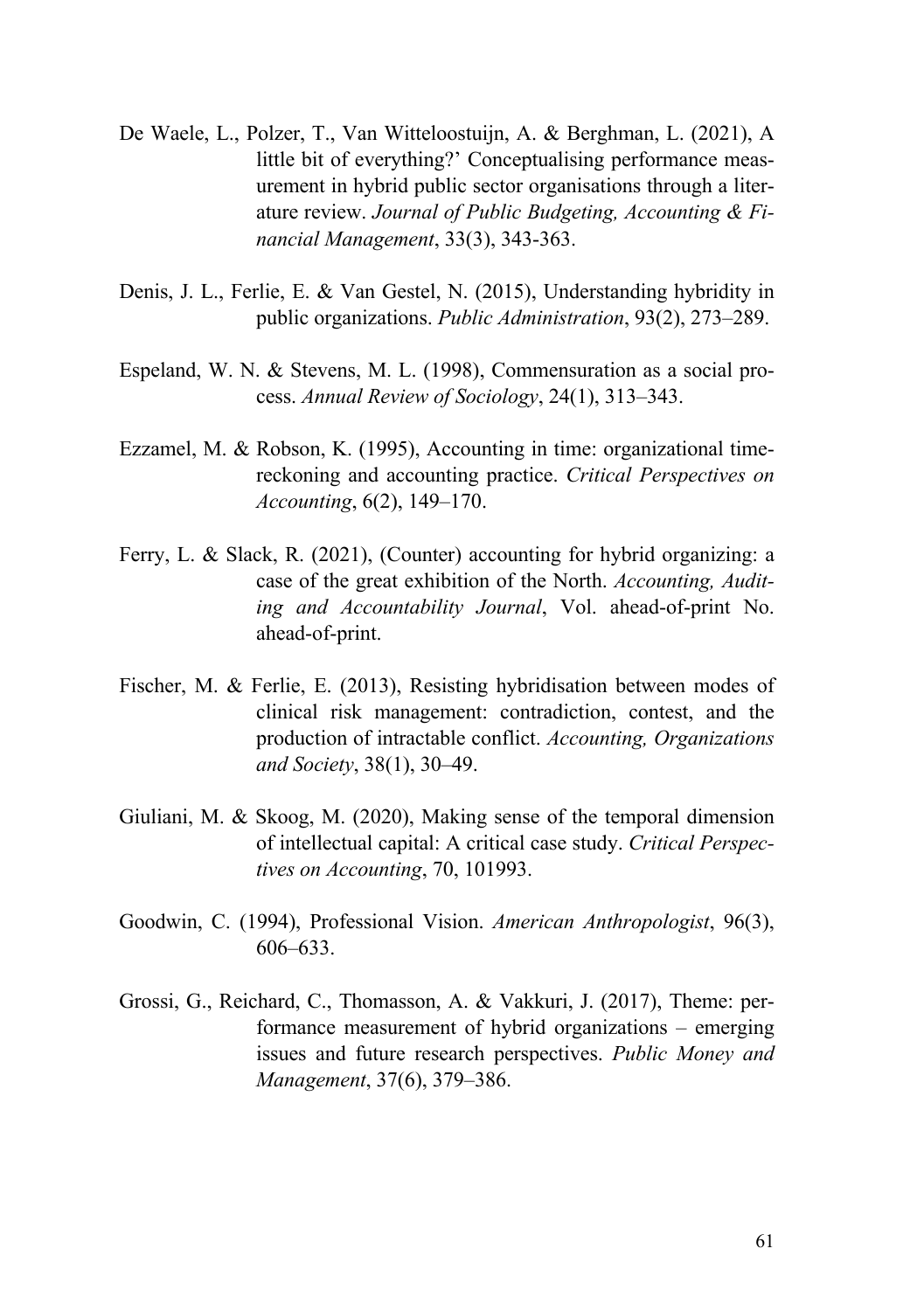- De Waele, L., Polzer, T., Van Witteloostuijn, A. & Berghman, L. (2021), A little bit of everything?' Conceptualising performance measurement in hybrid public sector organisations through a literature review. *Journal of Public Budgeting, Accounting & Financial Management*, 33(3), 343-363.
- Denis, J. L., Ferlie, E. & Van Gestel, N. (2015), Understanding hybridity in public organizations. *Public Administration*, 93(2), 273–289.
- Espeland, W. N. & Stevens, M. L. (1998), Commensuration as a social process. *Annual Review of Sociology*, 24(1), 313–343.
- Ezzamel, M. & Robson, K. (1995), Accounting in time: organizational timereckoning and accounting practice. *Critical Perspectives on Accounting*, 6(2), 149–170.
- Ferry, L. & Slack, R. (2021), (Counter) accounting for hybrid organizing: a case of the great exhibition of the North. *Accounting, Auditing and Accountability Journal*, Vol. ahead-of-print No. ahead-of-print.
- Fischer, M. & Ferlie, E. (2013), Resisting hybridisation between modes of clinical risk management: contradiction, contest, and the production of intractable conflict. *Accounting, Organizations and Society*, 38(1), 30–49.
- Giuliani, M. & Skoog, M. (2020), Making sense of the temporal dimension of intellectual capital: A critical case study. *Critical Perspectives on Accounting*, 70, 101993.
- Goodwin, C. (1994), Professional Vision. *American Anthropologist*, 96(3), 606–633.
- Grossi, G., Reichard, C., Thomasson, A. & Vakkuri, J. (2017), Theme: performance measurement of hybrid organizations – emerging issues and future research perspectives. *Public Money and Management*, 37(6), 379–386.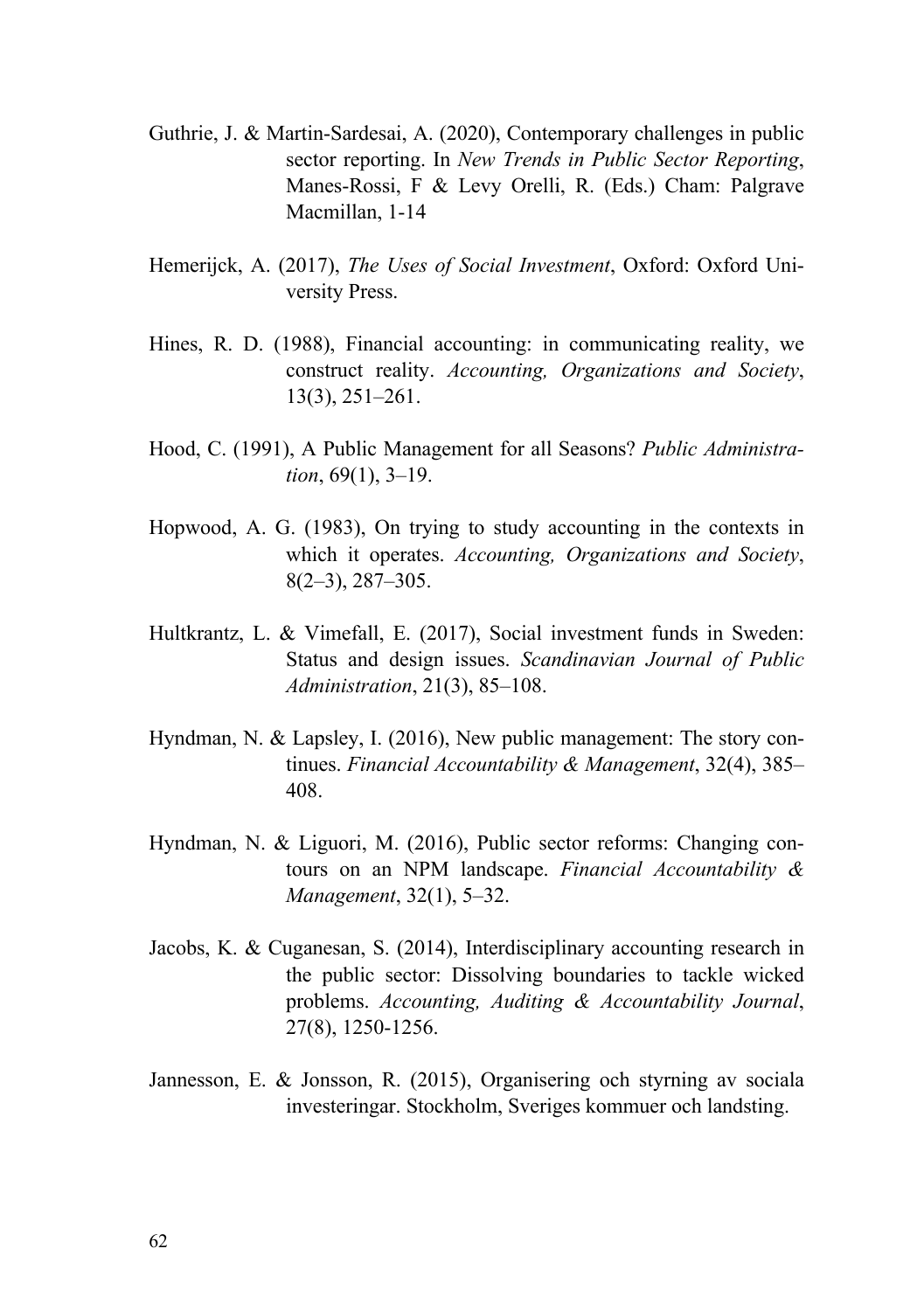- Guthrie, J. & Martin-Sardesai, A. (2020), Contemporary challenges in public sector reporting. In *New Trends in Public Sector Reporting*, Manes-Rossi, F & Levy Orelli, R. (Eds.) Cham: Palgrave Macmillan, 1-14
- Hemerijck, A. (2017), *The Uses of Social Investment*, Oxford: Oxford University Press.
- Hines, R. D. (1988), Financial accounting: in communicating reality, we construct reality. *Accounting, Organizations and Society*, 13(3), 251–261.
- Hood, C. (1991), A Public Management for all Seasons? *Public Administration*, 69(1), 3–19.
- Hopwood, A. G. (1983), On trying to study accounting in the contexts in which it operates. *Accounting, Organizations and Society*, 8(2–3), 287–305.
- Hultkrantz, L. & Vimefall, E. (2017), Social investment funds in Sweden: Status and design issues. *Scandinavian Journal of Public Administration*, 21(3), 85–108.
- Hyndman, N. & Lapsley, I. (2016), New public management: The story continues. *Financial Accountability & Management*, 32(4), 385– 408.
- Hyndman, N. & Liguori, M. (2016), Public sector reforms: Changing contours on an NPM landscape. *Financial Accountability & Management*, 32(1), 5–32.
- Jacobs, K. & Cuganesan, S. (2014), Interdisciplinary accounting research in the public sector: Dissolving boundaries to tackle wicked problems. *Accounting, Auditing & Accountability Journal*, 27(8), 1250-1256.
- Jannesson, E. & Jonsson, R. (2015), Organisering och styrning av sociala investeringar. Stockholm, Sveriges kommuer och landsting.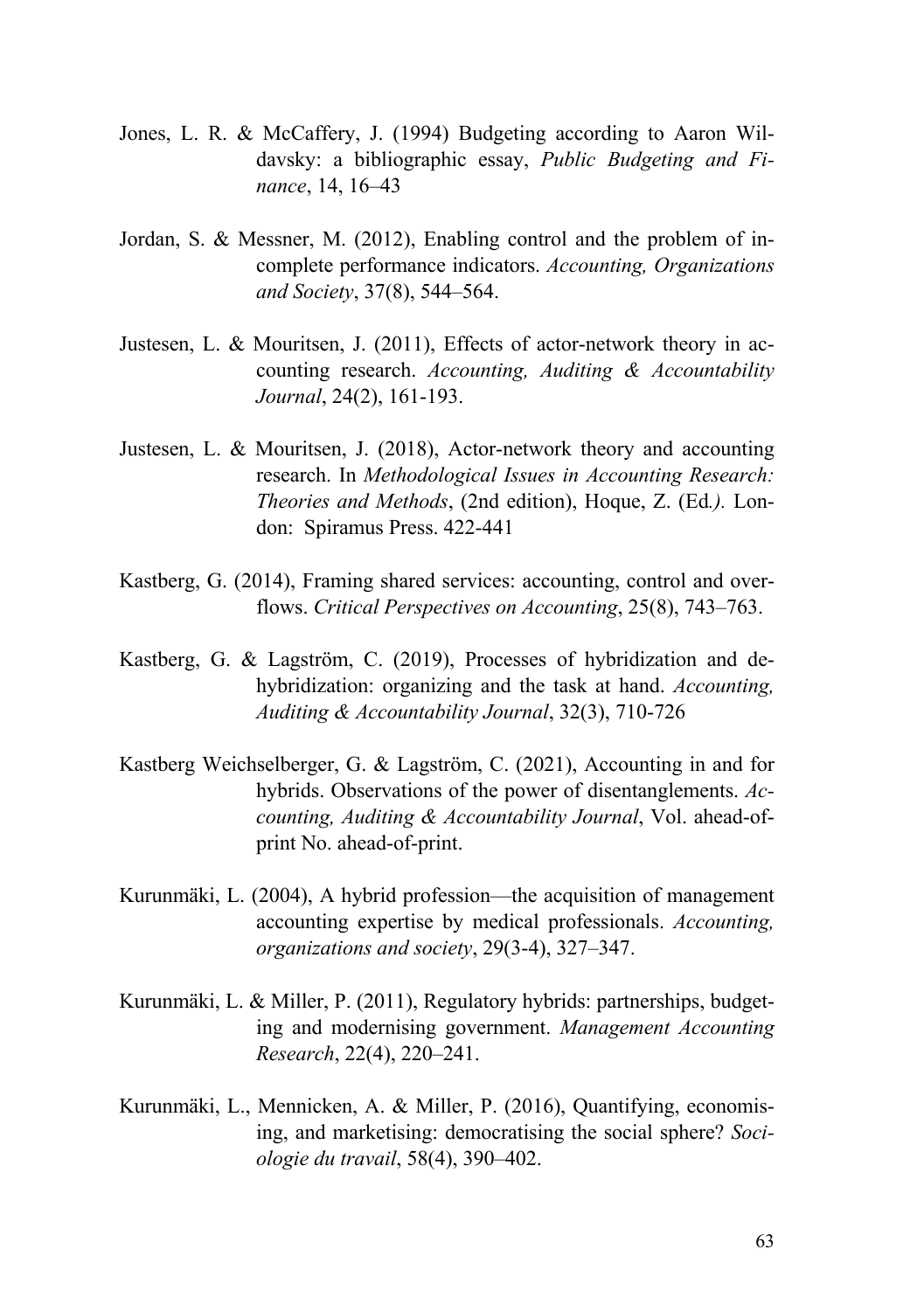- Jones, L. R. & McCaffery, J. (1994) Budgeting according to Aaron Wildavsky: a bibliographic essay, *Public Budgeting and Finance*, 14, 16–43
- Jordan, S. & Messner, M. (2012), Enabling control and the problem of incomplete performance indicators. *Accounting, Organizations and Society*, 37(8), 544–564.
- Justesen, L. & Mouritsen, J. (2011), Effects of actor-network theory in accounting research. *Accounting, Auditing & Accountability Journal*, 24(2), 161-193.
- Justesen, L. & Mouritsen, J. (2018), Actor-network theory and accounting research. In *Methodological Issues in Accounting Research: Theories and Methods*, (2nd edition), Hoque, Z. (Ed*.).* London: Spiramus Press. 422-441
- Kastberg, G. (2014), Framing shared services: accounting, control and overflows. *Critical Perspectives on Accounting*, 25(8), 743–763.
- Kastberg, G. & Lagström, C. (2019), Processes of hybridization and dehybridization: organizing and the task at hand. *Accounting, Auditing & Accountability Journal*, 32(3), 710-726
- Kastberg Weichselberger, G. & Lagström, C. (2021), Accounting in and for hybrids. Observations of the power of disentanglements. *Accounting, Auditing & Accountability Journal*, Vol. ahead-ofprint No. ahead-of-print.
- Kurunmäki, L. (2004), A hybrid profession—the acquisition of management accounting expertise by medical professionals. *Accounting, organizations and society*, 29(3-4), 327–347.
- Kurunmäki, L. & Miller, P. (2011), Regulatory hybrids: partnerships, budgeting and modernising government. *Management Accounting Research*, 22(4), 220–241.
- Kurunmäki, L., Mennicken, A. & Miller, P. (2016), Quantifying, economising, and marketising: democratising the social sphere? *Sociologie du travail*, 58(4), 390–402.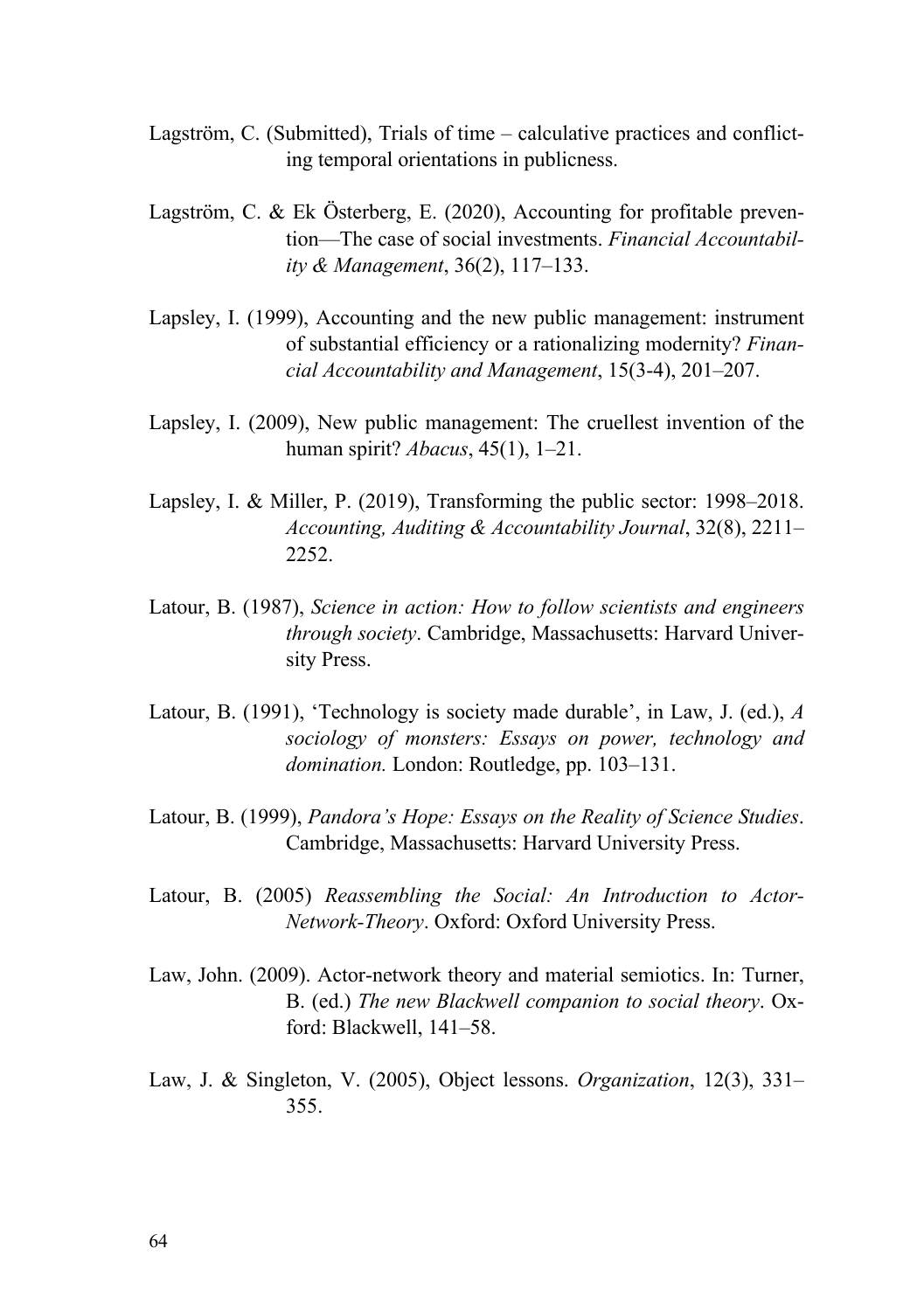- Lagström, C. (Submitted), Trials of time calculative practices and conflicting temporal orientations in publicness.
- Lagström, C. & Ek Österberg, E. (2020), Accounting for profitable prevention—The case of social investments. *Financial Accountability & Management*, 36(2), 117–133.
- Lapsley, I. (1999), Accounting and the new public management: instrument of substantial efficiency or a rationalizing modernity? *Financial Accountability and Management*, 15(3-4), 201–207.
- Lapsley, I. (2009), New public management: The cruellest invention of the human spirit? *Abacus*, 45(1), 1–21.
- Lapsley, I. & Miller, P. (2019), Transforming the public sector: 1998–2018. *Accounting, Auditing & Accountability Journal*, 32(8), 2211– 2252.
- Latour, B. (1987), *Science in action: How to follow scientists and engineers through society*. Cambridge, Massachusetts: Harvard University Press.
- Latour, B. (1991), 'Technology is society made durable', in Law, J. (ed.), *A sociology of monsters: Essays on power, technology and domination.* London: Routledge, pp. 103–131.
- Latour, B. (1999), *Pandora's Hope: Essays on the Reality of Science Studies*. Cambridge, Massachusetts: Harvard University Press.
- Latour, B. (2005) *Reassembling the Social: An Introduction to Actor-Network-Theory*. Oxford: Oxford University Press.
- Law, John. (2009). Actor-network theory and material semiotics. In: Turner, B. (ed.) *The new Blackwell companion to social theory*. Oxford: Blackwell, 141–58.
- Law, J. & Singleton, V. (2005), Object lessons. *Organization*, 12(3), 331– 355.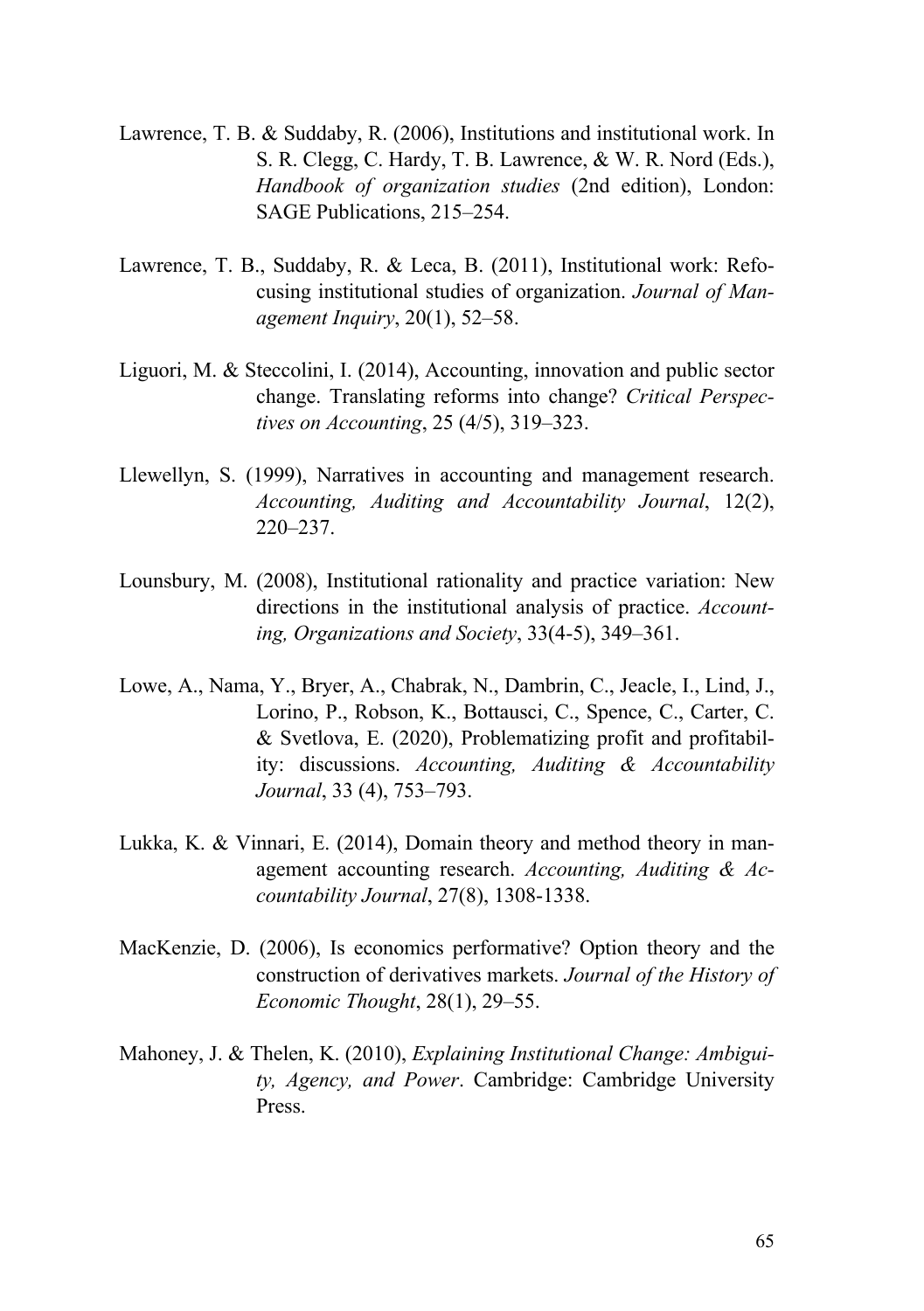- Lawrence, T. B. & Suddaby, R. (2006), Institutions and institutional work. In S. R. Clegg, C. Hardy, T. B. Lawrence, & W. R. Nord (Eds.), *Handbook of organization studies* (2nd edition), London: SAGE Publications, 215–254.
- Lawrence, T. B., Suddaby, R. & Leca, B. (2011), Institutional work: Refocusing institutional studies of organization. *Journal of Management Inquiry*, 20(1), 52–58.
- Liguori, M. & Steccolini, I. (2014), Accounting, innovation and public sector change. Translating reforms into change? *Critical Perspectives on Accounting*, 25 (4/5), 319–323.
- Llewellyn, S. (1999), Narratives in accounting and management research. *Accounting, Auditing and Accountability Journal*, 12(2), 220–237.
- Lounsbury, M. (2008), Institutional rationality and practice variation: New directions in the institutional analysis of practice. *Accounting, Organizations and Society*, 33(4-5), 349–361.
- Lowe, A., Nama, Y., Bryer, A., Chabrak, N., Dambrin, C., Jeacle, I., Lind, J., Lorino, P., Robson, K., Bottausci, C., Spence, C., Carter, C. & Svetlova, E. (2020), Problematizing profit and profitability: discussions. *Accounting, Auditing & Accountability Journal*, 33 (4), 753–793.
- Lukka, K. & Vinnari, E. (2014), Domain theory and method theory in management accounting research. *Accounting, Auditing & Accountability Journal*, 27(8), 1308-1338.
- MacKenzie, D. (2006), Is economics performative? Option theory and the construction of derivatives markets. *Journal of the History of Economic Thought*, 28(1), 29–55.
- Mahoney, J. & Thelen, K. (2010), *Explaining Institutional Change: Ambiguity, Agency, and Power*. Cambridge: Cambridge University Press.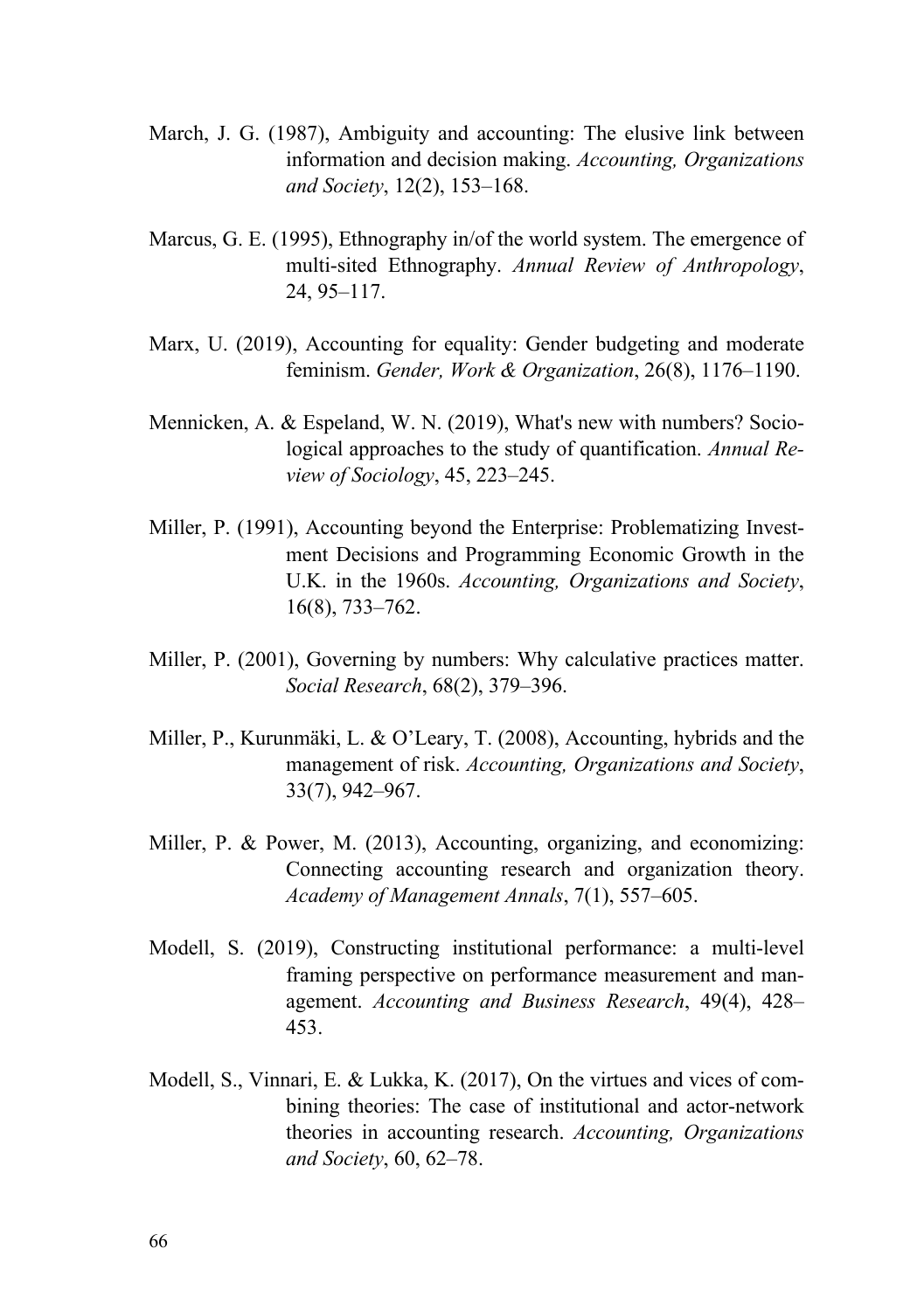- March, J. G. (1987), Ambiguity and accounting: The elusive link between information and decision making. *Accounting, Organizations and Society*, 12(2), 153–168.
- Marcus, G. E. (1995), Ethnography in/of the world system. The emergence of multi-sited Ethnography. *Annual Review of Anthropology*, 24, 95–117.
- Marx, U. (2019), Accounting for equality: Gender budgeting and moderate feminism. *Gender, Work & Organization*, 26(8), 1176–1190.
- Mennicken, A. & Espeland, W. N. (2019), What's new with numbers? Sociological approaches to the study of quantification. *Annual Review of Sociology*, 45, 223–245.
- Miller, P. (1991), Accounting beyond the Enterprise: Problematizing Investment Decisions and Programming Economic Growth in the U.K. in the 1960s. *Accounting, Organizations and Society*, 16(8), 733–762.
- Miller, P. (2001), Governing by numbers: Why calculative practices matter. *Social Research*, 68(2), 379–396.
- Miller, P., Kurunmäki, L. & O'Leary, T. (2008), Accounting, hybrids and the management of risk. *Accounting, Organizations and Society*, 33(7), 942–967.
- Miller, P. & Power, M. (2013), Accounting, organizing, and economizing: Connecting accounting research and organization theory. *Academy of Management Annals*, 7(1), 557–605.
- Modell, S. (2019), Constructing institutional performance: a multi-level framing perspective on performance measurement and management. *Accounting and Business Research*, 49(4), 428– 453.
- Modell, S., Vinnari, E. & Lukka, K. (2017), On the virtues and vices of combining theories: The case of institutional and actor-network theories in accounting research. *Accounting, Organizations and Society*, 60, 62–78.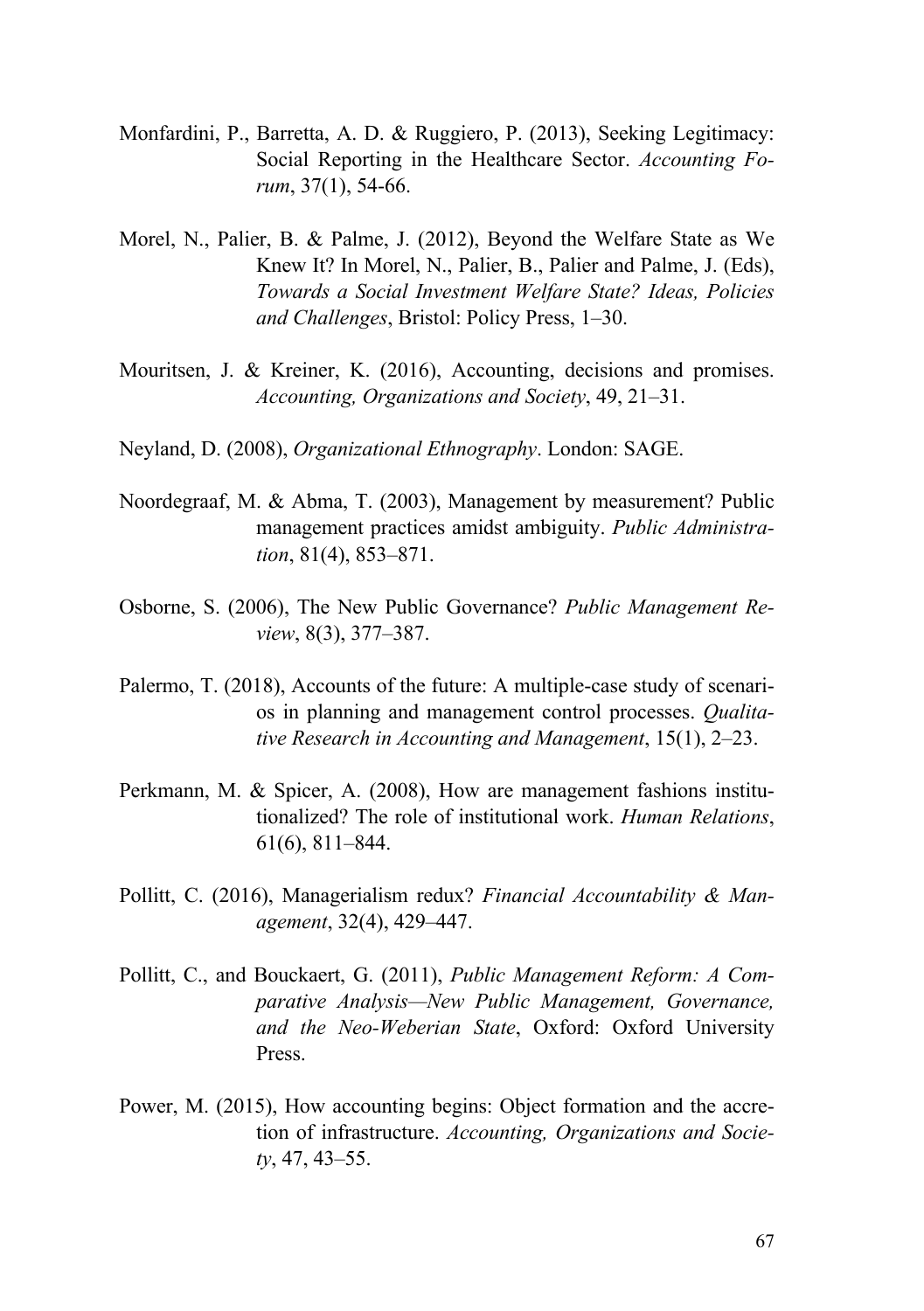- Monfardini, P., Barretta, A. D. & Ruggiero, P. (2013), Seeking Legitimacy: Social Reporting in the Healthcare Sector. *Accounting Forum*, 37(1), 54-66.
- Morel, N., Palier, B. & Palme, J. (2012), Beyond the Welfare State as We Knew It? In Morel, N., Palier, B., Palier and Palme, J. (Eds), *Towards a Social Investment Welfare State? Ideas, Policies and Challenges*, Bristol: Policy Press, 1–30.
- Mouritsen, J. & Kreiner, K. (2016), Accounting, decisions and promises. *Accounting, Organizations and Society*, 49, 21–31.
- Neyland, D. (2008), *Organizational Ethnography*. London: SAGE.
- Noordegraaf, M. & Abma, T. (2003), Management by measurement? Public management practices amidst ambiguity. *Public Administration*, 81(4), 853–871.
- Osborne, S. (2006), The New Public Governance? *Public Management Review*, 8(3), 377–387.
- Palermo, T. (2018), Accounts of the future: A multiple-case study of scenarios in planning and management control processes. *Qualitative Research in Accounting and Management*, 15(1), 2–23.
- Perkmann, M. & Spicer, A. (2008), How are management fashions institutionalized? The role of institutional work. *Human Relations*, 61(6), 811–844.
- Pollitt, C. (2016), Managerialism redux? *Financial Accountability & Management*, 32(4), 429–447.
- Pollitt, C., and Bouckaert, G. (2011), *Public Management Reform: A Comparative Analysis—New Public Management, Governance, and the Neo-Weberian State*, Oxford: Oxford University Press.
- Power, M. (2015), How accounting begins: Object formation and the accretion of infrastructure. *Accounting, Organizations and Society*, 47, 43–55.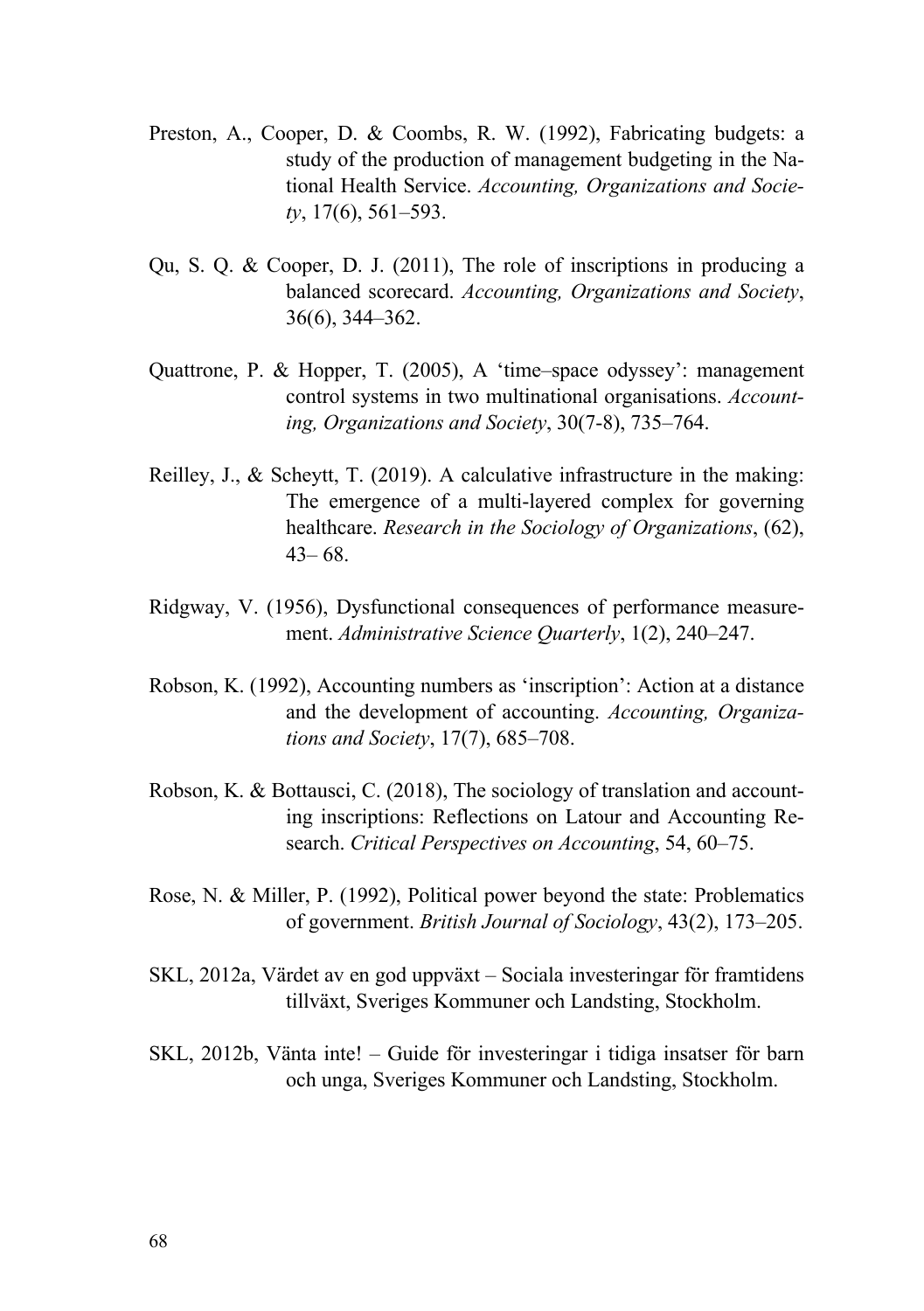- Preston, A., Cooper, D. & Coombs, R. W. (1992), Fabricating budgets: a study of the production of management budgeting in the National Health Service. *Accounting, Organizations and Society*, 17(6), 561–593.
- Qu, S. Q. & Cooper, D. J. (2011), The role of inscriptions in producing a balanced scorecard. *Accounting, Organizations and Society*, 36(6), 344–362.
- Quattrone, P. & Hopper, T. (2005), A 'time–space odyssey': management control systems in two multinational organisations. *Accounting, Organizations and Society*, 30(7-8), 735–764.
- Reilley, J., & Scheytt, T. (2019). A calculative infrastructure in the making: The emergence of a multi-layered complex for governing healthcare. *Research in the Sociology of Organizations*, (62), 43– 68.
- Ridgway, V. (1956), Dysfunctional consequences of performance measurement. *Administrative Science Quarterly*, 1(2), 240–247.
- Robson, K. (1992), Accounting numbers as 'inscription': Action at a distance and the development of accounting. *Accounting, Organizations and Society*, 17(7), 685–708.
- Robson, K. & Bottausci, C. (2018), The sociology of translation and accounting inscriptions: Reflections on Latour and Accounting Research. *Critical Perspectives on Accounting*, 54, 60–75.
- Rose, N. & Miller, P. (1992), Political power beyond the state: Problematics of government. *British Journal of Sociology*, 43(2), 173–205.
- SKL, 2012a, Värdet av en god uppväxt Sociala investeringar för framtidens tillväxt, Sveriges Kommuner och Landsting, Stockholm.
- SKL, 2012b, Vänta inte! Guide för investeringar i tidiga insatser för barn och unga, Sveriges Kommuner och Landsting, Stockholm.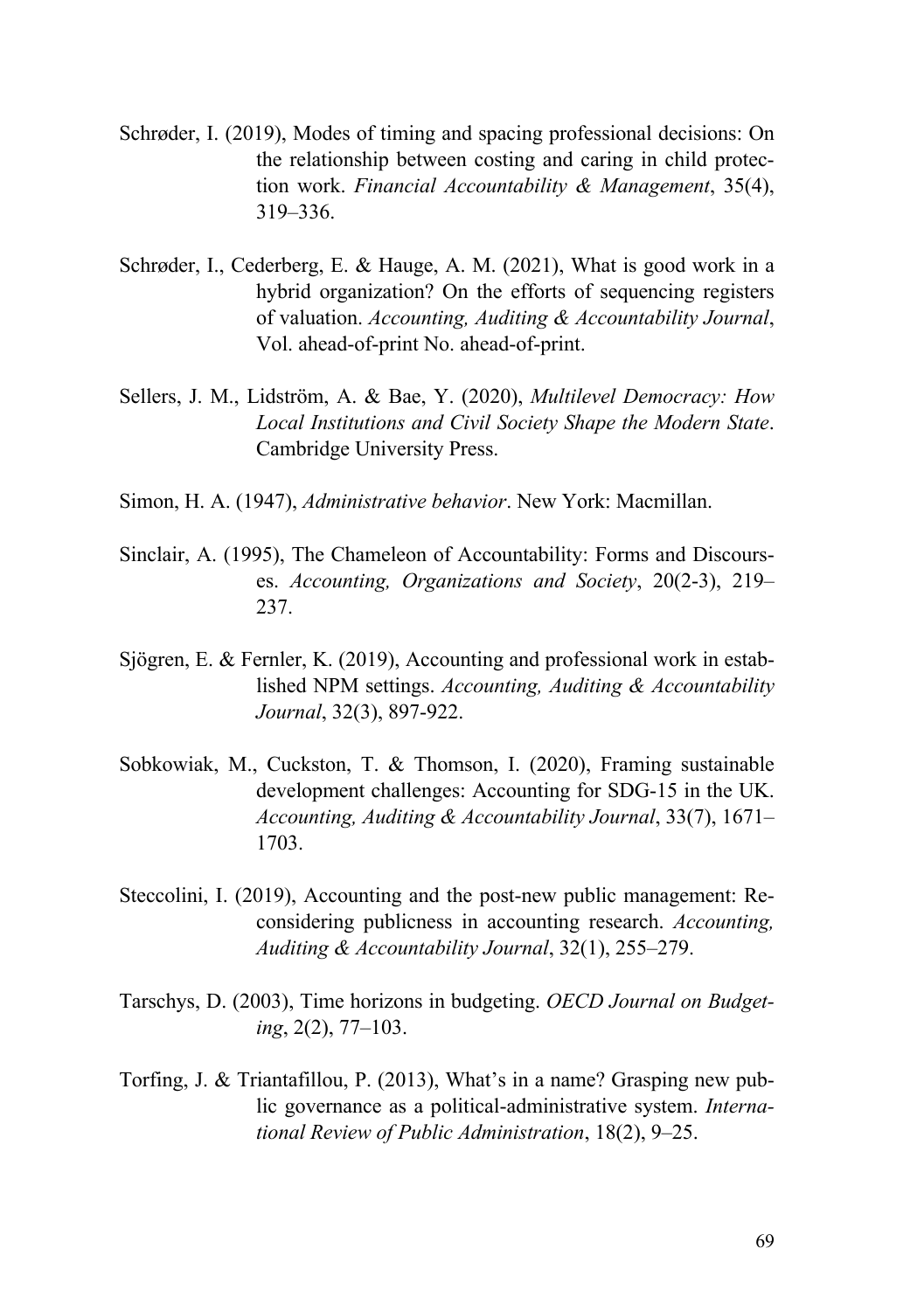- Schrøder, I. (2019), Modes of timing and spacing professional decisions: On the relationship between costing and caring in child protection work. *Financial Accountability & Management*, 35(4), 319–336.
- Schrøder, I., Cederberg, E. & Hauge, A. M. (2021), What is good work in a hybrid organization? On the efforts of sequencing registers of valuation. *Accounting, Auditing & Accountability Journal*, Vol. ahead-of-print No. ahead-of-print.
- Sellers, J. M., Lidström, A. & Bae, Y. (2020), *Multilevel Democracy: How Local Institutions and Civil Society Shape the Modern State*. Cambridge University Press.
- Simon, H. A. (1947), *Administrative behavior*. New York: Macmillan.
- Sinclair, A. (1995), The Chameleon of Accountability: Forms and Discourses. *Accounting, Organizations and Society*, 20(2-3), 219– 237.
- Sjögren, E. & Fernler, K. (2019), Accounting and professional work in established NPM settings. *Accounting, Auditing & Accountability Journal*, 32(3), 897-922.
- Sobkowiak, M., Cuckston, T. & Thomson, I. (2020), Framing sustainable development challenges: Accounting for SDG-15 in the UK. *Accounting, Auditing & Accountability Journal*, 33(7), 1671– 1703.
- Steccolini, I. (2019), Accounting and the post-new public management: Reconsidering publicness in accounting research. *Accounting, Auditing & Accountability Journal*, 32(1), 255–279.
- Tarschys, D. (2003), Time horizons in budgeting. *OECD Journal on Budgeting*, 2(2), 77–103.
- Torfing, J. & Triantafillou, P. (2013), What's in a name? Grasping new public governance as a political-administrative system. *International Review of Public Administration*, 18(2), 9–25.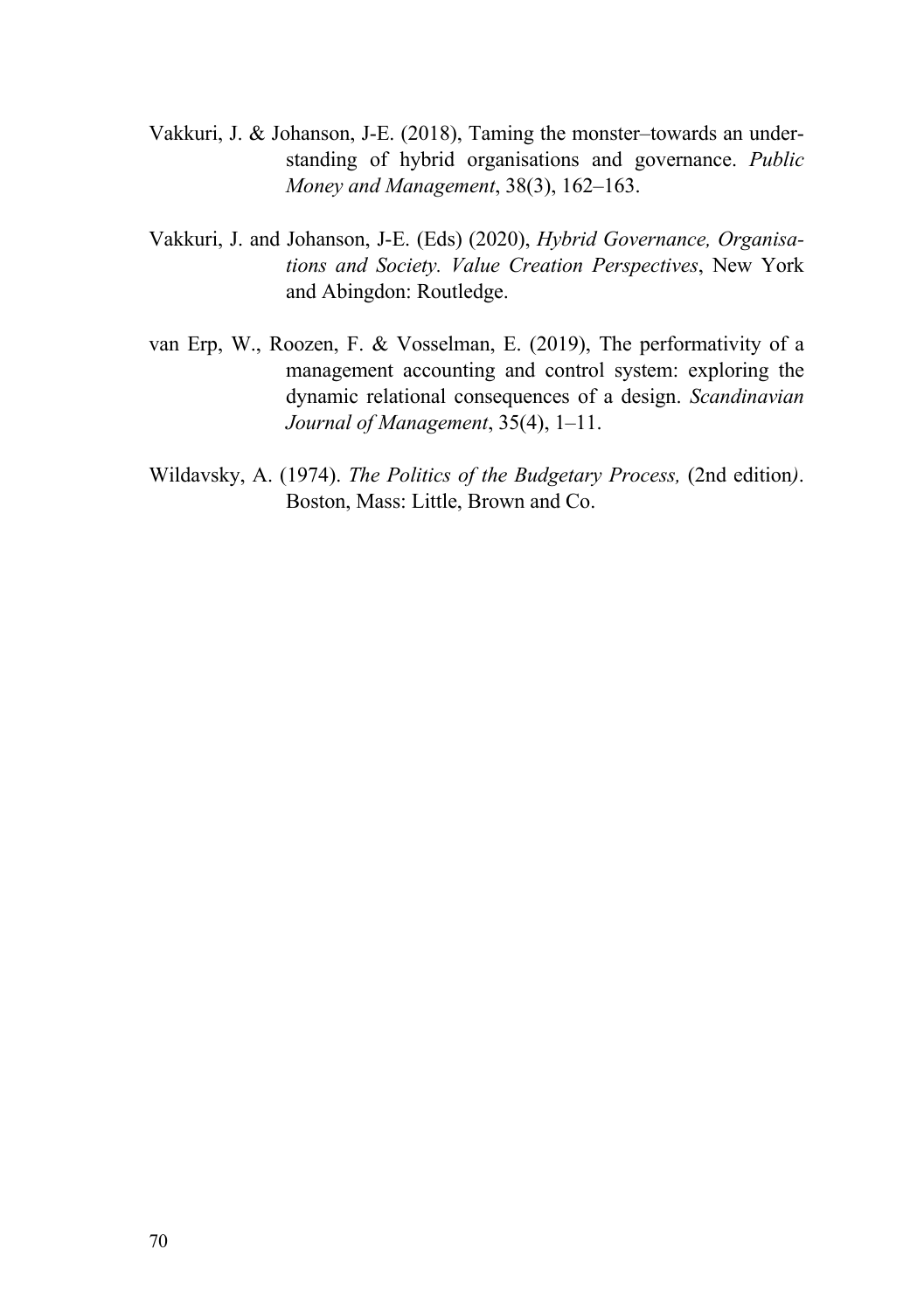- Vakkuri, J. & Johanson, J-E. (2018), Taming the monster–towards an understanding of hybrid organisations and governance. *Public Money and Management*, 38(3), 162–163.
- Vakkuri, J. and Johanson, J-E. (Eds) (2020), *Hybrid Governance, Organisations and Society. Value Creation Perspectives*, New York and Abingdon: Routledge.
- van Erp, W., Roozen, F. & Vosselman, E. (2019), The performativity of a management accounting and control system: exploring the dynamic relational consequences of a design. *Scandinavian Journal of Management*, 35(4), 1–11.
- Wildavsky, A. (1974). *The Politics of the Budgetary Process,* (2nd edition*)*. Boston, Mass: Little, Brown and Co.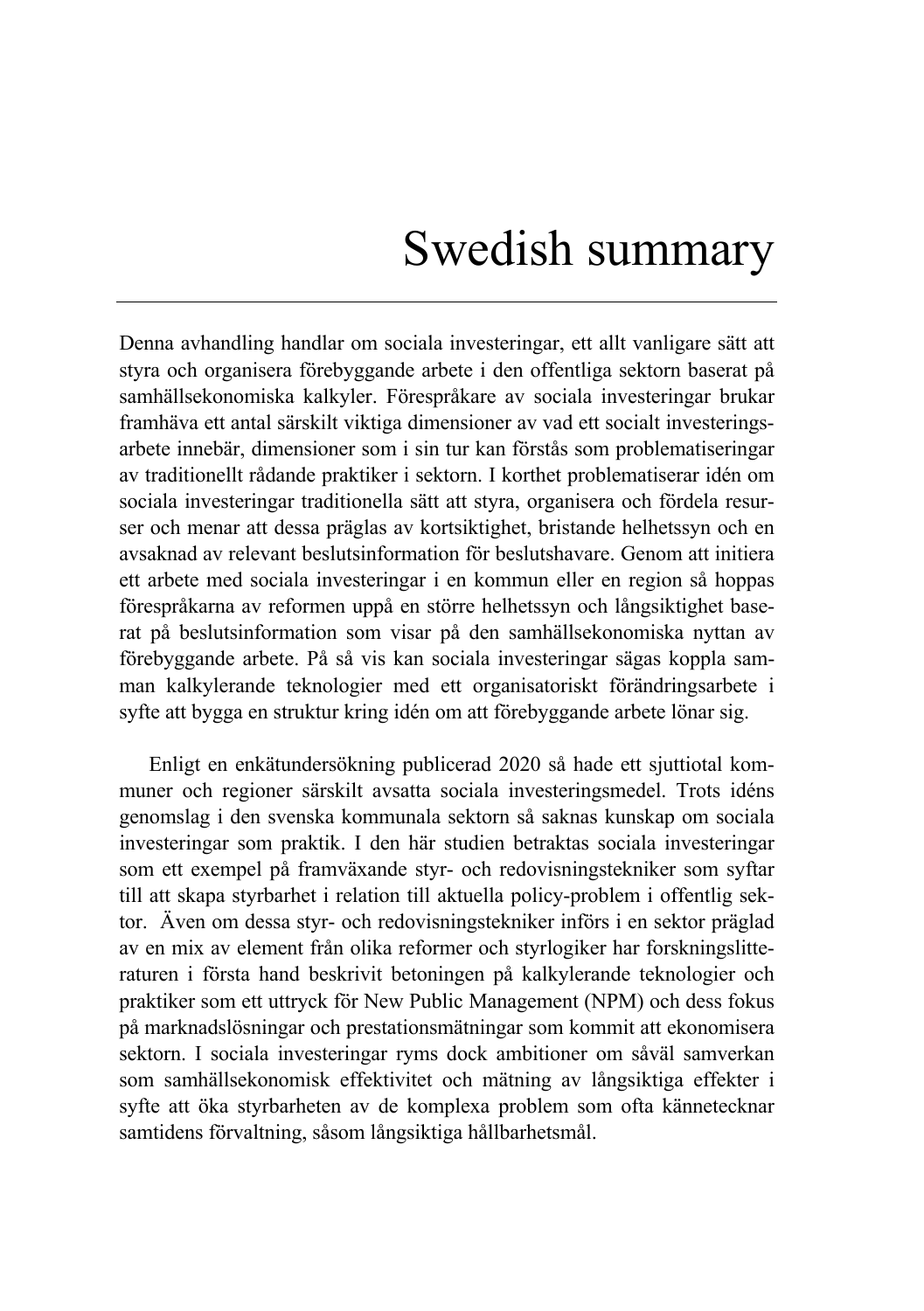## Swedish summary

Denna avhandling handlar om sociala investeringar, ett allt vanligare sätt att styra och organisera förebyggande arbete i den offentliga sektorn baserat på samhällsekonomiska kalkyler. Förespråkare av sociala investeringar brukar framhäva ett antal särskilt viktiga dimensioner av vad ett socialt investeringsarbete innebär, dimensioner som i sin tur kan förstås som problematiseringar av traditionellt rådande praktiker i sektorn. I korthet problematiserar idén om sociala investeringar traditionella sätt att styra, organisera och fördela resurser och menar att dessa präglas av kortsiktighet, bristande helhetssyn och en avsaknad av relevant beslutsinformation för beslutshavare. Genom att initiera ett arbete med sociala investeringar i en kommun eller en region så hoppas förespråkarna av reformen uppå en större helhetssyn och långsiktighet baserat på beslutsinformation som visar på den samhällsekonomiska nyttan av förebyggande arbete. På så vis kan sociala investeringar sägas koppla samman kalkylerande teknologier med ett organisatoriskt förändringsarbete i syfte att bygga en struktur kring idén om att förebyggande arbete lönar sig.

Enligt en enkätundersökning publicerad 2020 så hade ett sjuttiotal kommuner och regioner särskilt avsatta sociala investeringsmedel. Trots idéns genomslag i den svenska kommunala sektorn så saknas kunskap om sociala investeringar som praktik. I den här studien betraktas sociala investeringar som ett exempel på framväxande styr- och redovisningstekniker som syftar till att skapa styrbarhet i relation till aktuella policy-problem i offentlig sektor. Även om dessa styr- och redovisningstekniker införs i en sektor präglad av en mix av element från olika reformer och styrlogiker har forskningslitteraturen i första hand beskrivit betoningen på kalkylerande teknologier och praktiker som ett uttryck för New Public Management (NPM) och dess fokus på marknadslösningar och prestationsmätningar som kommit att ekonomisera sektorn. I sociala investeringar ryms dock ambitioner om såväl samverkan som samhällsekonomisk effektivitet och mätning av långsiktiga effekter i syfte att öka styrbarheten av de komplexa problem som ofta kännetecknar samtidens förvaltning, såsom långsiktiga hållbarhetsmål.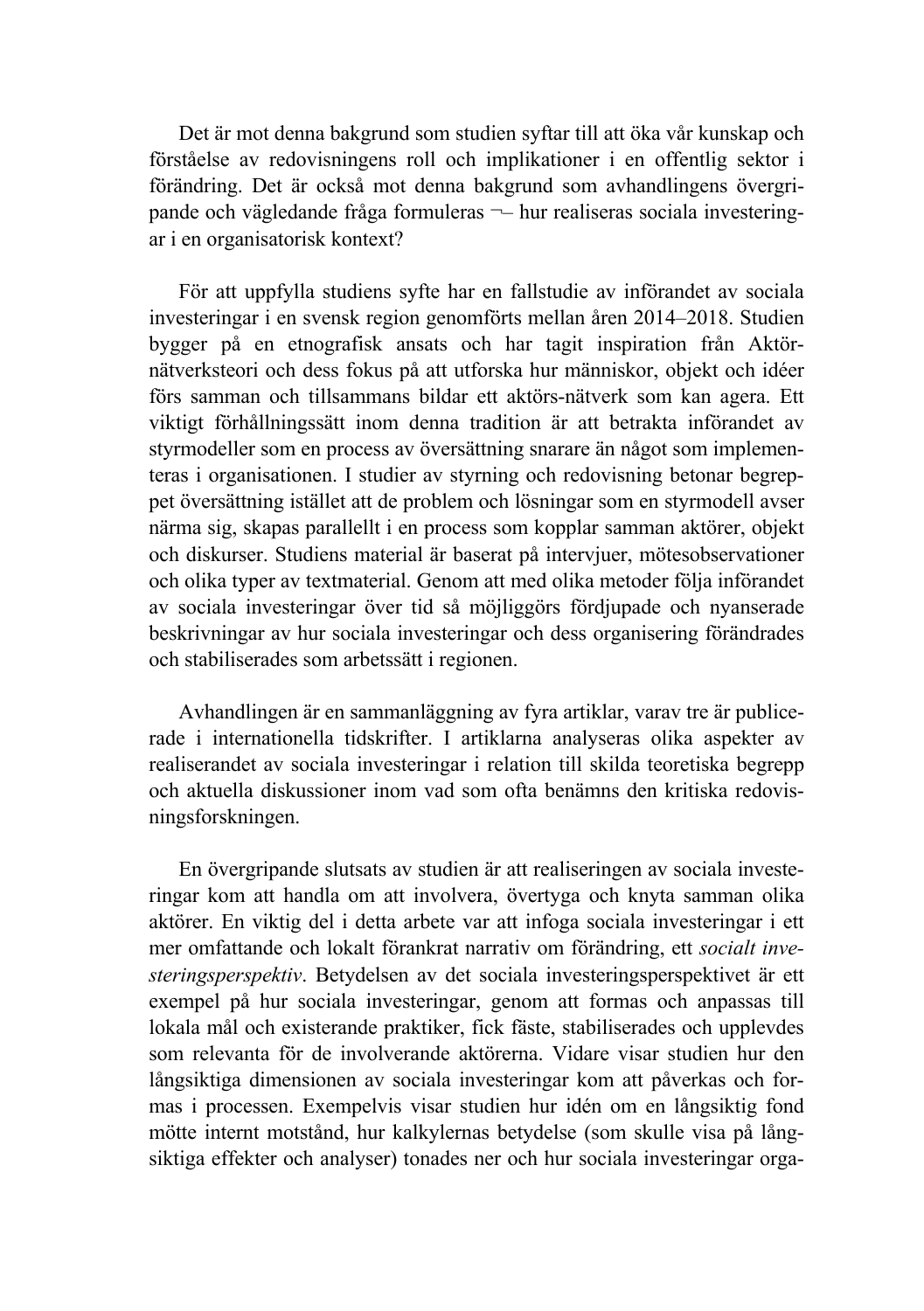Det är mot denna bakgrund som studien syftar till att öka vår kunskap och förståelse av redovisningens roll och implikationer i en offentlig sektor i förändring. Det är också mot denna bakgrund som avhandlingens övergripande och vägledande fråga formuleras ¬– hur realiseras sociala investeringar i en organisatorisk kontext?

För att uppfylla studiens syfte har en fallstudie av införandet av sociala investeringar i en svensk region genomförts mellan åren 2014–2018. Studien bygger på en etnografisk ansats och har tagit inspiration från Aktörnätverksteori och dess fokus på att utforska hur människor, objekt och idéer förs samman och tillsammans bildar ett aktörs-nätverk som kan agera. Ett viktigt förhållningssätt inom denna tradition är att betrakta införandet av styrmodeller som en process av översättning snarare än något som implementeras i organisationen. I studier av styrning och redovisning betonar begreppet översättning istället att de problem och lösningar som en styrmodell avser närma sig, skapas parallellt i en process som kopplar samman aktörer, objekt och diskurser. Studiens material är baserat på intervjuer, mötesobservationer och olika typer av textmaterial. Genom att med olika metoder följa införandet av sociala investeringar över tid så möjliggörs fördjupade och nyanserade beskrivningar av hur sociala investeringar och dess organisering förändrades och stabiliserades som arbetssätt i regionen.

Avhandlingen är en sammanläggning av fyra artiklar, varav tre är publicerade i internationella tidskrifter. I artiklarna analyseras olika aspekter av realiserandet av sociala investeringar i relation till skilda teoretiska begrepp och aktuella diskussioner inom vad som ofta benämns den kritiska redovisningsforskningen.

En övergripande slutsats av studien är att realiseringen av sociala investeringar kom att handla om att involvera, övertyga och knyta samman olika aktörer. En viktig del i detta arbete var att infoga sociala investeringar i ett mer omfattande och lokalt förankrat narrativ om förändring, ett *socialt investeringsperspektiv*. Betydelsen av det sociala investeringsperspektivet är ett exempel på hur sociala investeringar, genom att formas och anpassas till lokala mål och existerande praktiker, fick fäste, stabiliserades och upplevdes som relevanta för de involverande aktörerna. Vidare visar studien hur den långsiktiga dimensionen av sociala investeringar kom att påverkas och formas i processen. Exempelvis visar studien hur idén om en långsiktig fond mötte internt motstånd, hur kalkylernas betydelse (som skulle visa på långsiktiga effekter och analyser) tonades ner och hur sociala investeringar orga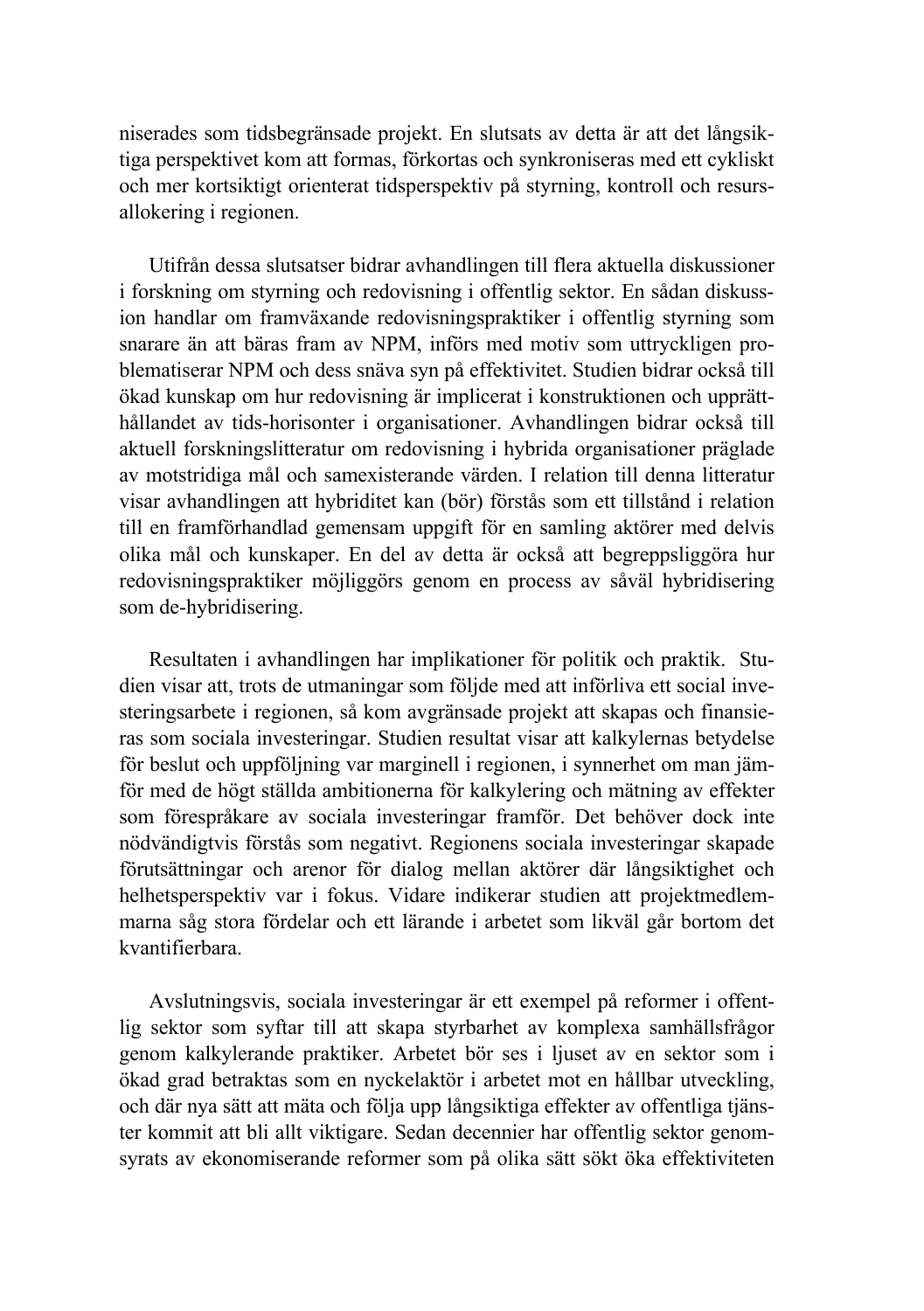niserades som tidsbegränsade projekt. En slutsats av detta är att det långsiktiga perspektivet kom att formas, förkortas och synkroniseras med ett cykliskt och mer kortsiktigt orienterat tidsperspektiv på styrning, kontroll och resursallokering i regionen.

Utifrån dessa slutsatser bidrar avhandlingen till flera aktuella diskussioner i forskning om styrning och redovisning i offentlig sektor. En sådan diskussion handlar om framväxande redovisningspraktiker i offentlig styrning som snarare än att bäras fram av NPM, införs med motiv som uttryckligen problematiserar NPM och dess snäva syn på effektivitet. Studien bidrar också till ökad kunskap om hur redovisning är implicerat i konstruktionen och upprätthållandet av tids-horisonter i organisationer. Avhandlingen bidrar också till aktuell forskningslitteratur om redovisning i hybrida organisationer präglade av motstridiga mål och samexisterande värden. I relation till denna litteratur visar avhandlingen att hybriditet kan (bör) förstås som ett tillstånd i relation till en framförhandlad gemensam uppgift för en samling aktörer med delvis olika mål och kunskaper. En del av detta är också att begreppsliggöra hur redovisningspraktiker möjliggörs genom en process av såväl hybridisering som de-hybridisering.

Resultaten i avhandlingen har implikationer för politik och praktik. Studien visar att, trots de utmaningar som följde med att införliva ett social investeringsarbete i regionen, så kom avgränsade projekt att skapas och finansieras som sociala investeringar. Studien resultat visar att kalkylernas betydelse för beslut och uppföljning var marginell i regionen, i synnerhet om man jämför med de högt ställda ambitionerna för kalkylering och mätning av effekter som förespråkare av sociala investeringar framför. Det behöver dock inte nödvändigtvis förstås som negativt. Regionens sociala investeringar skapade förutsättningar och arenor för dialog mellan aktörer där långsiktighet och helhetsperspektiv var i fokus. Vidare indikerar studien att projektmedlemmarna såg stora fördelar och ett lärande i arbetet som likväl går bortom det kvantifierbara.

Avslutningsvis, sociala investeringar är ett exempel på reformer i offentlig sektor som syftar till att skapa styrbarhet av komplexa samhällsfrågor genom kalkylerande praktiker. Arbetet bör ses i ljuset av en sektor som i ökad grad betraktas som en nyckelaktör i arbetet mot en hållbar utveckling, och där nya sätt att mäta och följa upp långsiktiga effekter av offentliga tjänster kommit att bli allt viktigare. Sedan decennier har offentlig sektor genomsyrats av ekonomiserande reformer som på olika sätt sökt öka effektiviteten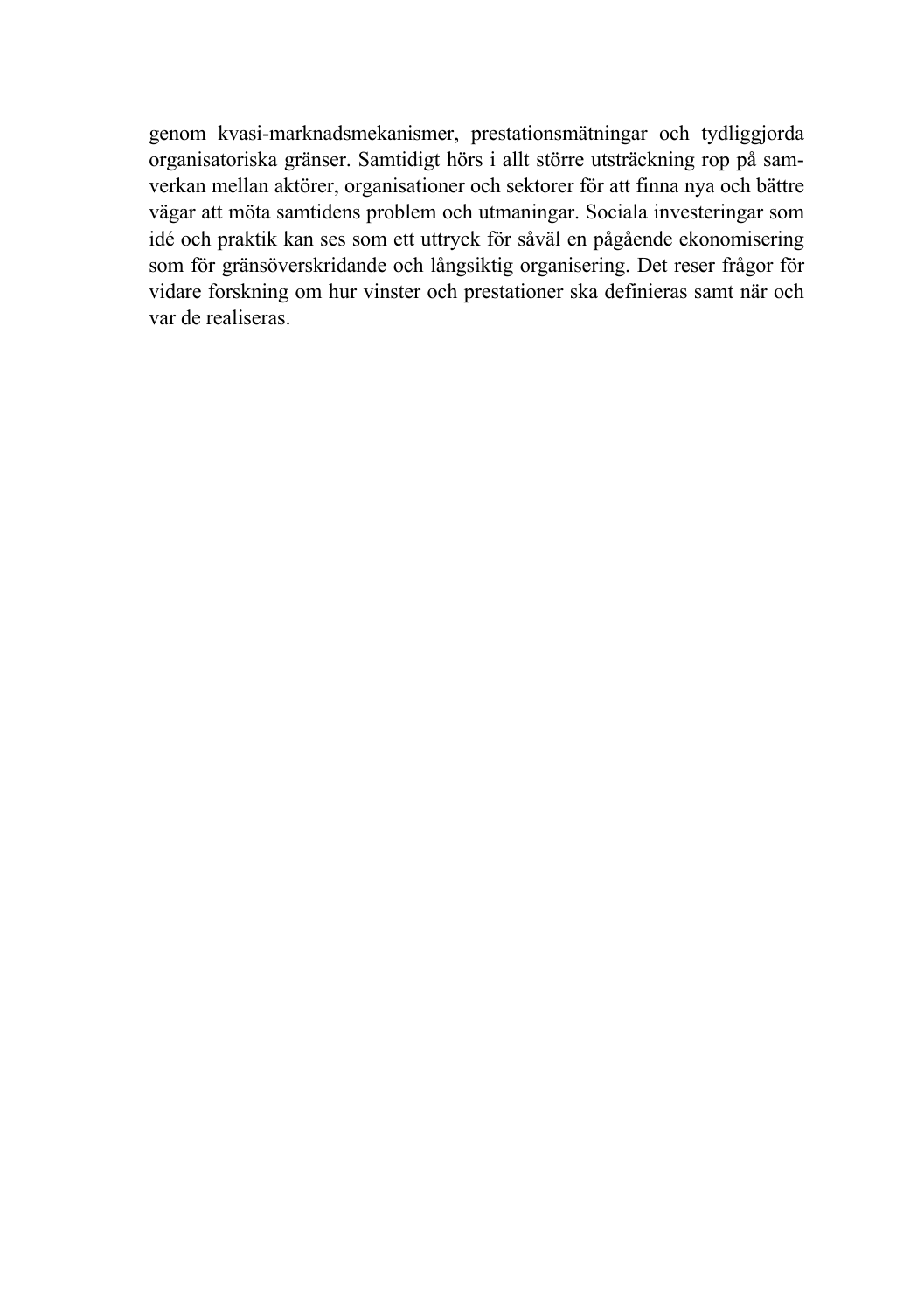genom kvasi-marknadsmekanismer, prestationsmätningar och tydliggjorda organisatoriska gränser. Samtidigt hörs i allt större utsträckning rop på samverkan mellan aktörer, organisationer och sektorer för att finna nya och bättre vägar att möta samtidens problem och utmaningar. Sociala investeringar som idé och praktik kan ses som ett uttryck för såväl en pågående ekonomisering som för gränsöverskridande och långsiktig organisering. Det reser frågor för vidare forskning om hur vinster och prestationer ska definieras samt när och var de realiseras.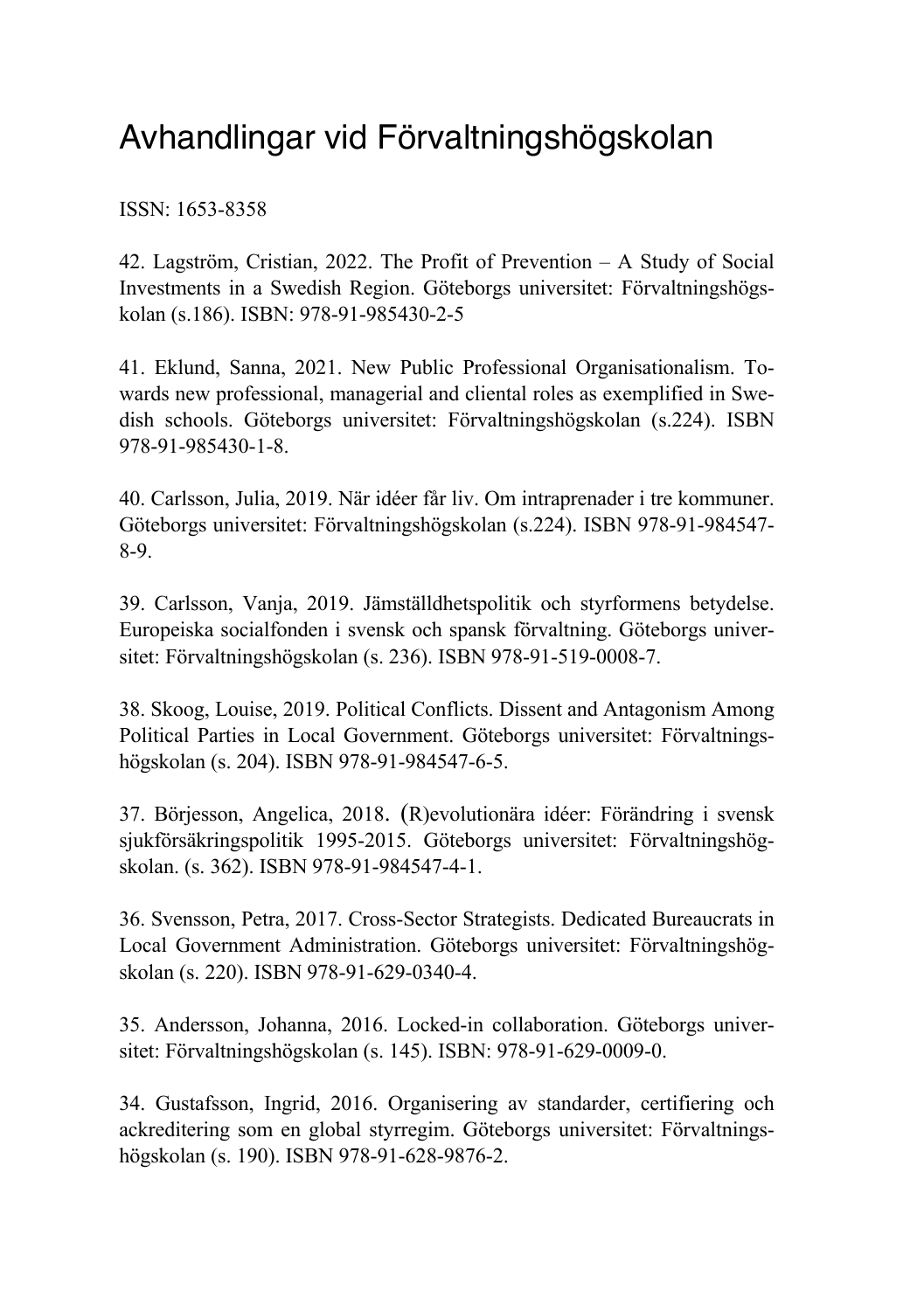## Avhandlingar vid Förvaltningshögskolan

ISSN: 1653-8358

42. Lagström, Cristian, 2022. The Profit of Prevention – A Study of Social Investments in a Swedish Region. Göteborgs universitet: Förvaltningshögskolan (s.186). ISBN: 978-91-985430-2-5

41. Eklund, Sanna, 2021. New Public Professional Organisationalism. Towards new professional, managerial and cliental roles as exemplified in Swedish schools. Göteborgs universitet: Förvaltningshögskolan (s.224). ISBN 978-91-985430-1-8.

40. Carlsson, Julia, 2019. När idéer får liv. Om intraprenader i tre kommuner. Göteborgs universitet: Förvaltningshögskolan (s.224). ISBN 978-91-984547- 8-9.

39. Carlsson, Vanja, 2019. Jämställdhetspolitik och styrformens betydelse. Europeiska socialfonden i svensk och spansk förvaltning. Göteborgs universitet: Förvaltningshögskolan (s. 236). ISBN 978-91-519-0008-7.

38. Skoog, Louise, 2019. Political Conflicts. Dissent and Antagonism Among Political Parties in Local Government. Göteborgs universitet: Förvaltningshögskolan (s. 204). ISBN 978-91-984547-6-5.

37. Börjesson, Angelica, 2018. (R)evolutionära idéer: Förändring i svensk sjukförsäkringspolitik 1995-2015. Göteborgs universitet: Förvaltningshögskolan. (s. 362). ISBN 978-91-984547-4-1.

36. Svensson, Petra, 2017. Cross-Sector Strategists. Dedicated Bureaucrats in Local Government Administration. Göteborgs universitet: Förvaltningshögskolan (s. 220). ISBN 978-91-629-0340-4.

35. Andersson, Johanna, 2016. Locked-in collaboration. Göteborgs universitet: Förvaltningshögskolan (s. 145). ISBN: 978-91-629-0009-0.

34. Gustafsson, Ingrid, 2016. Organisering av standarder, certifiering och ackreditering som en global styrregim. Göteborgs universitet: Förvaltningshögskolan (s. 190). ISBN 978-91-628-9876-2.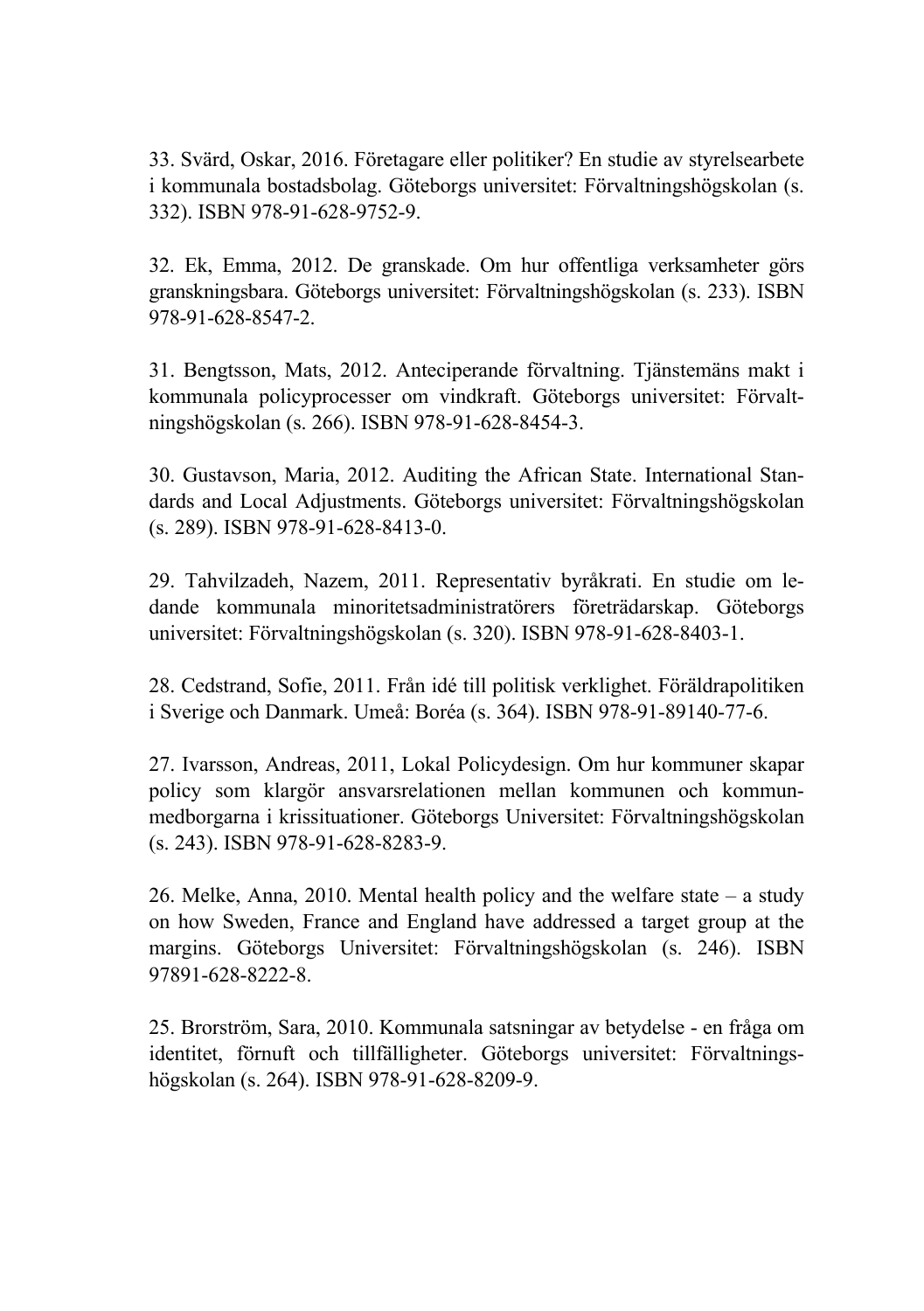33. Svärd, Oskar, 2016. Företagare eller politiker? En studie av styrelsearbete i kommunala bostadsbolag. Göteborgs universitet: Förvaltningshögskolan (s. 332). ISBN 978-91-628-9752-9.

32. Ek, Emma, 2012. De granskade. Om hur offentliga verksamheter görs granskningsbara. Göteborgs universitet: Förvaltningshögskolan (s. 233). ISBN 978-91-628-8547-2.

31. Bengtsson, Mats, 2012. Anteciperande förvaltning. Tjänstemäns makt i kommunala policyprocesser om vindkraft. Göteborgs universitet: Förvaltningshögskolan (s. 266). ISBN 978-91-628-8454-3.

30. Gustavson, Maria, 2012. Auditing the African State. International Standards and Local Adjustments. Göteborgs universitet: Förvaltningshögskolan (s. 289). ISBN 978-91-628-8413-0.

29. Tahvilzadeh, Nazem, 2011. Representativ byråkrati. En studie om ledande kommunala minoritetsadministratörers företrädarskap. Göteborgs universitet: Förvaltningshögskolan (s. 320). ISBN 978-91-628-8403-1.

28. Cedstrand, Sofie, 2011. Från idé till politisk verklighet. Föräldrapolitiken i Sverige och Danmark. Umeå: Boréa (s. 364). ISBN 978-91-89140-77-6.

27. Ivarsson, Andreas, 2011, Lokal Policydesign. Om hur kommuner skapar policy som klargör ansvarsrelationen mellan kommunen och kommunmedborgarna i krissituationer. Göteborgs Universitet: Förvaltningshögskolan (s. 243). ISBN 978-91-628-8283-9.

26. Melke, Anna, 2010. Mental health policy and the welfare state – a study on how Sweden, France and England have addressed a target group at the margins. Göteborgs Universitet: Förvaltningshögskolan (s. 246). ISBN 97891-628-8222-8.

25. Brorström, Sara, 2010. Kommunala satsningar av betydelse - en fråga om identitet, förnuft och tillfälligheter. Göteborgs universitet: Förvaltningshögskolan (s. 264). ISBN 978-91-628-8209-9.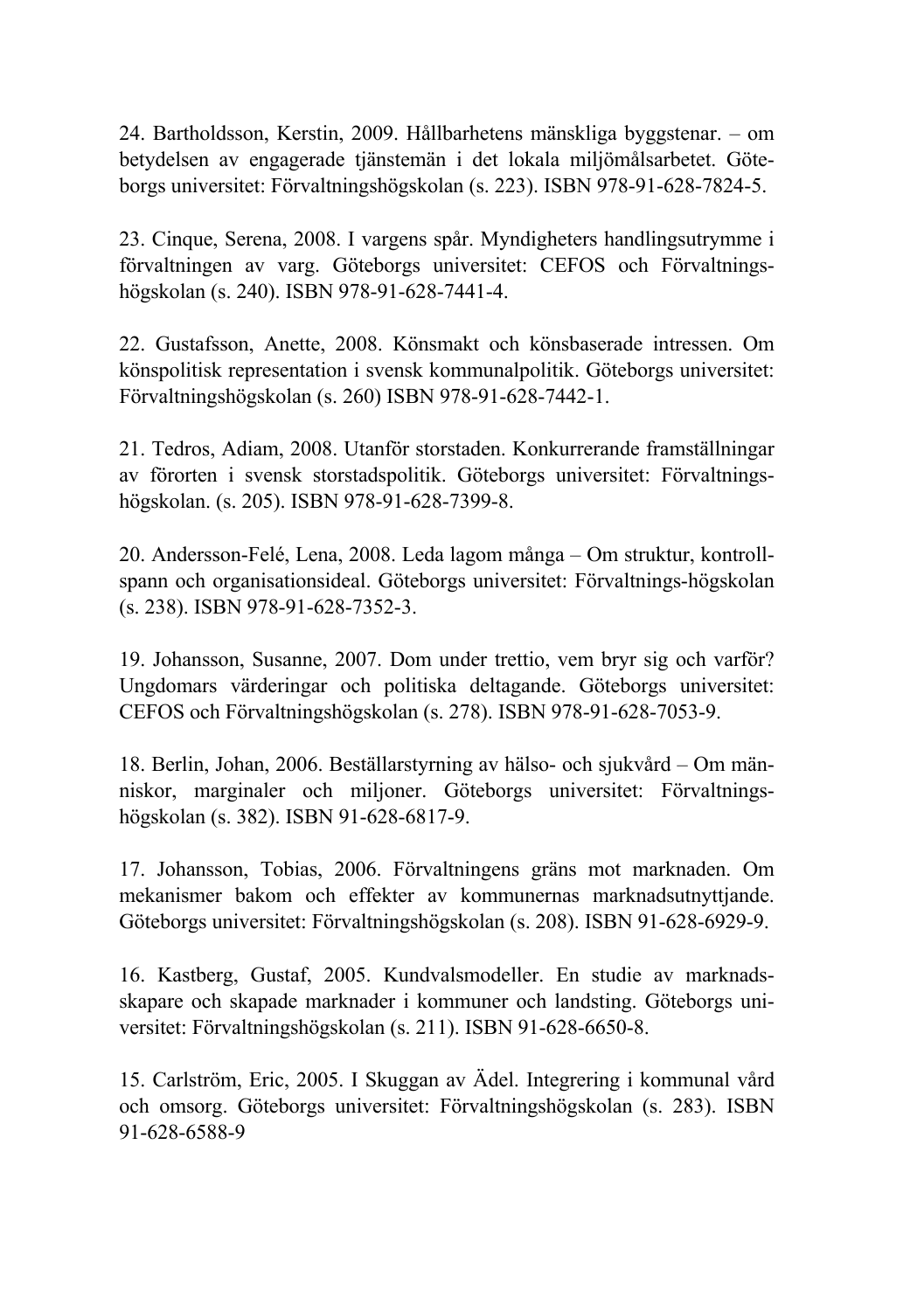24. Bartholdsson, Kerstin, 2009. Hållbarhetens mänskliga byggstenar. – om betydelsen av engagerade tjänstemän i det lokala miljömålsarbetet. Göteborgs universitet: Förvaltningshögskolan (s. 223). ISBN 978-91-628-7824-5.

23. Cinque, Serena, 2008. I vargens spår. Myndigheters handlingsutrymme i förvaltningen av varg. Göteborgs universitet: CEFOS och Förvaltningshögskolan (s. 240). ISBN 978-91-628-7441-4.

22. Gustafsson, Anette, 2008. Könsmakt och könsbaserade intressen. Om könspolitisk representation i svensk kommunalpolitik. Göteborgs universitet: Förvaltningshögskolan (s. 260) ISBN 978-91-628-7442-1.

21. Tedros, Adiam, 2008. Utanför storstaden. Konkurrerande framställningar av förorten i svensk storstadspolitik. Göteborgs universitet: Förvaltningshögskolan. (s. 205). ISBN 978-91-628-7399-8.

20. Andersson-Felé, Lena, 2008. Leda lagom många – Om struktur, kontrollspann och organisationsideal. Göteborgs universitet: Förvaltnings-högskolan (s. 238). ISBN 978-91-628-7352-3.

19. Johansson, Susanne, 2007. Dom under trettio, vem bryr sig och varför? Ungdomars värderingar och politiska deltagande. Göteborgs universitet: CEFOS och Förvaltningshögskolan (s. 278). ISBN 978-91-628-7053-9.

18. Berlin, Johan, 2006. Beställarstyrning av hälso- och sjukvård – Om människor, marginaler och miljoner. Göteborgs universitet: Förvaltningshögskolan (s. 382). ISBN 91-628-6817-9.

17. Johansson, Tobias, 2006. Förvaltningens gräns mot marknaden. Om mekanismer bakom och effekter av kommunernas marknadsutnyttjande. Göteborgs universitet: Förvaltningshögskolan (s. 208). ISBN 91-628-6929-9.

16. Kastberg, Gustaf, 2005. Kundvalsmodeller. En studie av marknadsskapare och skapade marknader i kommuner och landsting. Göteborgs universitet: Förvaltningshögskolan (s. 211). ISBN 91-628-6650-8.

15. Carlström, Eric, 2005. I Skuggan av Ädel. Integrering i kommunal vård och omsorg. Göteborgs universitet: Förvaltningshögskolan (s. 283). ISBN 91-628-6588-9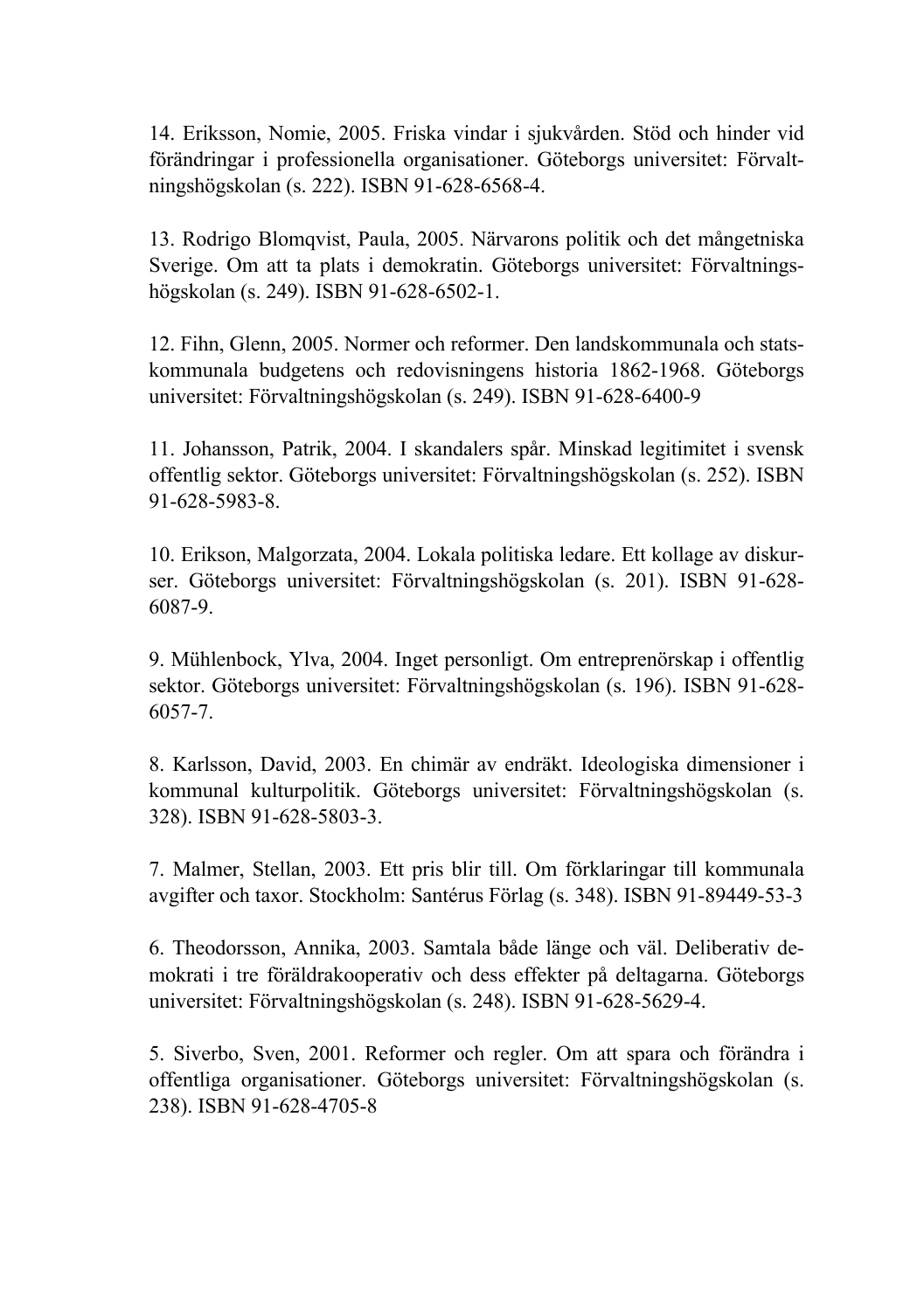14. Eriksson, Nomie, 2005. Friska vindar i sjukvården. Stöd och hinder vid förändringar i professionella organisationer. Göteborgs universitet: Förvaltningshögskolan (s. 222). ISBN 91-628-6568-4.

13. Rodrigo Blomqvist, Paula, 2005. Närvarons politik och det mångetniska Sverige. Om att ta plats i demokratin. Göteborgs universitet: Förvaltningshögskolan (s. 249). ISBN 91-628-6502-1.

12. Fihn, Glenn, 2005. Normer och reformer. Den landskommunala och statskommunala budgetens och redovisningens historia 1862-1968. Göteborgs universitet: Förvaltningshögskolan (s. 249). ISBN 91-628-6400-9

11. Johansson, Patrik, 2004. I skandalers spår. Minskad legitimitet i svensk offentlig sektor. Göteborgs universitet: Förvaltningshögskolan (s. 252). ISBN 91-628-5983-8.

10. Erikson, Malgorzata, 2004. Lokala politiska ledare. Ett kollage av diskurser. Göteborgs universitet: Förvaltningshögskolan (s. 201). ISBN 91-628- 6087-9.

9. Mühlenbock, Ylva, 2004. Inget personligt. Om entreprenörskap i offentlig sektor. Göteborgs universitet: Förvaltningshögskolan (s. 196). ISBN 91-628- 6057-7.

8. Karlsson, David, 2003. En chimär av endräkt. Ideologiska dimensioner i kommunal kulturpolitik. Göteborgs universitet: Förvaltningshögskolan (s. 328). ISBN 91-628-5803-3.

7. Malmer, Stellan, 2003. Ett pris blir till. Om förklaringar till kommunala avgifter och taxor. Stockholm: Santérus Förlag (s. 348). ISBN 91-89449-53-3

6. Theodorsson, Annika, 2003. Samtala både länge och väl. Deliberativ demokrati i tre föräldrakooperativ och dess effekter på deltagarna. Göteborgs universitet: Förvaltningshögskolan (s. 248). ISBN 91-628-5629-4.

5. Siverbo, Sven, 2001. Reformer och regler. Om att spara och förändra i offentliga organisationer. Göteborgs universitet: Förvaltningshögskolan (s. 238). ISBN 91-628-4705-8